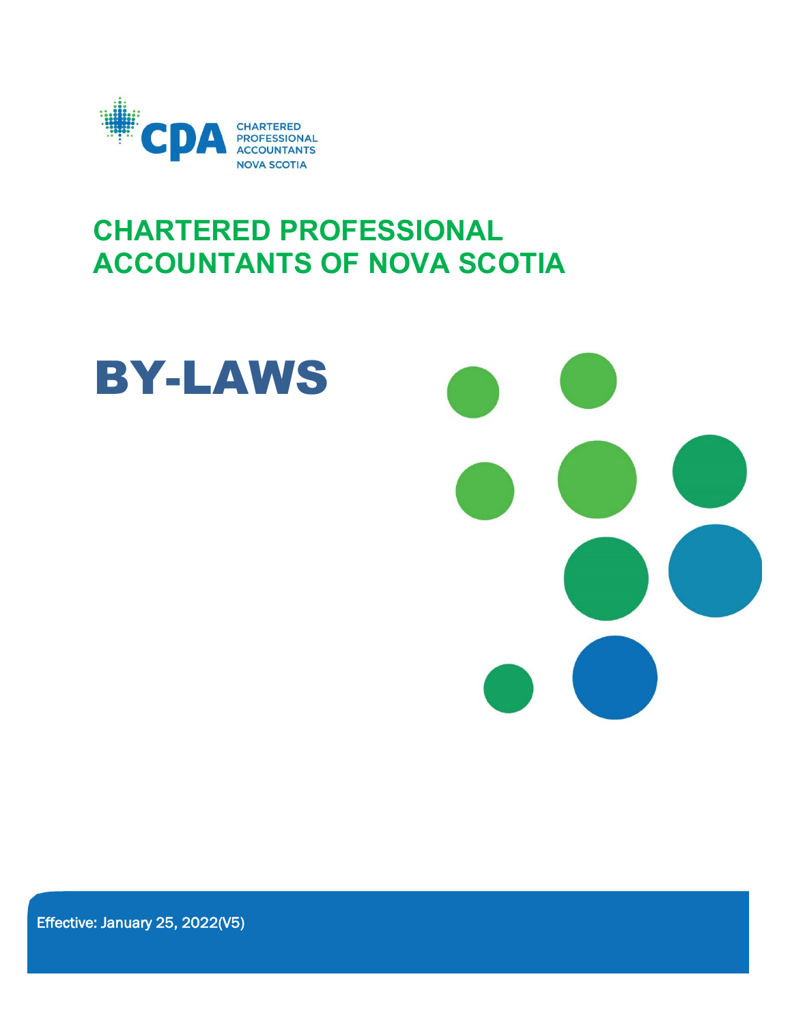

# **CHARTERED PROFESSIONAL ACCOUNTANTS OF NOVA SCOTIA**



Effective: January 25, 2022(V5)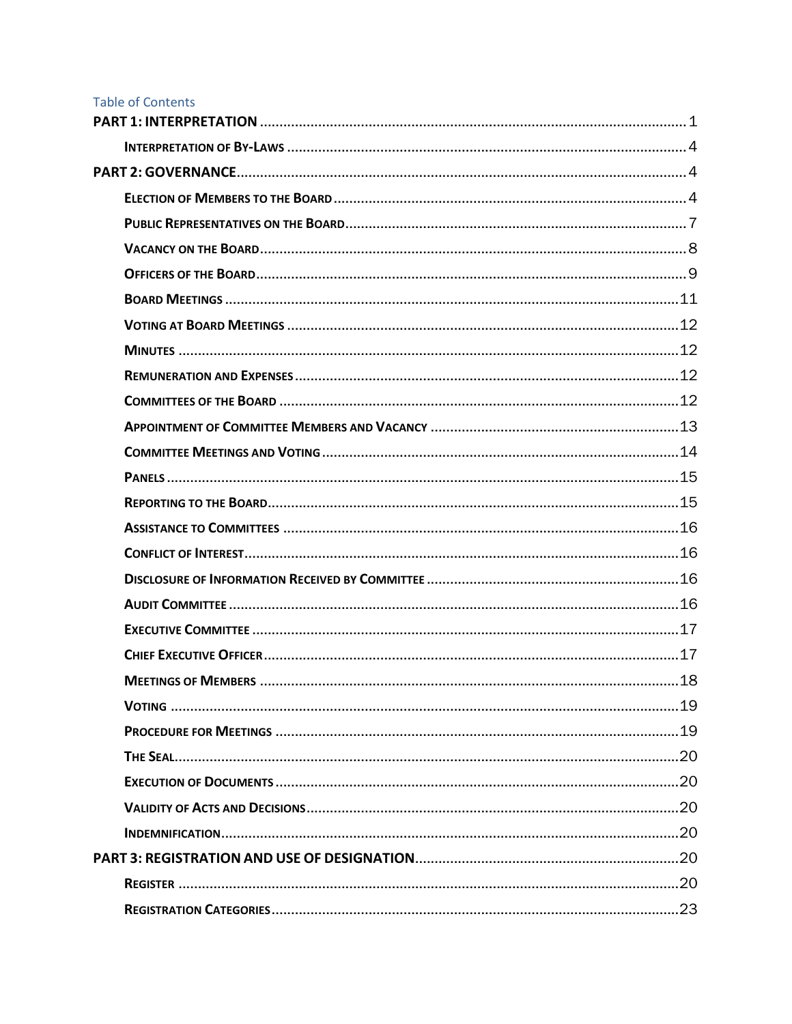## **Table of Contents**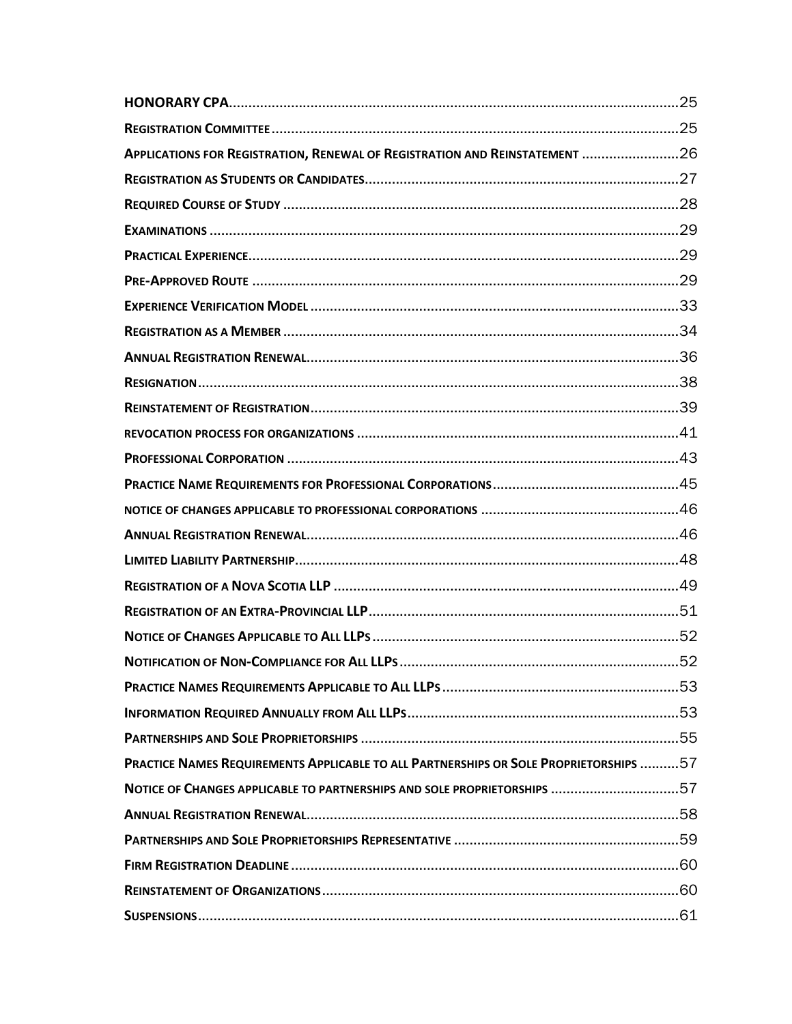| APPLICATIONS FOR REGISTRATION, RENEWAL OF REGISTRATION AND REINSTATEMENT 26           |  |
|---------------------------------------------------------------------------------------|--|
|                                                                                       |  |
|                                                                                       |  |
|                                                                                       |  |
|                                                                                       |  |
|                                                                                       |  |
|                                                                                       |  |
|                                                                                       |  |
|                                                                                       |  |
|                                                                                       |  |
|                                                                                       |  |
|                                                                                       |  |
|                                                                                       |  |
|                                                                                       |  |
|                                                                                       |  |
|                                                                                       |  |
|                                                                                       |  |
|                                                                                       |  |
|                                                                                       |  |
|                                                                                       |  |
|                                                                                       |  |
|                                                                                       |  |
|                                                                                       |  |
|                                                                                       |  |
| PRACTICE NAMES REQUIREMENTS APPLICABLE TO ALL PARTNERSHIPS OR SOLE PROPRIETORSHIPS 57 |  |
| NOTICE OF CHANGES APPLICABLE TO PARTNERSHIPS AND SOLE PROPRIETORSHIPS 57              |  |
|                                                                                       |  |
|                                                                                       |  |
|                                                                                       |  |
|                                                                                       |  |
|                                                                                       |  |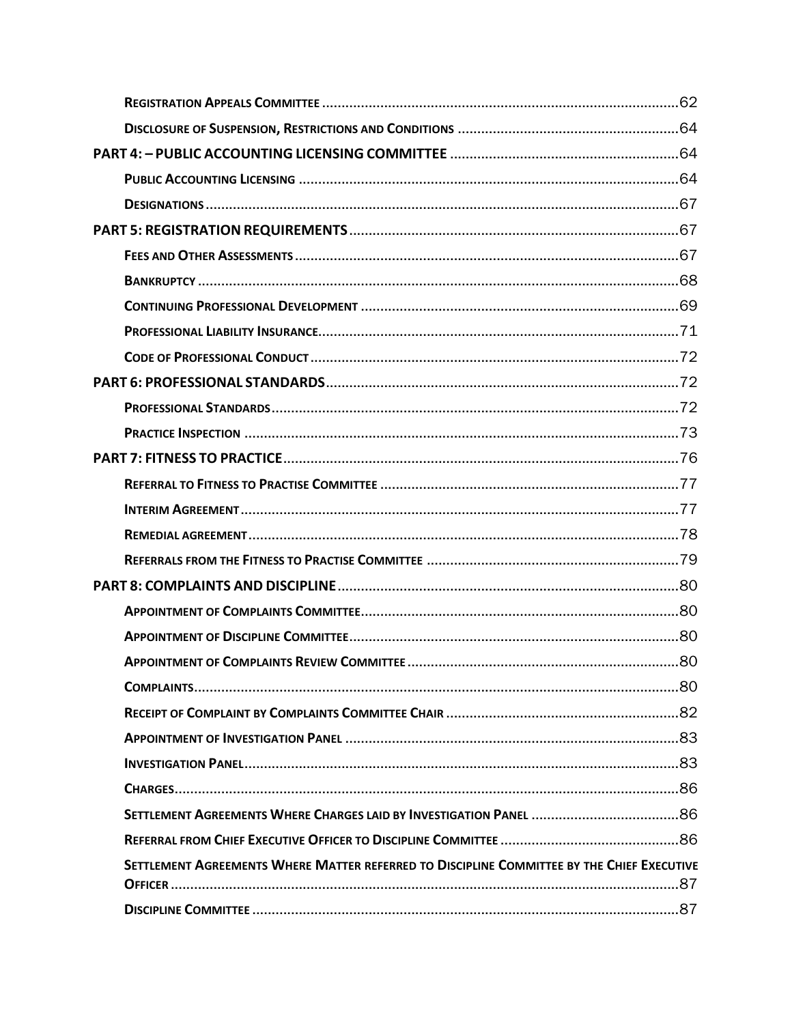| SETTLEMENT AGREEMENTS WHERE MATTER REFERRED TO DISCIPLINE COMMITTEE BY THE CHIEF EXECUTIVE |  |
|--------------------------------------------------------------------------------------------|--|
|                                                                                            |  |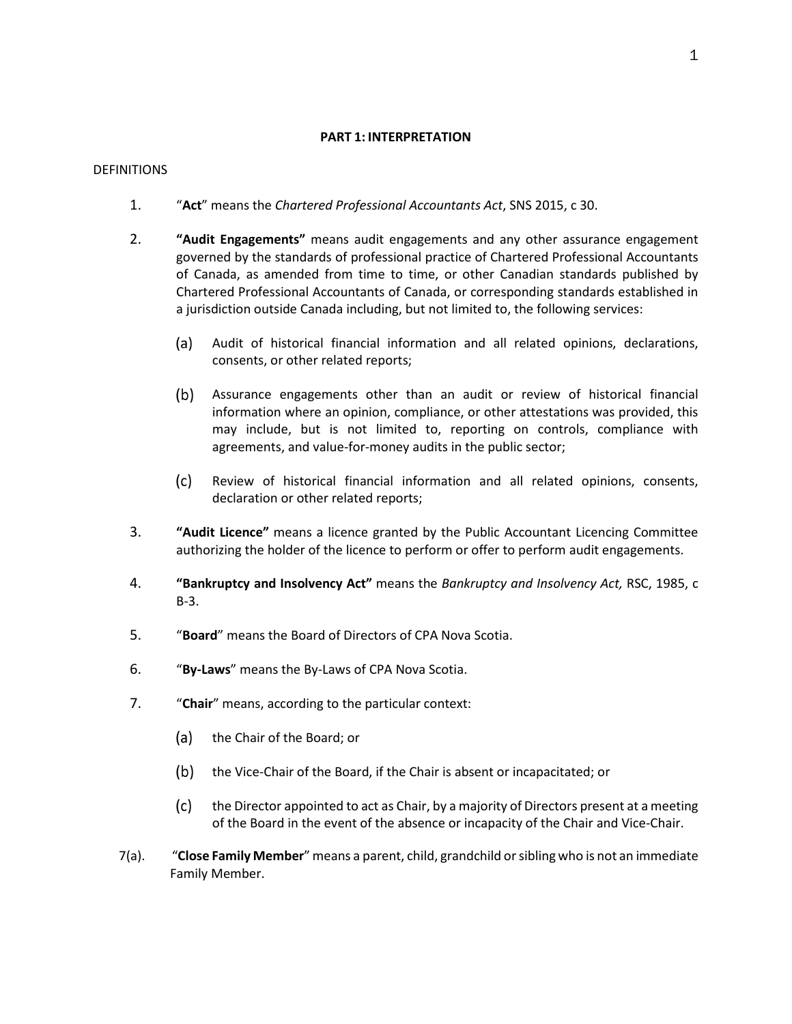## **PART 1: INTERPRETATION**

## <span id="page-5-0"></span>DEFINITIONS

- 1. "**Act**" means the *Chartered Professional Accountants Act*, SNS 2015, c 30.
- 2. **"Audit Engagements"** means audit engagements and any other assurance engagement governed by the standards of professional practice of Chartered Professional Accountants of Canada, as amended from time to time, or other Canadian standards published by Chartered Professional Accountants of Canada, or corresponding standards established in a jurisdiction outside Canada including, but not limited to, the following services:
	- $(a)$ Audit of historical financial information and all related opinions, declarations, consents, or other related reports;
	- Assurance engagements other than an audit or review of historical financial information where an opinion, compliance, or other attestations was provided, this may include, but is not limited to, reporting on controls, compliance with agreements, and value-for-money audits in the public sector;
	- $(c)$ Review of historical financial information and all related opinions, consents, declaration or other related reports;
- 3. **"Audit Licence"** means a licence granted by the Public Accountant Licencing Committee authorizing the holder of the licence to perform or offer to perform audit engagements.
- 4. **"Bankruptcy and Insolvency Act"** means the *Bankruptcy and Insolvency Act,* RSC, 1985, c B-3.
- 5. "**Board**" means the Board of Directors of CPA Nova Scotia.
- 6. "**By-Laws**" means the By-Laws of CPA Nova Scotia.
- 7. "**Chair**" means, according to the particular context:
	- (a) the Chair of the Board; or
	- the Vice-Chair of the Board, if the Chair is absent or incapacitated; or  $(b)$
	- $(c)$ the Director appointed to act as Chair, by a majority of Directors present at a meeting of the Board in the event of the absence or incapacity of the Chair and Vice-Chair.
- 7(a). "**Close Family Member**" means a parent, child, grandchild or sibling who is not an immediate Family Member.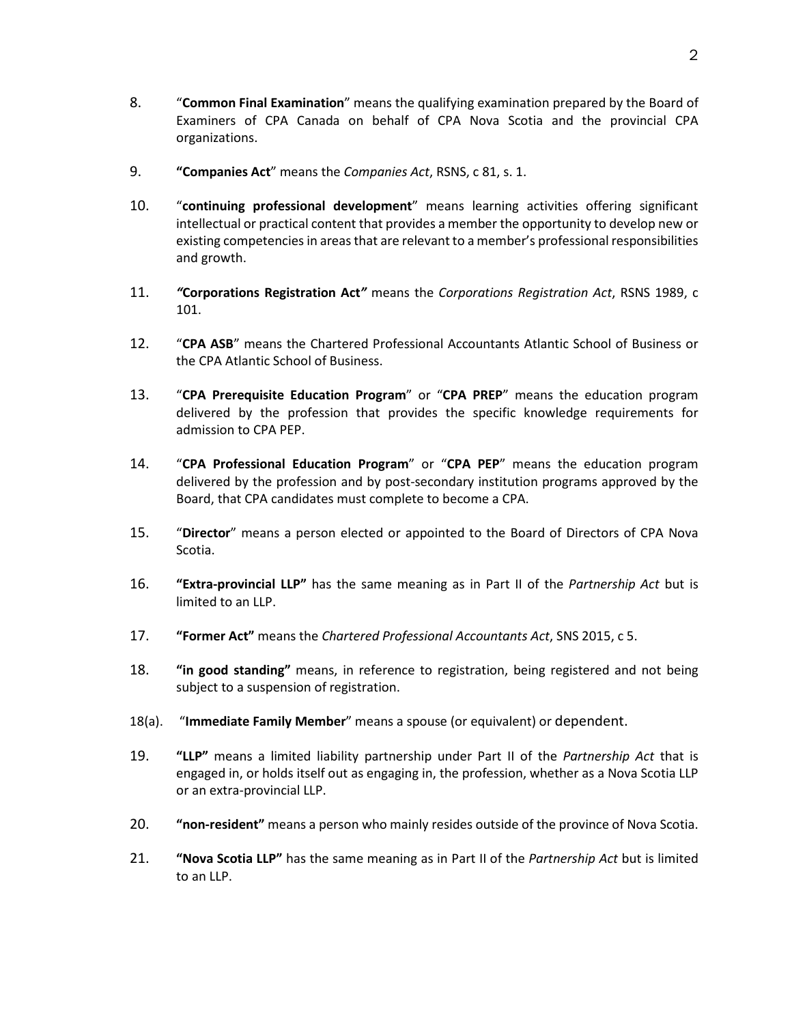- 8. "**Common Final Examination**" means the qualifying examination prepared by the Board of Examiners of CPA Canada on behalf of CPA Nova Scotia and the provincial CPA organizations.
- 9. **"Companies Act**" means the *Companies Act*, RSNS, c 81, s. 1.
- 10. "**continuing professional development**" means learning activities offering significant intellectual or practical content that provides a member the opportunity to develop new or existing competencies in areas that are relevant to a member's professional responsibilities and growth.
- 11. *"***Corporations Registration Act***"* means the *Corporations Registration Act*, RSNS 1989, c 101.
- 12. "**CPA ASB**" means the Chartered Professional Accountants Atlantic School of Business or the CPA Atlantic School of Business.
- 13. "**CPA Prerequisite Education Program**" or "**CPA PREP**" means the education program delivered by the profession that provides the specific knowledge requirements for admission to CPA PEP.
- 14. "**CPA Professional Education Program**" or "**CPA PEP**" means the education program delivered by the profession and by post-secondary institution programs approved by the Board, that CPA candidates must complete to become a CPA.
- 15. "**Director**" means a person elected or appointed to the Board of Directors of CPA Nova Scotia.
- 16. **"Extra-provincial LLP"** has the same meaning as in Part II of the *Partnership Act* but is limited to an LLP.
- 17. **"Former Act"** means the *Chartered Professional Accountants Act*, SNS 2015, c 5.
- 18. **"in good standing"** means, in reference to registration, being registered and not being subject to a suspension of registration.
- 18(a). "**Immediate Family Member**" means a spouse (or equivalent) or dependent.
- 19. **"LLP"** means a limited liability partnership under Part II of the *Partnership Act* that is engaged in, or holds itself out as engaging in, the profession, whether as a Nova Scotia LLP or an extra-provincial LLP.
- 20. **"non-resident"** means a person who mainly resides outside of the province of Nova Scotia.
- 21. **"Nova Scotia LLP"** has the same meaning as in Part II of the *Partnership Act* but is limited to an LLP.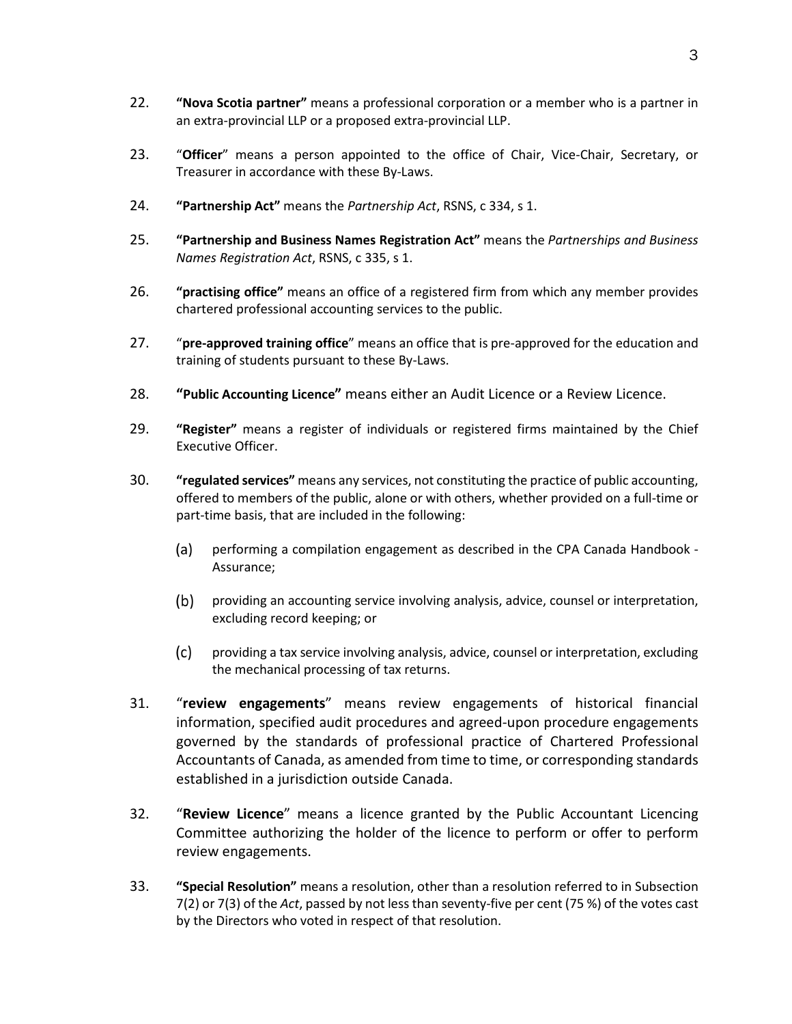- 22. **"Nova Scotia partner"** means a professional corporation or a member who is a partner in an extra-provincial LLP or a proposed extra-provincial LLP.
- 23. "**Officer**" means a person appointed to the office of Chair, Vice-Chair, Secretary, or Treasurer in accordance with these By-Laws.
- 24. **"Partnership Act"** means the *Partnership Act*, RSNS, c 334, s 1.
- 25. **"Partnership and Business Names Registration Act"** means the *Partnerships and Business Names Registration Act*, RSNS, c 335, s 1.
- 26. **"practising office"** means an office of a registered firm from which any member provides chartered professional accounting services to the public.
- 27. "**pre-approved training office**" means an office that is pre-approved for the education and training of students pursuant to these By-Laws.
- 28. **"Public Accounting Licence"** means either an Audit Licence or a Review Licence.
- 29. **"Register"** means a register of individuals or registered firms maintained by the Chief Executive Officer.
- 30. **"regulated services"** means any services, not constituting the practice of public accounting, offered to members of the public, alone or with others, whether provided on a full-time or part-time basis, that are included in the following:
	- $(a)$ performing a compilation engagement as described in the CPA Canada Handbook - Assurance;
	- providing an accounting service involving analysis, advice, counsel or interpretation,  $(b)$ excluding record keeping; or
	- $(c)$ providing a tax service involving analysis, advice, counsel or interpretation, excluding the mechanical processing of tax returns.
- 31. "**review engagements**" means review engagements of historical financial information, specified audit procedures and agreed-upon procedure engagements governed by the standards of professional practice of Chartered Professional Accountants of Canada, as amended from time to time, or corresponding standards established in a jurisdiction outside Canada.
- 32. "**Review Licence**" means a licence granted by the Public Accountant Licencing Committee authorizing the holder of the licence to perform or offer to perform review engagements.
- 33. **"Special Resolution"** means a resolution, other than a resolution referred to in Subsection 7(2) or 7(3) of the *Act*, passed by not less than seventy-five per cent (75 %) of the votes cast by the Directors who voted in respect of that resolution.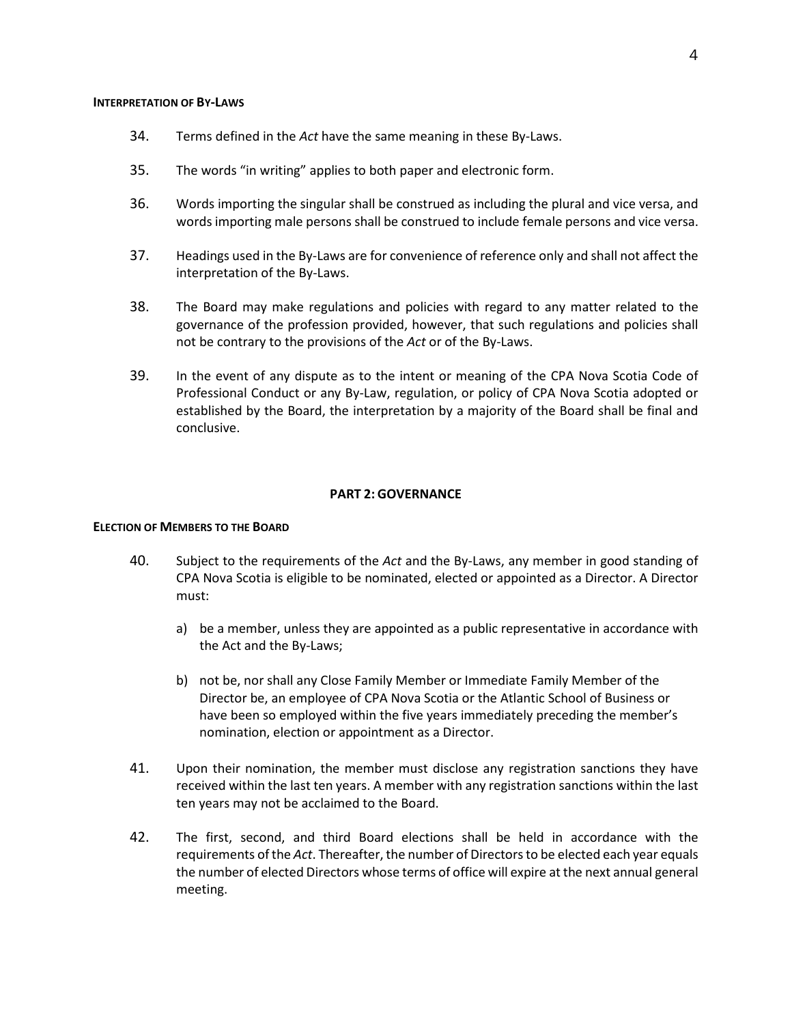#### <span id="page-8-0"></span>**INTERPRETATION OF BY-LAWS**

- 34. Terms defined in the *Act* have the same meaning in these By-Laws.
- 35. The words "in writing" applies to both paper and electronic form.
- 36. Words importing the singular shall be construed as including the plural and vice versa, and words importing male persons shall be construed to include female persons and vice versa.
- 37. Headings used in the By-Laws are for convenience of reference only and shall not affect the interpretation of the By-Laws.
- 38. The Board may make regulations and policies with regard to any matter related to the governance of the profession provided, however, that such regulations and policies shall not be contrary to the provisions of the *Act* or of the By-Laws.
- 39. In the event of any dispute as to the intent or meaning of the CPA Nova Scotia Code of Professional Conduct or any By-Law, regulation, or policy of CPA Nova Scotia adopted or established by the Board, the interpretation by a majority of the Board shall be final and conclusive.

#### **PART 2: GOVERNANCE**

#### <span id="page-8-2"></span><span id="page-8-1"></span>**ELECTION OF MEMBERS TO THE BOARD**

- 40. Subject to the requirements of the *Act* and the By-Laws, any member in good standing of CPA Nova Scotia is eligible to be nominated, elected or appointed as a Director. A Director must:
	- a) be a member, unless they are appointed as a public representative in accordance with the Act and the By-Laws;
	- b) not be, nor shall any Close Family Member or Immediate Family Member of the Director be, an employee of CPA Nova Scotia or the Atlantic School of Business or have been so employed within the five years immediately preceding the member's nomination, election or appointment as a Director.
- 41. Upon their nomination, the member must disclose any registration sanctions they have received within the last ten years. A member with any registration sanctions within the last ten years may not be acclaimed to the Board.
- 42. The first, second, and third Board elections shall be held in accordance with the requirements of the *Act*. Thereafter, the number of Directors to be elected each year equals the number of elected Directors whose terms of office will expire at the next annual general meeting.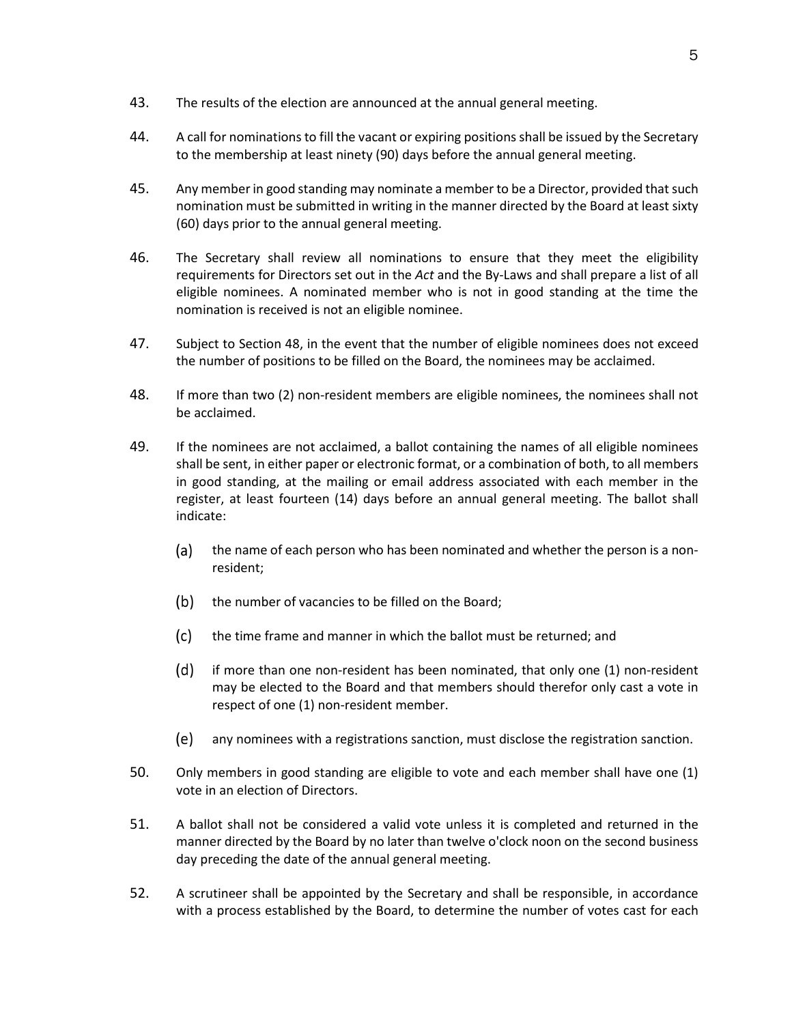- 43. The results of the election are announced at the annual general meeting.
- 44. A call for nominations to fill the vacant or expiring positions shall be issued by the Secretary to the membership at least ninety (90) days before the annual general meeting.
- 45. Any member in good standing may nominate a member to be a Director, provided that such nomination must be submitted in writing in the manner directed by the Board at least sixty (60) days prior to the annual general meeting.
- 46. The Secretary shall review all nominations to ensure that they meet the eligibility requirements for Directors set out in the *Act* and the By-Laws and shall prepare a list of all eligible nominees. A nominated member who is not in good standing at the time the nomination is received is not an eligible nominee.
- 47. Subject to Section 48, in the event that the number of eligible nominees does not exceed the number of positions to be filled on the Board, the nominees may be acclaimed.
- 48. If more than two (2) non-resident members are eligible nominees, the nominees shall not be acclaimed.
- 49. If the nominees are not acclaimed, a ballot containing the names of all eligible nominees shall be sent, in either paper or electronic format, or a combination of both, to all members in good standing, at the mailing or email address associated with each member in the register, at least fourteen (14) days before an annual general meeting. The ballot shall indicate:
	- $(a)$ the name of each person who has been nominated and whether the person is a nonresident;
	- $(b)$ the number of vacancies to be filled on the Board;
	- $(c)$ the time frame and manner in which the ballot must be returned; and
	- (d) if more than one non-resident has been nominated, that only one (1) non-resident may be elected to the Board and that members should therefor only cast a vote in respect of one (1) non-resident member.
	- (e) any nominees with a registrations sanction, must disclose the registration sanction.
- 50. Only members in good standing are eligible to vote and each member shall have one (1) vote in an election of Directors.
- 51. A ballot shall not be considered a valid vote unless it is completed and returned in the manner directed by the Board by no later than twelve o'clock noon on the second business day preceding the date of the annual general meeting.
- 52. A scrutineer shall be appointed by the Secretary and shall be responsible, in accordance with a process established by the Board, to determine the number of votes cast for each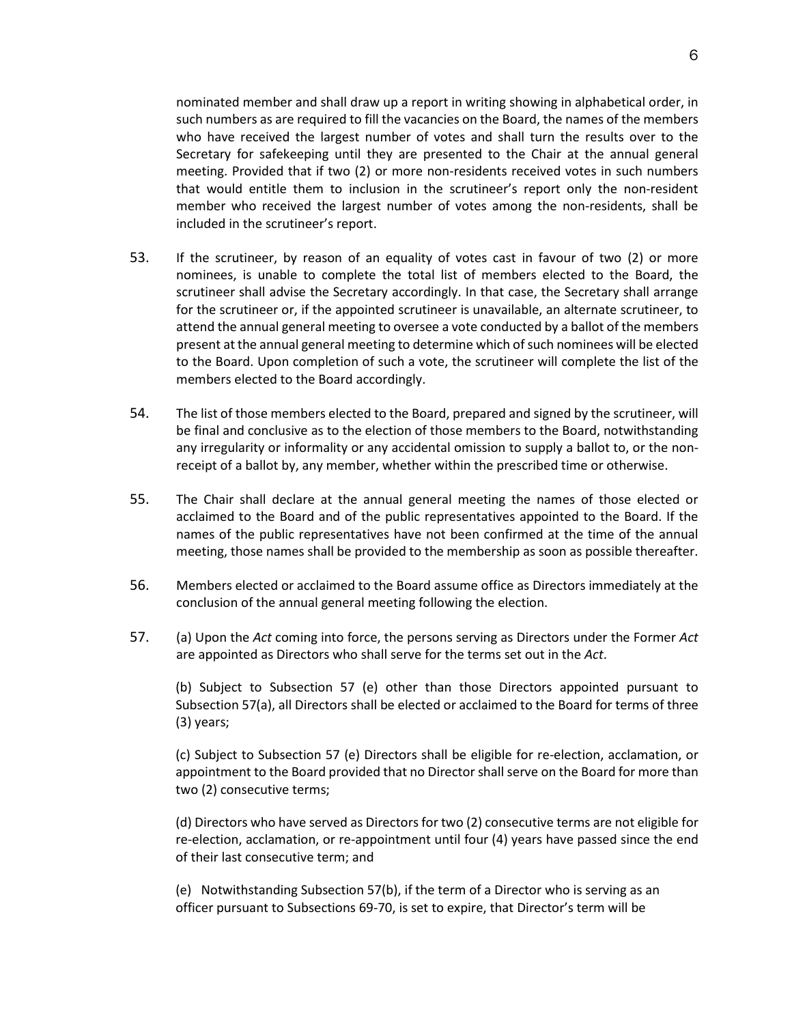nominated member and shall draw up a report in writing showing in alphabetical order, in such numbers as are required to fill the vacancies on the Board, the names of the members who have received the largest number of votes and shall turn the results over to the Secretary for safekeeping until they are presented to the Chair at the annual general meeting. Provided that if two (2) or more non-residents received votes in such numbers that would entitle them to inclusion in the scrutineer's report only the non-resident member who received the largest number of votes among the non-residents, shall be included in the scrutineer's report.

- 53. If the scrutineer, by reason of an equality of votes cast in favour of two (2) or more nominees, is unable to complete the total list of members elected to the Board, the scrutineer shall advise the Secretary accordingly. In that case, the Secretary shall arrange for the scrutineer or, if the appointed scrutineer is unavailable, an alternate scrutineer, to attend the annual general meeting to oversee a vote conducted by a ballot of the members present at the annual general meeting to determine which of such nominees will be elected to the Board. Upon completion of such a vote, the scrutineer will complete the list of the members elected to the Board accordingly.
- 54. The list of those members elected to the Board, prepared and signed by the scrutineer, will be final and conclusive as to the election of those members to the Board, notwithstanding any irregularity or informality or any accidental omission to supply a ballot to, or the nonreceipt of a ballot by, any member, whether within the prescribed time or otherwise.
- 55. The Chair shall declare at the annual general meeting the names of those elected or acclaimed to the Board and of the public representatives appointed to the Board. If the names of the public representatives have not been confirmed at the time of the annual meeting, those names shall be provided to the membership as soon as possible thereafter.
- 56. Members elected or acclaimed to the Board assume office as Directors immediately at the conclusion of the annual general meeting following the election.
- 57. (a) Upon the *Act* coming into force, the persons serving as Directors under the Former *Act* are appointed as Directors who shall serve for the terms set out in the *Act*.

(b) Subject to Subsection 57 (e) other than those Directors appointed pursuant to Subsection 57(a), all Directors shall be elected or acclaimed to the Board for terms of three (3) years;

(c) Subject to Subsection 57 (e) Directors shall be eligible for re-election, acclamation, or appointment to the Board provided that no Director shall serve on the Board for more than two (2) consecutive terms;

(d) Directors who have served as Directors for two (2) consecutive terms are not eligible for re-election, acclamation, or re-appointment until four (4) years have passed since the end of their last consecutive term; and

(e) Notwithstanding Subsection 57(b), if the term of a Director who is serving as an officer pursuant to Subsections 69-70, is set to expire, that Director's term will be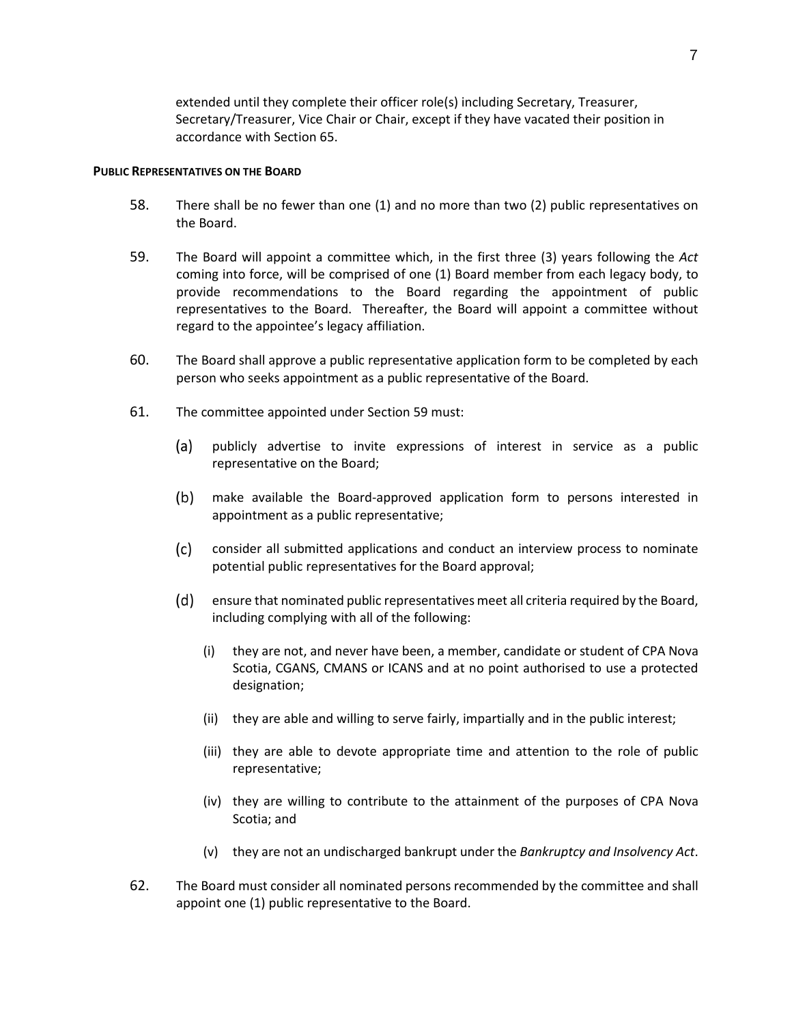extended until they complete their officer role(s) including Secretary, Treasurer, Secretary/Treasurer, Vice Chair or Chair, except if they have vacated their position in accordance with Section 65.

#### <span id="page-11-0"></span>**PUBLIC REPRESENTATIVES ON THE BOARD**

- 58. There shall be no fewer than one (1) and no more than two (2) public representatives on the Board.
- 59. The Board will appoint a committee which, in the first three (3) years following the *Act* coming into force, will be comprised of one (1) Board member from each legacy body, to provide recommendations to the Board regarding the appointment of public representatives to the Board. Thereafter, the Board will appoint a committee without regard to the appointee's legacy affiliation.
- 60. The Board shall approve a public representative application form to be completed by each person who seeks appointment as a public representative of the Board.
- 61. The committee appointed under Section 59 must:
	- $(a)$ publicly advertise to invite expressions of interest in service as a public representative on the Board;
	- $(b)$ make available the Board-approved application form to persons interested in appointment as a public representative;
	- $(c)$ consider all submitted applications and conduct an interview process to nominate potential public representatives for the Board approval;
	- ensure that nominated public representatives meet all criteria required by the Board, including complying with all of the following:
		- (i) they are not, and never have been, a member, candidate or student of CPA Nova Scotia, CGANS, CMANS or ICANS and at no point authorised to use a protected designation;
		- (ii) they are able and willing to serve fairly, impartially and in the public interest;
		- (iii) they are able to devote appropriate time and attention to the role of public representative;
		- (iv) they are willing to contribute to the attainment of the purposes of CPA Nova Scotia; and
		- (v) they are not an undischarged bankrupt under the *Bankruptcy and Insolvency Act*.
- 62. The Board must consider all nominated persons recommended by the committee and shall appoint one (1) public representative to the Board.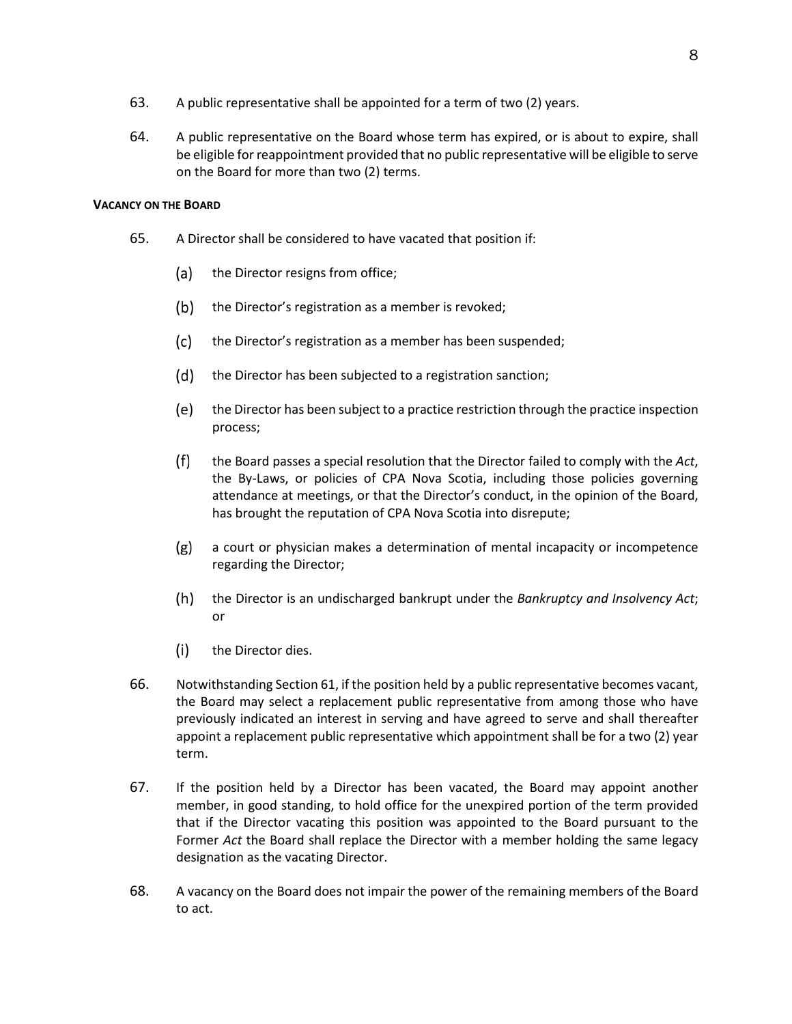- 63. A public representative shall be appointed for a term of two (2) years.
- 64. A public representative on the Board whose term has expired, or is about to expire, shall be eligible for reappointment provided that no public representative will be eligible to serve on the Board for more than two (2) terms.

### <span id="page-12-0"></span>**VACANCY ON THE BOARD**

- 65. A Director shall be considered to have vacated that position if:
	- (a) the Director resigns from office;
	- $(b)$ the Director's registration as a member is revoked;
	- $(c)$ the Director's registration as a member has been suspended;
	- $(d)$ the Director has been subjected to a registration sanction;
	- (e) the Director has been subject to a practice restriction through the practice inspection process;
	- $(f)$ the Board passes a special resolution that the Director failed to comply with the *Act*, the By-Laws, or policies of CPA Nova Scotia, including those policies governing attendance at meetings, or that the Director's conduct, in the opinion of the Board, has brought the reputation of CPA Nova Scotia into disrepute;
	- $(g)$ a court or physician makes a determination of mental incapacity or incompetence regarding the Director;
	- the Director is an undischarged bankrupt under the *Bankruptcy and Insolvency Act*; or
	- $(i)$ the Director dies.
- 66. Notwithstanding Section 61, if the position held by a public representative becomes vacant, the Board may select a replacement public representative from among those who have previously indicated an interest in serving and have agreed to serve and shall thereafter appoint a replacement public representative which appointment shall be for a two (2) year term.
- 67. If the position held by a Director has been vacated, the Board may appoint another member, in good standing, to hold office for the unexpired portion of the term provided that if the Director vacating this position was appointed to the Board pursuant to the Former *Act* the Board shall replace the Director with a member holding the same legacy designation as the vacating Director.
- 68. A vacancy on the Board does not impair the power of the remaining members of the Board to act.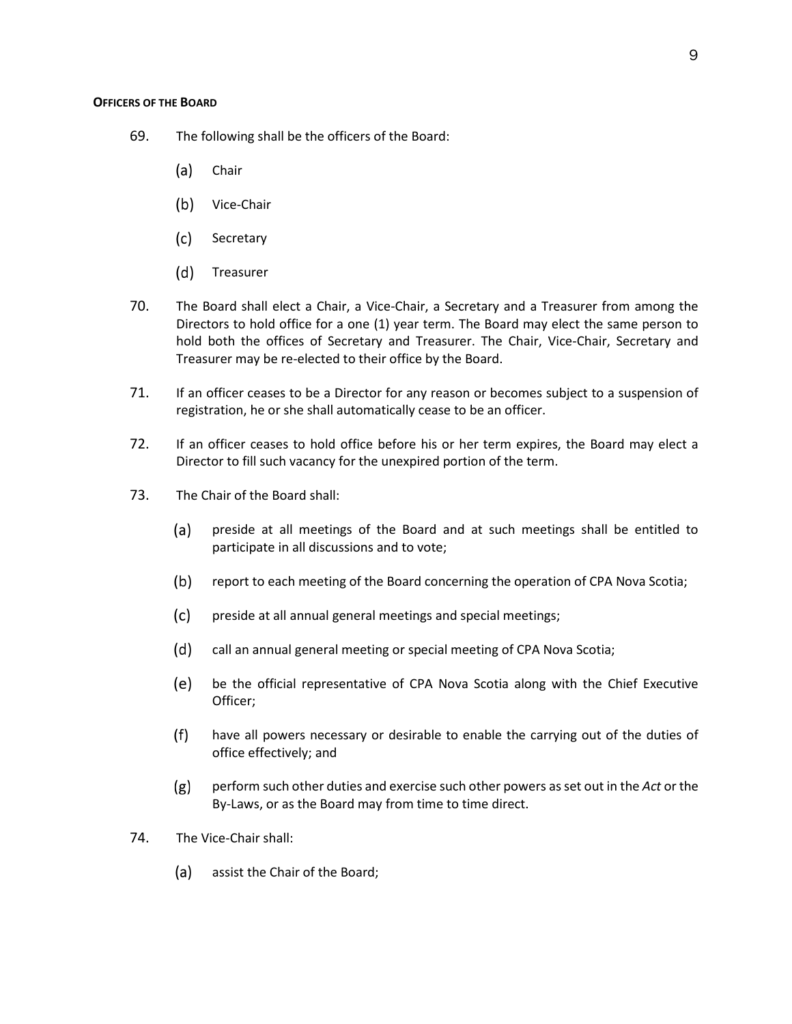- <span id="page-13-0"></span>69. The following shall be the officers of the Board:
	- (a) Chair
	- (b) Vice-Chair
	- $(c)$ **Secretary**
	- (d) Treasurer
- 70. The Board shall elect a Chair, a Vice-Chair, a Secretary and a Treasurer from among the Directors to hold office for a one (1) year term. The Board may elect the same person to hold both the offices of Secretary and Treasurer. The Chair, Vice-Chair, Secretary and Treasurer may be re-elected to their office by the Board.
- 71. If an officer ceases to be a Director for any reason or becomes subject to a suspension of registration, he or she shall automatically cease to be an officer.
- 72. If an officer ceases to hold office before his or her term expires, the Board may elect a Director to fill such vacancy for the unexpired portion of the term.
- 73. The Chair of the Board shall:
	- $(a)$ preside at all meetings of the Board and at such meetings shall be entitled to participate in all discussions and to vote;
	- $(b)$ report to each meeting of the Board concerning the operation of CPA Nova Scotia;
	- $(c)$ preside at all annual general meetings and special meetings;
	- (d) call an annual general meeting or special meeting of CPA Nova Scotia;
	- (e) be the official representative of CPA Nova Scotia along with the Chief Executive Officer;
	- $(f)$ have all powers necessary or desirable to enable the carrying out of the duties of office effectively; and
	- perform such other duties and exercise such other powers as set out in the *Act* or the  $(g)$ By-Laws, or as the Board may from time to time direct.
- 74. The Vice-Chair shall:
	- (a) assist the Chair of the Board;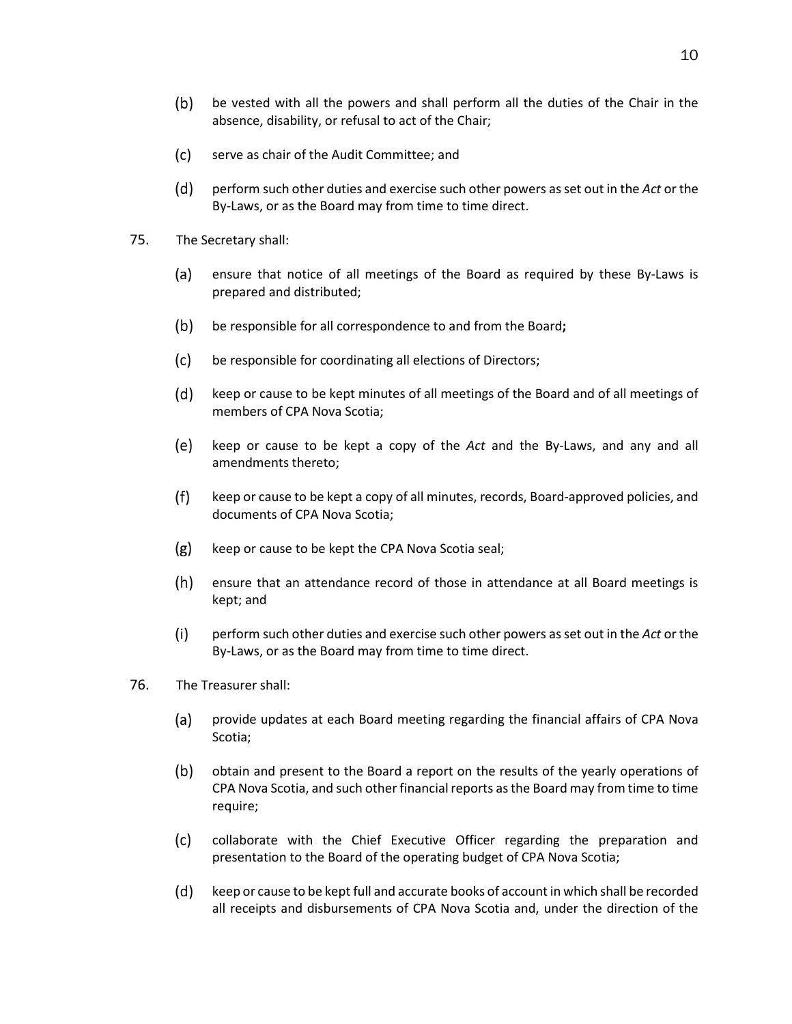- $(b)$ be vested with all the powers and shall perform all the duties of the Chair in the absence, disability, or refusal to act of the Chair;
- $(c)$ serve as chair of the Audit Committee; and
- (d) perform such other duties and exercise such other powers as set out in the *Act* or the By-Laws, or as the Board may from time to time direct.
- 75. The Secretary shall:
	- $(a)$ ensure that notice of all meetings of the Board as required by these By-Laws is prepared and distributed;
	- $(b)$ be responsible for all correspondence to and from the Board**;**
	- $(c)$ be responsible for coordinating all elections of Directors;
	- (d) keep or cause to be kept minutes of all meetings of the Board and of all meetings of members of CPA Nova Scotia;
	- (e) keep or cause to be kept a copy of the *Act* and the By-Laws, and any and all amendments thereto;
	- $(f)$ keep or cause to be kept a copy of all minutes, records, Board-approved policies, and documents of CPA Nova Scotia;
	- $(g)$ keep or cause to be kept the CPA Nova Scotia seal;
	- $(h)$ ensure that an attendance record of those in attendance at all Board meetings is kept; and
	- $(i)$ perform such other duties and exercise such other powers as set out in the *Act* or the By-Laws, or as the Board may from time to time direct.
- 76. The Treasurer shall:
	- $(a)$ provide updates at each Board meeting regarding the financial affairs of CPA Nova Scotia;
	- $(b)$ obtain and present to the Board a report on the results of the yearly operations of CPA Nova Scotia, and such other financial reports as the Board may from time to time require;
	- $(c)$ collaborate with the Chief Executive Officer regarding the preparation and presentation to the Board of the operating budget of CPA Nova Scotia;
	- (d) keep or cause to be kept full and accurate books of account in which shall be recorded all receipts and disbursements of CPA Nova Scotia and, under the direction of the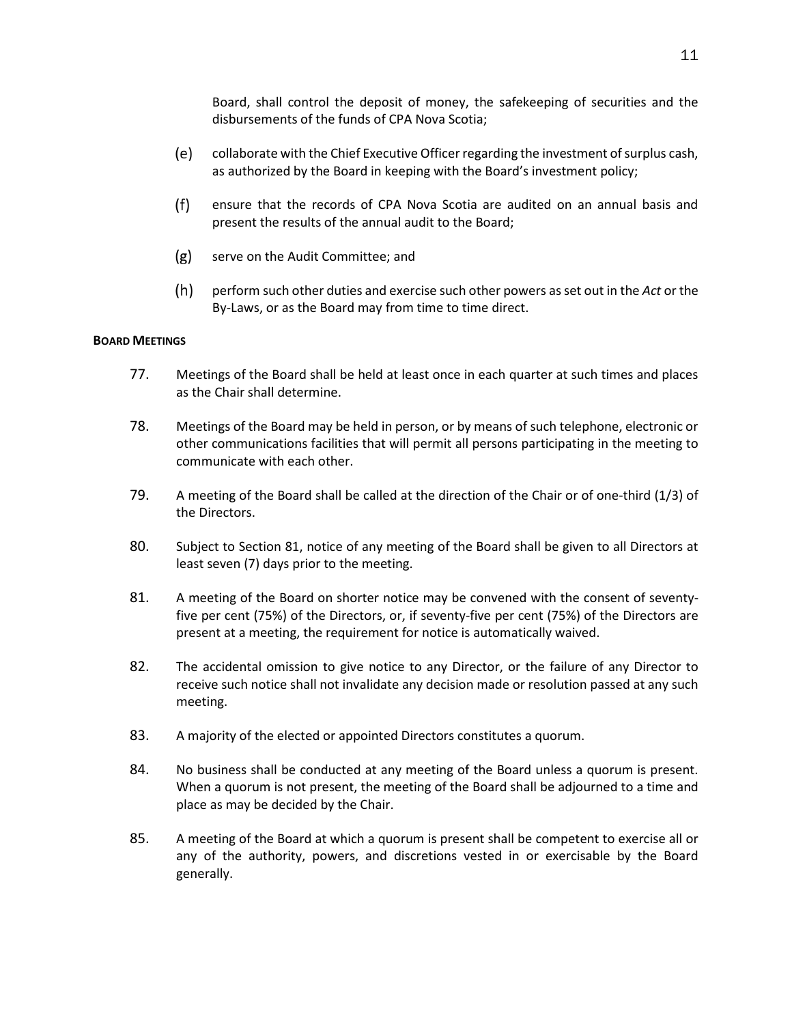Board, shall control the deposit of money, the safekeeping of securities and the disbursements of the funds of CPA Nova Scotia;

- (e) collaborate with the Chief Executive Officer regarding the investment of surplus cash, as authorized by the Board in keeping with the Board's investment policy;
- $(f)$ ensure that the records of CPA Nova Scotia are audited on an annual basis and present the results of the annual audit to the Board;
- $(g)$ serve on the Audit Committee; and
- $(h)$ perform such other duties and exercise such other powers as set out in the *Act* or the By-Laws, or as the Board may from time to time direct.

#### <span id="page-15-0"></span>**BOARD MEETINGS**

- 77. Meetings of the Board shall be held at least once in each quarter at such times and places as the Chair shall determine.
- 78. Meetings of the Board may be held in person, or by means of such telephone, electronic or other communications facilities that will permit all persons participating in the meeting to communicate with each other.
- 79. A meeting of the Board shall be called at the direction of the Chair or of one-third (1/3) of the Directors.
- 80. Subject to Section 81, notice of any meeting of the Board shall be given to all Directors at least seven (7) days prior to the meeting.
- 81. A meeting of the Board on shorter notice may be convened with the consent of seventyfive per cent (75%) of the Directors, or, if seventy-five per cent (75%) of the Directors are present at a meeting, the requirement for notice is automatically waived.
- 82. The accidental omission to give notice to any Director, or the failure of any Director to receive such notice shall not invalidate any decision made or resolution passed at any such meeting.
- 83. A majority of the elected or appointed Directors constitutes a quorum.
- 84. No business shall be conducted at any meeting of the Board unless a quorum is present. When a quorum is not present, the meeting of the Board shall be adjourned to a time and place as may be decided by the Chair.
- 85. A meeting of the Board at which a quorum is present shall be competent to exercise all or any of the authority, powers, and discretions vested in or exercisable by the Board generally.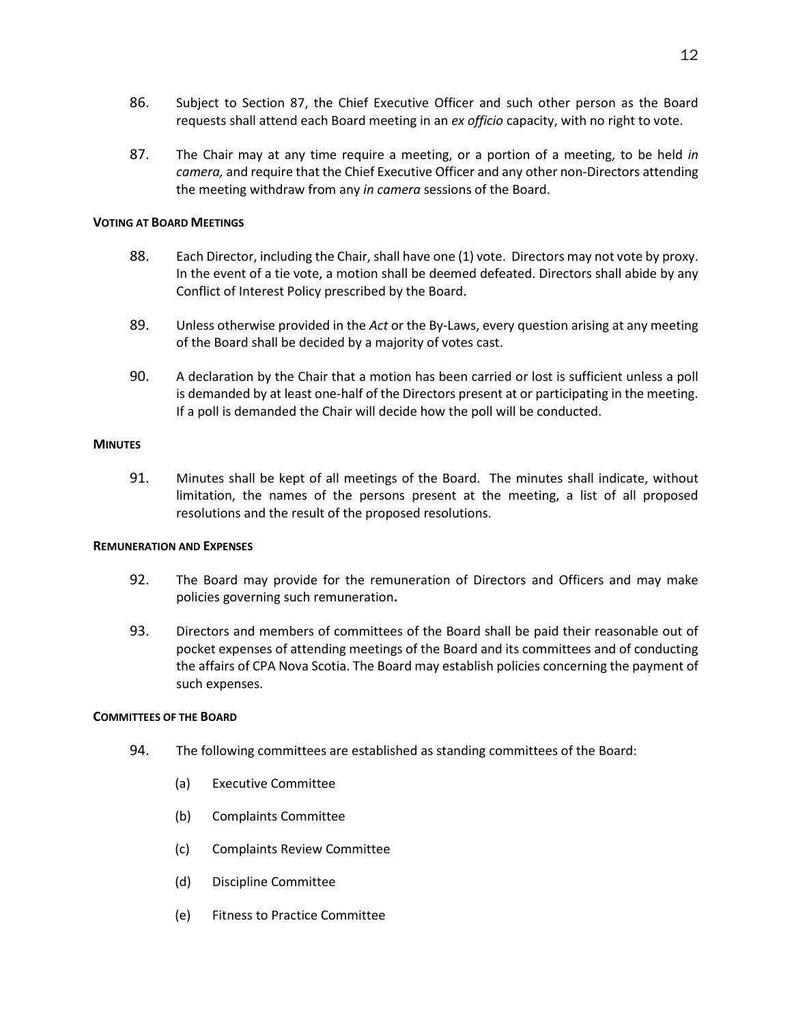- 86. Subject to Section 87, the Chief Executive Officer and such other person as the Board requests shall attend each Board meeting in an *ex officio* capacity, with no right to vote.
- 87. The Chair may at any time require a meeting, or a portion of a meeting, to be held *in camera,* and require that the Chief Executive Officer and any other non-Directors attending the meeting withdraw from any *in camera* sessions of the Board.

#### <span id="page-16-0"></span>**VOTING AT BOARD MEETINGS**

- 88. Each Director, including the Chair, shall have one (1) vote. Directors may not vote by proxy. In the event of a tie vote, a motion shall be deemed defeated. Directors shall abide by any Conflict of Interest Policy prescribed by the Board.
- 89. Unless otherwise provided in the *Act* or the By-Laws, every question arising at any meeting of the Board shall be decided by a majority of votes cast.
- 90. A declaration by the Chair that a motion has been carried or lost is sufficient unless a poll is demanded by at least one-half of the Directors present at or participating in the meeting. If a poll is demanded the Chair will decide how the poll will be conducted.

## <span id="page-16-1"></span>**MINUTES**

91. Minutes shall be kept of all meetings of the Board. The minutes shall indicate, without limitation, the names of the persons present at the meeting, a list of all proposed resolutions and the result of the proposed resolutions.

#### <span id="page-16-2"></span>**REMUNERATION AND EXPENSES**

- 92. The Board may provide for the remuneration of Directors and Officers and may make policies governing such remuneration**.**
- 93. Directors and members of committees of the Board shall be paid their reasonable out of pocket expenses of attending meetings of the Board and its committees and of conducting the affairs of CPA Nova Scotia. The Board may establish policies concerning the payment of such expenses.

#### <span id="page-16-3"></span>**COMMITTEES OF THE BOARD**

- 94. The following committees are established as standing committees of the Board:
	- (a) Executive Committee
	- (b) Complaints Committee
	- (c) Complaints Review Committee
	- (d) Discipline Committee
	- (e) Fitness to Practice Committee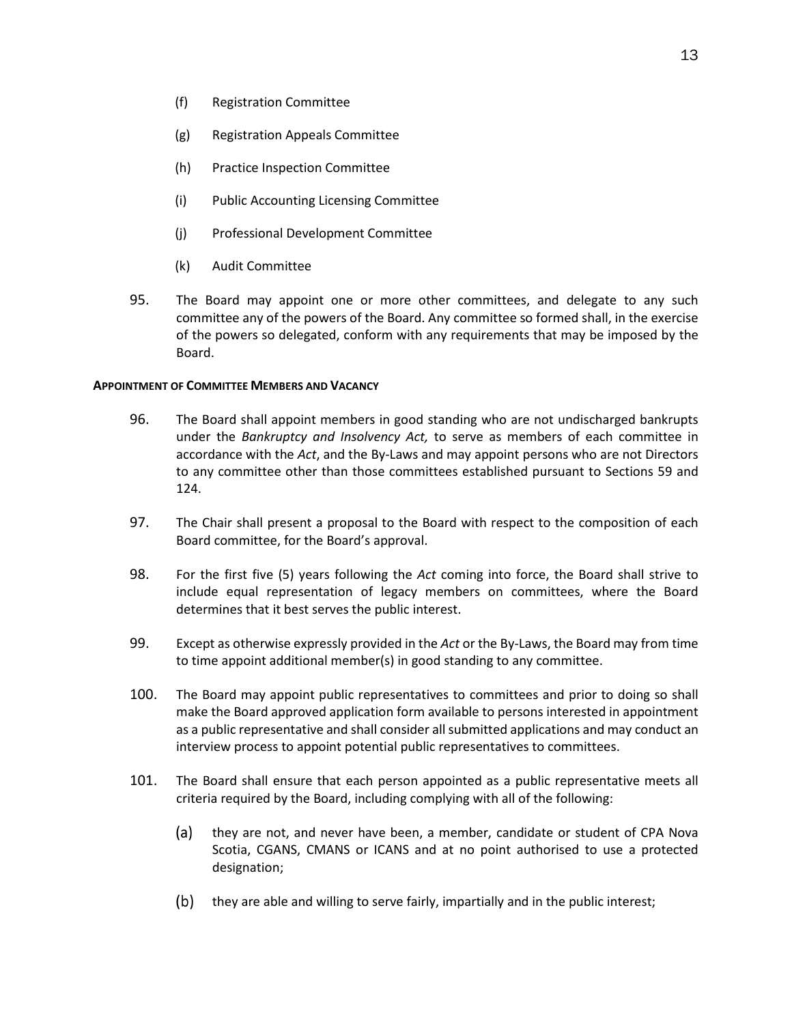- (f) Registration Committee
- (g) Registration Appeals Committee
- (h) Practice Inspection Committee
- (i) Public Accounting Licensing Committee
- (j) Professional Development Committee
- (k) Audit Committee
- 95. The Board may appoint one or more other committees, and delegate to any such committee any of the powers of the Board. Any committee so formed shall, in the exercise of the powers so delegated, conform with any requirements that may be imposed by the Board.

#### <span id="page-17-0"></span>**APPOINTMENT OF COMMITTEE MEMBERS AND VACANCY**

- 96. The Board shall appoint members in good standing who are not undischarged bankrupts under the *Bankruptcy and Insolvency Act,* to serve as members of each committee in accordance with the *Act*, and the By-Laws and may appoint persons who are not Directors to any committee other than those committees established pursuant to Sections 59 and 124.
- 97. The Chair shall present a proposal to the Board with respect to the composition of each Board committee, for the Board's approval.
- 98. For the first five (5) years following the *Act* coming into force, the Board shall strive to include equal representation of legacy members on committees, where the Board determines that it best serves the public interest.
- 99. Except as otherwise expressly provided in the *Act* or the By-Laws, the Board may from time to time appoint additional member(s) in good standing to any committee.
- 100. The Board may appoint public representatives to committees and prior to doing so shall make the Board approved application form available to persons interested in appointment as a public representative and shall consider all submitted applications and may conduct an interview process to appoint potential public representatives to committees.
- 101. The Board shall ensure that each person appointed as a public representative meets all criteria required by the Board, including complying with all of the following:
	- (a) they are not, and never have been, a member, candidate or student of CPA Nova Scotia, CGANS, CMANS or ICANS and at no point authorised to use a protected designation;
	- (b) they are able and willing to serve fairly, impartially and in the public interest;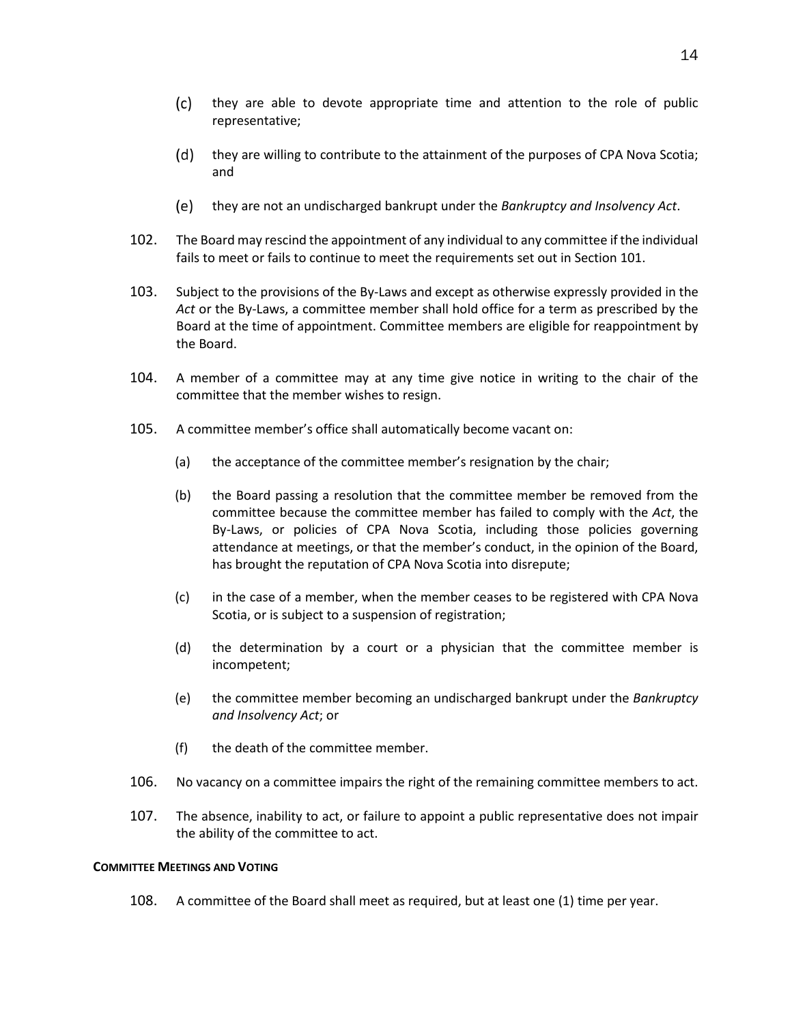- $(c)$ they are able to devote appropriate time and attention to the role of public representative;
- $(d)$  they are willing to contribute to the attainment of the purposes of CPA Nova Scotia; and
- they are not an undischarged bankrupt under the *Bankruptcy and Insolvency Act*.
- 102. The Board may rescind the appointment of any individual to any committee if the individual fails to meet or fails to continue to meet the requirements set out in Section 101.
- 103. Subject to the provisions of the By-Laws and except as otherwise expressly provided in the *Act* or the By-Laws, a committee member shall hold office for a term as prescribed by the Board at the time of appointment. Committee members are eligible for reappointment by the Board.
- 104. A member of a committee may at any time give notice in writing to the chair of the committee that the member wishes to resign.
- 105. A committee member's office shall automatically become vacant on:
	- (a) the acceptance of the committee member's resignation by the chair;
	- (b) the Board passing a resolution that the committee member be removed from the committee because the committee member has failed to comply with the *Act*, the By-Laws, or policies of CPA Nova Scotia, including those policies governing attendance at meetings, or that the member's conduct, in the opinion of the Board, has brought the reputation of CPA Nova Scotia into disrepute;
	- (c) in the case of a member, when the member ceases to be registered with CPA Nova Scotia, or is subject to a suspension of registration;
	- (d) the determination by a court or a physician that the committee member is incompetent;
	- (e) the committee member becoming an undischarged bankrupt under the *Bankruptcy and Insolvency Act*; or
	- (f) the death of the committee member.
- 106. No vacancy on a committee impairs the right of the remaining committee members to act.
- 107. The absence, inability to act, or failure to appoint a public representative does not impair the ability of the committee to act.

#### <span id="page-18-0"></span>**COMMITTEE MEETINGS AND VOTING**

108. A committee of the Board shall meet as required, but at least one (1) time per year.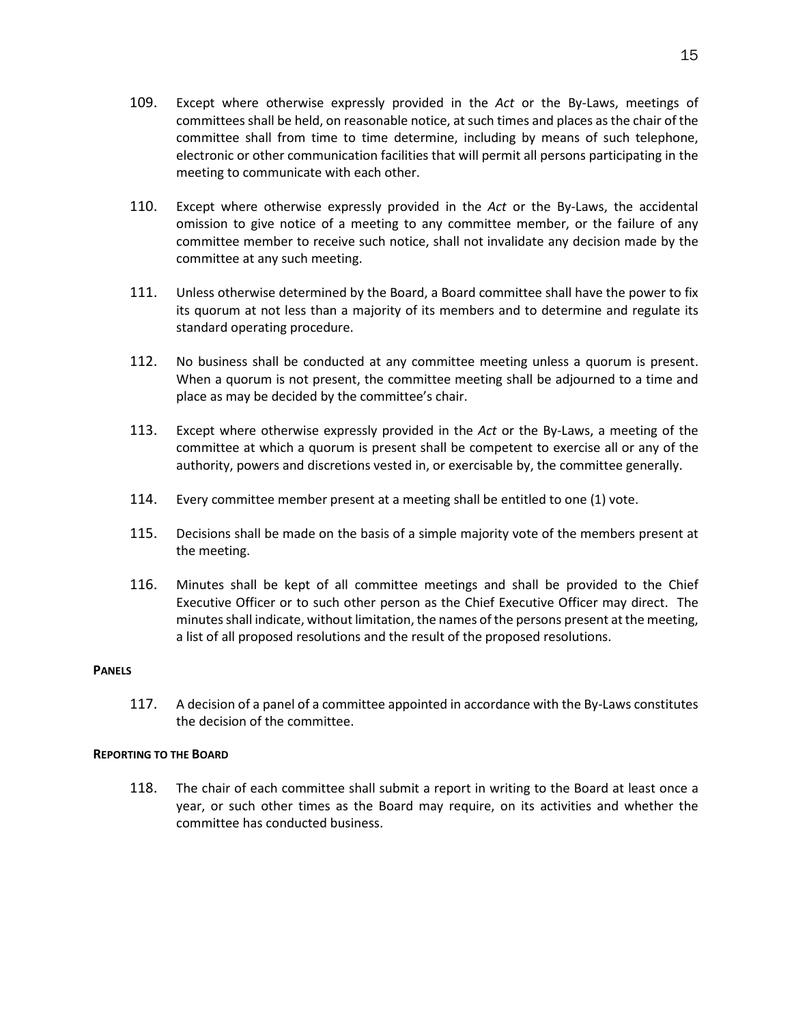- 109. Except where otherwise expressly provided in the *Act* or the By-Laws, meetings of committees shall be held, on reasonable notice, at such times and places as the chair of the committee shall from time to time determine, including by means of such telephone, electronic or other communication facilities that will permit all persons participating in the meeting to communicate with each other.
- 110. Except where otherwise expressly provided in the *Act* or the By-Laws, the accidental omission to give notice of a meeting to any committee member, or the failure of any committee member to receive such notice, shall not invalidate any decision made by the committee at any such meeting.
- 111. Unless otherwise determined by the Board, a Board committee shall have the power to fix its quorum at not less than a majority of its members and to determine and regulate its standard operating procedure.
- 112. No business shall be conducted at any committee meeting unless a quorum is present. When a quorum is not present, the committee meeting shall be adjourned to a time and place as may be decided by the committee's chair.
- 113. Except where otherwise expressly provided in the *Act* or the By-Laws, a meeting of the committee at which a quorum is present shall be competent to exercise all or any of the authority, powers and discretions vested in, or exercisable by, the committee generally.
- 114. Every committee member present at a meeting shall be entitled to one (1) vote.
- 115. Decisions shall be made on the basis of a simple majority vote of the members present at the meeting.
- 116. Minutes shall be kept of all committee meetings and shall be provided to the Chief Executive Officer or to such other person as the Chief Executive Officer may direct. The minutes shall indicate, without limitation, the names of the persons present at the meeting, a list of all proposed resolutions and the result of the proposed resolutions.

### <span id="page-19-0"></span>**PANELS**

117. A decision of a panel of a committee appointed in accordance with the By-Laws constitutes the decision of the committee.

#### <span id="page-19-1"></span>**REPORTING TO THE BOARD**

118. The chair of each committee shall submit a report in writing to the Board at least once a year, or such other times as the Board may require, on its activities and whether the committee has conducted business.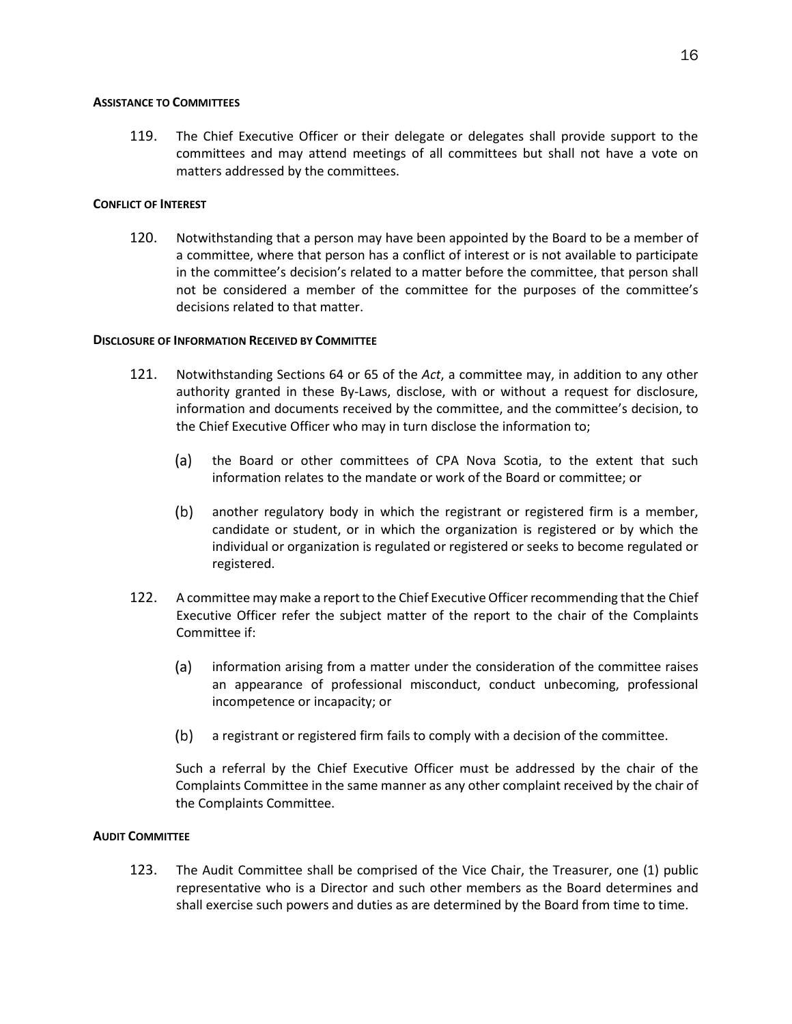## <span id="page-20-0"></span>**ASSISTANCE TO COMMITTEES**

119. The Chief Executive Officer or their delegate or delegates shall provide support to the committees and may attend meetings of all committees but shall not have a vote on matters addressed by the committees.

## <span id="page-20-1"></span>**CONFLICT OF INTEREST**

120. Notwithstanding that a person may have been appointed by the Board to be a member of a committee, where that person has a conflict of interest or is not available to participate in the committee's decision's related to a matter before the committee, that person shall not be considered a member of the committee for the purposes of the committee's decisions related to that matter.

## <span id="page-20-2"></span>**DISCLOSURE OF INFORMATION RECEIVED BY COMMITTEE**

- 121. Notwithstanding Sections 64 or 65 of the *Act*, a committee may, in addition to any other authority granted in these By-Laws, disclose, with or without a request for disclosure, information and documents received by the committee, and the committee's decision, to the Chief Executive Officer who may in turn disclose the information to;
	- $(a)$ the Board or other committees of CPA Nova Scotia, to the extent that such information relates to the mandate or work of the Board or committee; or
	- $(b)$ another regulatory body in which the registrant or registered firm is a member, candidate or student, or in which the organization is registered or by which the individual or organization is regulated or registered or seeks to become regulated or registered.
- 122. A committee may make a report to the Chief Executive Officer recommending that the Chief Executive Officer refer the subject matter of the report to the chair of the Complaints Committee if:
	- (a) information arising from a matter under the consideration of the committee raises an appearance of professional misconduct, conduct unbecoming, professional incompetence or incapacity; or
	- a registrant or registered firm fails to comply with a decision of the committee.

Such a referral by the Chief Executive Officer must be addressed by the chair of the Complaints Committee in the same manner as any other complaint received by the chair of the Complaints Committee.

## <span id="page-20-3"></span>**AUDIT COMMITTEE**

123. The Audit Committee shall be comprised of the Vice Chair, the Treasurer, one (1) public representative who is a Director and such other members as the Board determines and shall exercise such powers and duties as are determined by the Board from time to time.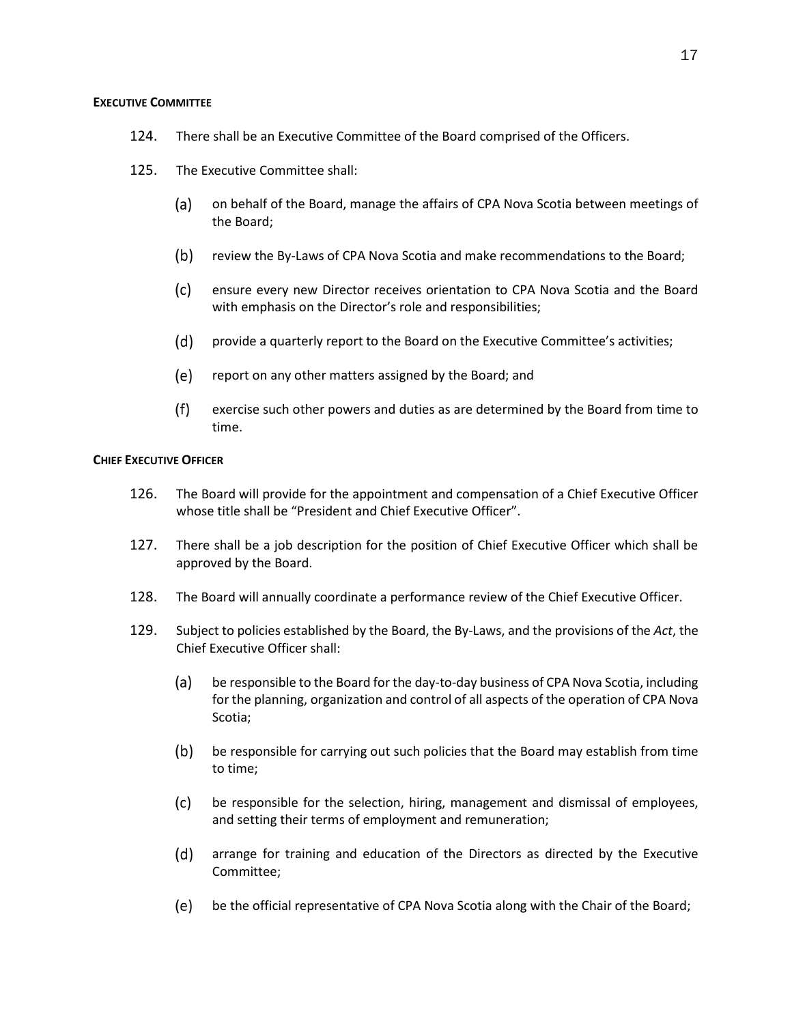#### <span id="page-21-0"></span>**EXECUTIVE COMMITTEE**

- 124. There shall be an Executive Committee of the Board comprised of the Officers.
- 125. The Executive Committee shall:
	- (a) on behalf of the Board, manage the affairs of CPA Nova Scotia between meetings of the Board;
	- $(b)$ review the By-Laws of CPA Nova Scotia and make recommendations to the Board;
	- $(c)$ ensure every new Director receives orientation to CPA Nova Scotia and the Board with emphasis on the Director's role and responsibilities;
	- $(d)$ provide a quarterly report to the Board on the Executive Committee's activities;
	- (e) report on any other matters assigned by the Board; and
	- $(f)$ exercise such other powers and duties as are determined by the Board from time to time.

#### <span id="page-21-1"></span>**CHIEF EXECUTIVE OFFICER**

- 126. The Board will provide for the appointment and compensation of a Chief Executive Officer whose title shall be "President and Chief Executive Officer".
- 127. There shall be a job description for the position of Chief Executive Officer which shall be approved by the Board.
- 128. The Board will annually coordinate a performance review of the Chief Executive Officer.
- 129. Subject to policies established by the Board, the By-Laws, and the provisions of the *Act*, the Chief Executive Officer shall:
	- $(a)$ be responsible to the Board for the day-to-day business of CPA Nova Scotia, including for the planning, organization and control of all aspects of the operation of CPA Nova Scotia;
	- $(b)$ be responsible for carrying out such policies that the Board may establish from time to time;
	- $(c)$ be responsible for the selection, hiring, management and dismissal of employees, and setting their terms of employment and remuneration;
	- $(d)$ arrange for training and education of the Directors as directed by the Executive Committee;
	- be the official representative of CPA Nova Scotia along with the Chair of the Board;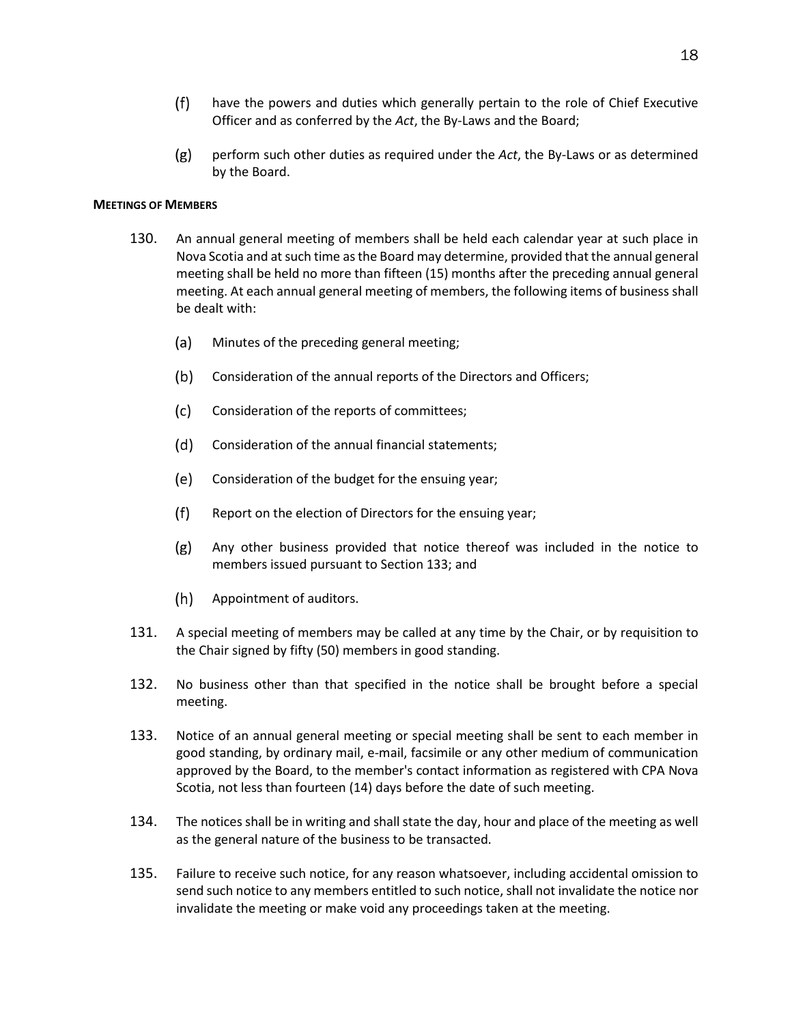- $(f)$ have the powers and duties which generally pertain to the role of Chief Executive Officer and as conferred by the *Act*, the By-Laws and the Board;
- $(g)$ perform such other duties as required under the *Act*, the By-Laws or as determined by the Board.

#### <span id="page-22-0"></span>**MEETINGS OF MEMBERS**

- 130. An annual general meeting of members shall be held each calendar year at such place in Nova Scotia and at such time as the Board may determine, provided that the annual general meeting shall be held no more than fifteen (15) months after the preceding annual general meeting. At each annual general meeting of members, the following items of business shall be dealt with:
	- $(a)$ Minutes of the preceding general meeting;
	- $(b)$ Consideration of the annual reports of the Directors and Officers;
	- $(c)$ Consideration of the reports of committees;
	- (d) Consideration of the annual financial statements;
	- (e) Consideration of the budget for the ensuing year;
	- $(f)$ Report on the election of Directors for the ensuing year;
	- $(g)$ Any other business provided that notice thereof was included in the notice to members issued pursuant to Section 133; and
	- $(h)$ Appointment of auditors.
- 131. A special meeting of members may be called at any time by the Chair, or by requisition to the Chair signed by fifty (50) members in good standing.
- 132. No business other than that specified in the notice shall be brought before a special meeting.
- 133. Notice of an annual general meeting or special meeting shall be sent to each member in good standing, by ordinary mail, e-mail, facsimile or any other medium of communication approved by the Board, to the member's contact information as registered with CPA Nova Scotia, not less than fourteen (14) days before the date of such meeting.
- 134. The notices shall be in writing and shall state the day, hour and place of the meeting as well as the general nature of the business to be transacted.
- 135. Failure to receive such notice, for any reason whatsoever, including accidental omission to send such notice to any members entitled to such notice, shall not invalidate the notice nor invalidate the meeting or make void any proceedings taken at the meeting.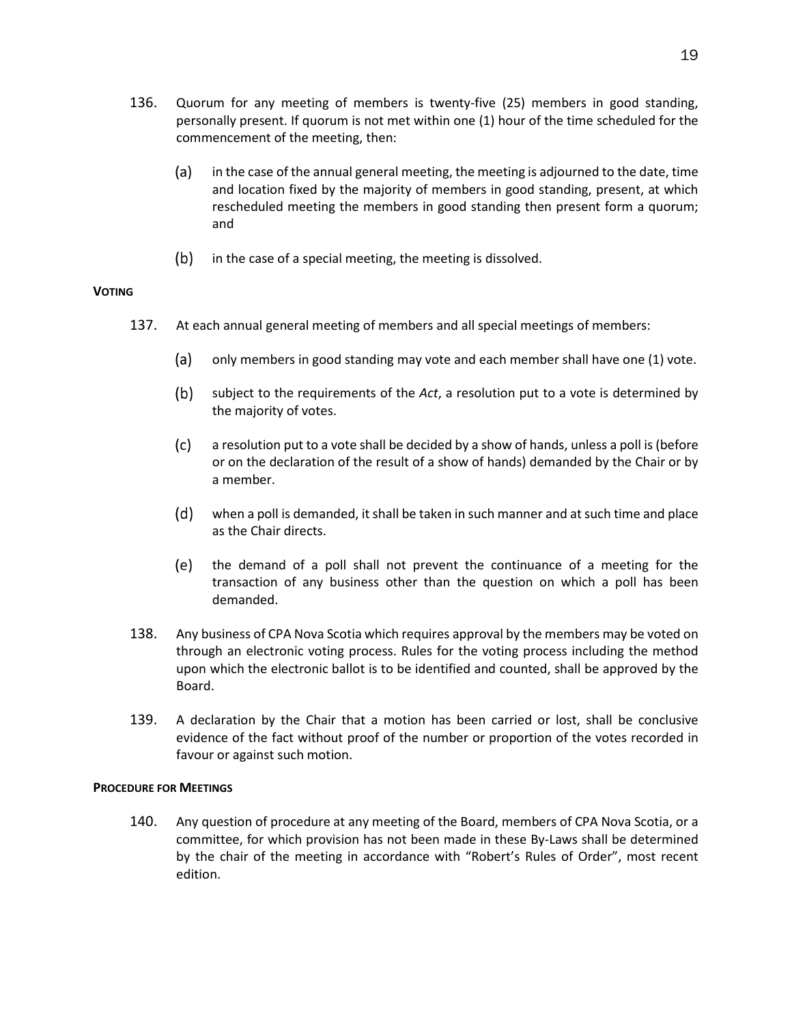- 136. Quorum for any meeting of members is twenty-five (25) members in good standing, personally present. If quorum is not met within one (1) hour of the time scheduled for the commencement of the meeting, then:
	- $(a)$ in the case of the annual general meeting, the meeting is adjourned to the date, time and location fixed by the majority of members in good standing, present, at which rescheduled meeting the members in good standing then present form a quorum; and
	- $(b)$  in the case of a special meeting, the meeting is dissolved.

## <span id="page-23-0"></span>**VOTING**

- 137. At each annual general meeting of members and all special meetings of members:
	- (a) only members in good standing may vote and each member shall have one (1) vote.
	- $(b)$ subject to the requirements of the *Act*, a resolution put to a vote is determined by the majority of votes.
	- $(c)$ a resolution put to a vote shall be decided by a show of hands, unless a poll is (before or on the declaration of the result of a show of hands) demanded by the Chair or by a member.
	- (d) when a poll is demanded, it shall be taken in such manner and at such time and place as the Chair directs.
	- (e) the demand of a poll shall not prevent the continuance of a meeting for the transaction of any business other than the question on which a poll has been demanded.
- 138. Any business of CPA Nova Scotia which requires approval by the members may be voted on through an electronic voting process. Rules for the voting process including the method upon which the electronic ballot is to be identified and counted, shall be approved by the Board.
- 139. A declaration by the Chair that a motion has been carried or lost, shall be conclusive evidence of the fact without proof of the number or proportion of the votes recorded in favour or against such motion.

#### <span id="page-23-1"></span>**PROCEDURE FOR MEETINGS**

140. Any question of procedure at any meeting of the Board, members of CPA Nova Scotia, or a committee, for which provision has not been made in these By-Laws shall be determined by the chair of the meeting in accordance with "Robert's Rules of Order", most recent edition.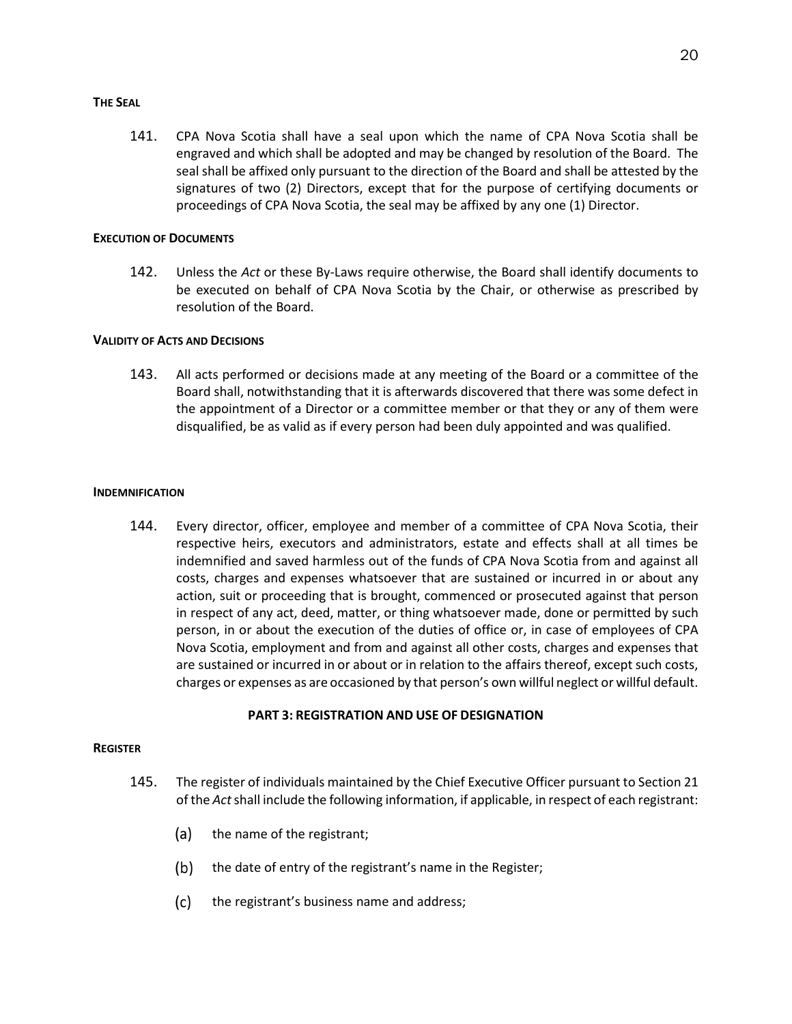#### <span id="page-24-0"></span>**THE SEAL**

141. CPA Nova Scotia shall have a seal upon which the name of CPA Nova Scotia shall be engraved and which shall be adopted and may be changed by resolution of the Board. The seal shall be affixed only pursuant to the direction of the Board and shall be attested by the signatures of two (2) Directors, except that for the purpose of certifying documents or proceedings of CPA Nova Scotia, the seal may be affixed by any one (1) Director.

## <span id="page-24-1"></span>**EXECUTION OF DOCUMENTS**

142. Unless the *Act* or these By-Laws require otherwise, the Board shall identify documents to be executed on behalf of CPA Nova Scotia by the Chair, or otherwise as prescribed by resolution of the Board.

## <span id="page-24-2"></span>**VALIDITY OF ACTS AND DECISIONS**

143. All acts performed or decisions made at any meeting of the Board or a committee of the Board shall, notwithstanding that it is afterwards discovered that there was some defect in the appointment of a Director or a committee member or that they or any of them were disqualified, be as valid as if every person had been duly appointed and was qualified.

## <span id="page-24-3"></span>**INDEMNIFICATION**

144. Every director, officer, employee and member of a committee of CPA Nova Scotia, their respective heirs, executors and administrators, estate and effects shall at all times be indemnified and saved harmless out of the funds of CPA Nova Scotia from and against all costs, charges and expenses whatsoever that are sustained or incurred in or about any action, suit or proceeding that is brought, commenced or prosecuted against that person in respect of any act, deed, matter, or thing whatsoever made, done or permitted by such person, in or about the execution of the duties of office or, in case of employees of CPA Nova Scotia, employment and from and against all other costs, charges and expenses that are sustained or incurred in or about or in relation to the affairs thereof, except such costs, charges or expenses as are occasioned by that person's own willful neglect or willful default.

## **PART 3: REGISTRATION AND USE OF DESIGNATION**

#### <span id="page-24-5"></span><span id="page-24-4"></span>**REGISTER**

- 145. The register of individuals maintained by the Chief Executive Officer pursuant to Section 21 of the *Act* shall include the following information, if applicable, in respect of each registrant:
	- $(a)$ the name of the registrant;
	- $(b)$ the date of entry of the registrant's name in the Register;
	- $(c)$ the registrant's business name and address;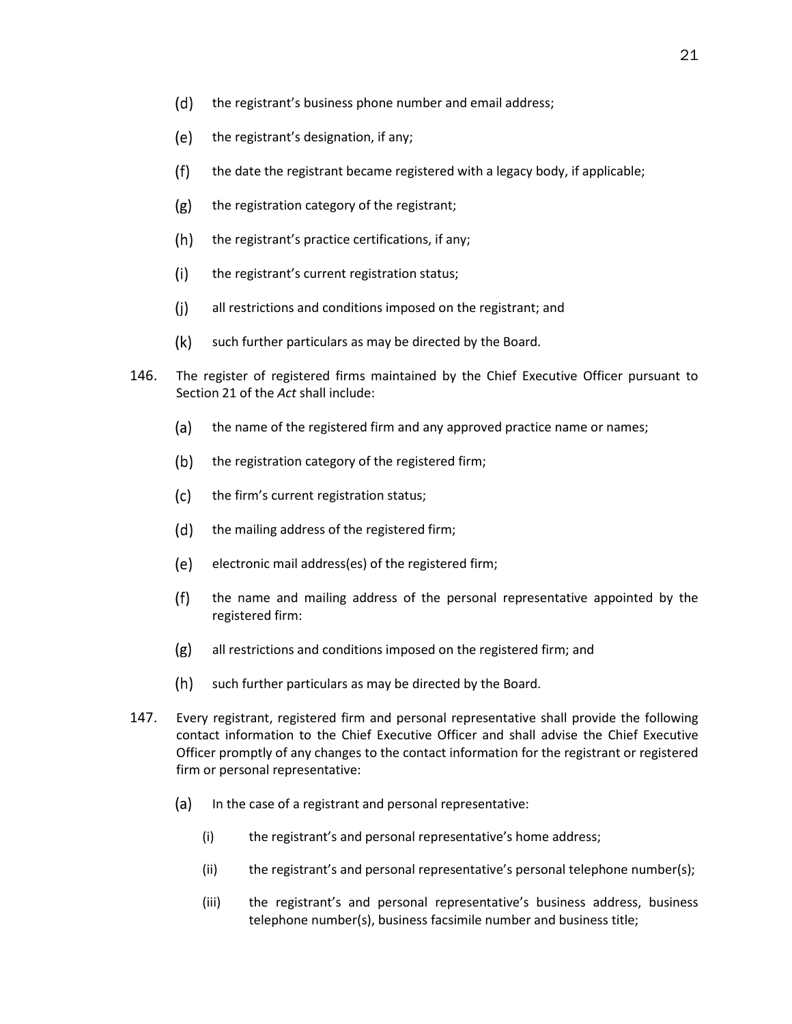- $(d)$ the registrant's business phone number and email address;
- (e) the registrant's designation, if any;
- $(f)$ the date the registrant became registered with a legacy body, if applicable;
- $(g)$ the registration category of the registrant;
- $(h)$ the registrant's practice certifications, if any;
- $(i)$ the registrant's current registration status;
- $(i)$ all restrictions and conditions imposed on the registrant; and
- $(k)$ such further particulars as may be directed by the Board.
- 146. The register of registered firms maintained by the Chief Executive Officer pursuant to Section 21 of the *Act* shall include:
	- (a) the name of the registered firm and any approved practice name or names;
	- $(b)$ the registration category of the registered firm;
	- $(c)$ the firm's current registration status;
	- (d) the mailing address of the registered firm;
	- (e) electronic mail address(es) of the registered firm;
	- $(f)$ the name and mailing address of the personal representative appointed by the registered firm:
	- $(g)$ all restrictions and conditions imposed on the registered firm; and
	- $(h)$ such further particulars as may be directed by the Board.
- 147. Every registrant, registered firm and personal representative shall provide the following contact information to the Chief Executive Officer and shall advise the Chief Executive Officer promptly of any changes to the contact information for the registrant or registered firm or personal representative:
	- $(a)$  In the case of a registrant and personal representative:
		- (i) the registrant's and personal representative's home address;
		- (ii) the registrant's and personal representative's personal telephone number(s);
		- (iii) the registrant's and personal representative's business address, business telephone number(s), business facsimile number and business title;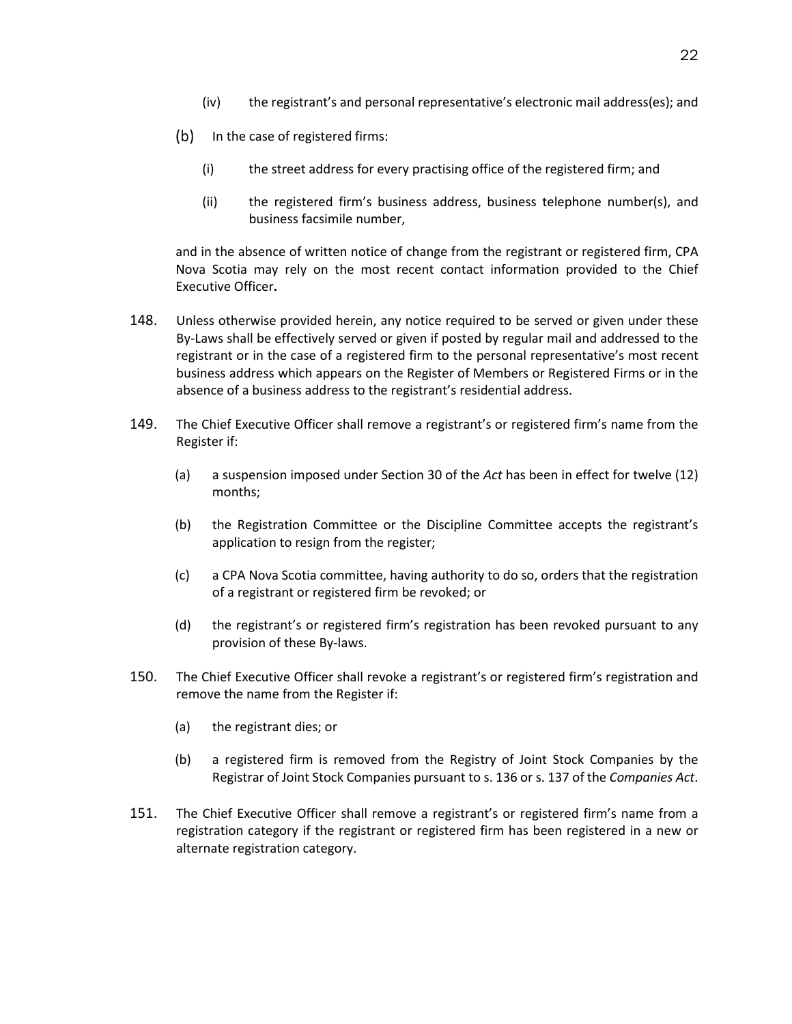- (iv) the registrant's and personal representative's electronic mail address(es); and
- $(b)$  In the case of registered firms:
	- (i) the street address for every practising office of the registered firm; and
	- (ii) the registered firm's business address, business telephone number(s), and business facsimile number,

and in the absence of written notice of change from the registrant or registered firm, CPA Nova Scotia may rely on the most recent contact information provided to the Chief Executive Officer**.** 

- 148. Unless otherwise provided herein, any notice required to be served or given under these By-Laws shall be effectively served or given if posted by regular mail and addressed to the registrant or in the case of a registered firm to the personal representative's most recent business address which appears on the Register of Members or Registered Firms or in the absence of a business address to the registrant's residential address.
- 149. The Chief Executive Officer shall remove a registrant's or registered firm's name from the Register if:
	- (a) a suspension imposed under Section 30 of the *Act* has been in effect for twelve (12) months;
	- (b) the Registration Committee or the Discipline Committee accepts the registrant's application to resign from the register;
	- (c) a CPA Nova Scotia committee, having authority to do so, orders that the registration of a registrant or registered firm be revoked; or
	- (d) the registrant's or registered firm's registration has been revoked pursuant to any provision of these By-laws.
- 150. The Chief Executive Officer shall revoke a registrant's or registered firm's registration and remove the name from the Register if:
	- (a) the registrant dies; or
	- (b) a registered firm is removed from the Registry of Joint Stock Companies by the Registrar of Joint Stock Companies pursuant to s. 136 or s. 137 of the *Companies Act*.
- 151. The Chief Executive Officer shall remove a registrant's or registered firm's name from a registration category if the registrant or registered firm has been registered in a new or alternate registration category.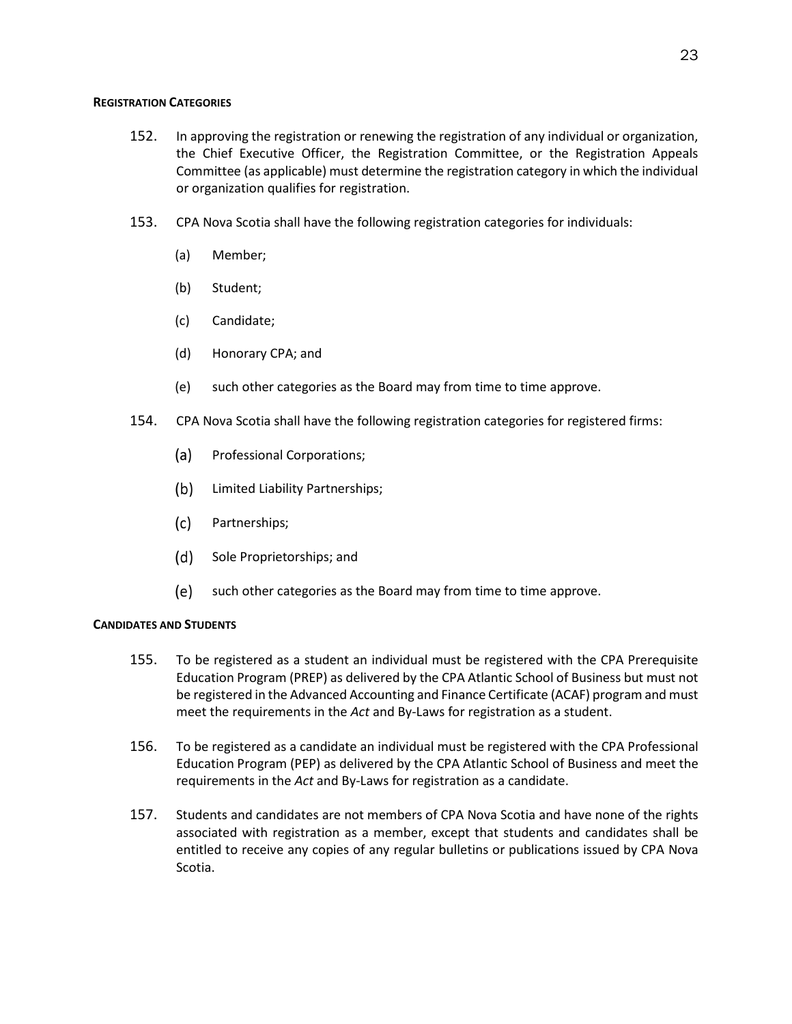### <span id="page-27-0"></span>**REGISTRATION CATEGORIES**

- 152. In approving the registration or renewing the registration of any individual or organization, the Chief Executive Officer, the Registration Committee, or the Registration Appeals Committee (as applicable) must determine the registration category in which the individual or organization qualifies for registration.
- 153. CPA Nova Scotia shall have the following registration categories for individuals:
	- (a) Member;
	- (b) Student;
	- (c) Candidate;
	- (d) Honorary CPA; and
	- (e) such other categories as the Board may from time to time approve.
- 154. CPA Nova Scotia shall have the following registration categories for registered firms:
	- (a) Professional Corporations;
	- (b) Limited Liability Partnerships;
	- $(c)$ Partnerships;
	- (d) Sole Proprietorships; and
	- (e) such other categories as the Board may from time to time approve.

## **CANDIDATES AND STUDENTS**

- 155. To be registered as a student an individual must be registered with the CPA Prerequisite Education Program (PREP) as delivered by the CPA Atlantic School of Business but must not be registered in the Advanced Accounting and Finance Certificate (ACAF) program and must meet the requirements in the *Act* and By-Laws for registration as a student.
- 156. To be registered as a candidate an individual must be registered with the CPA Professional Education Program (PEP) as delivered by the CPA Atlantic School of Business and meet the requirements in the *Act* and By-Laws for registration as a candidate.
- 157. Students and candidates are not members of CPA Nova Scotia and have none of the rights associated with registration as a member, except that students and candidates shall be entitled to receive any copies of any regular bulletins or publications issued by CPA Nova Scotia.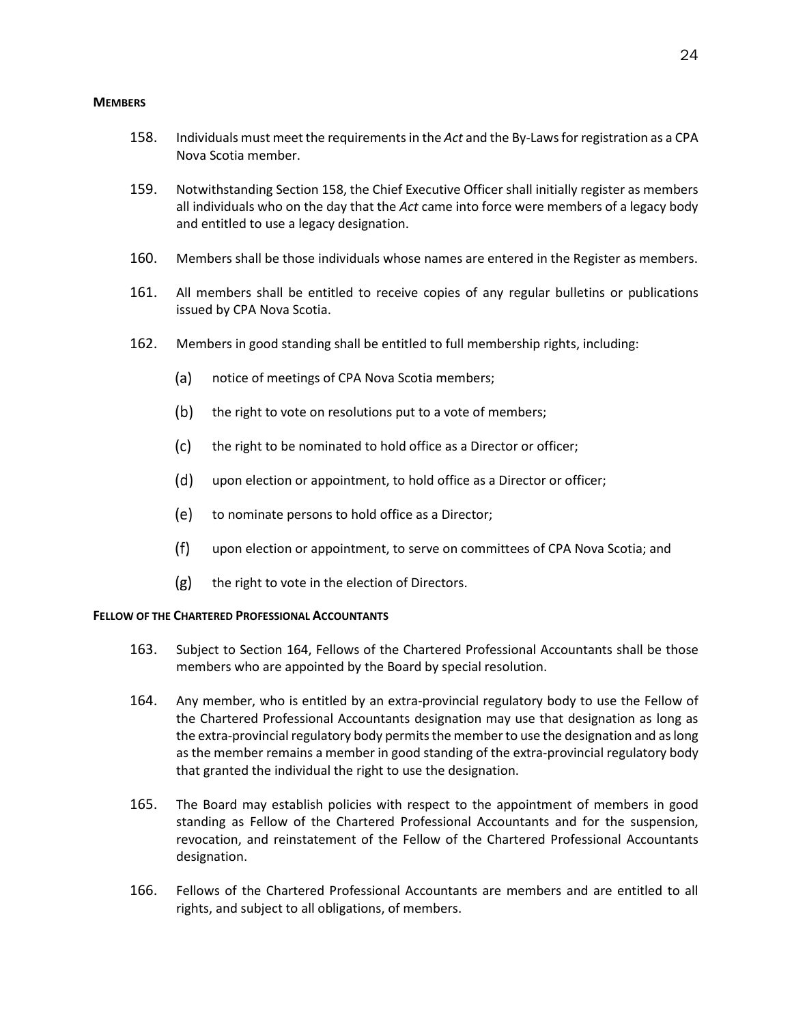#### **MEMBERS**

- 158. Individuals must meet the requirements in the *Act* and the By-Laws for registration as a CPA Nova Scotia member.
- 159. Notwithstanding Section 158, the Chief Executive Officer shall initially register as members all individuals who on the day that the *Act* came into force were members of a legacy body and entitled to use a legacy designation.
- 160. Members shall be those individuals whose names are entered in the Register as members.
- 161. All members shall be entitled to receive copies of any regular bulletins or publications issued by CPA Nova Scotia.
- 162. Members in good standing shall be entitled to full membership rights, including:
	- $(a)$ notice of meetings of CPA Nova Scotia members;
	- $(b)$ the right to vote on resolutions put to a vote of members;
	- $(c)$ the right to be nominated to hold office as a Director or officer;
	- $(d)$ upon election or appointment, to hold office as a Director or officer;
	- (e) to nominate persons to hold office as a Director;
	- $(f)$ upon election or appointment, to serve on committees of CPA Nova Scotia; and
	- $(g)$ the right to vote in the election of Directors.

## **FELLOW OF THE CHARTERED PROFESSIONAL ACCOUNTANTS**

- 163. Subject to Section 164, Fellows of the Chartered Professional Accountants shall be those members who are appointed by the Board by special resolution.
- 164. Any member, who is entitled by an extra-provincial regulatory body to use the Fellow of the Chartered Professional Accountants designation may use that designation as long as the extra-provincial regulatory body permits the member to use the designation and as long as the member remains a member in good standing of the extra-provincial regulatory body that granted the individual the right to use the designation.
- 165. The Board may establish policies with respect to the appointment of members in good standing as Fellow of the Chartered Professional Accountants and for the suspension, revocation, and reinstatement of the Fellow of the Chartered Professional Accountants designation.
- 166. Fellows of the Chartered Professional Accountants are members and are entitled to all rights, and subject to all obligations, of members.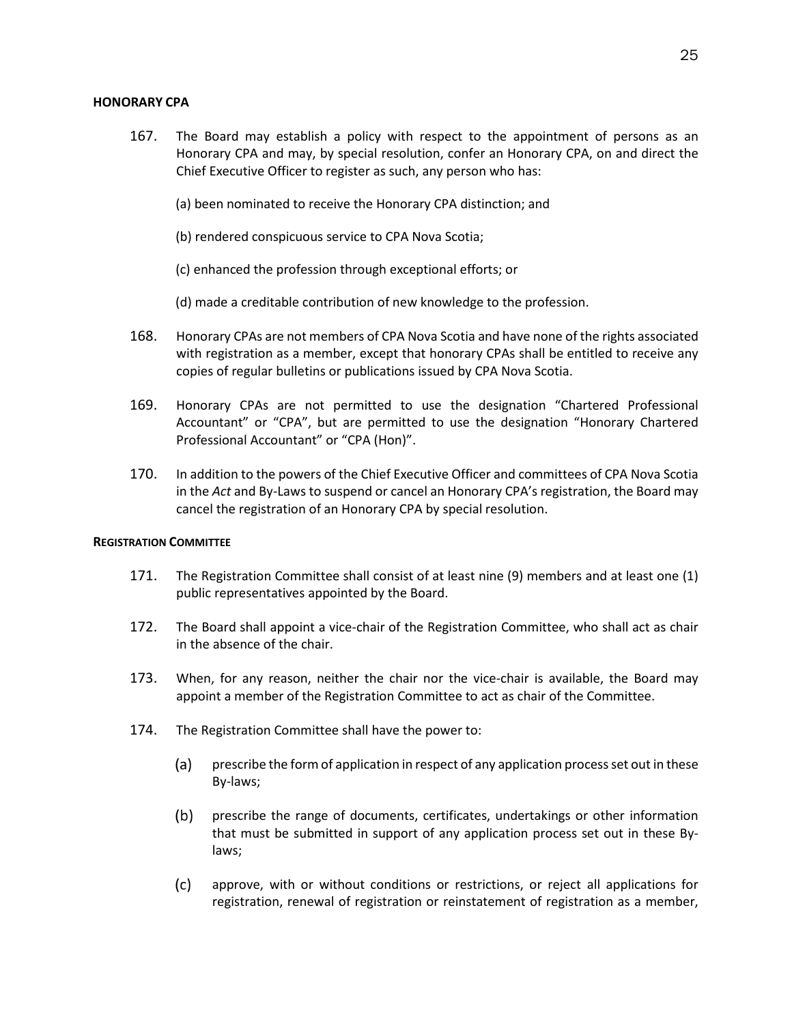## <span id="page-29-0"></span>**HONORARY CPA**

- 167. The Board may establish a policy with respect to the appointment of persons as an Honorary CPA and may, by special resolution, confer an Honorary CPA, on and direct the Chief Executive Officer to register as such, any person who has:
	- (a) been nominated to receive the Honorary CPA distinction; and
	- (b) rendered conspicuous service to CPA Nova Scotia;
	- (c) enhanced the profession through exceptional efforts; or
	- (d) made a creditable contribution of new knowledge to the profession.
- 168. Honorary CPAs are not members of CPA Nova Scotia and have none of the rights associated with registration as a member, except that honorary CPAs shall be entitled to receive any copies of regular bulletins or publications issued by CPA Nova Scotia.
- 169. Honorary CPAs are not permitted to use the designation "Chartered Professional Accountant" or "CPA", but are permitted to use the designation "Honorary Chartered Professional Accountant" or "CPA (Hon)".
- 170. In addition to the powers of the Chief Executive Officer and committees of CPA Nova Scotia in the *Act* and By-Laws to suspend or cancel an Honorary CPA's registration, the Board may cancel the registration of an Honorary CPA by special resolution.

## <span id="page-29-1"></span>**REGISTRATION COMMITTEE**

- 171. The Registration Committee shall consist of at least nine (9) members and at least one (1) public representatives appointed by the Board.
- 172. The Board shall appoint a vice-chair of the Registration Committee, who shall act as chair in the absence of the chair.
- 173. When, for any reason, neither the chair nor the vice-chair is available, the Board may appoint a member of the Registration Committee to act as chair of the Committee.
- 174. The Registration Committee shall have the power to:
	- (a) prescribe the form of application in respect of any application process set out in these By-laws;
	- $(b)$ prescribe the range of documents, certificates, undertakings or other information that must be submitted in support of any application process set out in these Bylaws;
	- $(c)$ approve, with or without conditions or restrictions, or reject all applications for registration, renewal of registration or reinstatement of registration as a member,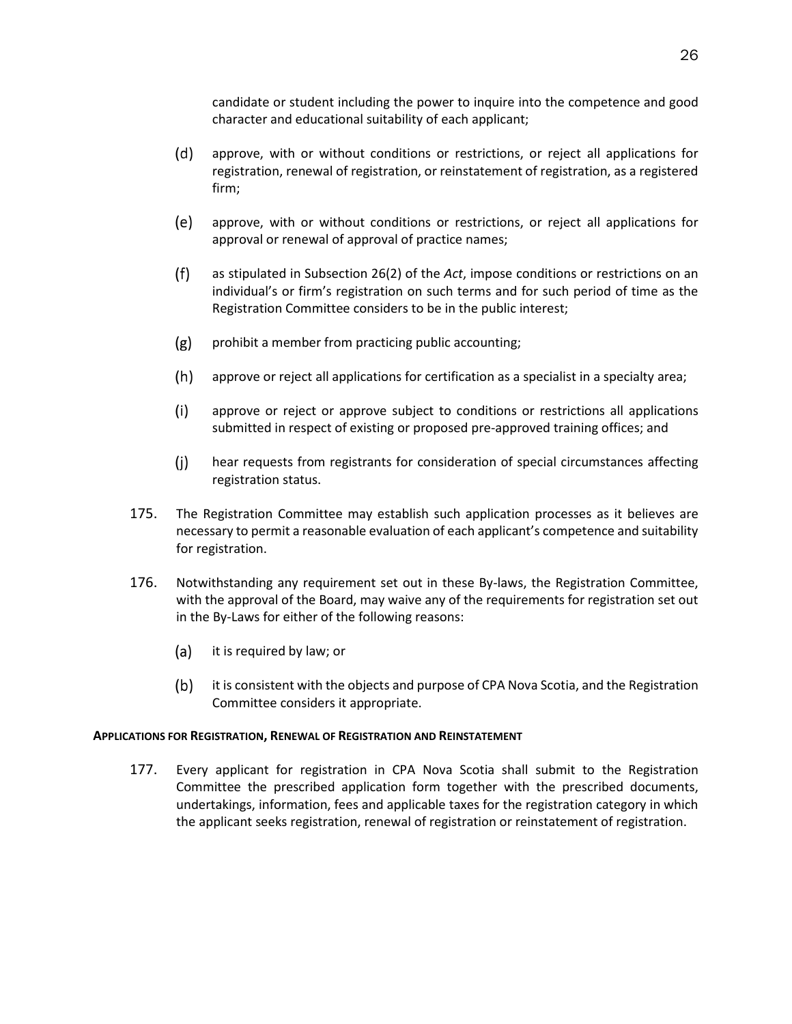candidate or student including the power to inquire into the competence and good character and educational suitability of each applicant;

- (d) approve, with or without conditions or restrictions, or reject all applications for registration, renewal of registration, or reinstatement of registration, as a registered firm;
- (e) approve, with or without conditions or restrictions, or reject all applications for approval or renewal of approval of practice names;
- $(f)$ as stipulated in Subsection 26(2) of the *Act*, impose conditions or restrictions on an individual's or firm's registration on such terms and for such period of time as the Registration Committee considers to be in the public interest;
- $(g)$ prohibit a member from practicing public accounting;
- $(h)$ approve or reject all applications for certification as a specialist in a specialty area;
- $(i)$ approve or reject or approve subject to conditions or restrictions all applications submitted in respect of existing or proposed pre-approved training offices; and
- $(i)$ hear requests from registrants for consideration of special circumstances affecting registration status.
- 175. The Registration Committee may establish such application processes as it believes are necessary to permit a reasonable evaluation of each applicant's competence and suitability for registration.
- 176. Notwithstanding any requirement set out in these By-laws, the Registration Committee, with the approval of the Board, may waive any of the requirements for registration set out in the By-Laws for either of the following reasons:
	- (a) it is required by law; or
	- $(b)$ it is consistent with the objects and purpose of CPA Nova Scotia, and the Registration Committee considers it appropriate.

## <span id="page-30-0"></span>**APPLICATIONS FOR REGISTRATION, RENEWAL OF REGISTRATION AND REINSTATEMENT**

177. Every applicant for registration in CPA Nova Scotia shall submit to the Registration Committee the prescribed application form together with the prescribed documents, undertakings, information, fees and applicable taxes for the registration category in which the applicant seeks registration, renewal of registration or reinstatement of registration.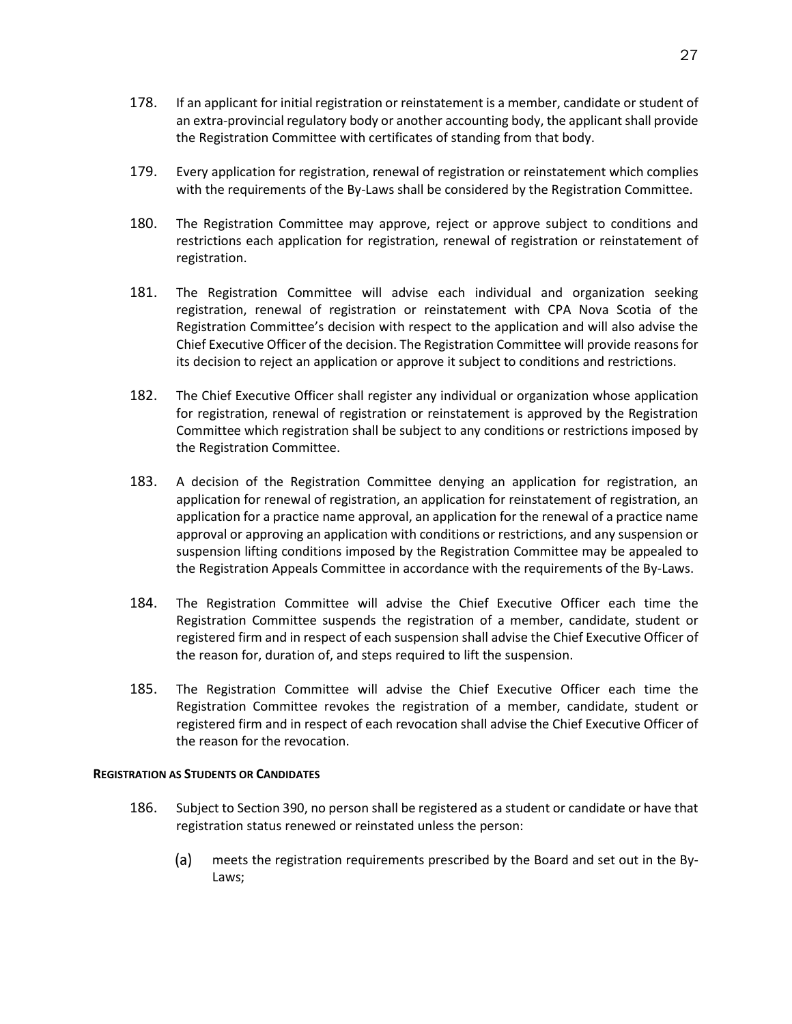- 178. If an applicant for initial registration or reinstatement is a member, candidate or student of an extra-provincial regulatory body or another accounting body, the applicant shall provide the Registration Committee with certificates of standing from that body.
- 179. Every application for registration, renewal of registration or reinstatement which complies with the requirements of the By-Laws shall be considered by the Registration Committee.
- 180. The Registration Committee may approve, reject or approve subject to conditions and restrictions each application for registration, renewal of registration or reinstatement of registration.
- 181. The Registration Committee will advise each individual and organization seeking registration, renewal of registration or reinstatement with CPA Nova Scotia of the Registration Committee's decision with respect to the application and will also advise the Chief Executive Officer of the decision. The Registration Committee will provide reasons for its decision to reject an application or approve it subject to conditions and restrictions.
- 182. The Chief Executive Officer shall register any individual or organization whose application for registration, renewal of registration or reinstatement is approved by the Registration Committee which registration shall be subject to any conditions or restrictions imposed by the Registration Committee.
- 183. A decision of the Registration Committee denying an application for registration, an application for renewal of registration, an application for reinstatement of registration, an application for a practice name approval, an application for the renewal of a practice name approval or approving an application with conditions or restrictions, and any suspension or suspension lifting conditions imposed by the Registration Committee may be appealed to the Registration Appeals Committee in accordance with the requirements of the By-Laws.
- 184. The Registration Committee will advise the Chief Executive Officer each time the Registration Committee suspends the registration of a member, candidate, student or registered firm and in respect of each suspension shall advise the Chief Executive Officer of the reason for, duration of, and steps required to lift the suspension.
- 185. The Registration Committee will advise the Chief Executive Officer each time the Registration Committee revokes the registration of a member, candidate, student or registered firm and in respect of each revocation shall advise the Chief Executive Officer of the reason for the revocation.

#### <span id="page-31-0"></span>**REGISTRATION AS STUDENTS OR CANDIDATES**

- 186. Subject to Section 390, no person shall be registered as a student or candidate or have that registration status renewed or reinstated unless the person:
	- meets the registration requirements prescribed by the Board and set out in the By- $(a)$ Laws;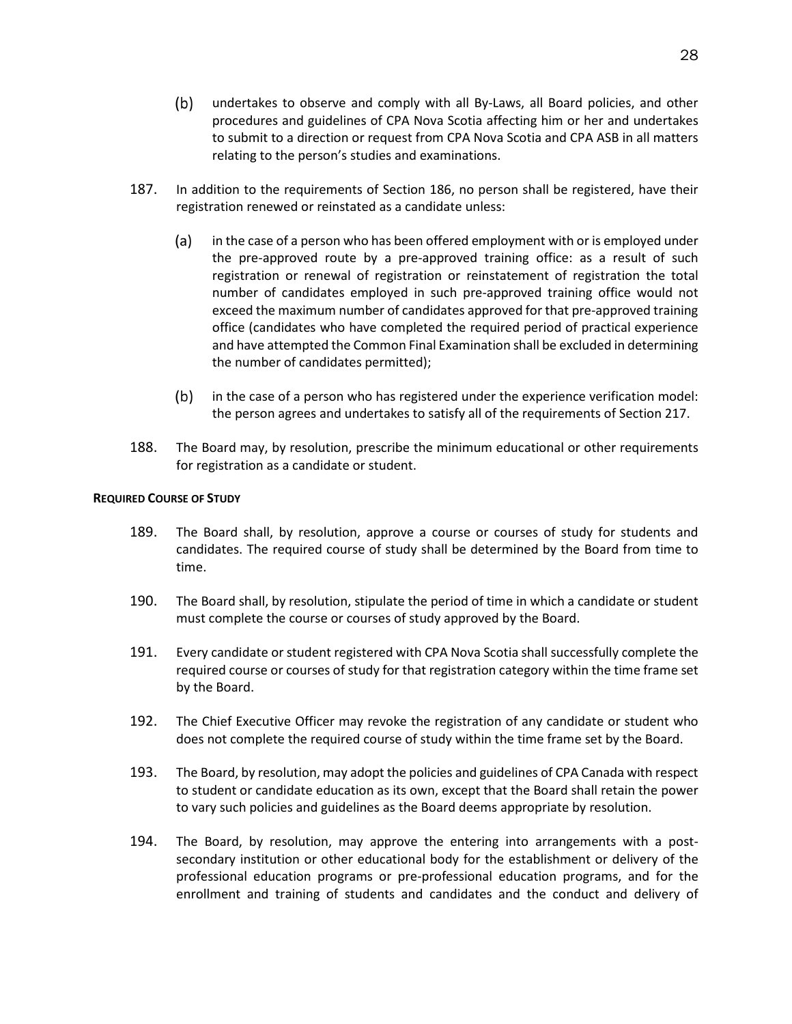- $(b)$ undertakes to observe and comply with all By-Laws, all Board policies, and other procedures and guidelines of CPA Nova Scotia affecting him or her and undertakes to submit to a direction or request from CPA Nova Scotia and CPA ASB in all matters relating to the person's studies and examinations.
- 187. In addition to the requirements of Section 186, no person shall be registered, have their registration renewed or reinstated as a candidate unless:
	- $(a)$ in the case of a person who has been offered employment with or is employed under the pre-approved route by a pre-approved training office: as a result of such registration or renewal of registration or reinstatement of registration the total number of candidates employed in such pre-approved training office would not exceed the maximum number of candidates approved for that pre-approved training office (candidates who have completed the required period of practical experience and have attempted the Common Final Examination shall be excluded in determining the number of candidates permitted);
	- $(b)$ in the case of a person who has registered under the experience verification model: the person agrees and undertakes to satisfy all of the requirements of Section 217.
- 188. The Board may, by resolution, prescribe the minimum educational or other requirements for registration as a candidate or student.

## <span id="page-32-0"></span>**REQUIRED COURSE OF STUDY**

- 189. The Board shall, by resolution, approve a course or courses of study for students and candidates. The required course of study shall be determined by the Board from time to time.
- 190. The Board shall, by resolution, stipulate the period of time in which a candidate or student must complete the course or courses of study approved by the Board.
- 191. Every candidate or student registered with CPA Nova Scotia shall successfully complete the required course or courses of study for that registration category within the time frame set by the Board.
- 192. The Chief Executive Officer may revoke the registration of any candidate or student who does not complete the required course of study within the time frame set by the Board.
- 193. The Board, by resolution, may adopt the policies and guidelines of CPA Canada with respect to student or candidate education as its own, except that the Board shall retain the power to vary such policies and guidelines as the Board deems appropriate by resolution.
- 194. The Board, by resolution, may approve the entering into arrangements with a postsecondary institution or other educational body for the establishment or delivery of the professional education programs or pre-professional education programs, and for the enrollment and training of students and candidates and the conduct and delivery of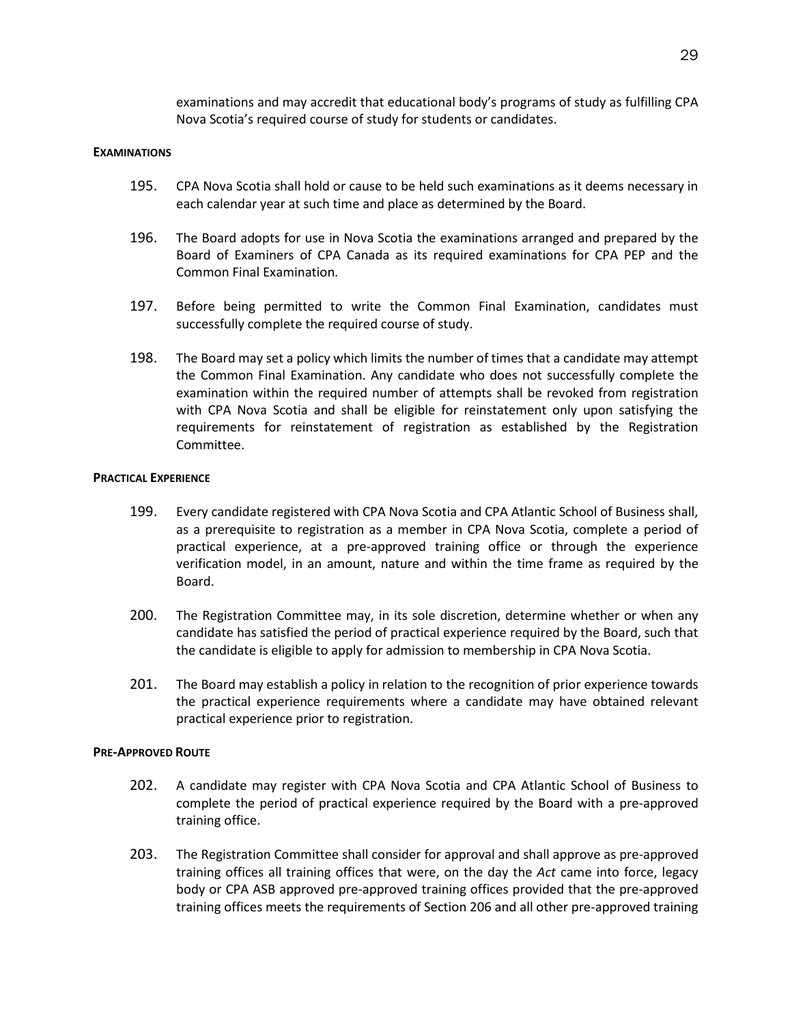examinations and may accredit that educational body's programs of study as fulfilling CPA Nova Scotia's required course of study for students or candidates.

#### <span id="page-33-0"></span>**EXAMINATIONS**

- 195. CPA Nova Scotia shall hold or cause to be held such examinations as it deems necessary in each calendar year at such time and place as determined by the Board.
- 196. The Board adopts for use in Nova Scotia the examinations arranged and prepared by the Board of Examiners of CPA Canada as its required examinations for CPA PEP and the Common Final Examination.
- 197. Before being permitted to write the Common Final Examination, candidates must successfully complete the required course of study.
- 198. The Board may set a policy which limits the number of times that a candidate may attempt the Common Final Examination. Any candidate who does not successfully complete the examination within the required number of attempts shall be revoked from registration with CPA Nova Scotia and shall be eligible for reinstatement only upon satisfying the requirements for reinstatement of registration as established by the Registration Committee.

## <span id="page-33-1"></span>**PRACTICAL EXPERIENCE**

- 199. Every candidate registered with CPA Nova Scotia and CPA Atlantic School of Business shall, as a prerequisite to registration as a member in CPA Nova Scotia, complete a period of practical experience, at a pre-approved training office or through the experience verification model, in an amount, nature and within the time frame as required by the Board.
- 200. The Registration Committee may, in its sole discretion, determine whether or when any candidate has satisfied the period of practical experience required by the Board, such that the candidate is eligible to apply for admission to membership in CPA Nova Scotia.
- 201. The Board may establish a policy in relation to the recognition of prior experience towards the practical experience requirements where a candidate may have obtained relevant practical experience prior to registration.

#### <span id="page-33-2"></span>**PRE-APPROVED ROUTE**

- 202. A candidate may register with CPA Nova Scotia and CPA Atlantic School of Business to complete the period of practical experience required by the Board with a pre-approved training office.
- 203. The Registration Committee shall consider for approval and shall approve as pre-approved training offices all training offices that were, on the day the *Act* came into force, legacy body or CPA ASB approved pre-approved training offices provided that the pre-approved training offices meets the requirements of Section 206 and all other pre-approved training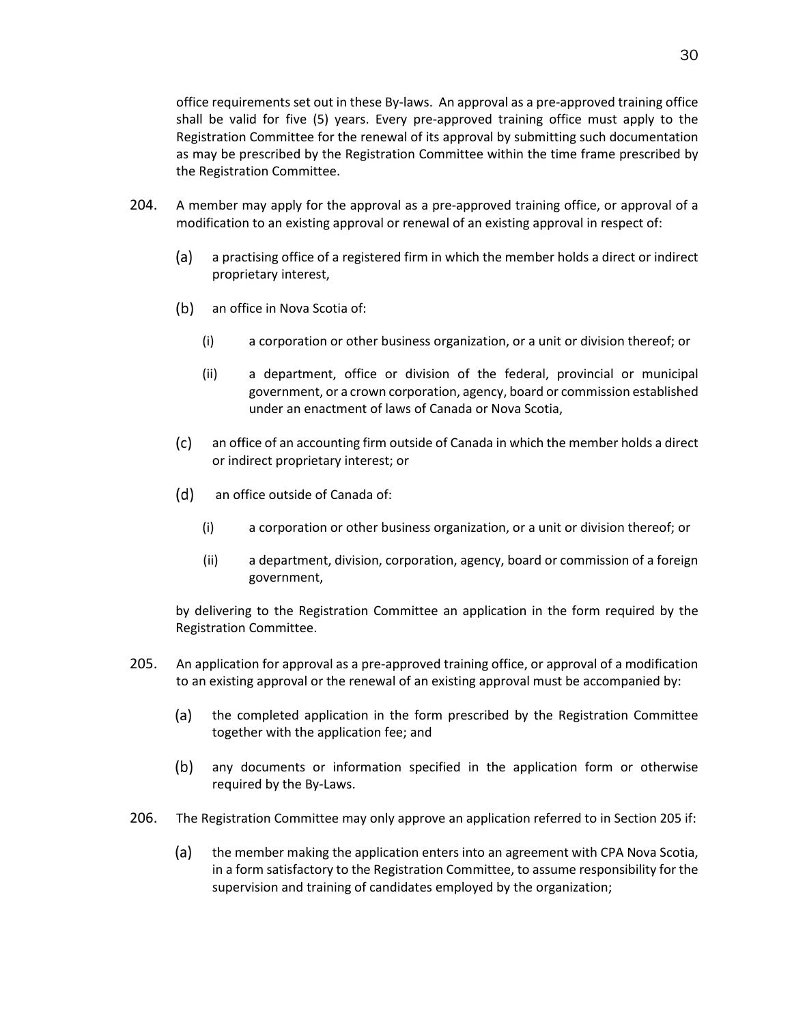office requirements set out in these By-laws. An approval as a pre-approved training office shall be valid for five (5) years. Every pre-approved training office must apply to the Registration Committee for the renewal of its approval by submitting such documentation as may be prescribed by the Registration Committee within the time frame prescribed by the Registration Committee.

- 204. A member may apply for the approval as a pre-approved training office, or approval of a modification to an existing approval or renewal of an existing approval in respect of:
	- $(a)$ a practising office of a registered firm in which the member holds a direct or indirect proprietary interest,
	- (b) an office in Nova Scotia of:
		- (i) a corporation or other business organization, or a unit or division thereof; or
		- (ii) a department, office or division of the federal, provincial or municipal government, or a crown corporation, agency, board or commission established under an enactment of laws of Canada or Nova Scotia,
	- $(c)$ an office of an accounting firm outside of Canada in which the member holds a direct or indirect proprietary interest; or
	- $(d)$ an office outside of Canada of:
		- (i) a corporation or other business organization, or a unit or division thereof; or
		- (ii) a department, division, corporation, agency, board or commission of a foreign government,

by delivering to the Registration Committee an application in the form required by the Registration Committee.

- 205. An application for approval as a pre-approved training office, or approval of a modification to an existing approval or the renewal of an existing approval must be accompanied by:
	- (a) the completed application in the form prescribed by the Registration Committee together with the application fee; and
	- $(b)$ any documents or information specified in the application form or otherwise required by the By-Laws.
- <span id="page-34-0"></span>206. The Registration Committee may only approve an application referred to in Section 205 if:
	- (a) the member making the application enters into an agreement with CPA Nova Scotia, in a form satisfactory to the Registration Committee, to assume responsibility for the supervision and training of candidates employed by the organization;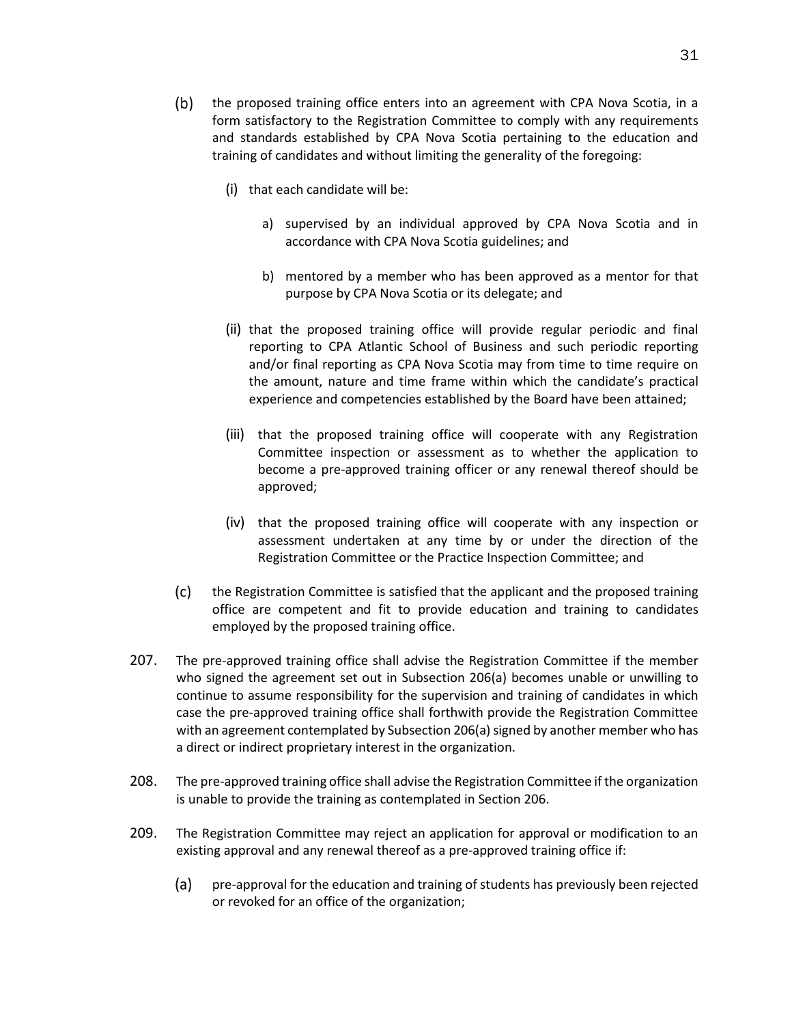- (b) the proposed training office enters into an agreement with CPA Nova Scotia, in a form satisfactory to the Registration Committee to comply with any requirements and standards established by CPA Nova Scotia pertaining to the education and training of candidates and without limiting the generality of the foregoing:
	- (i) that each candidate will be:
		- a) supervised by an individual approved by CPA Nova Scotia and in accordance with CPA Nova Scotia guidelines; and
		- b) mentored by a member who has been approved as a mentor for that purpose by CPA Nova Scotia or its delegate; and
	- (ii) that the proposed training office will provide regular periodic and final reporting to CPA Atlantic School of Business and such periodic reporting and/or final reporting as CPA Nova Scotia may from time to time require on the amount, nature and time frame within which the candidate's practical experience and competencies established by the Board have been attained;
	- (iii) that the proposed training office will cooperate with any Registration Committee inspection or assessment as to whether the application to become a pre-approved training officer or any renewal thereof should be approved;
	- (iv) that the proposed training office will cooperate with any inspection or assessment undertaken at any time by or under the direction of the Registration Committee or the Practice Inspection Committee; and
- $(c)$ the Registration Committee is satisfied that the applicant and the proposed training office are competent and fit to provide education and training to candidates employed by the proposed training office.
- 207. The pre-approved training office shall advise the Registration Committee if the member who signed the agreement set out in Subsection [206\(a\)](#page-34-0) becomes unable or unwilling to continue to assume responsibility for the supervision and training of candidates in which case the pre-approved training office shall forthwith provide the Registration Committee with an agreement contemplated by Subsection 206(a) signed by another member who has a direct or indirect proprietary interest in the organization.
- 208. The pre-approved training office shall advise the Registration Committee if the organization is unable to provide the training as contemplated in Section 206.
- 209. The Registration Committee may reject an application for approval or modification to an existing approval and any renewal thereof as a pre-approved training office if:
	- (a) pre-approval for the education and training of students has previously been rejected or revoked for an office of the organization;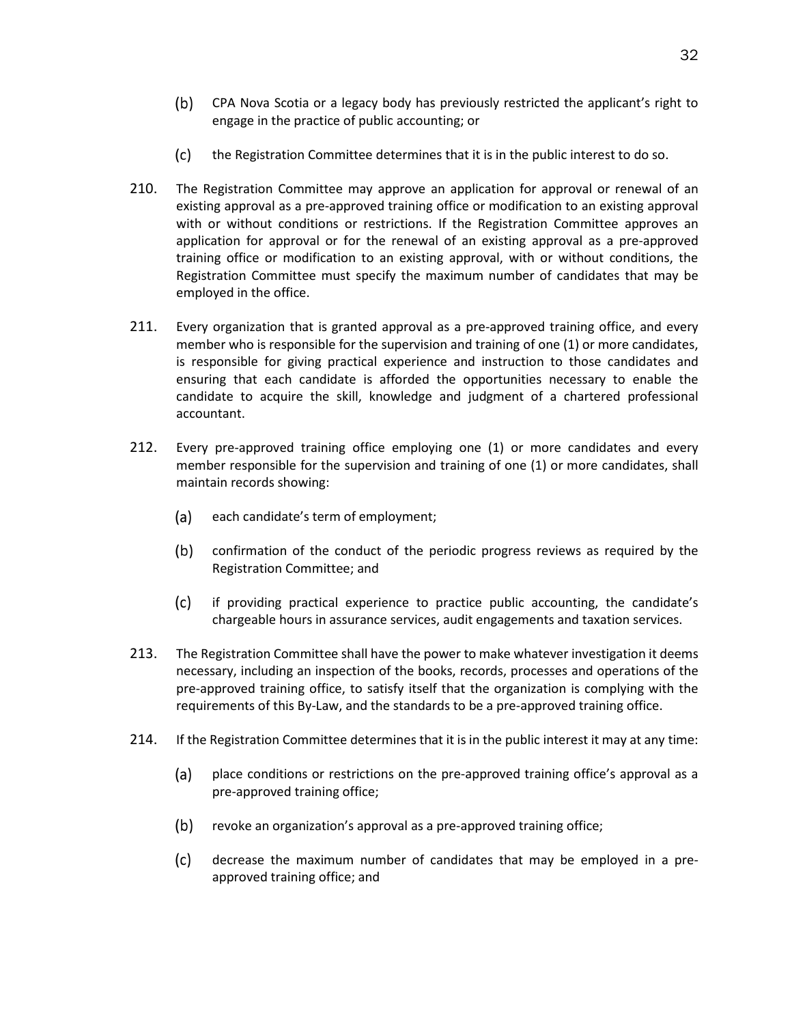- CPA Nova Scotia or a legacy body has previously restricted the applicant's right to engage in the practice of public accounting; or
- $(c)$ the Registration Committee determines that it is in the public interest to do so.
- 210. The Registration Committee may approve an application for approval or renewal of an existing approval as a pre-approved training office or modification to an existing approval with or without conditions or restrictions. If the Registration Committee approves an application for approval or for the renewal of an existing approval as a pre-approved training office or modification to an existing approval, with or without conditions, the Registration Committee must specify the maximum number of candidates that may be employed in the office.
- 211. Every organization that is granted approval as a pre-approved training office, and every member who is responsible for the supervision and training of one (1) or more candidates, is responsible for giving practical experience and instruction to those candidates and ensuring that each candidate is afforded the opportunities necessary to enable the candidate to acquire the skill, knowledge and judgment of a chartered professional accountant.
- 212. Every pre-approved training office employing one (1) or more candidates and every member responsible for the supervision and training of one (1) or more candidates, shall maintain records showing:
	- (a) each candidate's term of employment;
	- $(b)$ confirmation of the conduct of the periodic progress reviews as required by the Registration Committee; and
	- $(c)$ if providing practical experience to practice public accounting, the candidate's chargeable hours in assurance services, audit engagements and taxation services.
- 213. The Registration Committee shall have the power to make whatever investigation it deems necessary, including an inspection of the books, records, processes and operations of the pre-approved training office, to satisfy itself that the organization is complying with the requirements of this By-Law, and the standards to be a pre-approved training office.
- 214. If the Registration Committee determines that it is in the public interest it may at any time:
	- $(a)$ place conditions or restrictions on the pre-approved training office's approval as a pre-approved training office;
	- (b) revoke an organization's approval as a pre-approved training office;
	- $(c)$ decrease the maximum number of candidates that may be employed in a preapproved training office; and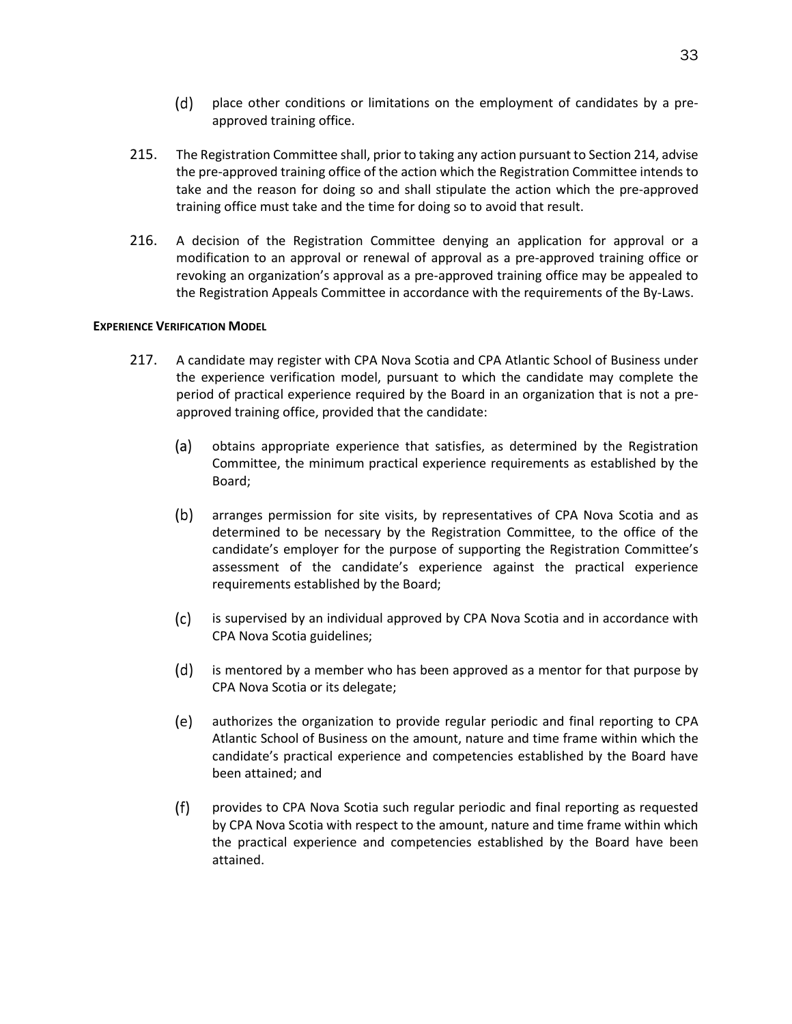- $(d)$ place other conditions or limitations on the employment of candidates by a preapproved training office.
- 215. The Registration Committee shall, prior to taking any action pursuant to Section 214, advise the pre-approved training office of the action which the Registration Committee intends to take and the reason for doing so and shall stipulate the action which the pre-approved training office must take and the time for doing so to avoid that result.
- 216. A decision of the Registration Committee denying an application for approval or a modification to an approval or renewal of approval as a pre-approved training office or revoking an organization's approval as a pre-approved training office may be appealed to the Registration Appeals Committee in accordance with the requirements of the By-Laws.

# **EXPERIENCE VERIFICATION MODEL**

- 217. A candidate may register with CPA Nova Scotia and CPA Atlantic School of Business under the experience verification model, pursuant to which the candidate may complete the period of practical experience required by the Board in an organization that is not a preapproved training office, provided that the candidate:
	- $(a)$ obtains appropriate experience that satisfies, as determined by the Registration Committee, the minimum practical experience requirements as established by the Board;
	- $(b)$ arranges permission for site visits, by representatives of CPA Nova Scotia and as determined to be necessary by the Registration Committee, to the office of the candidate's employer for the purpose of supporting the Registration Committee's assessment of the candidate's experience against the practical experience requirements established by the Board;
	- $(c)$ is supervised by an individual approved by CPA Nova Scotia and in accordance with CPA Nova Scotia guidelines;
	- (d) is mentored by a member who has been approved as a mentor for that purpose by CPA Nova Scotia or its delegate;
	- (e) authorizes the organization to provide regular periodic and final reporting to CPA Atlantic School of Business on the amount, nature and time frame within which the candidate's practical experience and competencies established by the Board have been attained; and
	- $(f)$ provides to CPA Nova Scotia such regular periodic and final reporting as requested by CPA Nova Scotia with respect to the amount, nature and time frame within which the practical experience and competencies established by the Board have been attained.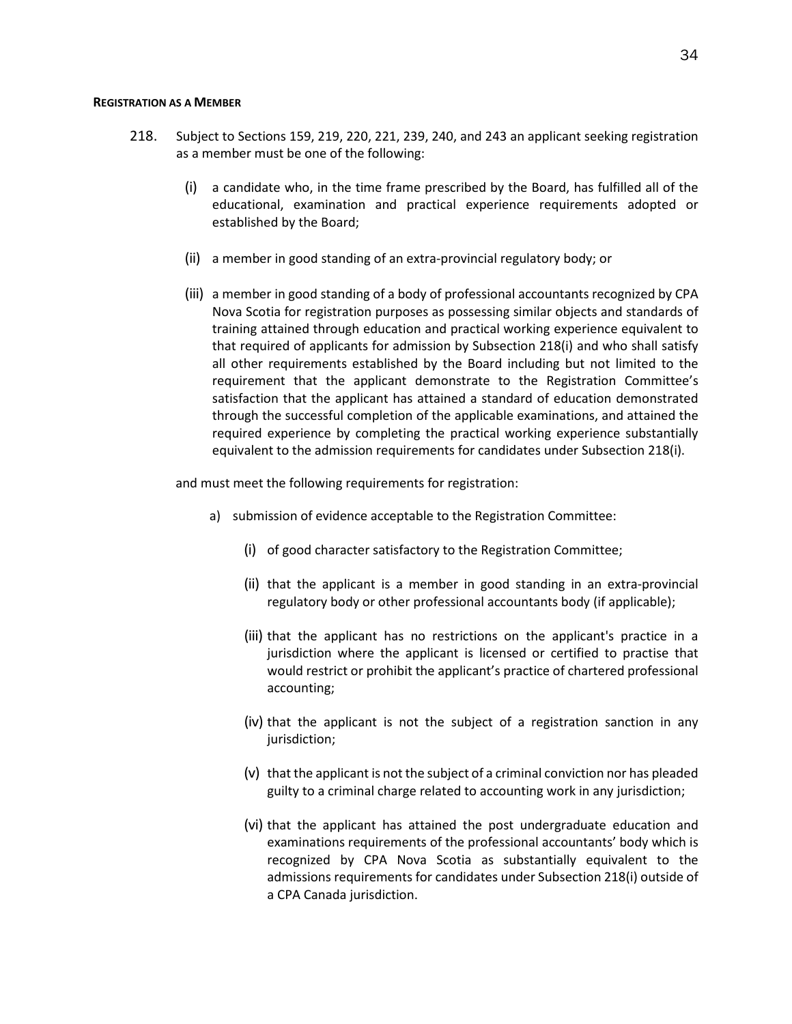#### **REGISTRATION AS A MEMBER**

- <span id="page-38-0"></span>218. Subject to Sections 159, 219, 220, 221, 239, 240, and 243 an applicant seeking registration as a member must be one of the following:
	- (i) a candidate who, in the time frame prescribed by the Board, has fulfilled all of the educational, examination and practical experience requirements adopted or established by the Board;
	- (ii) a member in good standing of an extra-provincial regulatory body; or
	- (iii) a member in good standing of a body of professional accountants recognized by CPA Nova Scotia for registration purposes as possessing similar objects and standards of training attained through education and practical working experience equivalent to that required of applicants for admission by Subsection 21[8\(i\)](#page-38-0) and who shall satisfy all other requirements established by the Board including but not limited to the requirement that the applicant demonstrate to the Registration Committee's satisfaction that the applicant has attained a standard of education demonstrated through the successful completion of the applicable examinations, and attained the required experience by completing the practical working experience substantially equivalent to the admission requirements for candidates under Subsection 21[8\(i\).](#page-38-0)

and must meet the following requirements for registration:

- a) submission of evidence acceptable to the Registration Committee:
	- (i) of good character satisfactory to the Registration Committee;
	- (ii) that the applicant is a member in good standing in an extra-provincial regulatory body or other professional accountants body (if applicable);
	- (iii) that the applicant has no restrictions on the applicant's practice in a jurisdiction where the applicant is licensed or certified to practise that would restrict or prohibit the applicant's practice of chartered professional accounting;
	- (iv) that the applicant is not the subject of a registration sanction in any jurisdiction;
	- (v) that the applicant is not the subject of a criminal conviction nor has pleaded guilty to a criminal charge related to accounting work in any jurisdiction;
	- (vi) that the applicant has attained the post undergraduate education and examinations requirements of the professional accountants' body which is recognized by CPA Nova Scotia as substantially equivalent to the admissions requirements for candidates under Subsection 218(i) outside of a CPA Canada jurisdiction.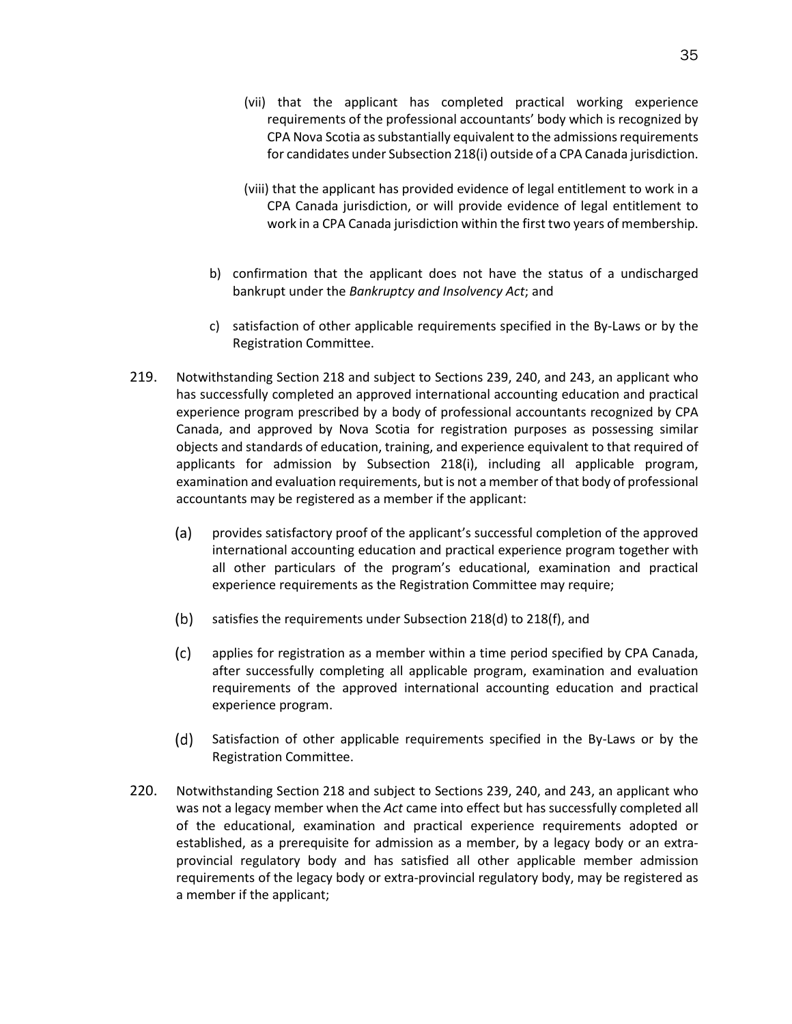- (vii) that the applicant has completed practical working experience requirements of the professional accountants' body which is recognized by CPA Nova Scotia as substantially equivalent to the admissions requirements for candidates under Subsection 218(i) outside of a CPA Canada jurisdiction.
- (viii) that the applicant has provided evidence of legal entitlement to work in a CPA Canada jurisdiction, or will provide evidence of legal entitlement to work in a CPA Canada jurisdiction within the first two years of membership.
- b) confirmation that the applicant does not have the status of a undischarged bankrupt under the *Bankruptcy and Insolvency Act*; and
- c) satisfaction of other applicable requirements specified in the By-Laws or by the Registration Committee.
- <span id="page-39-0"></span>219. Notwithstanding Section 218 and subject to Sections 239, 240, and 243, an applicant who has successfully completed an approved international accounting education and practical experience program prescribed by a body of professional accountants recognized by CPA Canada, and approved by Nova Scotia for registration purposes as possessing similar objects and standards of education, training, and experience equivalent to that required of applicants for admission by Subsection 21[8\(i\),](#page-38-0) including all applicable program, examination and evaluation requirements, but is not a member of that body of professional accountants may be registered as a member if the applicant:
	- $(a)$ provides satisfactory proof of the applicant's successful completion of the approved international accounting education and practical experience program together with all other particulars of the program's educational, examination and practical experience requirements as the Registration Committee may require;
	- $(b)$ satisfies the requirements under Subsection 218(d) to 218(f), and
	- $(c)$ applies for registration as a member within a time period specified by CPA Canada, after successfully completing all applicable program, examination and evaluation requirements of the approved international accounting education and practical experience program.
	- $(d)$ Satisfaction of other applicable requirements specified in the By-Laws or by the Registration Committee.
- 220. Notwithstanding Section 218 and subject to Sections 239, 240, and 243, an applicant who was not a legacy member when the *Act* came into effect but has successfully completed all of the educational, examination and practical experience requirements adopted or established, as a prerequisite for admission as a member, by a legacy body or an extraprovincial regulatory body and has satisfied all other applicable member admission requirements of the legacy body or extra-provincial regulatory body, may be registered as a member if the applicant;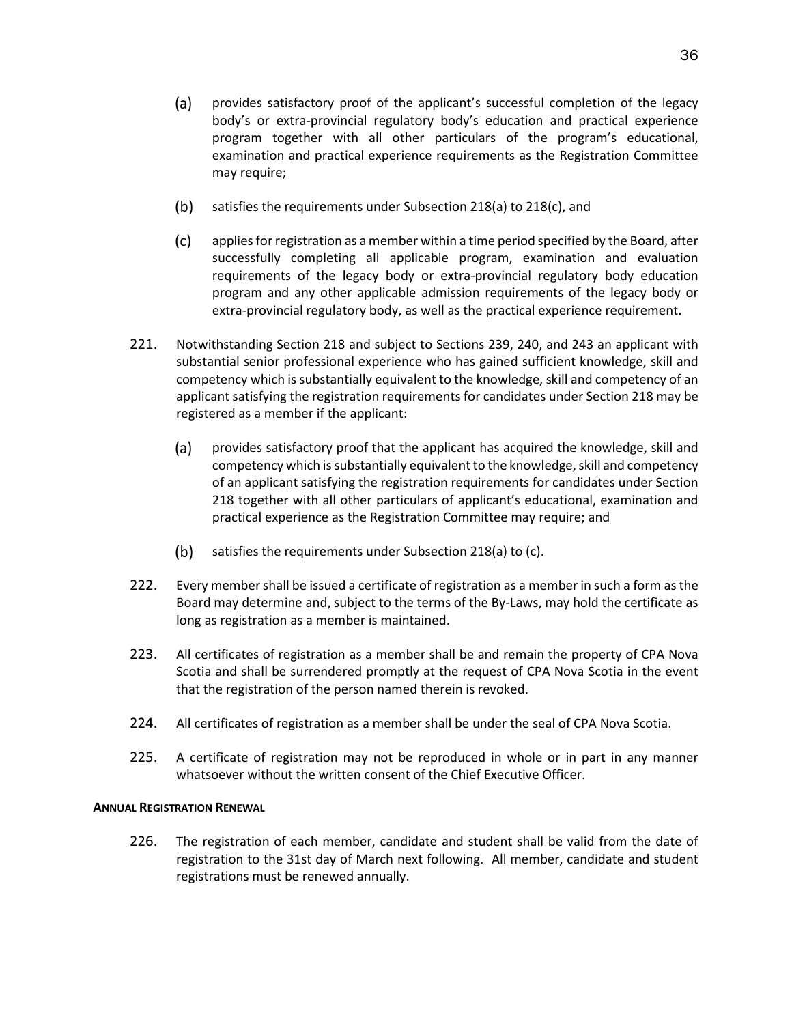- (a) provides satisfactory proof of the applicant's successful completion of the legacy body's or extra-provincial regulatory body's education and practical experience program together with all other particulars of the program's educational, examination and practical experience requirements as the Registration Committee may require;
- $(b)$ satisfies the requirements under Subsection 218(a) to 218(c), and
- $(c)$ applies for registration as a member within a time period specified by the Board, after successfully completing all applicable program, examination and evaluation requirements of the legacy body or extra-provincial regulatory body education program and any other applicable admission requirements of the legacy body or extra-provincial regulatory body, as well as the practical experience requirement.
- 221. Notwithstanding Section 218 and subject to Sections 239, 240, and 243 an applicant with substantial senior professional experience who has gained sufficient knowledge, skill and competency which is substantially equivalent to the knowledge, skill and competency of an applicant satisfying the registration requirements for candidates under Section 218 may be registered as a member if the applicant:
	- $(a)$ provides satisfactory proof that the applicant has acquired the knowledge, skill and competency which is substantially equivalent to the knowledge, skill and competency of an applicant satisfying the registration requirements for candidates under Section 218 together with all other particulars of applicant's educational, examination and practical experience as the Registration Committee may require; and
	- (b) satisfies the requirements under Subsection 218(a) to  $(c)$ .
- 222. Every member shall be issued a certificate of registration as a member in such a form as the Board may determine and, subject to the terms of the By-Laws, may hold the certificate as long as registration as a member is maintained.
- 223. All certificates of registration as a member shall be and remain the property of CPA Nova Scotia and shall be surrendered promptly at the request of CPA Nova Scotia in the event that the registration of the person named therein is revoked.
- 224. All certificates of registration as a member shall be under the seal of CPA Nova Scotia.
- 225. A certificate of registration may not be reproduced in whole or in part in any manner whatsoever without the written consent of the Chief Executive Officer.

# **ANNUAL REGISTRATION RENEWAL**

226. The registration of each member, candidate and student shall be valid from the date of registration to the 31st day of March next following. All member, candidate and student registrations must be renewed annually.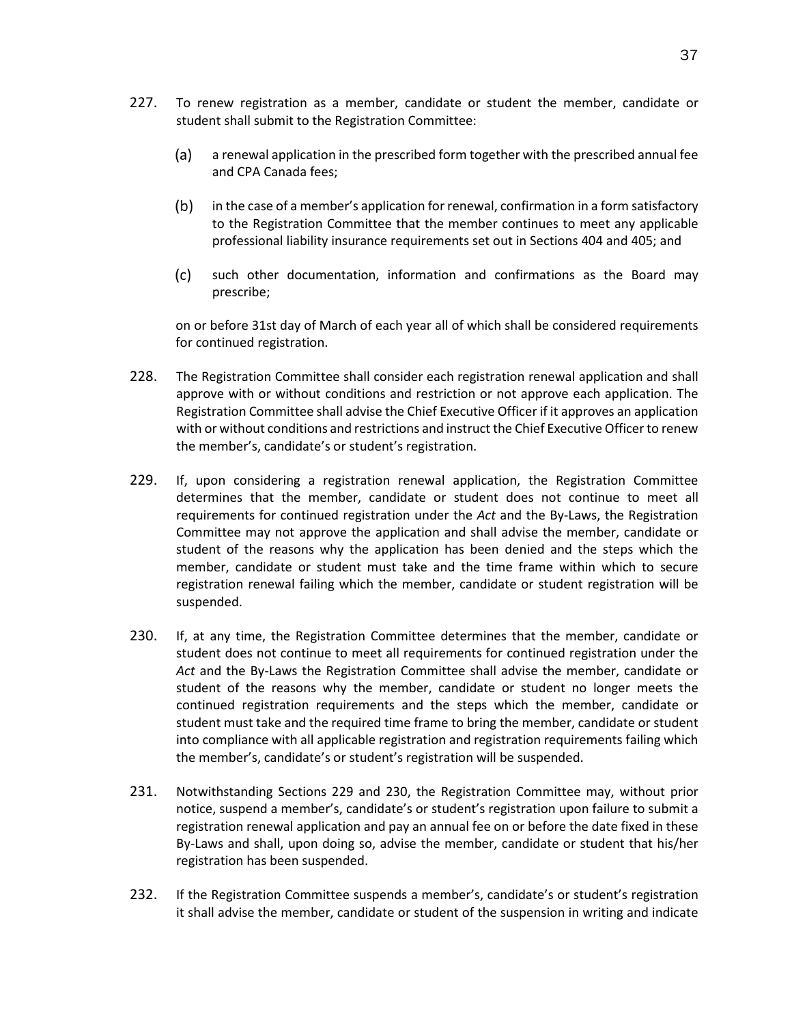- 227. To renew registration as a member, candidate or student the member, candidate or student shall submit to the Registration Committee:
	- (a) a renewal application in the prescribed form together with the prescribed annual fee and CPA Canada fees;
	- $(b)$ in the case of a member's application for renewal, confirmation in a form satisfactory to the Registration Committee that the member continues to meet any applicable professional liability insurance requirements set out in Sections 404 and 405; and
	- $(c)$ such other documentation, information and confirmations as the Board may prescribe;

on or before 31st day of March of each year all of which shall be considered requirements for continued registration.

- 228. The Registration Committee shall consider each registration renewal application and shall approve with or without conditions and restriction or not approve each application. The Registration Committee shall advise the Chief Executive Officer if it approves an application with or without conditions and restrictions and instruct the Chief Executive Officer to renew the member's, candidate's or student's registration.
- 229. If, upon considering a registration renewal application, the Registration Committee determines that the member, candidate or student does not continue to meet all requirements for continued registration under the *Act* and the By-Laws, the Registration Committee may not approve the application and shall advise the member, candidate or student of the reasons why the application has been denied and the steps which the member, candidate or student must take and the time frame within which to secure registration renewal failing which the member, candidate or student registration will be suspended.
- 230. If, at any time, the Registration Committee determines that the member, candidate or student does not continue to meet all requirements for continued registration under the *Act* and the By-Laws the Registration Committee shall advise the member, candidate or student of the reasons why the member, candidate or student no longer meets the continued registration requirements and the steps which the member, candidate or student must take and the required time frame to bring the member, candidate or student into compliance with all applicable registration and registration requirements failing which the member's, candidate's or student's registration will be suspended.
- 231. Notwithstanding Sections 229 and 230, the Registration Committee may, without prior notice, suspend a member's, candidate's or student's registration upon failure to submit a registration renewal application and pay an annual fee on or before the date fixed in these By-Laws and shall, upon doing so, advise the member, candidate or student that his/her registration has been suspended.
- 232. If the Registration Committee suspends a member's, candidate's or student's registration it shall advise the member, candidate or student of the suspension in writing and indicate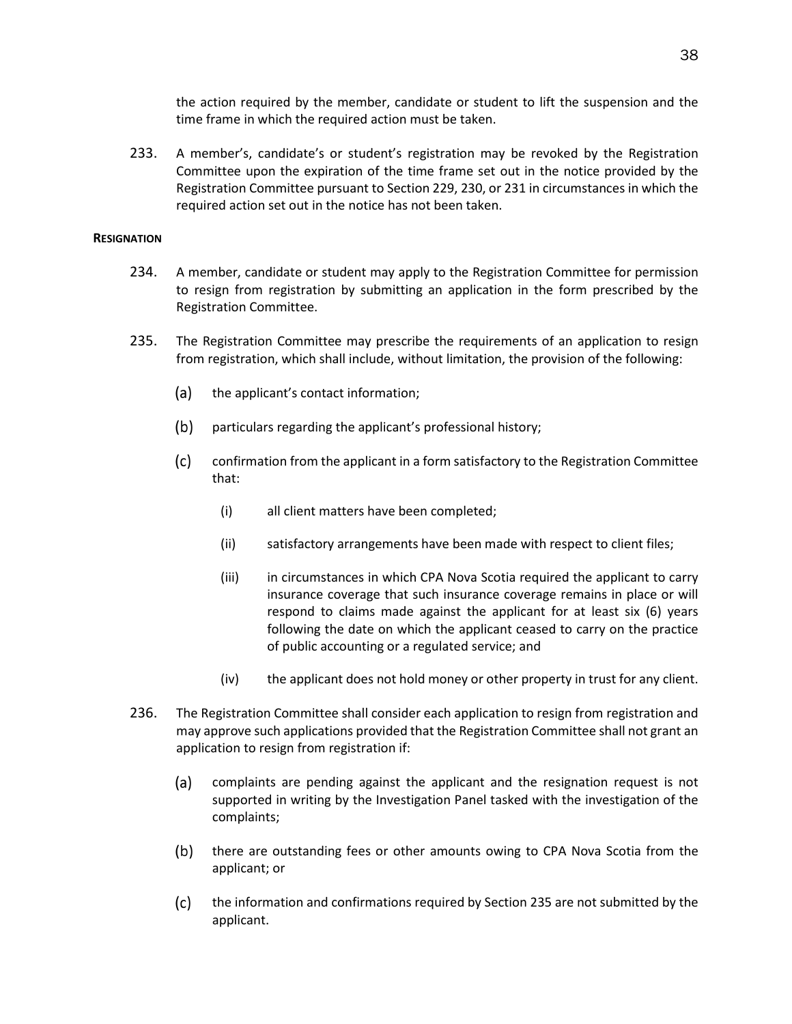the action required by the member, candidate or student to lift the suspension and the time frame in which the required action must be taken.

233. A member's, candidate's or student's registration may be revoked by the Registration Committee upon the expiration of the time frame set out in the notice provided by the Registration Committee pursuant to Section 229, 230, or 231 in circumstances in which the required action set out in the notice has not been taken.

# **RESIGNATION**

- 234. A member, candidate or student may apply to the Registration Committee for permission to resign from registration by submitting an application in the form prescribed by the Registration Committee.
- 235. The Registration Committee may prescribe the requirements of an application to resign from registration, which shall include, without limitation, the provision of the following:
	- $(a)$ the applicant's contact information;
	- $(b)$ particulars regarding the applicant's professional history;
	- $(c)$ confirmation from the applicant in a form satisfactory to the Registration Committee that:
		- (i) all client matters have been completed;
		- (ii) satisfactory arrangements have been made with respect to client files;
		- (iii) in circumstances in which CPA Nova Scotia required the applicant to carry insurance coverage that such insurance coverage remains in place or will respond to claims made against the applicant for at least six (6) years following the date on which the applicant ceased to carry on the practice of public accounting or a regulated service; and
		- (iv) the applicant does not hold money or other property in trust for any client.
- 236. The Registration Committee shall consider each application to resign from registration and may approve such applications provided that the Registration Committee shall not grant an application to resign from registration if:
	- $(a)$ complaints are pending against the applicant and the resignation request is not supported in writing by the Investigation Panel tasked with the investigation of the complaints;
	- $(b)$ there are outstanding fees or other amounts owing to CPA Nova Scotia from the applicant; or
	- $(c)$ the information and confirmations required by Section 235 are not submitted by the applicant.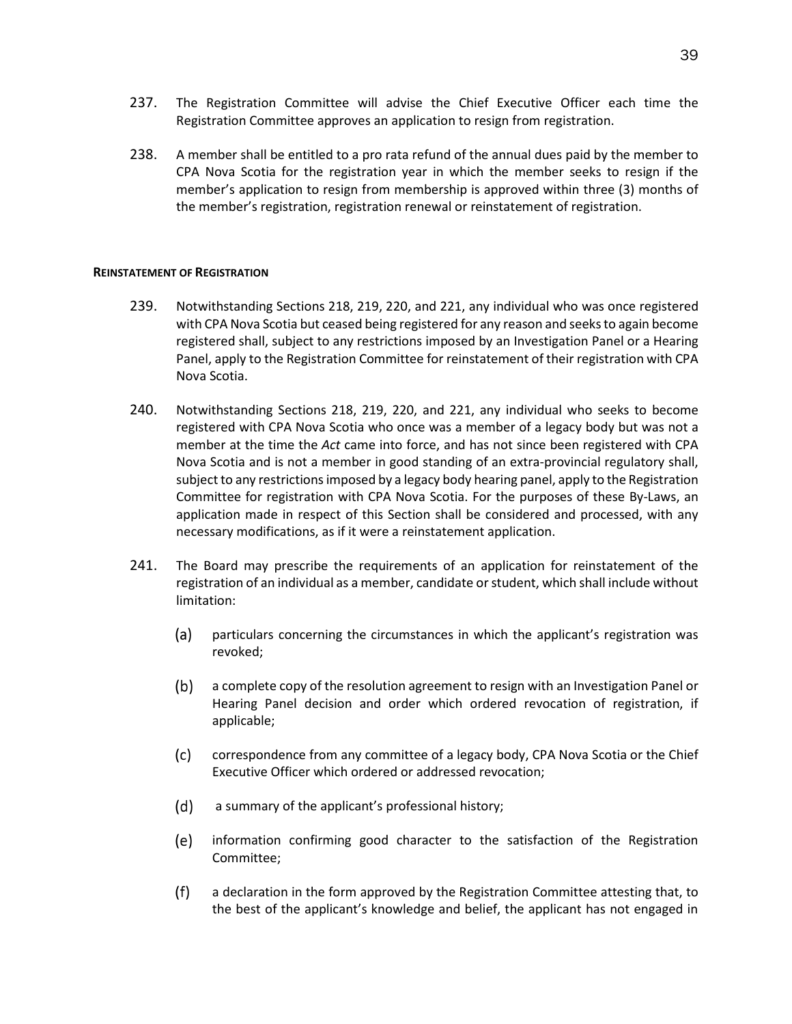- 237. The Registration Committee will advise the Chief Executive Officer each time the Registration Committee approves an application to resign from registration.
- 238. A member shall be entitled to a pro rata refund of the annual dues paid by the member to CPA Nova Scotia for the registration year in which the member seeks to resign if the member's application to resign from membership is approved within three (3) months of the member's registration, registration renewal or reinstatement of registration.

#### **REINSTATEMENT OF REGISTRATION**

- 239. Notwithstanding Sections 218, 219, 220, and 221, any individual who was once registered with CPA Nova Scotia but ceased being registered for any reason and seeks to again become registered shall, subject to any restrictions imposed by an Investigation Panel or a Hearing Panel, apply to the Registration Committee for reinstatement of their registration with CPA Nova Scotia.
- 240. Notwithstanding Sections 218, 219, 220, and 221, any individual who seeks to become registered with CPA Nova Scotia who once was a member of a legacy body but was not a member at the time the *Act* came into force, and has not since been registered with CPA Nova Scotia and is not a member in good standing of an extra-provincial regulatory shall, subject to any restrictions imposed by a legacy body hearing panel, apply to the Registration Committee for registration with CPA Nova Scotia. For the purposes of these By-Laws, an application made in respect of this Section shall be considered and processed, with any necessary modifications, as if it were a reinstatement application.
- 241. The Board may prescribe the requirements of an application for reinstatement of the registration of an individual as a member, candidate or student, which shall include without limitation:
	- (a) particulars concerning the circumstances in which the applicant's registration was revoked;
	- $(b)$ a complete copy of the resolution agreement to resign with an Investigation Panel or Hearing Panel decision and order which ordered revocation of registration, if applicable;
	- $(c)$ correspondence from any committee of a legacy body, CPA Nova Scotia or the Chief Executive Officer which ordered or addressed revocation;
	- $(d)$ a summary of the applicant's professional history;
	- (e) information confirming good character to the satisfaction of the Registration Committee;
	- $(f)$ a declaration in the form approved by the Registration Committee attesting that, to the best of the applicant's knowledge and belief, the applicant has not engaged in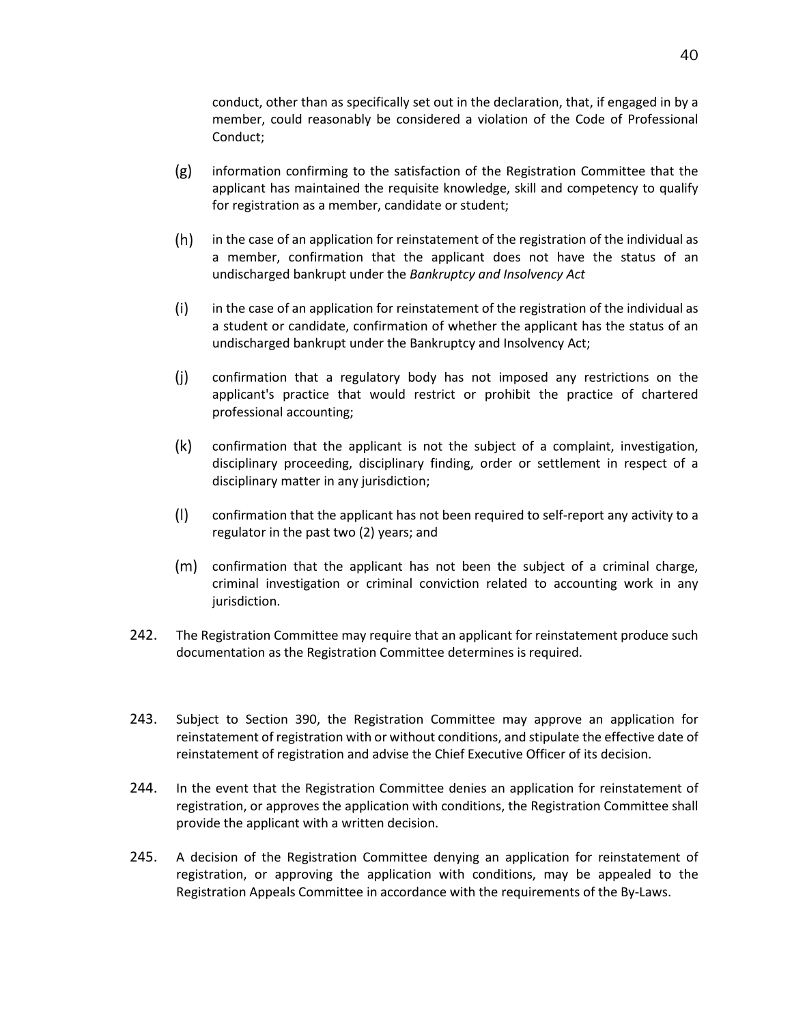conduct, other than as specifically set out in the declaration, that, if engaged in by a member, could reasonably be considered a violation of the Code of Professional Conduct;

- $(g)$ information confirming to the satisfaction of the Registration Committee that the applicant has maintained the requisite knowledge, skill and competency to qualify for registration as a member, candidate or student;
- $(h)$ in the case of an application for reinstatement of the registration of the individual as a member, confirmation that the applicant does not have the status of an undischarged bankrupt under the *Bankruptcy and Insolvency Act*
- $(i)$ in the case of an application for reinstatement of the registration of the individual as a student or candidate, confirmation of whether the applicant has the status of an undischarged bankrupt under the Bankruptcy and Insolvency Act;
- $(j)$ confirmation that a regulatory body has not imposed any restrictions on the applicant's practice that would restrict or prohibit the practice of chartered professional accounting;
- $(k)$ confirmation that the applicant is not the subject of a complaint, investigation, disciplinary proceeding, disciplinary finding, order or settlement in respect of a disciplinary matter in any jurisdiction;
- $(1)$ confirmation that the applicant has not been required to self-report any activity to a regulator in the past two (2) years; and
- (m) confirmation that the applicant has not been the subject of a criminal charge, criminal investigation or criminal conviction related to accounting work in any jurisdiction.
- 242. The Registration Committee may require that an applicant for reinstatement produce such documentation as the Registration Committee determines is required.
- 243. Subject to Section 390, the Registration Committee may approve an application for reinstatement of registration with or without conditions, and stipulate the effective date of reinstatement of registration and advise the Chief Executive Officer of its decision.
- 244. In the event that the Registration Committee denies an application for reinstatement of registration, or approves the application with conditions, the Registration Committee shall provide the applicant with a written decision.
- 245. A decision of the Registration Committee denying an application for reinstatement of registration, or approving the application with conditions, may be appealed to the Registration Appeals Committee in accordance with the requirements of the By-Laws.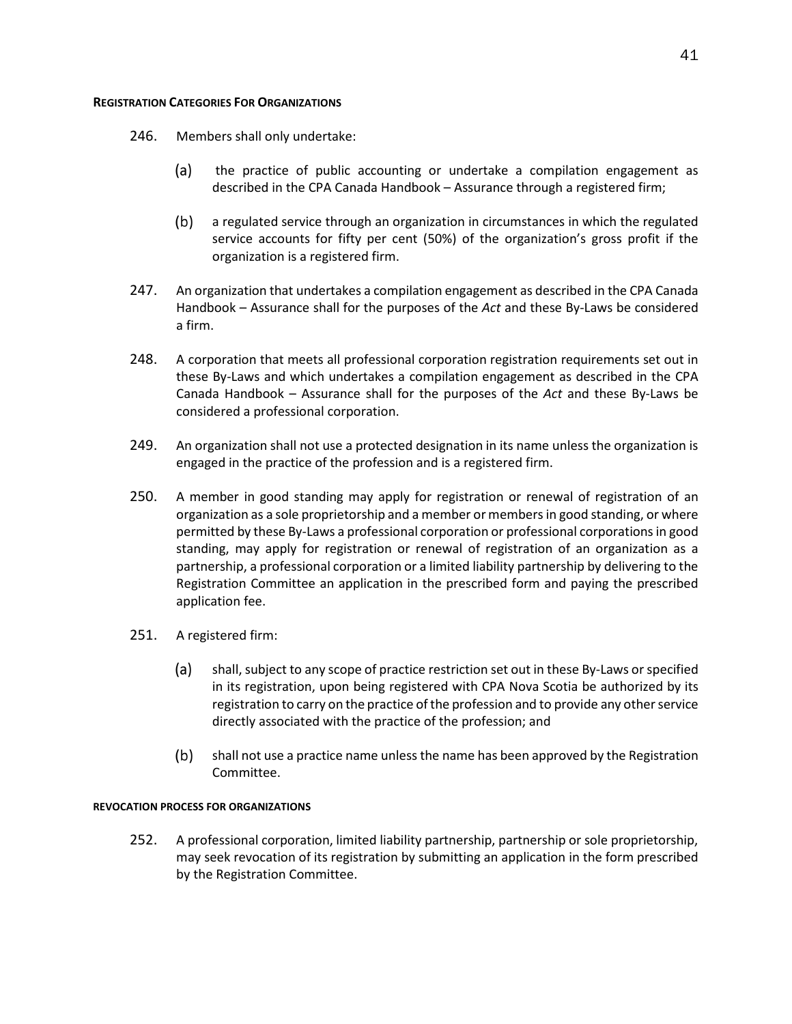# **REGISTRATION CATEGORIES FOR ORGANIZATIONS**

- 246. Members shall only undertake:
	- $(a)$ the practice of public accounting or undertake a compilation engagement as described in the CPA Canada Handbook – Assurance through a registered firm;
	- $(b)$ a regulated service through an organization in circumstances in which the regulated service accounts for fifty per cent (50%) of the organization's gross profit if the organization is a registered firm.
- 247. An organization that undertakes a compilation engagement as described in the CPA Canada Handbook – Assurance shall for the purposes of the *Act* and these By-Laws be considered a firm.
- 248. A corporation that meets all professional corporation registration requirements set out in these By-Laws and which undertakes a compilation engagement as described in the CPA Canada Handbook – Assurance shall for the purposes of the *Act* and these By-Laws be considered a professional corporation.
- 249. An organization shall not use a protected designation in its name unless the organization is engaged in the practice of the profession and is a registered firm.
- 250. A member in good standing may apply for registration or renewal of registration of an organization as a sole proprietorship and a member or members in good standing, or where permitted by these By-Laws a professional corporation or professional corporations in good standing, may apply for registration or renewal of registration of an organization as a partnership, a professional corporation or a limited liability partnership by delivering to the Registration Committee an application in the prescribed form and paying the prescribed application fee.
- 251. A registered firm:
	- (a) shall, subject to any scope of practice restriction set out in these By-Laws or specified in its registration, upon being registered with CPA Nova Scotia be authorized by its registration to carry on the practice of the profession and to provide any other service directly associated with the practice of the profession; and
	- $(b)$ shall not use a practice name unless the name has been approved by the Registration Committee.

# **REVOCATION PROCESS FOR ORGANIZATIONS**

252. A professional corporation, limited liability partnership, partnership or sole proprietorship, may seek revocation of its registration by submitting an application in the form prescribed by the Registration Committee.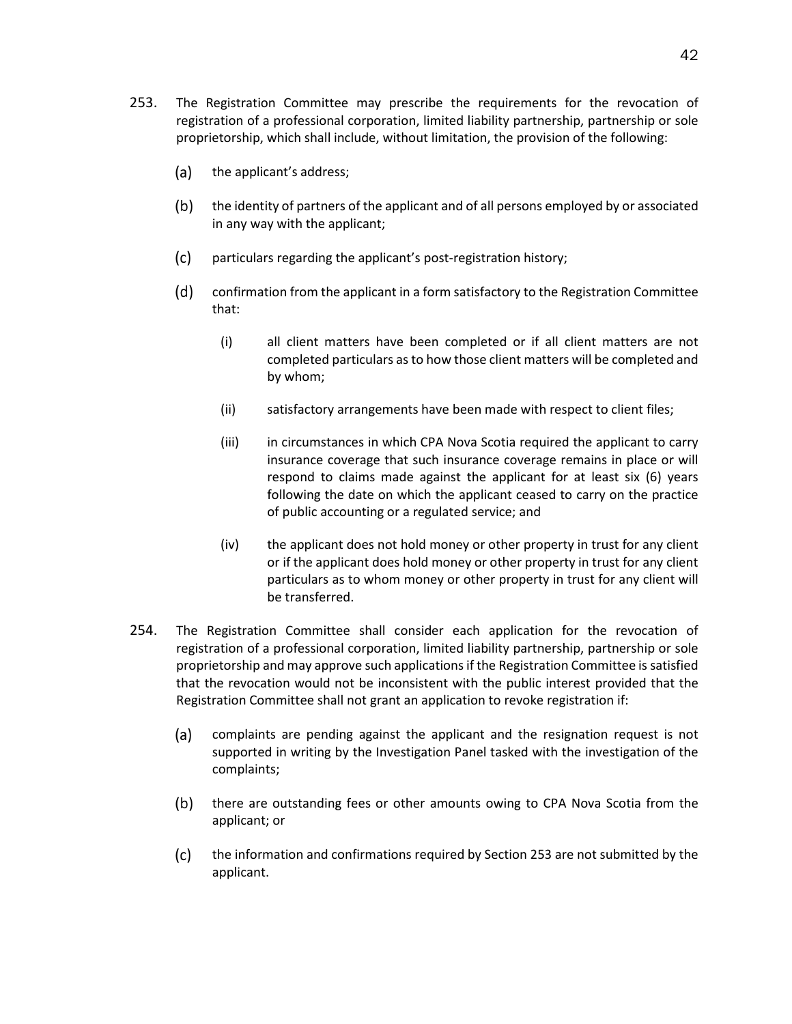- 253. The Registration Committee may prescribe the requirements for the revocation of registration of a professional corporation, limited liability partnership, partnership or sole proprietorship, which shall include, without limitation, the provision of the following:
	- $(a)$ the applicant's address;
	- $(b)$ the identity of partners of the applicant and of all persons employed by or associated in any way with the applicant;
	- $(c)$ particulars regarding the applicant's post-registration history;
	- $(d)$ confirmation from the applicant in a form satisfactory to the Registration Committee that:
		- (i) all client matters have been completed or if all client matters are not completed particulars as to how those client matters will be completed and by whom;
		- (ii) satisfactory arrangements have been made with respect to client files;
		- (iii) in circumstances in which CPA Nova Scotia required the applicant to carry insurance coverage that such insurance coverage remains in place or will respond to claims made against the applicant for at least six (6) years following the date on which the applicant ceased to carry on the practice of public accounting or a regulated service; and
		- (iv) the applicant does not hold money or other property in trust for any client or if the applicant does hold money or other property in trust for any client particulars as to whom money or other property in trust for any client will be transferred.
- 254. The Registration Committee shall consider each application for the revocation of registration of a professional corporation, limited liability partnership, partnership or sole proprietorship and may approve such applications if the Registration Committee is satisfied that the revocation would not be inconsistent with the public interest provided that the Registration Committee shall not grant an application to revoke registration if:
	- $(a)$ complaints are pending against the applicant and the resignation request is not supported in writing by the Investigation Panel tasked with the investigation of the complaints;
	- $(b)$ there are outstanding fees or other amounts owing to CPA Nova Scotia from the applicant; or
	- the information and confirmations required by Section 253 are not submitted by the  $(c)$ applicant.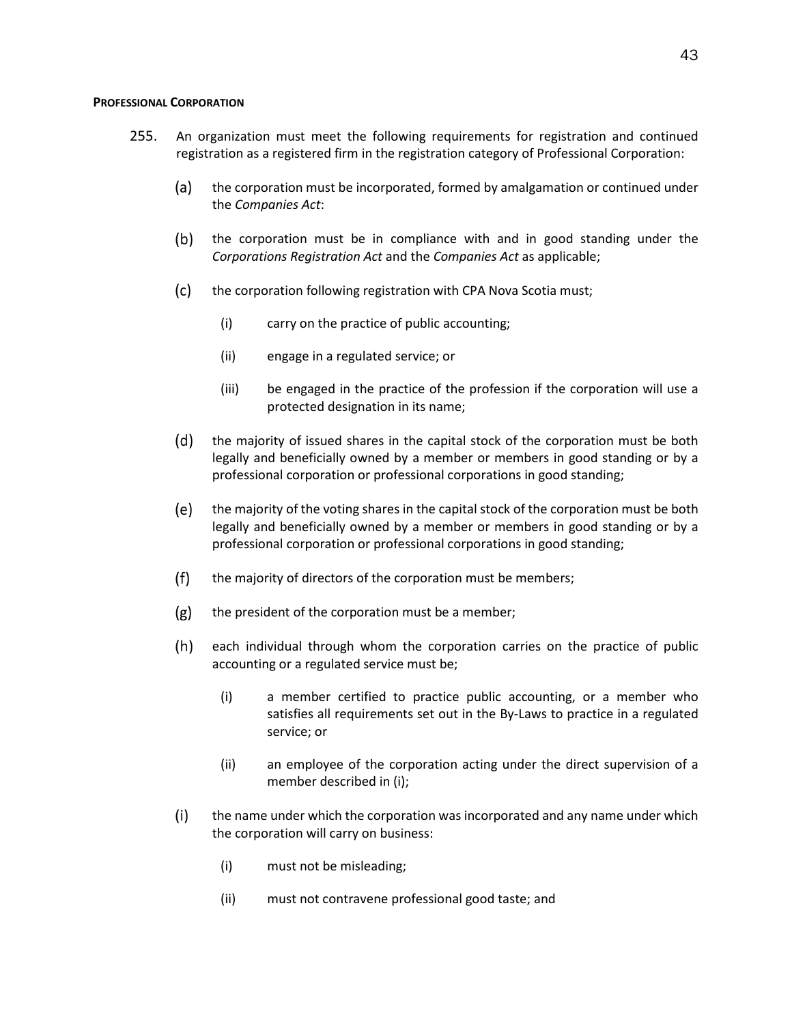#### **PROFESSIONAL CORPORATION**

- 255. An organization must meet the following requirements for registration and continued registration as a registered firm in the registration category of Professional Corporation:
	- $(a)$ the corporation must be incorporated, formed by amalgamation or continued under the *Companies Act*:
	- $(b)$ the corporation must be in compliance with and in good standing under the *Corporations Registration Act* and the *Companies Act* as applicable;
	- $(c)$ the corporation following registration with CPA Nova Scotia must;
		- (i) carry on the practice of public accounting;
		- (ii) engage in a regulated service; or
		- (iii) be engaged in the practice of the profession if the corporation will use a protected designation in its name;
	- $(d)$ the majority of issued shares in the capital stock of the corporation must be both legally and beneficially owned by a member or members in good standing or by a professional corporation or professional corporations in good standing;
	- (e) the majority of the voting shares in the capital stock of the corporation must be both legally and beneficially owned by a member or members in good standing or by a professional corporation or professional corporations in good standing;
	- $(f)$ the majority of directors of the corporation must be members;
	- $(g)$ the president of the corporation must be a member;
	- $(h)$ each individual through whom the corporation carries on the practice of public accounting or a regulated service must be;
		- (i) a member certified to practice public accounting, or a member who satisfies all requirements set out in the By-Laws to practice in a regulated service; or
		- (ii) an employee of the corporation acting under the direct supervision of a member described in (i);
	- $(i)$ the name under which the corporation was incorporated and any name under which the corporation will carry on business:
		- (i) must not be misleading;
		- (ii) must not contravene professional good taste; and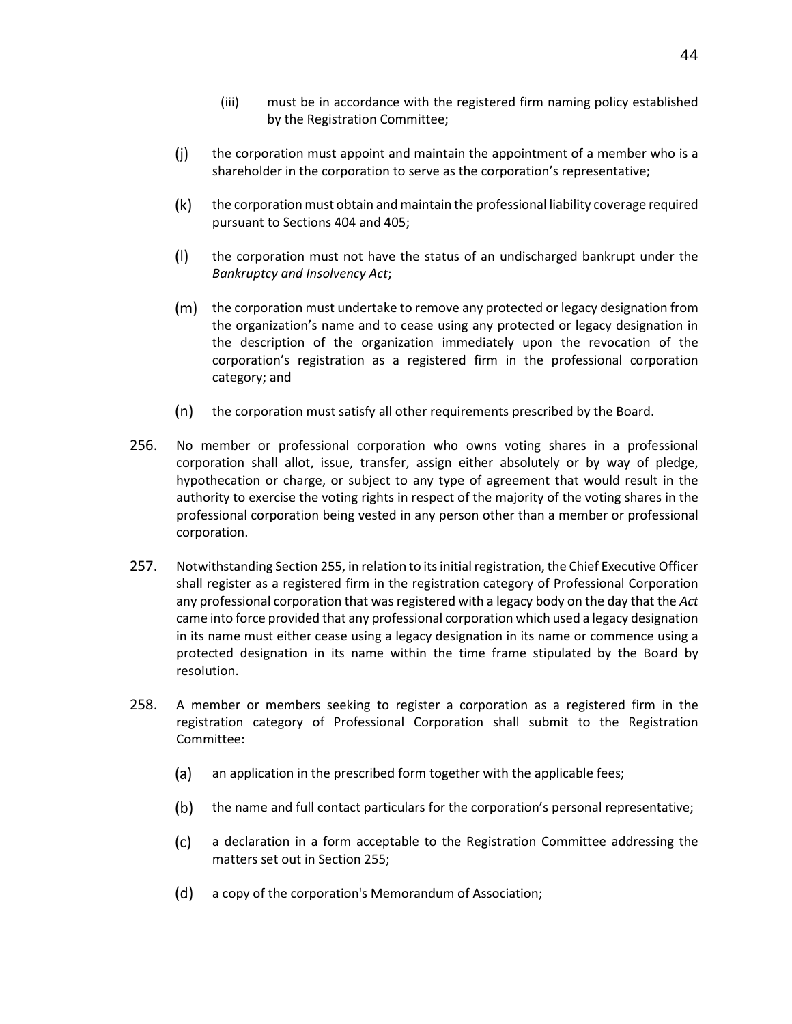- (iii) must be in accordance with the registered firm naming policy established by the Registration Committee;
- $(i)$ the corporation must appoint and maintain the appointment of a member who is a shareholder in the corporation to serve as the corporation's representative;
- $(k)$ the corporation must obtain and maintain the professional liability coverage required pursuant to Sections 404 and 405;
- $(1)$ the corporation must not have the status of an undischarged bankrupt under the *Bankruptcy and Insolvency Act*;
- (m) the corporation must undertake to remove any protected or legacy designation from the organization's name and to cease using any protected or legacy designation in the description of the organization immediately upon the revocation of the corporation's registration as a registered firm in the professional corporation category; and
- $(n)$ the corporation must satisfy all other requirements prescribed by the Board.
- 256. No member or professional corporation who owns voting shares in a professional corporation shall allot, issue, transfer, assign either absolutely or by way of pledge, hypothecation or charge, or subject to any type of agreement that would result in the authority to exercise the voting rights in respect of the majority of the voting shares in the professional corporation being vested in any person other than a member or professional corporation.
- 257. Notwithstanding Section 255, in relation to its initial registration, the Chief Executive Officer shall register as a registered firm in the registration category of Professional Corporation any professional corporation that was registered with a legacy body on the day that the *Act* came into force provided that any professional corporation which used a legacy designation in its name must either cease using a legacy designation in its name or commence using a protected designation in its name within the time frame stipulated by the Board by resolution.
- 258. A member or members seeking to register a corporation as a registered firm in the registration category of Professional Corporation shall submit to the Registration Committee:
	- (a) an application in the prescribed form together with the applicable fees;
	- $(b)$ the name and full contact particulars for the corporation's personal representative;
	- $(c)$ a declaration in a form acceptable to the Registration Committee addressing the matters set out in Section 255;
	- a copy of the corporation's Memorandum of Association;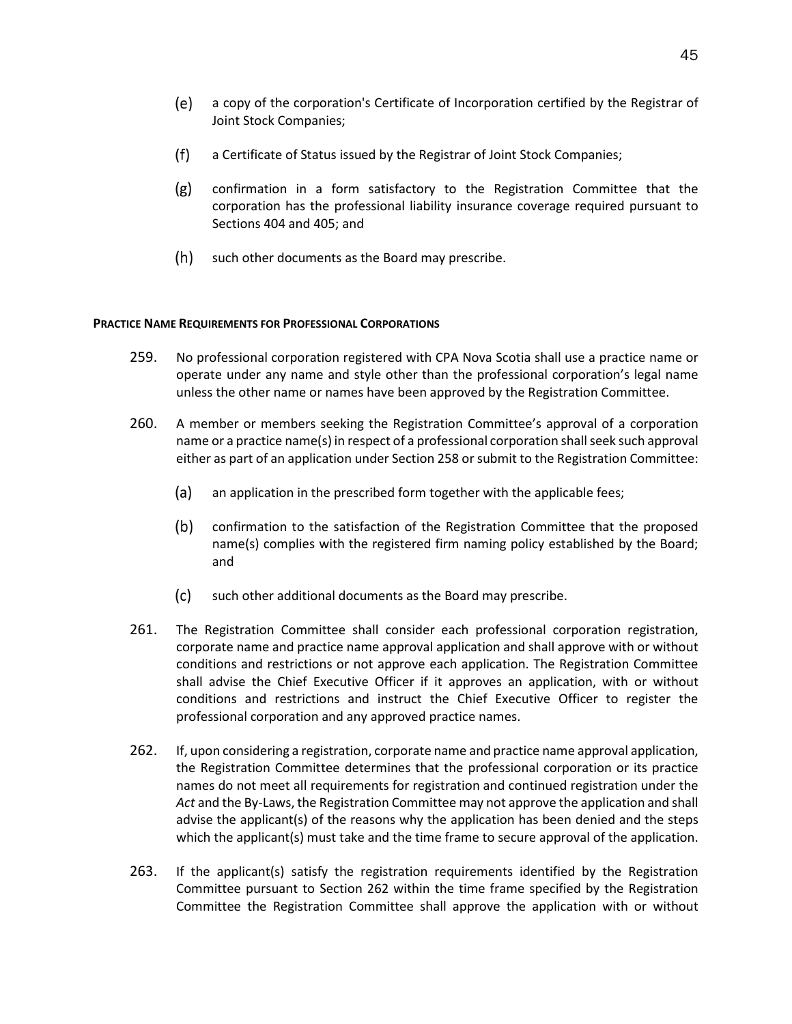- a copy of the corporation's Certificate of Incorporation certified by the Registrar of (e) Joint Stock Companies;
- $(f)$ a Certificate of Status issued by the Registrar of Joint Stock Companies;
- $(g)$ confirmation in a form satisfactory to the Registration Committee that the corporation has the professional liability insurance coverage required pursuant to Sections 404 and 405; and
- $(h)$  such other documents as the Board may prescribe.

# **PRACTICE NAME REQUIREMENTS FOR PROFESSIONAL CORPORATIONS**

- 259. No professional corporation registered with CPA Nova Scotia shall use a practice name or operate under any name and style other than the professional corporation's legal name unless the other name or names have been approved by the Registration Committee.
- 260. A member or members seeking the Registration Committee's approval of a corporation name or a practice name(s) in respect of a professional corporation shall seek such approval either as part of an application under Section 258 or submit to the Registration Committee:
	- $(a)$ an application in the prescribed form together with the applicable fees;
	- $(b)$ confirmation to the satisfaction of the Registration Committee that the proposed name(s) complies with the registered firm naming policy established by the Board; and
	- $(c)$ such other additional documents as the Board may prescribe.
- 261. The Registration Committee shall consider each professional corporation registration, corporate name and practice name approval application and shall approve with or without conditions and restrictions or not approve each application. The Registration Committee shall advise the Chief Executive Officer if it approves an application, with or without conditions and restrictions and instruct the Chief Executive Officer to register the professional corporation and any approved practice names.
- 262. If, upon considering a registration, corporate name and practice name approval application, the Registration Committee determines that the professional corporation or its practice names do not meet all requirements for registration and continued registration under the *Act* and the By-Laws, the Registration Committee may not approve the application and shall advise the applicant(s) of the reasons why the application has been denied and the steps which the applicant(s) must take and the time frame to secure approval of the application.
- 263. If the applicant(s) satisfy the registration requirements identified by the Registration Committee pursuant to Section 262 within the time frame specified by the Registration Committee the Registration Committee shall approve the application with or without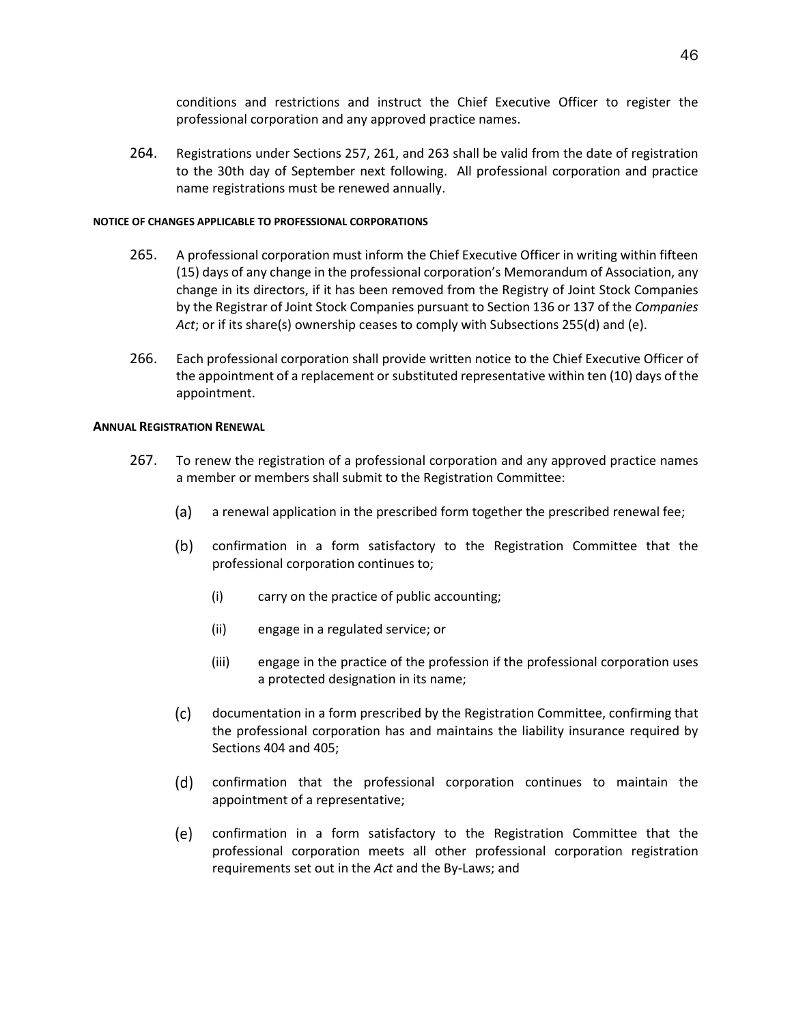conditions and restrictions and instruct the Chief Executive Officer to register the professional corporation and any approved practice names.

264. Registrations under Sections 257, 261, and 263 shall be valid from the date of registration to the 30th day of September next following. All professional corporation and practice name registrations must be renewed annually.

# **NOTICE OF CHANGES APPLICABLE TO PROFESSIONAL CORPORATIONS**

- 265. A professional corporation must inform the Chief Executive Officer in writing within fifteen (15) days of any change in the professional corporation's Memorandum of Association, any change in its directors, if it has been removed from the Registry of Joint Stock Companies by the Registrar of Joint Stock Companies pursuant to Section 136 or 137 of the *Companies Act*; or if its share(s) ownership ceases to comply with Subsections 255(d) and (e).
- 266. Each professional corporation shall provide written notice to the Chief Executive Officer of the appointment of a replacement or substituted representative within ten (10) days of the appointment.

# **ANNUAL REGISTRATION RENEWAL**

- 267. To renew the registration of a professional corporation and any approved practice names a member or members shall submit to the Registration Committee:
	- (a) a renewal application in the prescribed form together the prescribed renewal fee;
	- $(b)$ confirmation in a form satisfactory to the Registration Committee that the professional corporation continues to;
		- (i) carry on the practice of public accounting;
		- (ii) engage in a regulated service; or
		- (iii) engage in the practice of the profession if the professional corporation uses a protected designation in its name;
	- $(c)$ documentation in a form prescribed by the Registration Committee, confirming that the professional corporation has and maintains the liability insurance required by Sections 404 and 405;
	- $(d)$ confirmation that the professional corporation continues to maintain the appointment of a representative;
	- confirmation in a form satisfactory to the Registration Committee that the (e) professional corporation meets all other professional corporation registration requirements set out in the *Act* and the By-Laws; and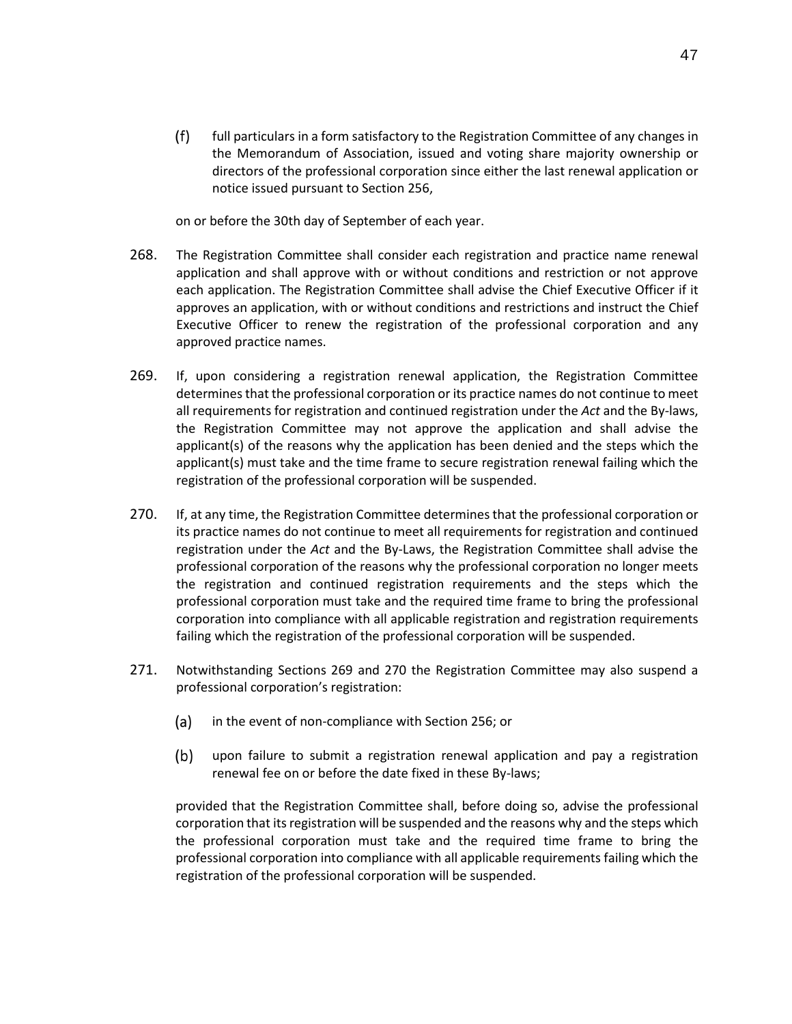$(f)$ full particulars in a form satisfactory to the Registration Committee of any changes in the Memorandum of Association, issued and voting share majority ownership or directors of the professional corporation since either the last renewal application or notice issued pursuant to Section 256,

on or before the 30th day of September of each year.

- 268. The Registration Committee shall consider each registration and practice name renewal application and shall approve with or without conditions and restriction or not approve each application. The Registration Committee shall advise the Chief Executive Officer if it approves an application, with or without conditions and restrictions and instruct the Chief Executive Officer to renew the registration of the professional corporation and any approved practice names.
- 269. If, upon considering a registration renewal application, the Registration Committee determines that the professional corporation or its practice names do not continue to meet all requirements for registration and continued registration under the *Act* and the By-laws, the Registration Committee may not approve the application and shall advise the applicant(s) of the reasons why the application has been denied and the steps which the applicant(s) must take and the time frame to secure registration renewal failing which the registration of the professional corporation will be suspended.
- 270. If, at any time, the Registration Committee determines that the professional corporation or its practice names do not continue to meet all requirements for registration and continued registration under the *Act* and the By-Laws, the Registration Committee shall advise the professional corporation of the reasons why the professional corporation no longer meets the registration and continued registration requirements and the steps which the professional corporation must take and the required time frame to bring the professional corporation into compliance with all applicable registration and registration requirements failing which the registration of the professional corporation will be suspended.
- 271. Notwithstanding Sections 269 and 270 the Registration Committee may also suspend a professional corporation's registration:
	- $(a)$ in the event of non-compliance with Section 256; or
	- $(b)$ upon failure to submit a registration renewal application and pay a registration renewal fee on or before the date fixed in these By-laws;

provided that the Registration Committee shall, before doing so, advise the professional corporation that its registration will be suspended and the reasons why and the steps which the professional corporation must take and the required time frame to bring the professional corporation into compliance with all applicable requirements failing which the registration of the professional corporation will be suspended.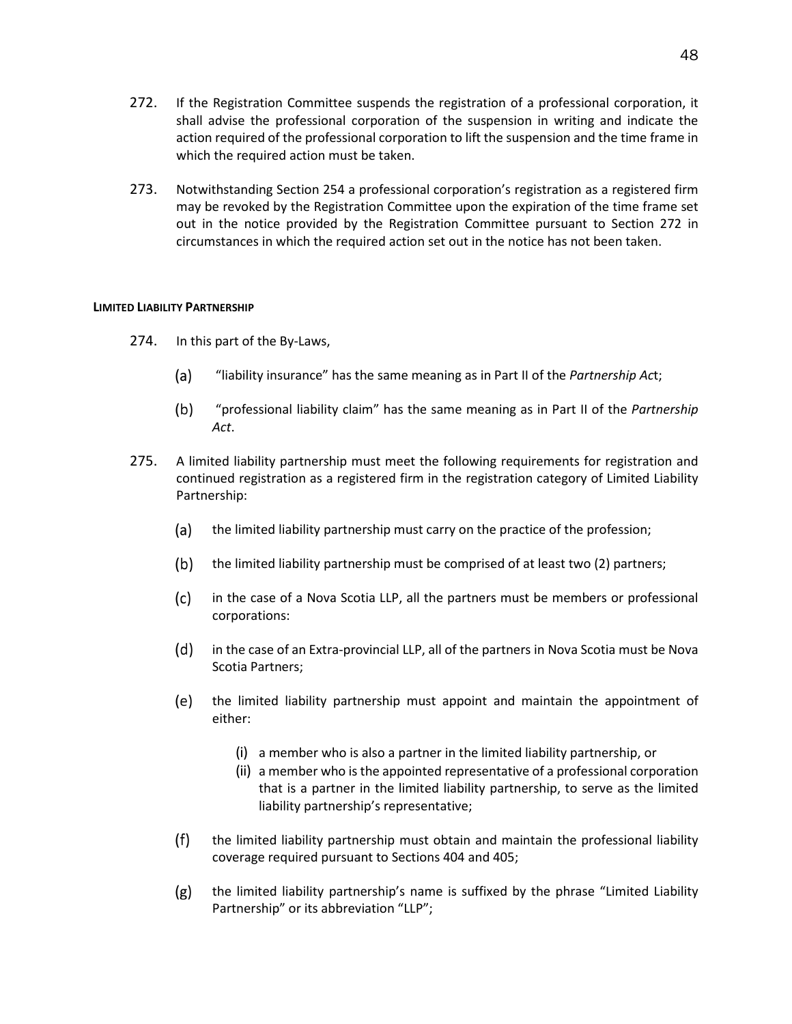- 272. If the Registration Committee suspends the registration of a professional corporation, it shall advise the professional corporation of the suspension in writing and indicate the action required of the professional corporation to lift the suspension and the time frame in which the required action must be taken.
- 273. Notwithstanding Section 254 a professional corporation's registration as a registered firm may be revoked by the Registration Committee upon the expiration of the time frame set out in the notice provided by the Registration Committee pursuant to Section 272 in circumstances in which the required action set out in the notice has not been taken.

# **LIMITED LIABILITY PARTNERSHIP**

- 274. In this part of the By-Laws,
	- (a) "liability insurance" has the same meaning as in Part II of the *Partnership Ac*t;
	- $(b)$ "professional liability claim" has the same meaning as in Part II of the *Partnership Act*.
- 275. A limited liability partnership must meet the following requirements for registration and continued registration as a registered firm in the registration category of Limited Liability Partnership:
	- (a) the limited liability partnership must carry on the practice of the profession;
	- $(b)$ the limited liability partnership must be comprised of at least two (2) partners;
	- $(c)$ in the case of a Nova Scotia LLP, all the partners must be members or professional corporations:
	- (d) in the case of an Extra-provincial LLP, all of the partners in Nova Scotia must be Nova Scotia Partners;
	- the limited liability partnership must appoint and maintain the appointment of either:
		- (i) a member who is also a partner in the limited liability partnership, or
		- (ii) a member who is the appointed representative of a professional corporation that is a partner in the limited liability partnership, to serve as the limited liability partnership's representative;
	- $(f)$ the limited liability partnership must obtain and maintain the professional liability coverage required pursuant to Sections 404 and 405;
	- the limited liability partnership's name is suffixed by the phrase "Limited Liability  $(g)$ Partnership" or its abbreviation "LLP";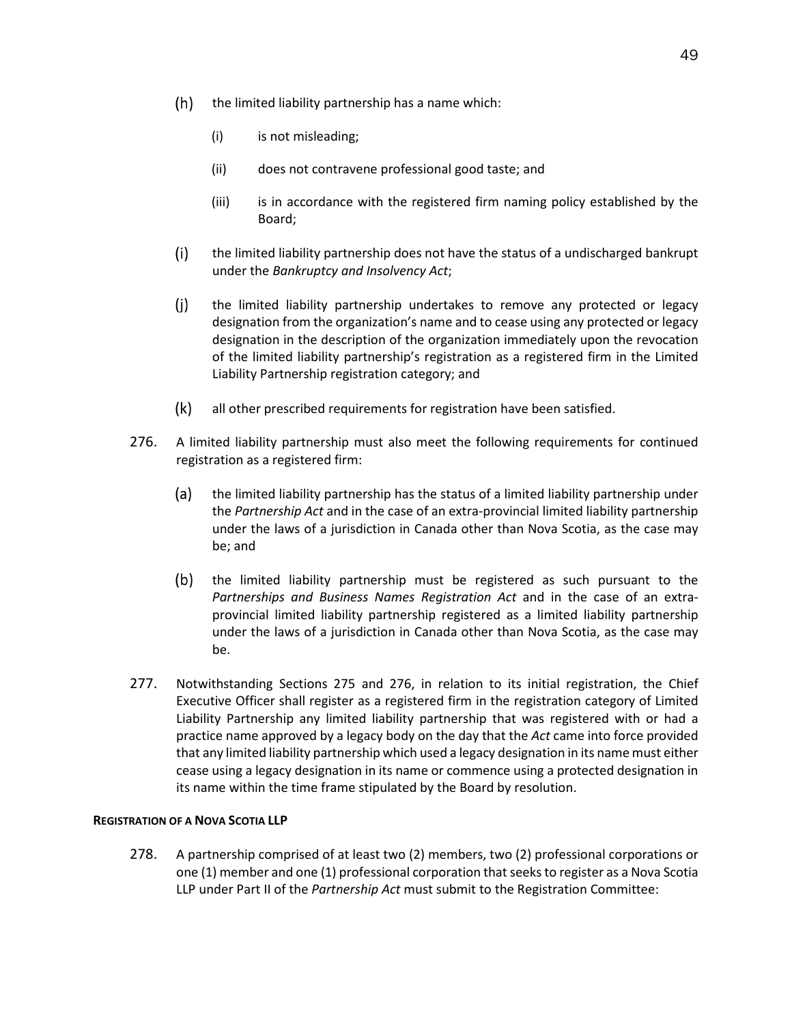- $(h)$ the limited liability partnership has a name which:
	- (i) is not misleading;
	- (ii) does not contravene professional good taste; and
	- (iii) is in accordance with the registered firm naming policy established by the Board;
- $(i)$ the limited liability partnership does not have the status of a undischarged bankrupt under the *Bankruptcy and Insolvency Act*;
- $(i)$ the limited liability partnership undertakes to remove any protected or legacy designation from the organization's name and to cease using any protected or legacy designation in the description of the organization immediately upon the revocation of the limited liability partnership's registration as a registered firm in the Limited Liability Partnership registration category; and
- $(k)$ all other prescribed requirements for registration have been satisfied.
- 276. A limited liability partnership must also meet the following requirements for continued registration as a registered firm:
	- (a) the limited liability partnership has the status of a limited liability partnership under the *Partnership Act* and in the case of an extra-provincial limited liability partnership under the laws of a jurisdiction in Canada other than Nova Scotia, as the case may be; and
	- (b) the limited liability partnership must be registered as such pursuant to the *Partnerships and Business Names Registration Act* and in the case of an extraprovincial limited liability partnership registered as a limited liability partnership under the laws of a jurisdiction in Canada other than Nova Scotia, as the case may be.
- 277. Notwithstanding Sections 275 and 276, in relation to its initial registration, the Chief Executive Officer shall register as a registered firm in the registration category of Limited Liability Partnership any limited liability partnership that was registered with or had a practice name approved by a legacy body on the day that the *Act* came into force provided that any limited liability partnership which used a legacy designation in its name must either cease using a legacy designation in its name or commence using a protected designation in its name within the time frame stipulated by the Board by resolution.

# **REGISTRATION OF A NOVA SCOTIA LLP**

278. A partnership comprised of at least two (2) members, two (2) professional corporations or one (1) member and one (1) professional corporation that seeks to register as a Nova Scotia LLP under Part II of the *Partnership Act* must submit to the Registration Committee: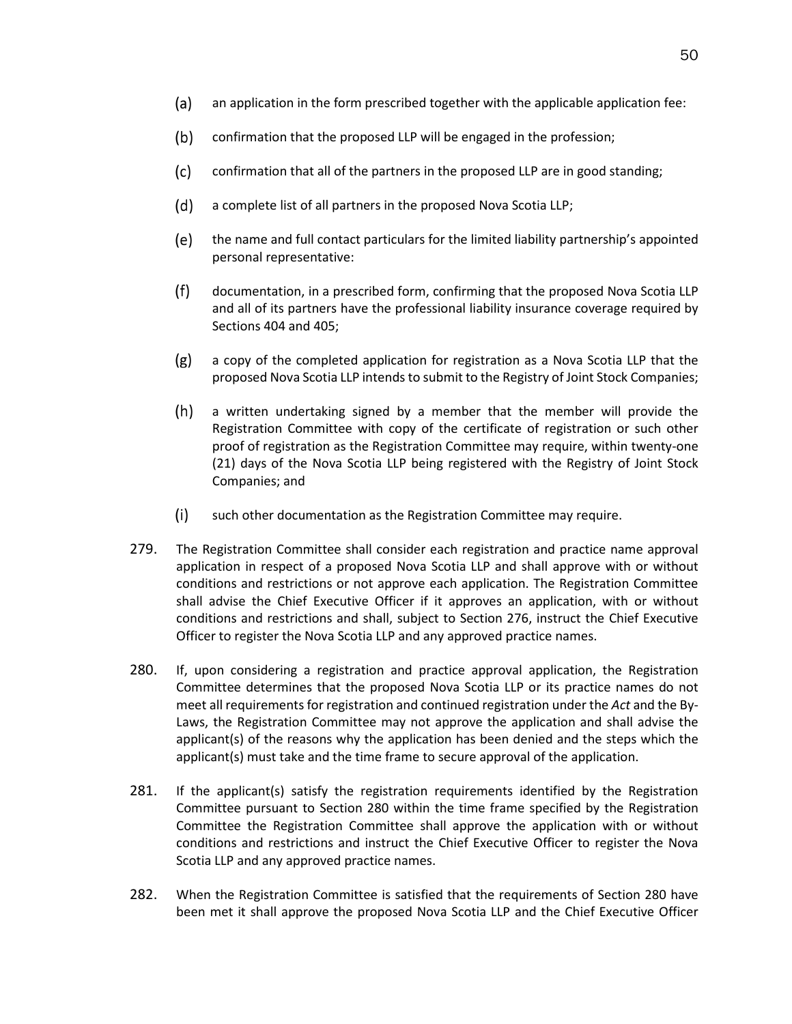- (a) an application in the form prescribed together with the applicable application fee:
- $(b)$ confirmation that the proposed LLP will be engaged in the profession;
- $(c)$ confirmation that all of the partners in the proposed LLP are in good standing;
- $(d)$ a complete list of all partners in the proposed Nova Scotia LLP;
- (e) the name and full contact particulars for the limited liability partnership's appointed personal representative:
- $(f)$ documentation, in a prescribed form, confirming that the proposed Nova Scotia LLP and all of its partners have the professional liability insurance coverage required by Sections 404 and 405;
- $(g)$ a copy of the completed application for registration as a Nova Scotia LLP that the proposed Nova Scotia LLP intends to submit to the Registry of Joint Stock Companies;
- $(h)$ a written undertaking signed by a member that the member will provide the Registration Committee with copy of the certificate of registration or such other proof of registration as the Registration Committee may require, within twenty-one (21) days of the Nova Scotia LLP being registered with the Registry of Joint Stock Companies; and
- $(i)$ such other documentation as the Registration Committee may require.
- 279. The Registration Committee shall consider each registration and practice name approval application in respect of a proposed Nova Scotia LLP and shall approve with or without conditions and restrictions or not approve each application. The Registration Committee shall advise the Chief Executive Officer if it approves an application, with or without conditions and restrictions and shall, subject to Section 276, instruct the Chief Executive Officer to register the Nova Scotia LLP and any approved practice names.
- 280. If, upon considering a registration and practice approval application, the Registration Committee determines that the proposed Nova Scotia LLP or its practice names do not meet all requirements for registration and continued registration under the *Act* and the By-Laws, the Registration Committee may not approve the application and shall advise the applicant(s) of the reasons why the application has been denied and the steps which the applicant(s) must take and the time frame to secure approval of the application.
- 281. If the applicant(s) satisfy the registration requirements identified by the Registration Committee pursuant to Section 280 within the time frame specified by the Registration Committee the Registration Committee shall approve the application with or without conditions and restrictions and instruct the Chief Executive Officer to register the Nova Scotia LLP and any approved practice names.
- 282. When the Registration Committee is satisfied that the requirements of Section 280 have been met it shall approve the proposed Nova Scotia LLP and the Chief Executive Officer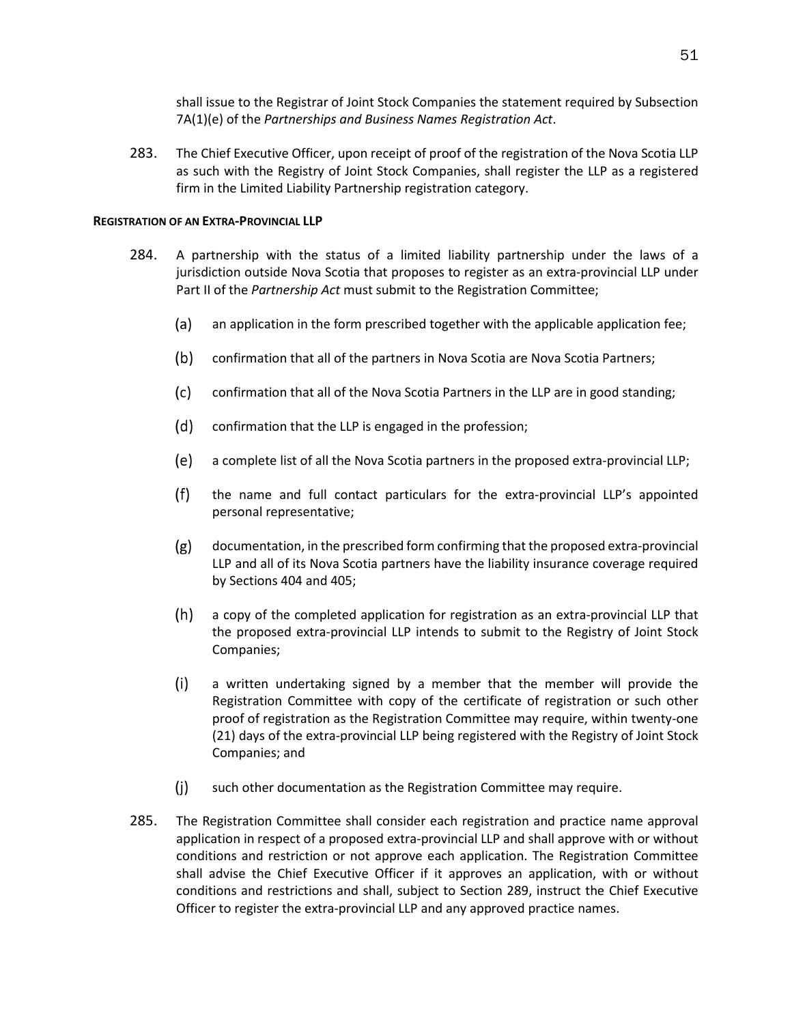shall issue to the Registrar of Joint Stock Companies the statement required by Subsection 7A(1)(e) of the *Partnerships and Business Names Registration Act*.

283. The Chief Executive Officer, upon receipt of proof of the registration of the Nova Scotia LLP as such with the Registry of Joint Stock Companies, shall register the LLP as a registered firm in the Limited Liability Partnership registration category.

# **REGISTRATION OF AN EXTRA-PROVINCIAL LLP**

- 284. A partnership with the status of a limited liability partnership under the laws of a jurisdiction outside Nova Scotia that proposes to register as an extra-provincial LLP under Part II of the *Partnership Act* must submit to the Registration Committee;
	- (a) an application in the form prescribed together with the applicable application fee;
	- $(b)$ confirmation that all of the partners in Nova Scotia are Nova Scotia Partners;
	- $(c)$ confirmation that all of the Nova Scotia Partners in the LLP are in good standing;
	- $(d)$ confirmation that the LLP is engaged in the profession;
	- (e) a complete list of all the Nova Scotia partners in the proposed extra-provincial LLP;
	- $(f)$ the name and full contact particulars for the extra-provincial LLP's appointed personal representative;
	- $(g)$ documentation, in the prescribed form confirming that the proposed extra-provincial LLP and all of its Nova Scotia partners have the liability insurance coverage required by Sections 404 and 405;
	- $(h)$ a copy of the completed application for registration as an extra-provincial LLP that the proposed extra-provincial LLP intends to submit to the Registry of Joint Stock Companies;
	- $(i)$ a written undertaking signed by a member that the member will provide the Registration Committee with copy of the certificate of registration or such other proof of registration as the Registration Committee may require, within twenty-one (21) days of the extra-provincial LLP being registered with the Registry of Joint Stock Companies; and
	- $(i)$ such other documentation as the Registration Committee may require.
- 285. The Registration Committee shall consider each registration and practice name approval application in respect of a proposed extra-provincial LLP and shall approve with or without conditions and restriction or not approve each application. The Registration Committee shall advise the Chief Executive Officer if it approves an application, with or without conditions and restrictions and shall, subject to Section 289, instruct the Chief Executive Officer to register the extra-provincial LLP and any approved practice names.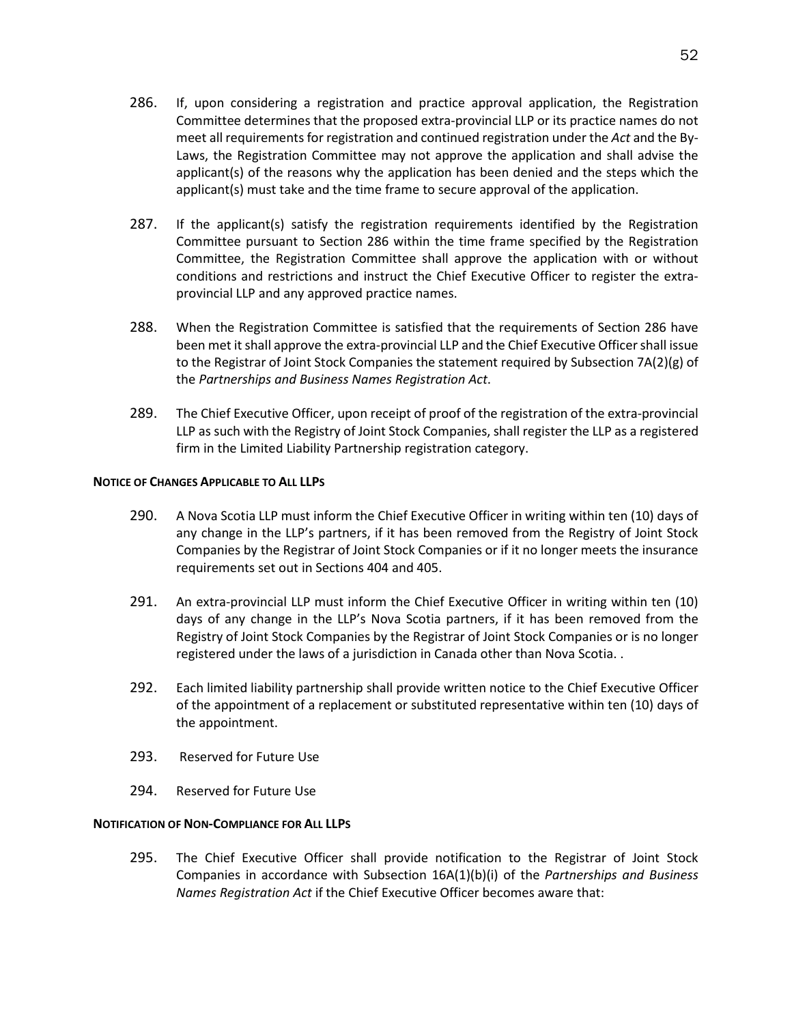- 286. If, upon considering a registration and practice approval application, the Registration Committee determines that the proposed extra-provincial LLP or its practice names do not meet all requirements for registration and continued registration under the *Act* and the By-Laws, the Registration Committee may not approve the application and shall advise the applicant(s) of the reasons why the application has been denied and the steps which the applicant(s) must take and the time frame to secure approval of the application.
- 287. If the applicant(s) satisfy the registration requirements identified by the Registration Committee pursuant to Section 286 within the time frame specified by the Registration Committee, the Registration Committee shall approve the application with or without conditions and restrictions and instruct the Chief Executive Officer to register the extraprovincial LLP and any approved practice names.
- 288. When the Registration Committee is satisfied that the requirements of Section 286 have been met it shall approve the extra-provincial LLP and the Chief Executive Officer shall issue to the Registrar of Joint Stock Companies the statement required by Subsection 7A(2)(g) of the *Partnerships and Business Names Registration Act*.
- 289. The Chief Executive Officer, upon receipt of proof of the registration of the extra-provincial LLP as such with the Registry of Joint Stock Companies, shall register the LLP as a registered firm in the Limited Liability Partnership registration category.

# **NOTICE OF CHANGES APPLICABLE TO ALL LLPS**

- 290. A Nova Scotia LLP must inform the Chief Executive Officer in writing within ten (10) days of any change in the LLP's partners, if it has been removed from the Registry of Joint Stock Companies by the Registrar of Joint Stock Companies or if it no longer meets the insurance requirements set out in Sections 404 and 405.
- 291. An extra-provincial LLP must inform the Chief Executive Officer in writing within ten (10) days of any change in the LLP's Nova Scotia partners, if it has been removed from the Registry of Joint Stock Companies by the Registrar of Joint Stock Companies or is no longer registered under the laws of a jurisdiction in Canada other than Nova Scotia. .
- 292. Each limited liability partnership shall provide written notice to the Chief Executive Officer of the appointment of a replacement or substituted representative within ten (10) days of the appointment.
- 293. Reserved for Future Use
- 294. Reserved for Future Use

# **NOTIFICATION OF NON-COMPLIANCE FOR ALL LLPS**

295. The Chief Executive Officer shall provide notification to the Registrar of Joint Stock Companies in accordance with Subsection 16A(1)(b)(i) of the *Partnerships and Business Names Registration Act* if the Chief Executive Officer becomes aware that: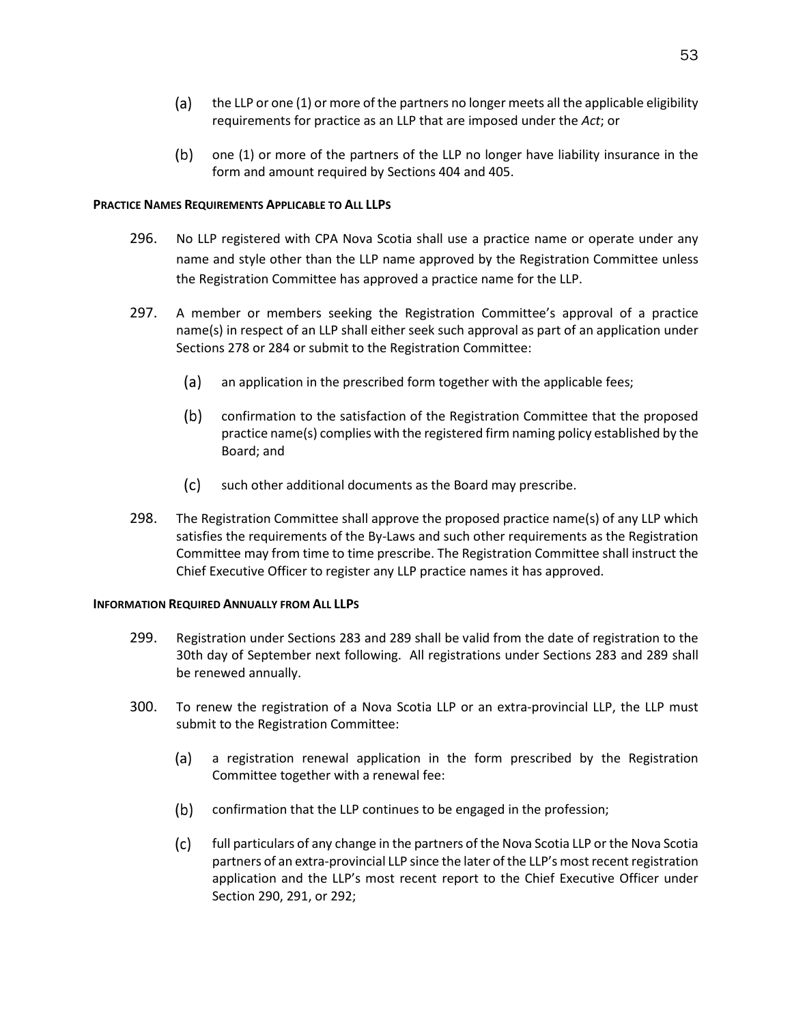- (a) the LLP or one (1) or more of the partners no longer meets all the applicable eligibility requirements for practice as an LLP that are imposed under the *Act*; or
- one (1) or more of the partners of the LLP no longer have liability insurance in the form and amount required by Sections 404 and 405.

# **PRACTICE NAMES REQUIREMENTS APPLICABLE TO ALL LLPS**

- 296. No LLP registered with CPA Nova Scotia shall use a practice name or operate under any name and style other than the LLP name approved by the Registration Committee unless the Registration Committee has approved a practice name for the LLP.
- 297. A member or members seeking the Registration Committee's approval of a practice name(s) in respect of an LLP shall either seek such approval as part of an application under Sections 278 or 284 or submit to the Registration Committee:
	- $(a)$ an application in the prescribed form together with the applicable fees;
	- $(b)$ confirmation to the satisfaction of the Registration Committee that the proposed practice name(s) complies with the registered firm naming policy established by the Board; and
	- $(c)$ such other additional documents as the Board may prescribe.
- 298. The Registration Committee shall approve the proposed practice name(s) of any LLP which satisfies the requirements of the By-Laws and such other requirements as the Registration Committee may from time to time prescribe. The Registration Committee shall instruct the Chief Executive Officer to register any LLP practice names it has approved.

# **INFORMATION REQUIRED ANNUALLY FROM ALL LLPS**

- 299. Registration under Sections 283 and 289 shall be valid from the date of registration to the 30th day of September next following. All registrations under Sections 283 and 289 shall be renewed annually.
- 300. To renew the registration of a Nova Scotia LLP or an extra-provincial LLP, the LLP must submit to the Registration Committee:
	- a registration renewal application in the form prescribed by the Registration (a) Committee together with a renewal fee:
	- (b) confirmation that the LLP continues to be engaged in the profession;
	- $(c)$ full particulars of any change in the partners of the Nova Scotia LLP or the Nova Scotia partners of an extra-provincial LLP since the later of the LLP's most recent registration application and the LLP's most recent report to the Chief Executive Officer under Section 290, 291, or 292;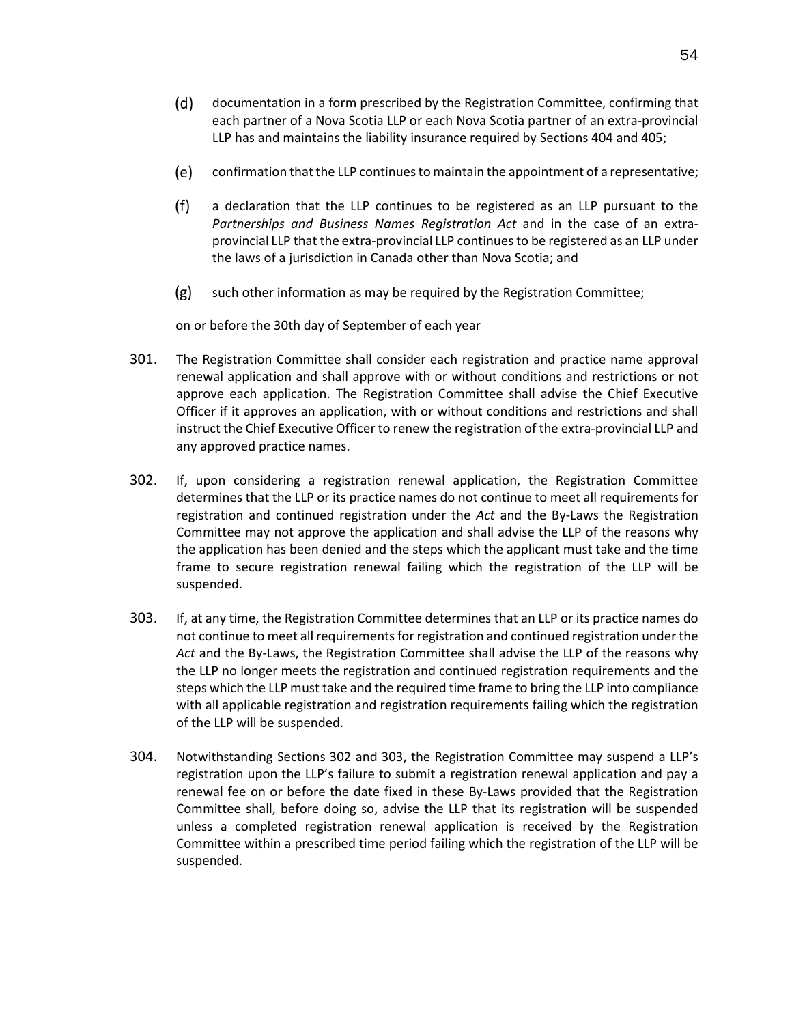- $(d)$ documentation in a form prescribed by the Registration Committee, confirming that each partner of a Nova Scotia LLP or each Nova Scotia partner of an extra-provincial LLP has and maintains the liability insurance required by Sections 404 and 405;
- (e) confirmation that the LLP continues to maintain the appointment of a representative;
- $(f)$ a declaration that the LLP continues to be registered as an LLP pursuant to the *Partnerships and Business Names Registration Act* and in the case of an extraprovincial LLP that the extra-provincial LLP continues to be registered as an LLP under the laws of a jurisdiction in Canada other than Nova Scotia; and
- $(g)$ such other information as may be required by the Registration Committee;

on or before the 30th day of September of each year

- 301. The Registration Committee shall consider each registration and practice name approval renewal application and shall approve with or without conditions and restrictions or not approve each application. The Registration Committee shall advise the Chief Executive Officer if it approves an application, with or without conditions and restrictions and shall instruct the Chief Executive Officer to renew the registration of the extra-provincial LLP and any approved practice names.
- 302. If, upon considering a registration renewal application, the Registration Committee determines that the LLP or its practice names do not continue to meet all requirements for registration and continued registration under the *Act* and the By-Laws the Registration Committee may not approve the application and shall advise the LLP of the reasons why the application has been denied and the steps which the applicant must take and the time frame to secure registration renewal failing which the registration of the LLP will be suspended.
- 303. If, at any time, the Registration Committee determines that an LLP or its practice names do not continue to meet all requirements for registration and continued registration under the *Act* and the By-Laws, the Registration Committee shall advise the LLP of the reasons why the LLP no longer meets the registration and continued registration requirements and the steps which the LLP must take and the required time frame to bring the LLP into compliance with all applicable registration and registration requirements failing which the registration of the LLP will be suspended.
- 304. Notwithstanding Sections 302 and 303, the Registration Committee may suspend a LLP's registration upon the LLP's failure to submit a registration renewal application and pay a renewal fee on or before the date fixed in these By-Laws provided that the Registration Committee shall, before doing so, advise the LLP that its registration will be suspended unless a completed registration renewal application is received by the Registration Committee within a prescribed time period failing which the registration of the LLP will be suspended.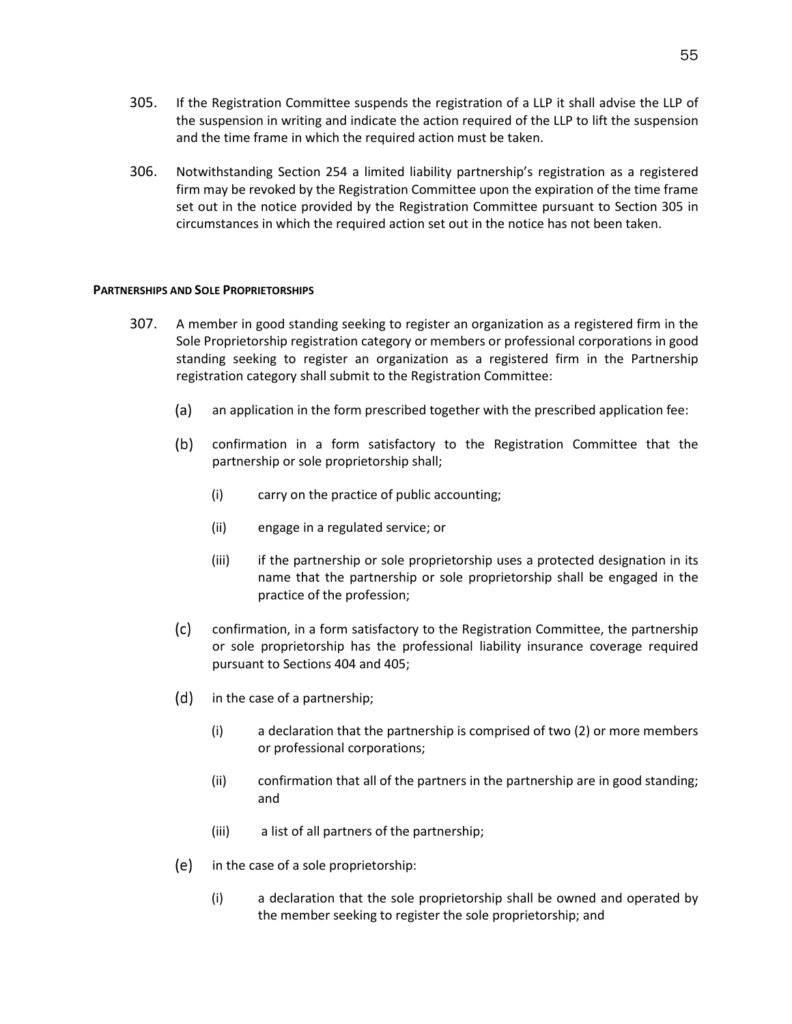- 305. If the Registration Committee suspends the registration of a LLP it shall advise the LLP of the suspension in writing and indicate the action required of the LLP to lift the suspension and the time frame in which the required action must be taken.
- 306. Notwithstanding Section 254 a limited liability partnership's registration as a registered firm may be revoked by the Registration Committee upon the expiration of the time frame set out in the notice provided by the Registration Committee pursuant to Section 305 in circumstances in which the required action set out in the notice has not been taken.

#### **PARTNERSHIPS AND SOLE PROPRIETORSHIPS**

- 307. A member in good standing seeking to register an organization as a registered firm in the Sole Proprietorship registration category or members or professional corporations in good standing seeking to register an organization as a registered firm in the Partnership registration category shall submit to the Registration Committee:
	- (a) an application in the form prescribed together with the prescribed application fee:
	- $(b)$ confirmation in a form satisfactory to the Registration Committee that the partnership or sole proprietorship shall;
		- (i) carry on the practice of public accounting;
		- (ii) engage in a regulated service; or
		- (iii) if the partnership or sole proprietorship uses a protected designation in its name that the partnership or sole proprietorship shall be engaged in the practice of the profession;
	- $(c)$ confirmation, in a form satisfactory to the Registration Committee, the partnership or sole proprietorship has the professional liability insurance coverage required pursuant to Sections 404 and 405;
	- $(d)$ in the case of a partnership;
		- (i) a declaration that the partnership is comprised of two (2) or more members or professional corporations;
		- (ii) confirmation that all of the partners in the partnership are in good standing; and
		- (iii) a list of all partners of the partnership;
	- (e) in the case of a sole proprietorship:
		- (i) a declaration that the sole proprietorship shall be owned and operated by the member seeking to register the sole proprietorship; and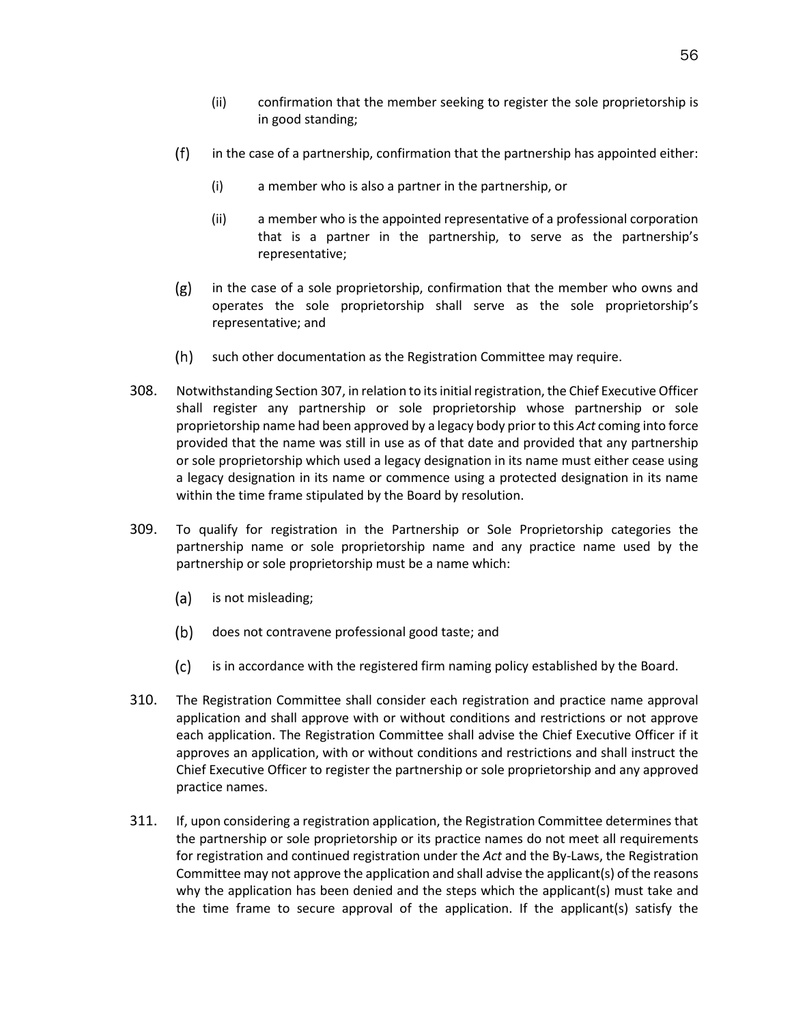- (ii) confirmation that the member seeking to register the sole proprietorship is in good standing;
- $(f)$ in the case of a partnership, confirmation that the partnership has appointed either:
	- (i) a member who is also a partner in the partnership, or
	- (ii) a member who is the appointed representative of a professional corporation that is a partner in the partnership, to serve as the partnership's representative;
- $(g)$ in the case of a sole proprietorship, confirmation that the member who owns and operates the sole proprietorship shall serve as the sole proprietorship's representative; and
- $(h)$ such other documentation as the Registration Committee may require.
- 308. Notwithstanding Section 307, in relation to its initial registration, the Chief Executive Officer shall register any partnership or sole proprietorship whose partnership or sole proprietorship name had been approved by a legacy body prior to this *Act* coming into force provided that the name was still in use as of that date and provided that any partnership or sole proprietorship which used a legacy designation in its name must either cease using a legacy designation in its name or commence using a protected designation in its name within the time frame stipulated by the Board by resolution.
- 309. To qualify for registration in the Partnership or Sole Proprietorship categories the partnership name or sole proprietorship name and any practice name used by the partnership or sole proprietorship must be a name which:
	- (a) is not misleading;
	- (b) does not contravene professional good taste; and
	- $(c)$ is in accordance with the registered firm naming policy established by the Board.
- 310. The Registration Committee shall consider each registration and practice name approval application and shall approve with or without conditions and restrictions or not approve each application. The Registration Committee shall advise the Chief Executive Officer if it approves an application, with or without conditions and restrictions and shall instruct the Chief Executive Officer to register the partnership or sole proprietorship and any approved practice names.
- 311. If, upon considering a registration application, the Registration Committee determines that the partnership or sole proprietorship or its practice names do not meet all requirements for registration and continued registration under the *Act* and the By-Laws, the Registration Committee may not approve the application and shall advise the applicant(s) of the reasons why the application has been denied and the steps which the applicant(s) must take and the time frame to secure approval of the application. If the applicant(s) satisfy the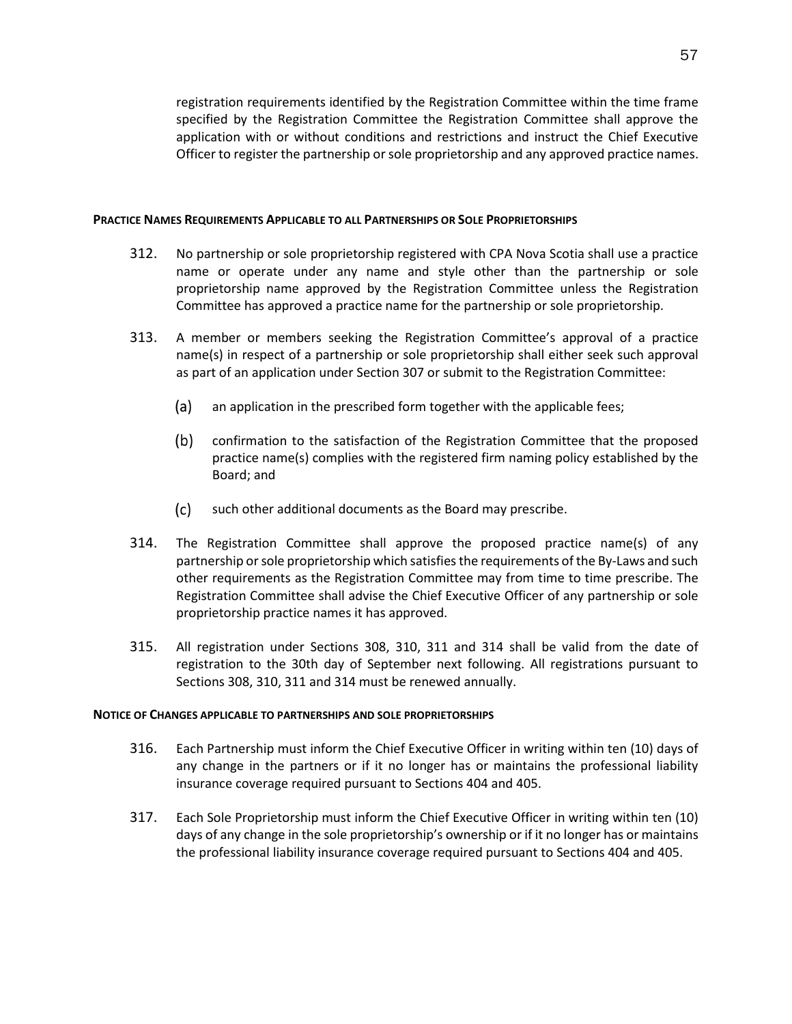registration requirements identified by the Registration Committee within the time frame specified by the Registration Committee the Registration Committee shall approve the application with or without conditions and restrictions and instruct the Chief Executive Officer to register the partnership or sole proprietorship and any approved practice names.

### **PRACTICE NAMES REQUIREMENTS APPLICABLE TO ALL PARTNERSHIPS OR SOLE PROPRIETORSHIPS**

- 312. No partnership or sole proprietorship registered with CPA Nova Scotia shall use a practice name or operate under any name and style other than the partnership or sole proprietorship name approved by the Registration Committee unless the Registration Committee has approved a practice name for the partnership or sole proprietorship.
- 313. A member or members seeking the Registration Committee's approval of a practice name(s) in respect of a partnership or sole proprietorship shall either seek such approval as part of an application under Section 307 or submit to the Registration Committee:
	- $(a)$ an application in the prescribed form together with the applicable fees;
	- $(b)$ confirmation to the satisfaction of the Registration Committee that the proposed practice name(s) complies with the registered firm naming policy established by the Board; and
	- $(c)$ such other additional documents as the Board may prescribe.
- 314. The Registration Committee shall approve the proposed practice name(s) of any partnership or sole proprietorship which satisfies the requirements of the By-Laws and such other requirements as the Registration Committee may from time to time prescribe. The Registration Committee shall advise the Chief Executive Officer of any partnership or sole proprietorship practice names it has approved.
- 315. All registration under Sections 308, 310, 311 and 314 shall be valid from the date of registration to the 30th day of September next following. All registrations pursuant to Sections 308, 310, 311 and 314 must be renewed annually.

# **NOTICE OF CHANGES APPLICABLE TO PARTNERSHIPS AND SOLE PROPRIETORSHIPS**

- 316. Each Partnership must inform the Chief Executive Officer in writing within ten (10) days of any change in the partners or if it no longer has or maintains the professional liability insurance coverage required pursuant to Sections 404 and 405.
- 317. Each Sole Proprietorship must inform the Chief Executive Officer in writing within ten (10) days of any change in the sole proprietorship's ownership or if it no longer has or maintains the professional liability insurance coverage required pursuant to Sections 404 and 405.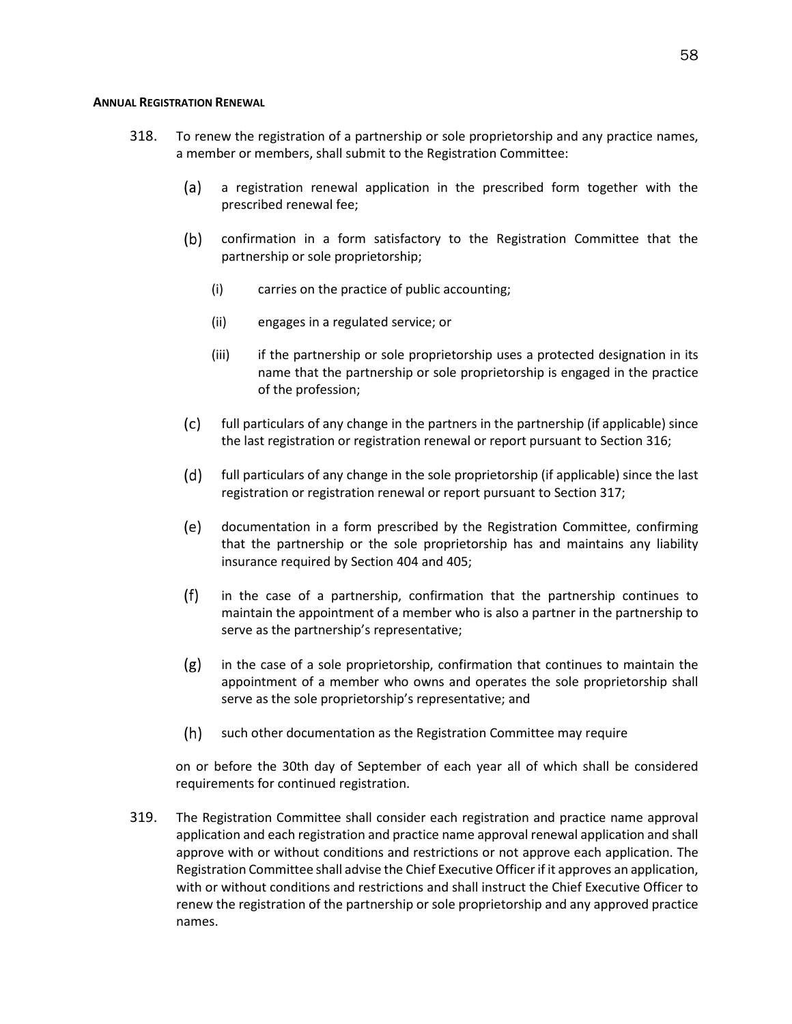# **ANNUAL REGISTRATION RENEWAL**

- 318. To renew the registration of a partnership or sole proprietorship and any practice names, a member or members, shall submit to the Registration Committee:
	- $(a)$ a registration renewal application in the prescribed form together with the prescribed renewal fee;
	- $(b)$ confirmation in a form satisfactory to the Registration Committee that the partnership or sole proprietorship;
		- (i) carries on the practice of public accounting;
		- (ii) engages in a regulated service; or
		- (iii) if the partnership or sole proprietorship uses a protected designation in its name that the partnership or sole proprietorship is engaged in the practice of the profession;
	- $(c)$ full particulars of any change in the partners in the partnership (if applicable) since the last registration or registration renewal or report pursuant to Section 316;
	- $(d)$ full particulars of any change in the sole proprietorship (if applicable) since the last registration or registration renewal or report pursuant to Section 317;
	- (e) documentation in a form prescribed by the Registration Committee, confirming that the partnership or the sole proprietorship has and maintains any liability insurance required by Section 404 and 405;
	- $(f)$ in the case of a partnership, confirmation that the partnership continues to maintain the appointment of a member who is also a partner in the partnership to serve as the partnership's representative;
	- $(g)$ in the case of a sole proprietorship, confirmation that continues to maintain the appointment of a member who owns and operates the sole proprietorship shall serve as the sole proprietorship's representative; and
	- $(h)$ such other documentation as the Registration Committee may require

on or before the 30th day of September of each year all of which shall be considered requirements for continued registration.

319. The Registration Committee shall consider each registration and practice name approval application and each registration and practice name approval renewal application and shall approve with or without conditions and restrictions or not approve each application. The Registration Committee shall advise the Chief Executive Officer if it approves an application, with or without conditions and restrictions and shall instruct the Chief Executive Officer to renew the registration of the partnership or sole proprietorship and any approved practice names.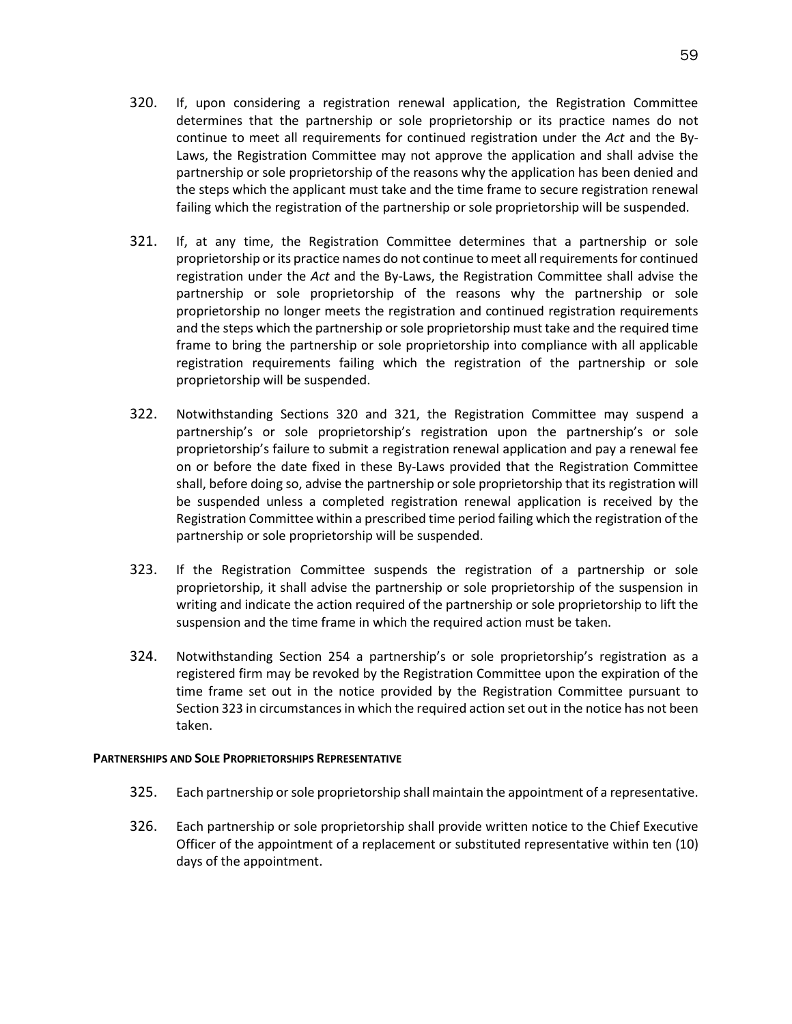- 320. If, upon considering a registration renewal application, the Registration Committee determines that the partnership or sole proprietorship or its practice names do not continue to meet all requirements for continued registration under the *Act* and the By-Laws, the Registration Committee may not approve the application and shall advise the partnership or sole proprietorship of the reasons why the application has been denied and the steps which the applicant must take and the time frame to secure registration renewal failing which the registration of the partnership or sole proprietorship will be suspended.
- 321. If, at any time, the Registration Committee determines that a partnership or sole proprietorship or its practice names do not continue to meet all requirements for continued registration under the *Act* and the By-Laws, the Registration Committee shall advise the partnership or sole proprietorship of the reasons why the partnership or sole proprietorship no longer meets the registration and continued registration requirements and the steps which the partnership or sole proprietorship must take and the required time frame to bring the partnership or sole proprietorship into compliance with all applicable registration requirements failing which the registration of the partnership or sole proprietorship will be suspended.
- 322. Notwithstanding Sections 320 and 321, the Registration Committee may suspend a partnership's or sole proprietorship's registration upon the partnership's or sole proprietorship's failure to submit a registration renewal application and pay a renewal fee on or before the date fixed in these By-Laws provided that the Registration Committee shall, before doing so, advise the partnership or sole proprietorship that its registration will be suspended unless a completed registration renewal application is received by the Registration Committee within a prescribed time period failing which the registration of the partnership or sole proprietorship will be suspended.
- 323. If the Registration Committee suspends the registration of a partnership or sole proprietorship, it shall advise the partnership or sole proprietorship of the suspension in writing and indicate the action required of the partnership or sole proprietorship to lift the suspension and the time frame in which the required action must be taken.
- 324. Notwithstanding Section 254 a partnership's or sole proprietorship's registration as a registered firm may be revoked by the Registration Committee upon the expiration of the time frame set out in the notice provided by the Registration Committee pursuant to Section 323 in circumstances in which the required action set out in the notice has not been taken.

# **PARTNERSHIPS AND SOLE PROPRIETORSHIPS REPRESENTATIVE**

- 325. Each partnership or sole proprietorship shall maintain the appointment of a representative.
- 326. Each partnership or sole proprietorship shall provide written notice to the Chief Executive Officer of the appointment of a replacement or substituted representative within ten (10) days of the appointment.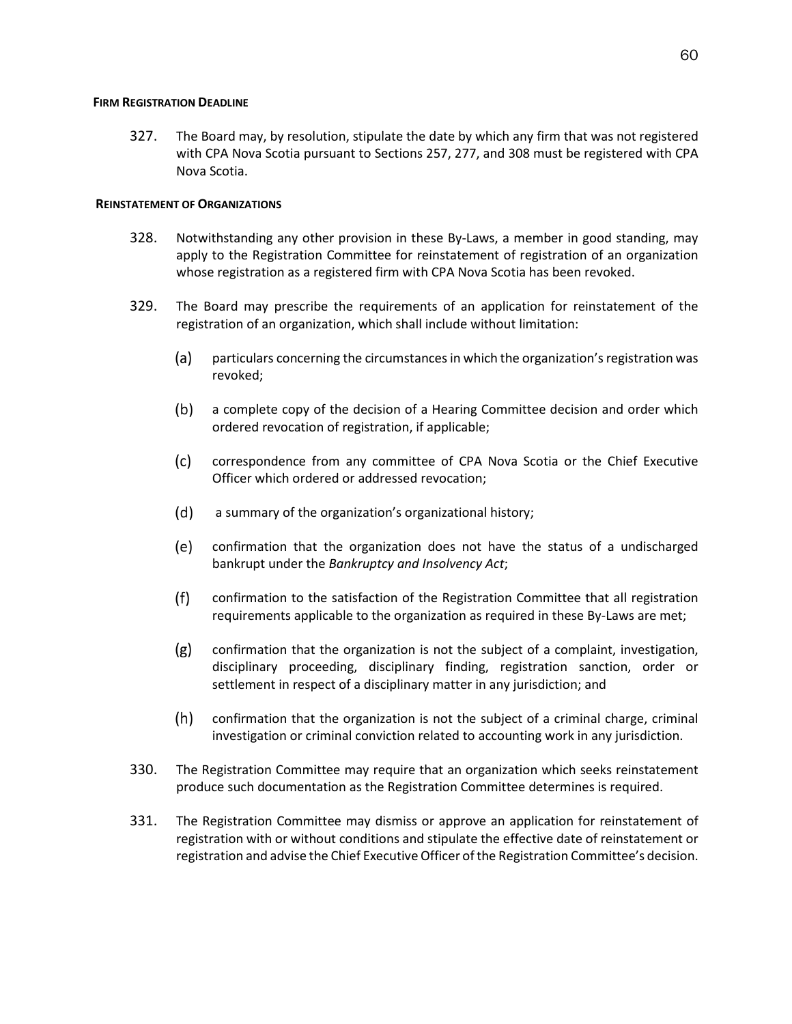#### **FIRM REGISTRATION DEADLINE**

327. The Board may, by resolution, stipulate the date by which any firm that was not registered with CPA Nova Scotia pursuant to Sections 257, 277, and 308 must be registered with CPA Nova Scotia.

# **REINSTATEMENT OF ORGANIZATIONS**

- 328. Notwithstanding any other provision in these By-Laws, a member in good standing, may apply to the Registration Committee for reinstatement of registration of an organization whose registration as a registered firm with CPA Nova Scotia has been revoked.
- 329. The Board may prescribe the requirements of an application for reinstatement of the registration of an organization, which shall include without limitation:
	- (a) particulars concerning the circumstances in which the organization's registration was revoked;
	- $(b)$ a complete copy of the decision of a Hearing Committee decision and order which ordered revocation of registration, if applicable;
	- $(c)$ correspondence from any committee of CPA Nova Scotia or the Chief Executive Officer which ordered or addressed revocation;
	- $(d)$ a summary of the organization's organizational history;
	- (e) confirmation that the organization does not have the status of a undischarged bankrupt under the *Bankruptcy and Insolvency Act*;
	- $(f)$ confirmation to the satisfaction of the Registration Committee that all registration requirements applicable to the organization as required in these By-Laws are met;
	- $(g)$ confirmation that the organization is not the subject of a complaint, investigation, disciplinary proceeding, disciplinary finding, registration sanction, order or settlement in respect of a disciplinary matter in any jurisdiction; and
	- $(h)$ confirmation that the organization is not the subject of a criminal charge, criminal investigation or criminal conviction related to accounting work in any jurisdiction.
- 330. The Registration Committee may require that an organization which seeks reinstatement produce such documentation as the Registration Committee determines is required.
- 331. The Registration Committee may dismiss or approve an application for reinstatement of registration with or without conditions and stipulate the effective date of reinstatement or registration and advise the Chief Executive Officer of the Registration Committee's decision.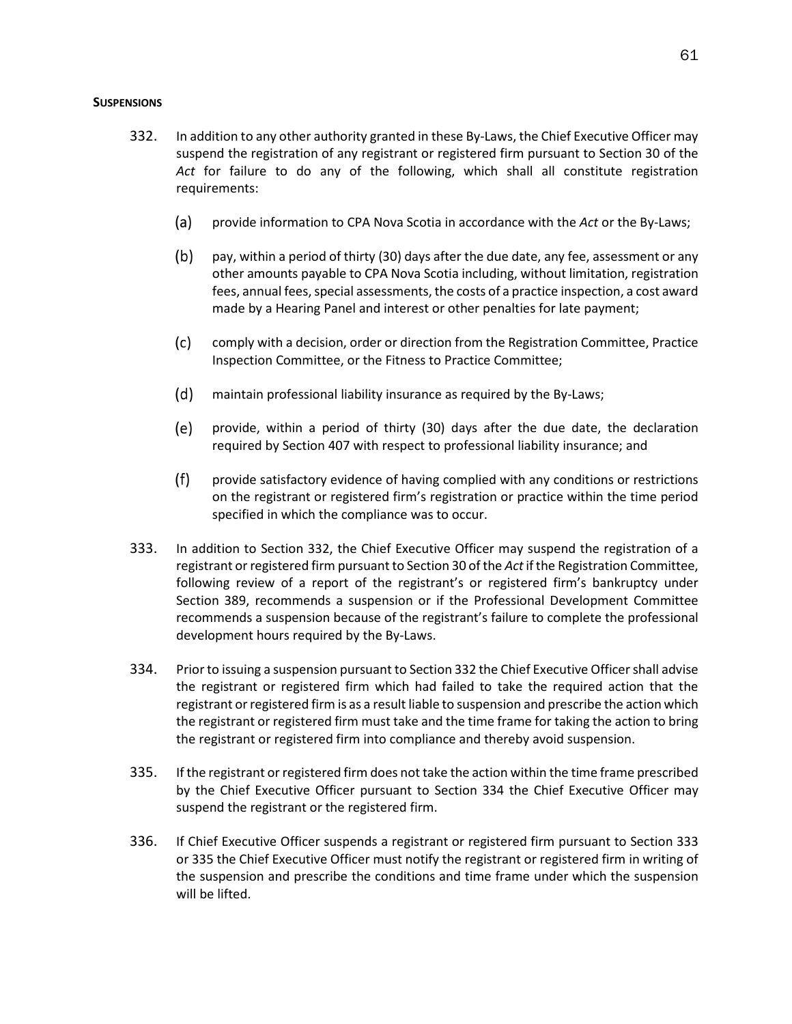## **SUSPENSIONS**

- 332. In addition to any other authority granted in these By-Laws, the Chief Executive Officer may suspend the registration of any registrant or registered firm pursuant to Section 30 of the *Act* for failure to do any of the following, which shall all constitute registration requirements:
	- (a) provide information to CPA Nova Scotia in accordance with the *Act* or the By-Laws;
	- $(b)$ pay, within a period of thirty (30) days after the due date, any fee, assessment or any other amounts payable to CPA Nova Scotia including, without limitation, registration fees, annual fees, special assessments, the costs of a practice inspection, a cost award made by a Hearing Panel and interest or other penalties for late payment;
	- $(c)$ comply with a decision, order or direction from the Registration Committee, Practice Inspection Committee, or the Fitness to Practice Committee;
	- $(d)$ maintain professional liability insurance as required by the By-Laws;
	- (e) provide, within a period of thirty (30) days after the due date, the declaration required by Section 407 with respect to professional liability insurance; and
	- $(f)$ provide satisfactory evidence of having complied with any conditions or restrictions on the registrant or registered firm's registration or practice within the time period specified in which the compliance was to occur.
- 333. In addition to Section 332, the Chief Executive Officer may suspend the registration of a registrant or registered firm pursuant to Section 30 of the *Act*if the Registration Committee, following review of a report of the registrant's or registered firm's bankruptcy under Section 389, recommends a suspension or if the Professional Development Committee recommends a suspension because of the registrant's failure to complete the professional development hours required by the By-Laws.
- 334. Prior to issuing a suspension pursuant to Section 332 the Chief Executive Officer shall advise the registrant or registered firm which had failed to take the required action that the registrant or registered firm is as a result liable to suspension and prescribe the action which the registrant or registered firm must take and the time frame for taking the action to bring the registrant or registered firm into compliance and thereby avoid suspension.
- 335. If the registrant or registered firm does not take the action within the time frame prescribed by the Chief Executive Officer pursuant to Section 334 the Chief Executive Officer may suspend the registrant or the registered firm.
- 336. If Chief Executive Officer suspends a registrant or registered firm pursuant to Section 333 or 335 the Chief Executive Officer must notify the registrant or registered firm in writing of the suspension and prescribe the conditions and time frame under which the suspension will be lifted.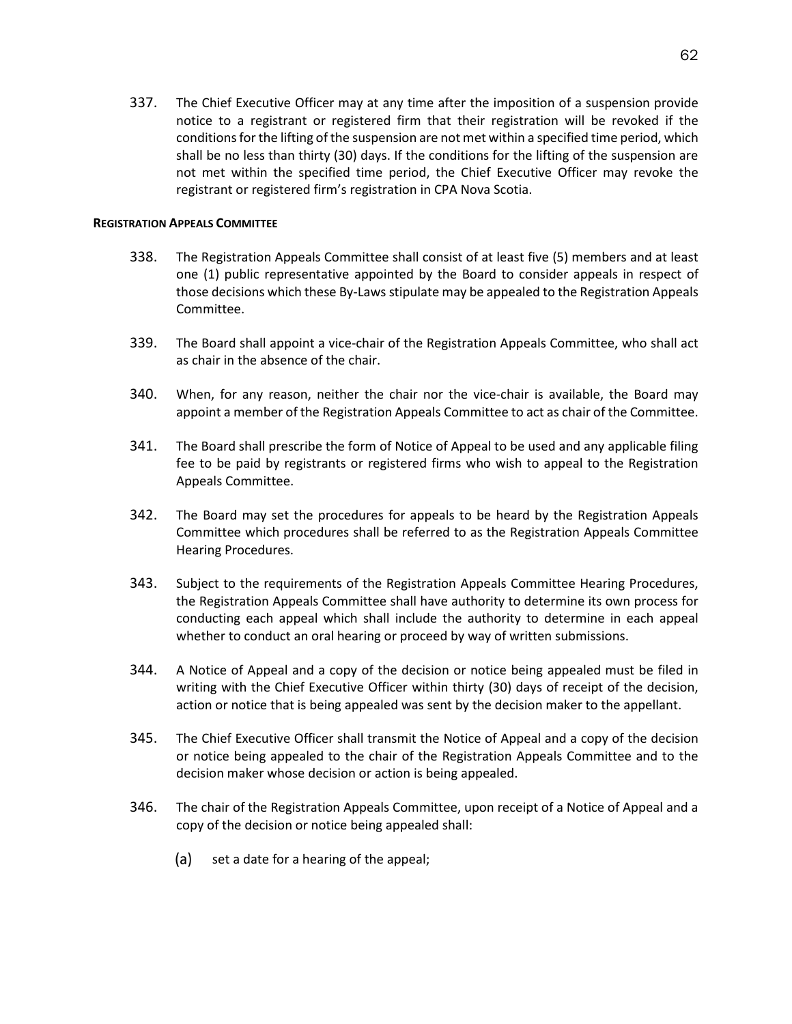337. The Chief Executive Officer may at any time after the imposition of a suspension provide notice to a registrant or registered firm that their registration will be revoked if the conditions for the lifting of the suspension are not met within a specified time period, which shall be no less than thirty (30) days. If the conditions for the lifting of the suspension are not met within the specified time period, the Chief Executive Officer may revoke the registrant or registered firm's registration in CPA Nova Scotia.

# **REGISTRATION APPEALS COMMITTEE**

- 338. The Registration Appeals Committee shall consist of at least five (5) members and at least one (1) public representative appointed by the Board to consider appeals in respect of those decisions which these By-Laws stipulate may be appealed to the Registration Appeals Committee.
- 339. The Board shall appoint a vice-chair of the Registration Appeals Committee, who shall act as chair in the absence of the chair.
- 340. When, for any reason, neither the chair nor the vice-chair is available, the Board may appoint a member of the Registration Appeals Committee to act as chair of the Committee.
- 341. The Board shall prescribe the form of Notice of Appeal to be used and any applicable filing fee to be paid by registrants or registered firms who wish to appeal to the Registration Appeals Committee.
- 342. The Board may set the procedures for appeals to be heard by the Registration Appeals Committee which procedures shall be referred to as the Registration Appeals Committee Hearing Procedures.
- 343. Subject to the requirements of the Registration Appeals Committee Hearing Procedures, the Registration Appeals Committee shall have authority to determine its own process for conducting each appeal which shall include the authority to determine in each appeal whether to conduct an oral hearing or proceed by way of written submissions.
- 344. A Notice of Appeal and a copy of the decision or notice being appealed must be filed in writing with the Chief Executive Officer within thirty (30) days of receipt of the decision, action or notice that is being appealed was sent by the decision maker to the appellant.
- 345. The Chief Executive Officer shall transmit the Notice of Appeal and a copy of the decision or notice being appealed to the chair of the Registration Appeals Committee and to the decision maker whose decision or action is being appealed.
- 346. The chair of the Registration Appeals Committee, upon receipt of a Notice of Appeal and a copy of the decision or notice being appealed shall:
	- (a) set a date for a hearing of the appeal;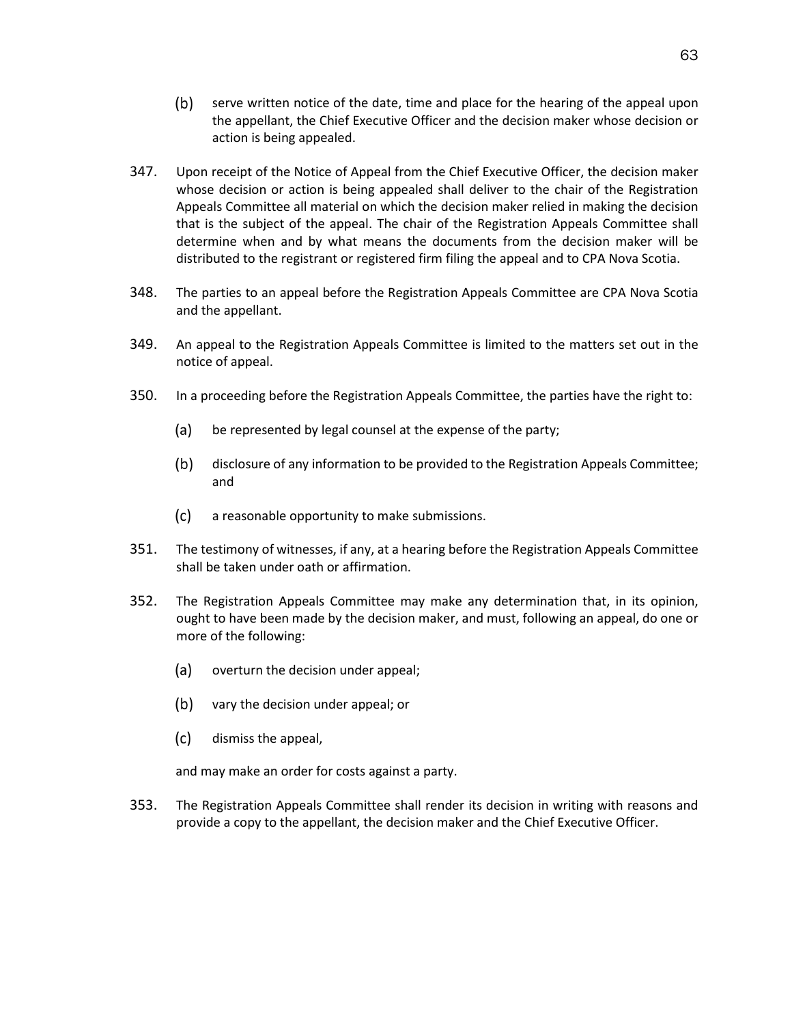- (b) serve written notice of the date, time and place for the hearing of the appeal upon the appellant, the Chief Executive Officer and the decision maker whose decision or action is being appealed.
- 347. Upon receipt of the Notice of Appeal from the Chief Executive Officer, the decision maker whose decision or action is being appealed shall deliver to the chair of the Registration Appeals Committee all material on which the decision maker relied in making the decision that is the subject of the appeal. The chair of the Registration Appeals Committee shall determine when and by what means the documents from the decision maker will be distributed to the registrant or registered firm filing the appeal and to CPA Nova Scotia.
- 348. The parties to an appeal before the Registration Appeals Committee are CPA Nova Scotia and the appellant.
- 349. An appeal to the Registration Appeals Committee is limited to the matters set out in the notice of appeal.
- 350. In a proceeding before the Registration Appeals Committee, the parties have the right to:
	- (a) be represented by legal counsel at the expense of the party;
	- $(b)$ disclosure of any information to be provided to the Registration Appeals Committee; and
	- $(c)$ a reasonable opportunity to make submissions.
- 351. The testimony of witnesses, if any, at a hearing before the Registration Appeals Committee shall be taken under oath or affirmation.
- 352. The Registration Appeals Committee may make any determination that, in its opinion, ought to have been made by the decision maker, and must, following an appeal, do one or more of the following:
	- (a) overturn the decision under appeal;
	- (b) vary the decision under appeal; or
	- $(c)$ dismiss the appeal,

and may make an order for costs against a party.

353. The Registration Appeals Committee shall render its decision in writing with reasons and provide a copy to the appellant, the decision maker and the Chief Executive Officer.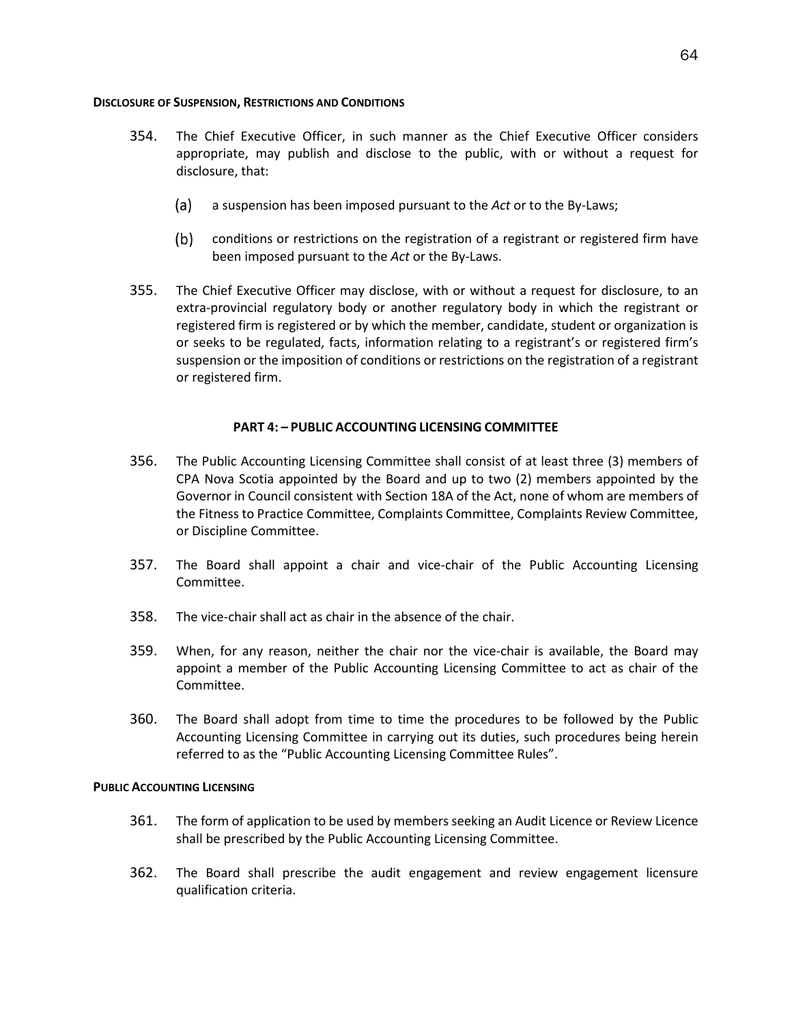# **DISCLOSURE OF SUSPENSION, RESTRICTIONS AND CONDITIONS**

- 354. The Chief Executive Officer, in such manner as the Chief Executive Officer considers appropriate, may publish and disclose to the public, with or without a request for disclosure, that:
	- a suspension has been imposed pursuant to the *Act* or to the By-Laws;  $(a)$
	- (b) conditions or restrictions on the registration of a registrant or registered firm have been imposed pursuant to the *Act* or the By-Laws.
- 355. The Chief Executive Officer may disclose, with or without a request for disclosure, to an extra-provincial regulatory body or another regulatory body in which the registrant or registered firm is registered or by which the member, candidate, student or organization is or seeks to be regulated, facts, information relating to a registrant's or registered firm's suspension or the imposition of conditions or restrictions on the registration of a registrant or registered firm.

# **PART 4: – PUBLIC ACCOUNTING LICENSING COMMITTEE**

- 356. The Public Accounting Licensing Committee shall consist of at least three (3) members of CPA Nova Scotia appointed by the Board and up to two (2) members appointed by the Governor in Council consistent with Section 18A of the Act, none of whom are members of the Fitness to Practice Committee, Complaints Committee, Complaints Review Committee, or Discipline Committee.
- 357. The Board shall appoint a chair and vice-chair of the Public Accounting Licensing Committee.
- 358. The vice-chair shall act as chair in the absence of the chair.
- 359. When, for any reason, neither the chair nor the vice-chair is available, the Board may appoint a member of the Public Accounting Licensing Committee to act as chair of the Committee.
- 360. The Board shall adopt from time to time the procedures to be followed by the Public Accounting Licensing Committee in carrying out its duties, such procedures being herein referred to as the "Public Accounting Licensing Committee Rules".

# **PUBLIC ACCOUNTING LICENSING**

- 361. The form of application to be used by members seeking an Audit Licence or Review Licence shall be prescribed by the Public Accounting Licensing Committee.
- 362. The Board shall prescribe the audit engagement and review engagement licensure qualification criteria.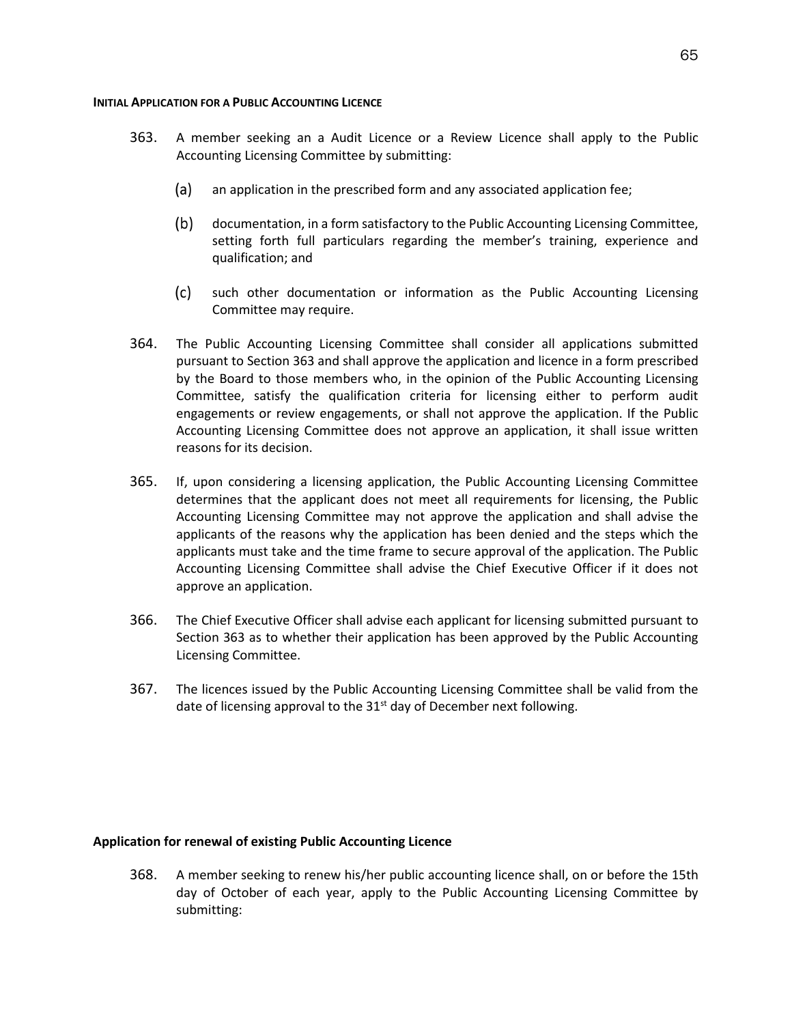### **INITIAL APPLICATION FOR A PUBLIC ACCOUNTING LICENCE**

- 363. A member seeking an a Audit Licence or a Review Licence shall apply to the Public Accounting Licensing Committee by submitting:
	- (a) an application in the prescribed form and any associated application fee;
	- (b) documentation, in a form satisfactory to the Public Accounting Licensing Committee, setting forth full particulars regarding the member's training, experience and qualification; and
	- $(c)$ such other documentation or information as the Public Accounting Licensing Committee may require.
- 364. The Public Accounting Licensing Committee shall consider all applications submitted pursuant to Section 363 and shall approve the application and licence in a form prescribed by the Board to those members who, in the opinion of the Public Accounting Licensing Committee, satisfy the qualification criteria for licensing either to perform audit engagements or review engagements, or shall not approve the application. If the Public Accounting Licensing Committee does not approve an application, it shall issue written reasons for its decision.
- 365. If, upon considering a licensing application, the Public Accounting Licensing Committee determines that the applicant does not meet all requirements for licensing, the Public Accounting Licensing Committee may not approve the application and shall advise the applicants of the reasons why the application has been denied and the steps which the applicants must take and the time frame to secure approval of the application. The Public Accounting Licensing Committee shall advise the Chief Executive Officer if it does not approve an application.
- 366. The Chief Executive Officer shall advise each applicant for licensing submitted pursuant to Section 363 as to whether their application has been approved by the Public Accounting Licensing Committee.
- 367. The licences issued by the Public Accounting Licensing Committee shall be valid from the date of licensing approval to the  $31<sup>st</sup>$  day of December next following.

# **Application for renewal of existing Public Accounting Licence**

368. A member seeking to renew his/her public accounting licence shall, on or before the 15th day of October of each year, apply to the Public Accounting Licensing Committee by submitting: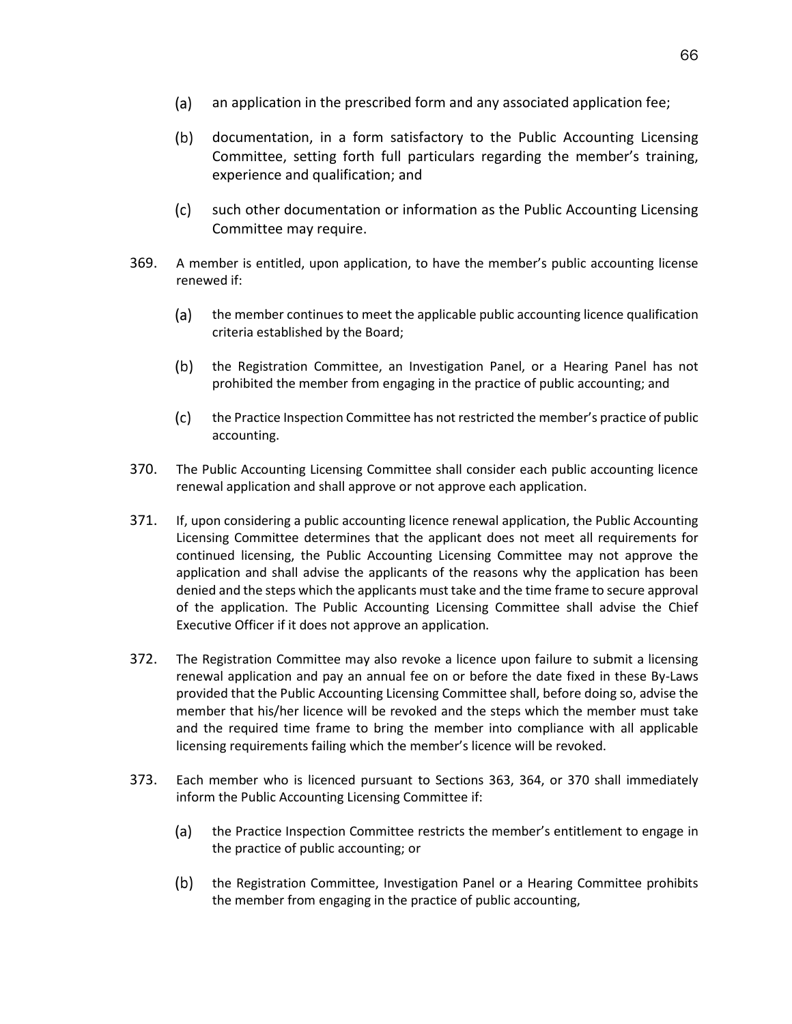- $(a)$ an application in the prescribed form and any associated application fee;
- $(b)$ documentation, in a form satisfactory to the Public Accounting Licensing Committee, setting forth full particulars regarding the member's training, experience and qualification; and
- $(c)$ such other documentation or information as the Public Accounting Licensing Committee may require.
- 369. A member is entitled, upon application, to have the member's public accounting license renewed if:
	- the member continues to meet the applicable public accounting licence qualification (a) criteria established by the Board;
	- $(b)$ the Registration Committee, an Investigation Panel, or a Hearing Panel has not prohibited the member from engaging in the practice of public accounting; and
	- $(c)$ the Practice Inspection Committee has not restricted the member's practice of public accounting.
- 370. The Public Accounting Licensing Committee shall consider each public accounting licence renewal application and shall approve or not approve each application.
- 371. If, upon considering a public accounting licence renewal application, the Public Accounting Licensing Committee determines that the applicant does not meet all requirements for continued licensing, the Public Accounting Licensing Committee may not approve the application and shall advise the applicants of the reasons why the application has been denied and the steps which the applicants must take and the time frame to secure approval of the application. The Public Accounting Licensing Committee shall advise the Chief Executive Officer if it does not approve an application.
- 372. The Registration Committee may also revoke a licence upon failure to submit a licensing renewal application and pay an annual fee on or before the date fixed in these By-Laws provided that the Public Accounting Licensing Committee shall, before doing so, advise the member that his/her licence will be revoked and the steps which the member must take and the required time frame to bring the member into compliance with all applicable licensing requirements failing which the member's licence will be revoked.
- 373. Each member who is licenced pursuant to Sections 363, 364, or 370 shall immediately inform the Public Accounting Licensing Committee if:
	- $(a)$ the Practice Inspection Committee restricts the member's entitlement to engage in the practice of public accounting; or
	- $(b)$ the Registration Committee, Investigation Panel or a Hearing Committee prohibits the member from engaging in the practice of public accounting,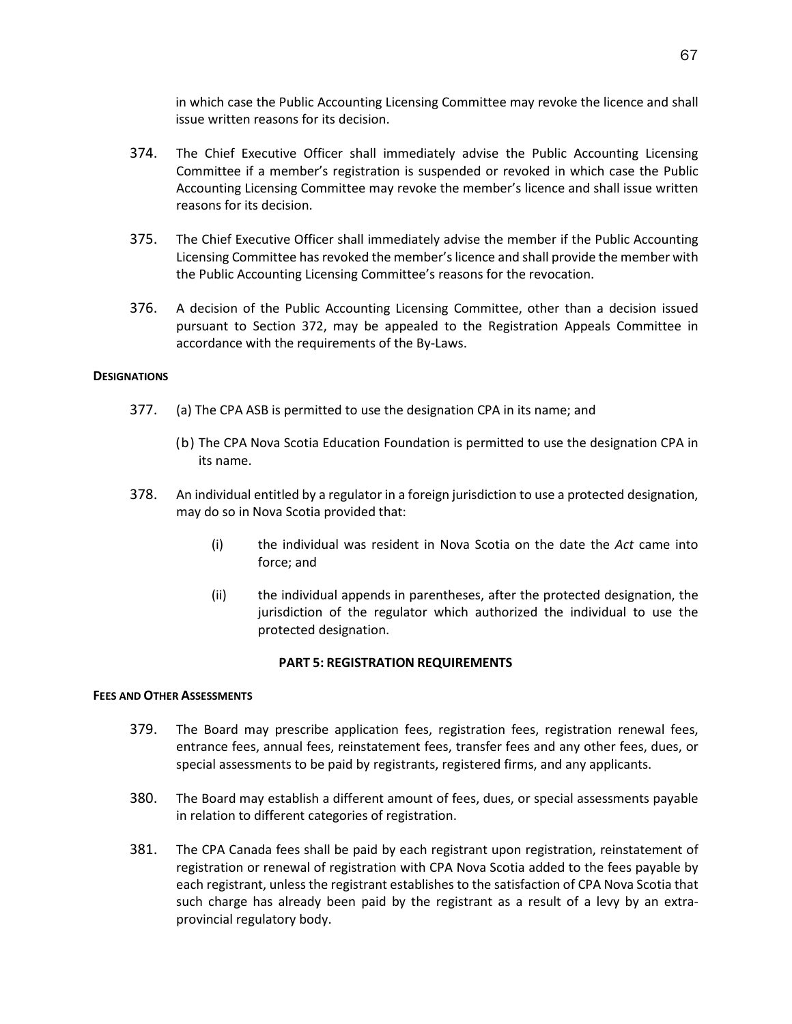in which case the Public Accounting Licensing Committee may revoke the licence and shall issue written reasons for its decision.

- 374. The Chief Executive Officer shall immediately advise the Public Accounting Licensing Committee if a member's registration is suspended or revoked in which case the Public Accounting Licensing Committee may revoke the member's licence and shall issue written reasons for its decision.
- 375. The Chief Executive Officer shall immediately advise the member if the Public Accounting Licensing Committee has revoked the member's licence and shall provide the member with the Public Accounting Licensing Committee's reasons for the revocation.
- 376. A decision of the Public Accounting Licensing Committee, other than a decision issued pursuant to Section 372, may be appealed to the Registration Appeals Committee in accordance with the requirements of the By-Laws.

# **DESIGNATIONS**

- 377. (a) The CPA ASB is permitted to use the designation CPA in its name; and
	- (b) The CPA Nova Scotia Education Foundation is permitted to use the designation CPA in its name.
- 378. An individual entitled by a regulator in a foreign jurisdiction to use a protected designation, may do so in Nova Scotia provided that:
	- (i) the individual was resident in Nova Scotia on the date the *Act* came into force; and
	- (ii) the individual appends in parentheses, after the protected designation, the jurisdiction of the regulator which authorized the individual to use the protected designation.

# **PART 5: REGISTRATION REQUIREMENTS**

# **FEES AND OTHER ASSESSMENTS**

- 379. The Board may prescribe application fees, registration fees, registration renewal fees, entrance fees, annual fees, reinstatement fees, transfer fees and any other fees, dues, or special assessments to be paid by registrants, registered firms, and any applicants.
- 380. The Board may establish a different amount of fees, dues, or special assessments payable in relation to different categories of registration.
- 381. The CPA Canada fees shall be paid by each registrant upon registration, reinstatement of registration or renewal of registration with CPA Nova Scotia added to the fees payable by each registrant, unless the registrant establishes to the satisfaction of CPA Nova Scotia that such charge has already been paid by the registrant as a result of a levy by an extraprovincial regulatory body.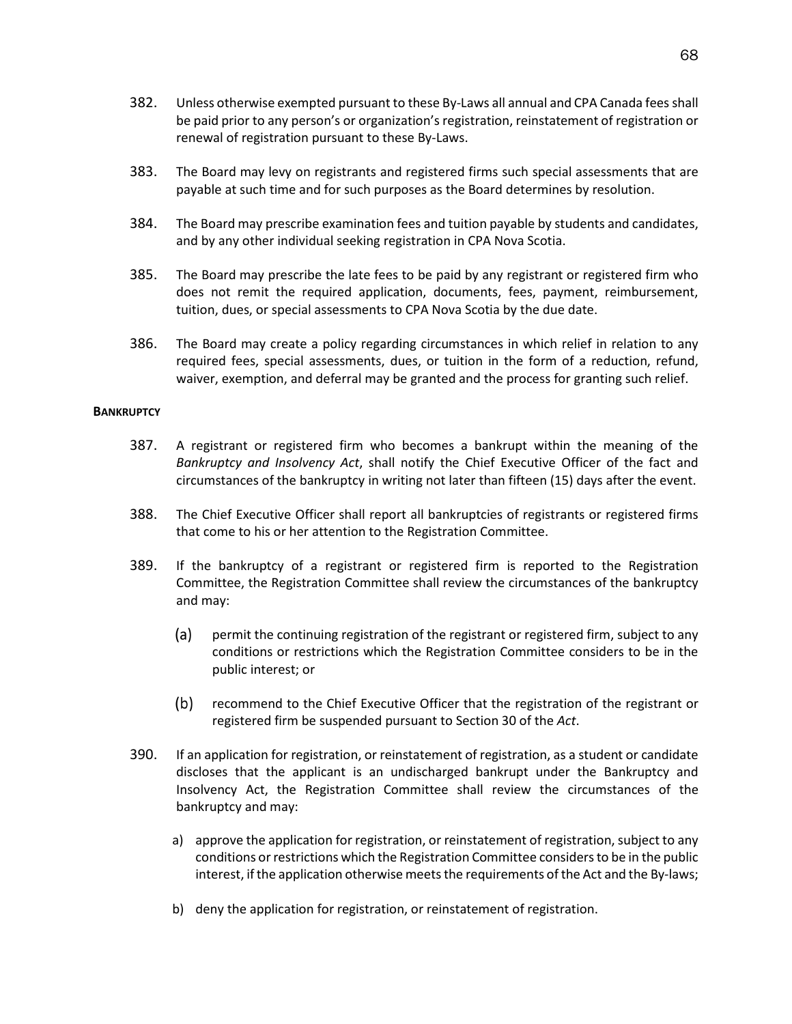- 382. Unless otherwise exempted pursuant to these By-Laws all annual and CPA Canada fees shall be paid prior to any person's or organization's registration, reinstatement of registration or renewal of registration pursuant to these By-Laws.
- 383. The Board may levy on registrants and registered firms such special assessments that are payable at such time and for such purposes as the Board determines by resolution.
- 384. The Board may prescribe examination fees and tuition payable by students and candidates, and by any other individual seeking registration in CPA Nova Scotia.
- 385. The Board may prescribe the late fees to be paid by any registrant or registered firm who does not remit the required application, documents, fees, payment, reimbursement, tuition, dues, or special assessments to CPA Nova Scotia by the due date.
- 386. The Board may create a policy regarding circumstances in which relief in relation to any required fees, special assessments, dues, or tuition in the form of a reduction, refund, waiver, exemption, and deferral may be granted and the process for granting such relief.

### **BANKRUPTCY**

- 387. A registrant or registered firm who becomes a bankrupt within the meaning of the *Bankruptcy and Insolvency Act*, shall notify the Chief Executive Officer of the fact and circumstances of the bankruptcy in writing not later than fifteen (15) days after the event.
- 388. The Chief Executive Officer shall report all bankruptcies of registrants or registered firms that come to his or her attention to the Registration Committee.
- 389. If the bankruptcy of a registrant or registered firm is reported to the Registration Committee, the Registration Committee shall review the circumstances of the bankruptcy and may:
	- $(a)$ permit the continuing registration of the registrant or registered firm, subject to any conditions or restrictions which the Registration Committee considers to be in the public interest; or
	- $(b)$ recommend to the Chief Executive Officer that the registration of the registrant or registered firm be suspended pursuant to Section 30 of the *Act*.
- 390. If an application for registration, or reinstatement of registration, as a student or candidate discloses that the applicant is an undischarged bankrupt under the Bankruptcy and Insolvency Act, the Registration Committee shall review the circumstances of the bankruptcy and may:
	- a) approve the application for registration, or reinstatement of registration, subject to any conditions or restrictions which the Registration Committee considers to be in the public interest, if the application otherwise meets the requirements of the Act and the By-laws;
	- b) deny the application for registration, or reinstatement of registration.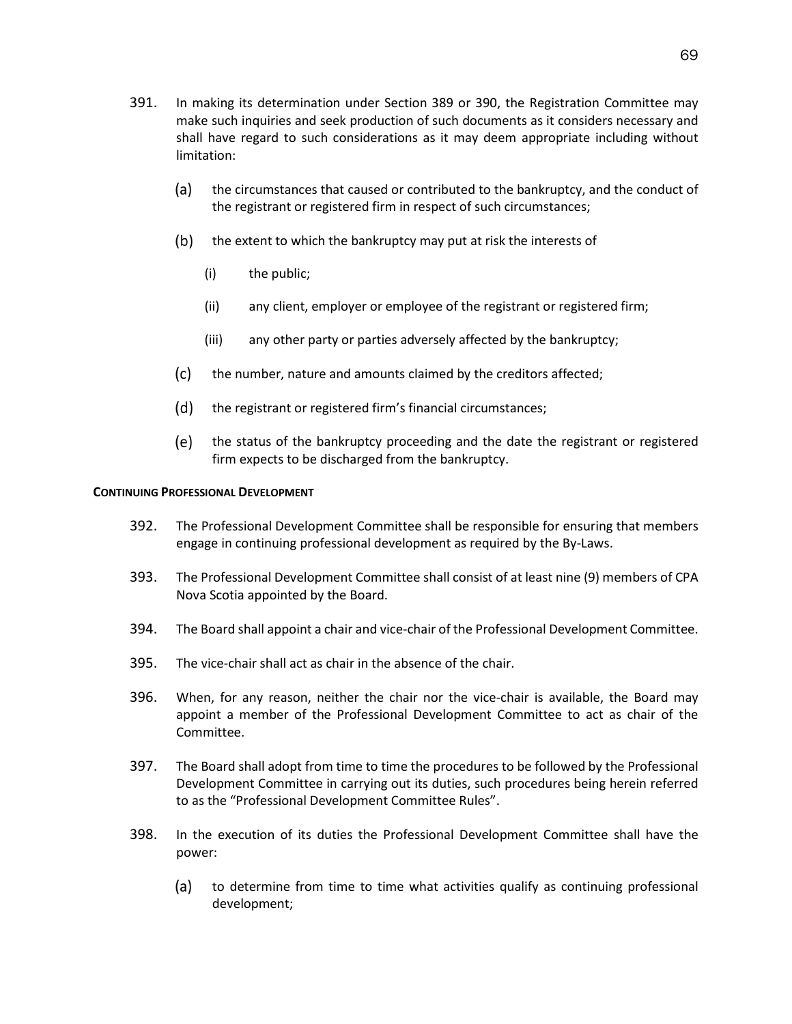- 391. In making its determination under Section 389 or 390, the Registration Committee may make such inquiries and seek production of such documents as it considers necessary and shall have regard to such considerations as it may deem appropriate including without limitation:
	- (a) the circumstances that caused or contributed to the bankruptcy, and the conduct of the registrant or registered firm in respect of such circumstances;
	- (b) the extent to which the bankruptcy may put at risk the interests of
		- (i) the public;
		- (ii) any client, employer or employee of the registrant or registered firm;
		- (iii) any other party or parties adversely affected by the bankruptcy;
	- (c) the number, nature and amounts claimed by the creditors affected;
	- (d) the registrant or registered firm's financial circumstances;
	- the status of the bankruptcy proceeding and the date the registrant or registered firm expects to be discharged from the bankruptcy.

# **CONTINUING PROFESSIONAL DEVELOPMENT**

- 392. The Professional Development Committee shall be responsible for ensuring that members engage in continuing professional development as required by the By-Laws.
- 393. The Professional Development Committee shall consist of at least nine (9) members of CPA Nova Scotia appointed by the Board.
- 394. The Board shall appoint a chair and vice-chair of the Professional Development Committee.
- 395. The vice-chair shall act as chair in the absence of the chair.
- 396. When, for any reason, neither the chair nor the vice-chair is available, the Board may appoint a member of the Professional Development Committee to act as chair of the Committee.
- 397. The Board shall adopt from time to time the procedures to be followed by the Professional Development Committee in carrying out its duties, such procedures being herein referred to as the "Professional Development Committee Rules".
- 398. In the execution of its duties the Professional Development Committee shall have the power:
	- $(a)$ to determine from time to time what activities qualify as continuing professional development;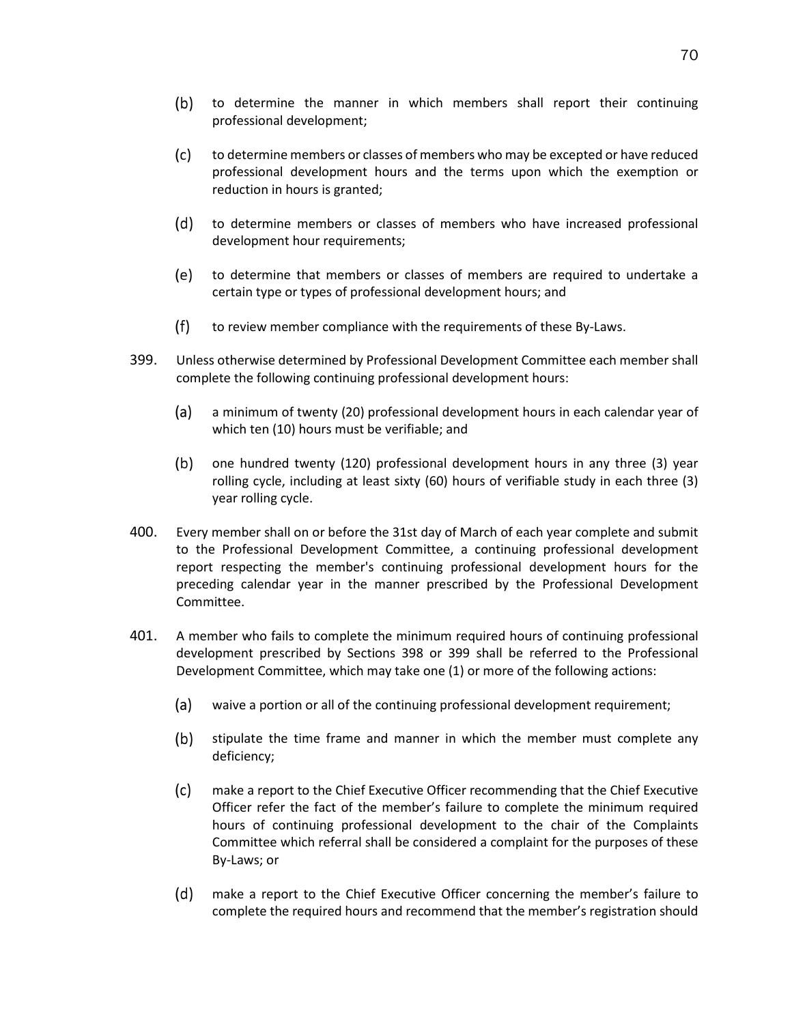- $(b)$ to determine the manner in which members shall report their continuing professional development;
- $(c)$ to determine members or classes of members who may be excepted or have reduced professional development hours and the terms upon which the exemption or reduction in hours is granted;
- (d) to determine members or classes of members who have increased professional development hour requirements;
- (e) to determine that members or classes of members are required to undertake a certain type or types of professional development hours; and
- $(f)$ to review member compliance with the requirements of these By-Laws.
- 399. Unless otherwise determined by Professional Development Committee each member shall complete the following continuing professional development hours:
	- (a) a minimum of twenty (20) professional development hours in each calendar year of which ten (10) hours must be verifiable; and
	- $(b)$ one hundred twenty (120) professional development hours in any three (3) year rolling cycle, including at least sixty (60) hours of verifiable study in each three (3) year rolling cycle.
- 400. Every member shall on or before the 31st day of March of each year complete and submit to the Professional Development Committee, a continuing professional development report respecting the member's continuing professional development hours for the preceding calendar year in the manner prescribed by the Professional Development Committee.
- <span id="page-74-0"></span>401. A member who fails to complete the minimum required hours of continuing professional development prescribed by Sections 398 or 399 shall be referred to the Professional Development Committee, which may take one (1) or more of the following actions:
	- (a) waive a portion or all of the continuing professional development requirement;
	- $(b)$ stipulate the time frame and manner in which the member must complete any deficiency;
	- $(c)$ make a report to the Chief Executive Officer recommending that the Chief Executive Officer refer the fact of the member's failure to complete the minimum required hours of continuing professional development to the chair of the Complaints Committee which referral shall be considered a complaint for the purposes of these By-Laws; or
	- $(d)$ make a report to the Chief Executive Officer concerning the member's failure to complete the required hours and recommend that the member's registration should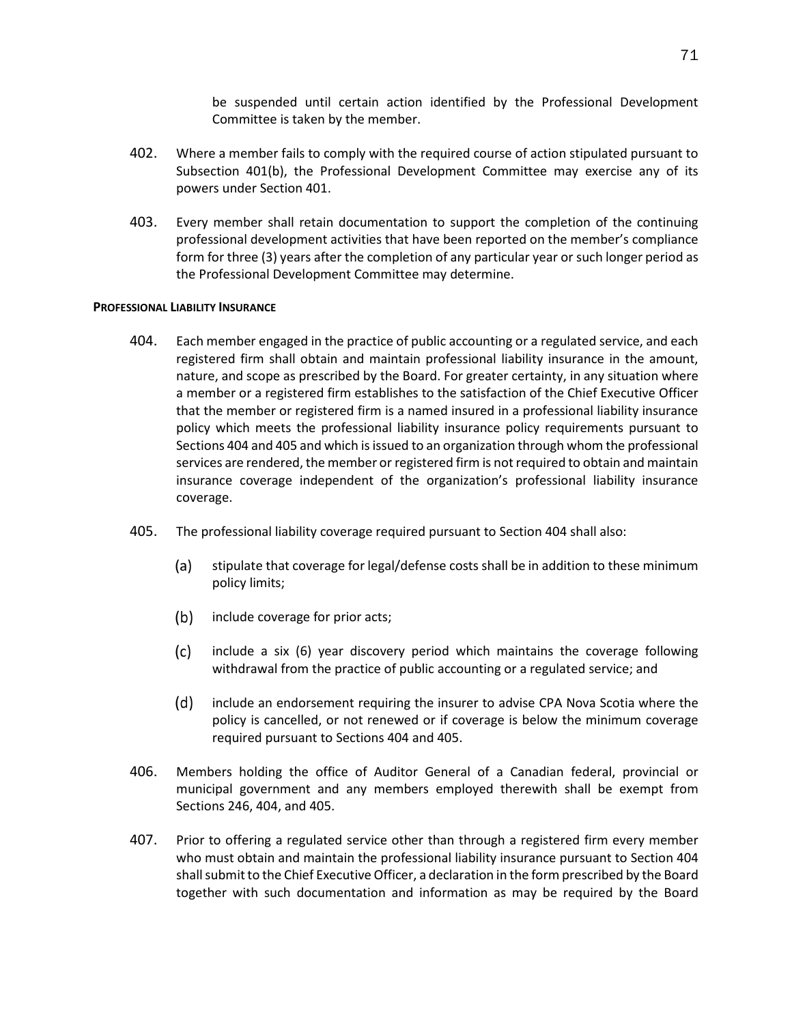be suspended until certain action identified by the Professional Development Committee is taken by the member.

- 402. Where a member fails to comply with the required course of action stipulated pursuant to Subsection [401\(b\),](#page-74-0) the Professional Development Committee may exercise any of its powers under Section 401.
- 403. Every member shall retain documentation to support the completion of the continuing professional development activities that have been reported on the member's compliance form for three (3) years after the completion of any particular year or such longer period as the Professional Development Committee may determine.

## **PROFESSIONAL LIABILITY INSURANCE**

- 404. Each member engaged in the practice of public accounting or a regulated service, and each registered firm shall obtain and maintain professional liability insurance in the amount, nature, and scope as prescribed by the Board. For greater certainty, in any situation where a member or a registered firm establishes to the satisfaction of the Chief Executive Officer that the member or registered firm is a named insured in a professional liability insurance policy which meets the professional liability insurance policy requirements pursuant to Sections 404 and 405 and which is issued to an organization through whom the professional services are rendered, the member or registered firm is not required to obtain and maintain insurance coverage independent of the organization's professional liability insurance coverage.
- 405. The professional liability coverage required pursuant to Section 404 shall also:
	- (a) stipulate that coverage for legal/defense costs shall be in addition to these minimum policy limits;
	- $(b)$ include coverage for prior acts;
	- $(c)$ include a six (6) year discovery period which maintains the coverage following withdrawal from the practice of public accounting or a regulated service; and
	- $(d)$ include an endorsement requiring the insurer to advise CPA Nova Scotia where the policy is cancelled, or not renewed or if coverage is below the minimum coverage required pursuant to Sections 404 and 405.
- 406. Members holding the office of Auditor General of a Canadian federal, provincial or municipal government and any members employed therewith shall be exempt from Sections 246, 404, and 405.
- 407. Prior to offering a regulated service other than through a registered firm every member who must obtain and maintain the professional liability insurance pursuant to Section 404 shall submit to the Chief Executive Officer, a declaration in the form prescribed by the Board together with such documentation and information as may be required by the Board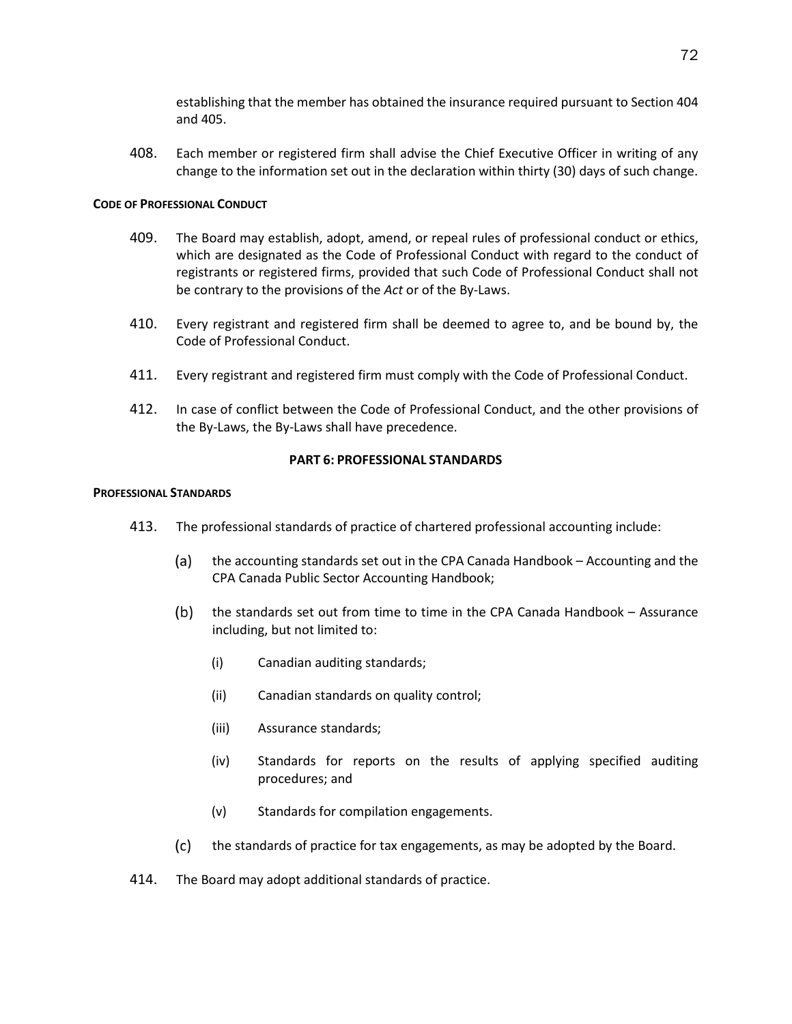establishing that the member has obtained the insurance required pursuant to Section 404 and 405.

408. Each member or registered firm shall advise the Chief Executive Officer in writing of any change to the information set out in the declaration within thirty (30) days of such change.

# **CODE OF PROFESSIONAL CONDUCT**

- 409. The Board may establish, adopt, amend, or repeal rules of professional conduct or ethics, which are designated as the Code of Professional Conduct with regard to the conduct of registrants or registered firms, provided that such Code of Professional Conduct shall not be contrary to the provisions of the *Act* or of the By-Laws.
- 410. Every registrant and registered firm shall be deemed to agree to, and be bound by, the Code of Professional Conduct.
- 411. Every registrant and registered firm must comply with the Code of Professional Conduct.
- 412. In case of conflict between the Code of Professional Conduct, and the other provisions of the By-Laws, the By-Laws shall have precedence.

# **PART 6: PROFESSIONAL STANDARDS**

## **PROFESSIONAL STANDARDS**

- 413. The professional standards of practice of chartered professional accounting include:
	- $(a)$ the accounting standards set out in the CPA Canada Handbook – Accounting and the CPA Canada Public Sector Accounting Handbook;
	- $(b)$ the standards set out from time to time in the CPA Canada Handbook – Assurance including, but not limited to:
		- (i) Canadian auditing standards;
		- (ii) Canadian standards on quality control;
		- (iii) Assurance standards;
		- (iv) Standards for reports on the results of applying specified auditing procedures; and
		- (v) Standards for compilation engagements.
	- $(c)$ the standards of practice for tax engagements, as may be adopted by the Board.
- 414. The Board may adopt additional standards of practice.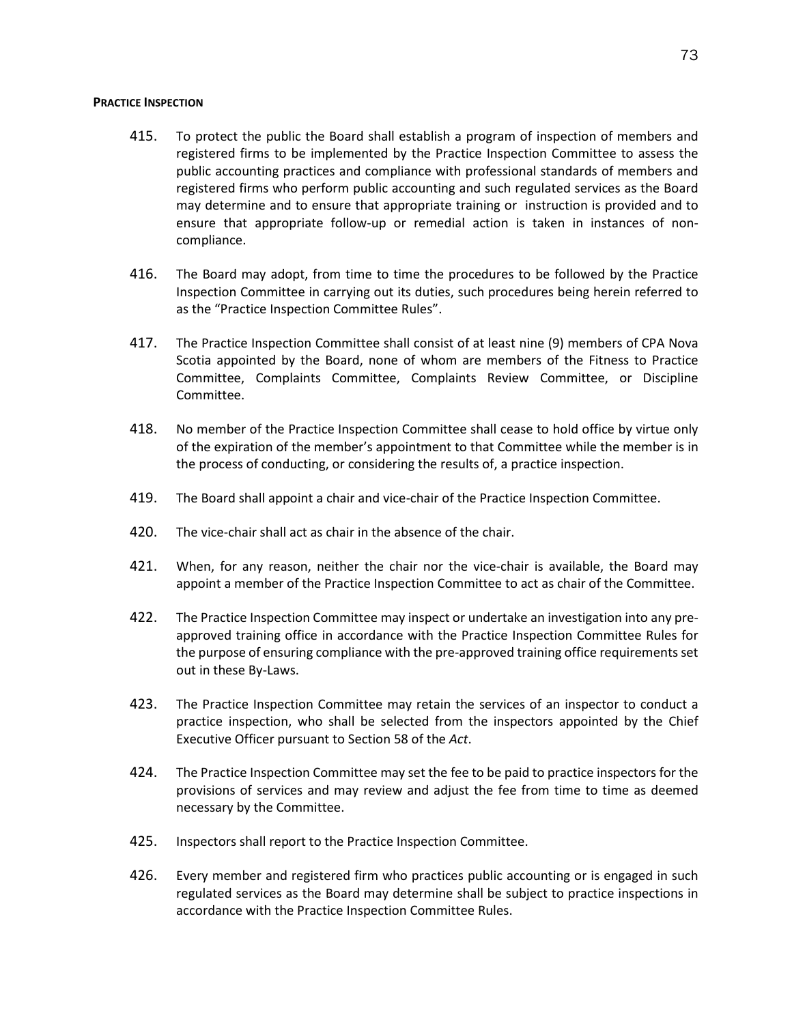### **PRACTICE INSPECTION**

- 415. To protect the public the Board shall establish a program of inspection of members and registered firms to be implemented by the Practice Inspection Committee to assess the public accounting practices and compliance with professional standards of members and registered firms who perform public accounting and such regulated services as the Board may determine and to ensure that appropriate training or instruction is provided and to ensure that appropriate follow-up or remedial action is taken in instances of noncompliance.
- 416. The Board may adopt, from time to time the procedures to be followed by the Practice Inspection Committee in carrying out its duties, such procedures being herein referred to as the "Practice Inspection Committee Rules".
- 417. The Practice Inspection Committee shall consist of at least nine (9) members of CPA Nova Scotia appointed by the Board, none of whom are members of the Fitness to Practice Committee, Complaints Committee, Complaints Review Committee, or Discipline Committee.
- 418. No member of the Practice Inspection Committee shall cease to hold office by virtue only of the expiration of the member's appointment to that Committee while the member is in the process of conducting, or considering the results of, a practice inspection.
- 419. The Board shall appoint a chair and vice-chair of the Practice Inspection Committee.
- 420. The vice-chair shall act as chair in the absence of the chair.
- 421. When, for any reason, neither the chair nor the vice-chair is available, the Board may appoint a member of the Practice Inspection Committee to act as chair of the Committee.
- 422. The Practice Inspection Committee may inspect or undertake an investigation into any preapproved training office in accordance with the Practice Inspection Committee Rules for the purpose of ensuring compliance with the pre-approved training office requirements set out in these By-Laws.
- 423. The Practice Inspection Committee may retain the services of an inspector to conduct a practice inspection, who shall be selected from the inspectors appointed by the Chief Executive Officer pursuant to Section 58 of the *Act*.
- 424. The Practice Inspection Committee may set the fee to be paid to practice inspectors for the provisions of services and may review and adjust the fee from time to time as deemed necessary by the Committee.
- 425. Inspectors shall report to the Practice Inspection Committee.
- 426. Every member and registered firm who practices public accounting or is engaged in such regulated services as the Board may determine shall be subject to practice inspections in accordance with the Practice Inspection Committee Rules.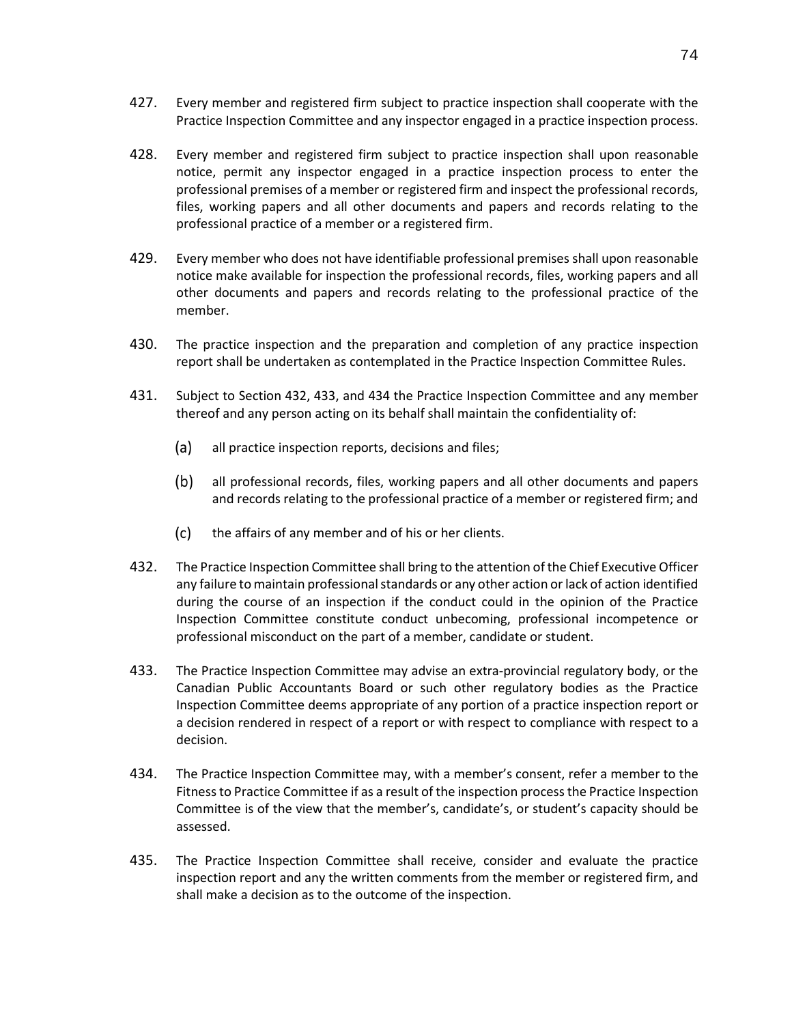- 427. Every member and registered firm subject to practice inspection shall cooperate with the Practice Inspection Committee and any inspector engaged in a practice inspection process.
- 428. Every member and registered firm subject to practice inspection shall upon reasonable notice, permit any inspector engaged in a practice inspection process to enter the professional premises of a member or registered firm and inspect the professional records, files, working papers and all other documents and papers and records relating to the professional practice of a member or a registered firm.
- 429. Every member who does not have identifiable professional premises shall upon reasonable notice make available for inspection the professional records, files, working papers and all other documents and papers and records relating to the professional practice of the member.
- 430. The practice inspection and the preparation and completion of any practice inspection report shall be undertaken as contemplated in the Practice Inspection Committee Rules.
- 431. Subject to Section 432, 433, and 434 the Practice Inspection Committee and any member thereof and any person acting on its behalf shall maintain the confidentiality of:
	- $(a)$ all practice inspection reports, decisions and files;
	- $(b)$ all professional records, files, working papers and all other documents and papers and records relating to the professional practice of a member or registered firm; and
	- $(c)$ the affairs of any member and of his or her clients.
- 432. The Practice Inspection Committee shall bring to the attention of the Chief Executive Officer any failure to maintain professional standards or any other action or lack of action identified during the course of an inspection if the conduct could in the opinion of the Practice Inspection Committee constitute conduct unbecoming, professional incompetence or professional misconduct on the part of a member, candidate or student.
- 433. The Practice Inspection Committee may advise an extra-provincial regulatory body, or the Canadian Public Accountants Board or such other regulatory bodies as the Practice Inspection Committee deems appropriate of any portion of a practice inspection report or a decision rendered in respect of a report or with respect to compliance with respect to a decision.
- 434. The Practice Inspection Committee may, with a member's consent, refer a member to the Fitness to Practice Committee if as a result of the inspection process the Practice Inspection Committee is of the view that the member's, candidate's, or student's capacity should be assessed.
- 435. The Practice Inspection Committee shall receive, consider and evaluate the practice inspection report and any the written comments from the member or registered firm, and shall make a decision as to the outcome of the inspection.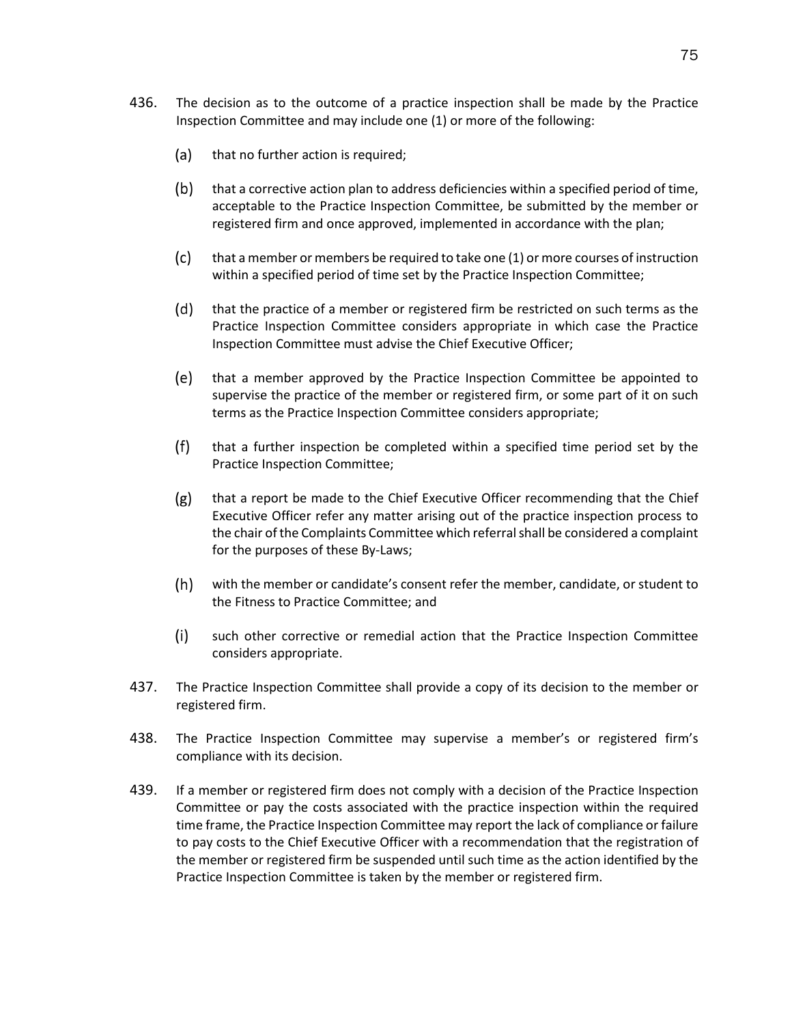- 436. The decision as to the outcome of a practice inspection shall be made by the Practice Inspection Committee and may include one (1) or more of the following:
	- (a) that no further action is required;
	- that a corrective action plan to address deficiencies within a specified period of time,  $(b)$ acceptable to the Practice Inspection Committee, be submitted by the member or registered firm and once approved, implemented in accordance with the plan;
	- $(c)$ that a member or members be required to take one (1) or more courses of instruction within a specified period of time set by the Practice Inspection Committee;
	- $(d)$ that the practice of a member or registered firm be restricted on such terms as the Practice Inspection Committee considers appropriate in which case the Practice Inspection Committee must advise the Chief Executive Officer;
	- (e) that a member approved by the Practice Inspection Committee be appointed to supervise the practice of the member or registered firm, or some part of it on such terms as the Practice Inspection Committee considers appropriate;
	- $(f)$ that a further inspection be completed within a specified time period set by the Practice Inspection Committee;
	- $(g)$ that a report be made to the Chief Executive Officer recommending that the Chief Executive Officer refer any matter arising out of the practice inspection process to the chair of the Complaints Committee which referral shall be considered a complaint for the purposes of these By-Laws;
	- $(h)$ with the member or candidate's consent refer the member, candidate, or student to the Fitness to Practice Committee; and
	- $(i)$ such other corrective or remedial action that the Practice Inspection Committee considers appropriate.
- 437. The Practice Inspection Committee shall provide a copy of its decision to the member or registered firm.
- 438. The Practice Inspection Committee may supervise a member's or registered firm's compliance with its decision.
- 439. If a member or registered firm does not comply with a decision of the Practice Inspection Committee or pay the costs associated with the practice inspection within the required time frame, the Practice Inspection Committee may report the lack of compliance or failure to pay costs to the Chief Executive Officer with a recommendation that the registration of the member or registered firm be suspended until such time as the action identified by the Practice Inspection Committee is taken by the member or registered firm.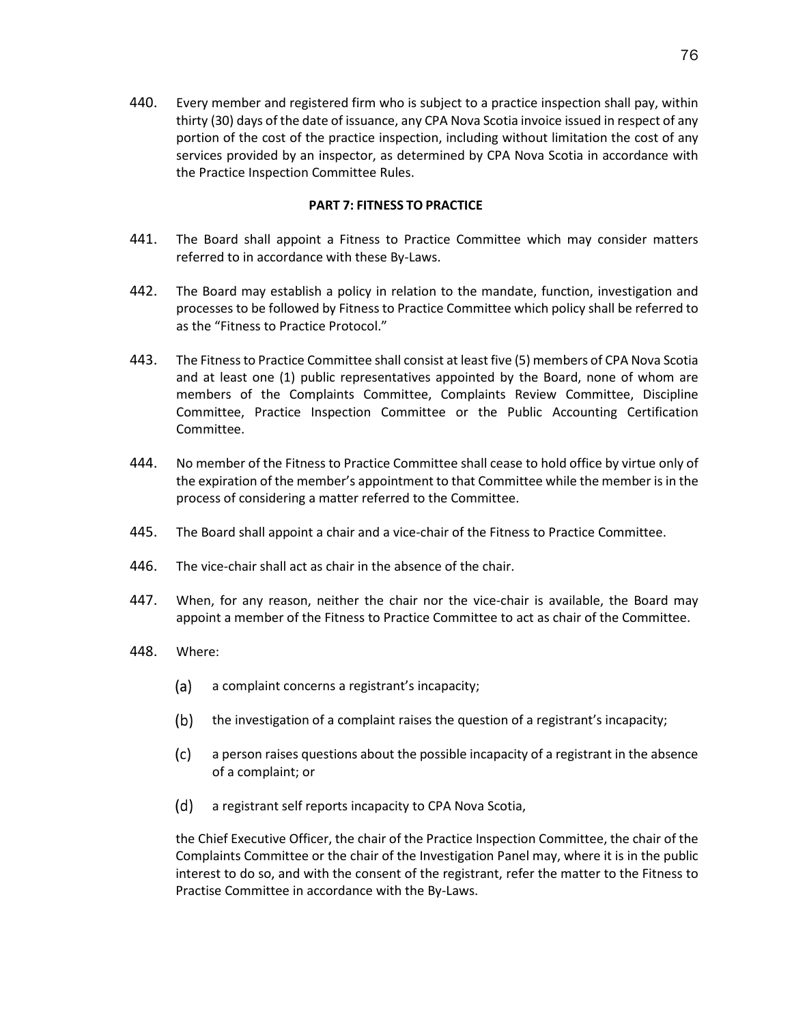440. Every member and registered firm who is subject to a practice inspection shall pay, within thirty (30) days of the date of issuance, any CPA Nova Scotia invoice issued in respect of any portion of the cost of the practice inspection, including without limitation the cost of any services provided by an inspector, as determined by CPA Nova Scotia in accordance with the Practice Inspection Committee Rules.

# **PART 7: FITNESS TO PRACTICE**

- 441. The Board shall appoint a Fitness to Practice Committee which may consider matters referred to in accordance with these By-Laws.
- 442. The Board may establish a policy in relation to the mandate, function, investigation and processes to be followed by Fitness to Practice Committee which policy shall be referred to as the "Fitness to Practice Protocol."
- 443. The Fitness to Practice Committee shall consist at least five (5) members of CPA Nova Scotia and at least one (1) public representatives appointed by the Board, none of whom are members of the Complaints Committee, Complaints Review Committee, Discipline Committee, Practice Inspection Committee or the Public Accounting Certification Committee.
- 444. No member of the Fitness to Practice Committee shall cease to hold office by virtue only of the expiration of the member's appointment to that Committee while the member is in the process of considering a matter referred to the Committee.
- 445. The Board shall appoint a chair and a vice-chair of the Fitness to Practice Committee.
- 446. The vice-chair shall act as chair in the absence of the chair.
- 447. When, for any reason, neither the chair nor the vice-chair is available, the Board may appoint a member of the Fitness to Practice Committee to act as chair of the Committee.
- 448. Where:
	- (a) a complaint concerns a registrant's incapacity;
	- $(b)$ the investigation of a complaint raises the question of a registrant's incapacity;
	- $(c)$ a person raises questions about the possible incapacity of a registrant in the absence of a complaint; or
	- (d) a registrant self reports incapacity to CPA Nova Scotia,

the Chief Executive Officer, the chair of the Practice Inspection Committee, the chair of the Complaints Committee or the chair of the Investigation Panel may, where it is in the public interest to do so, and with the consent of the registrant, refer the matter to the Fitness to Practise Committee in accordance with the By-Laws.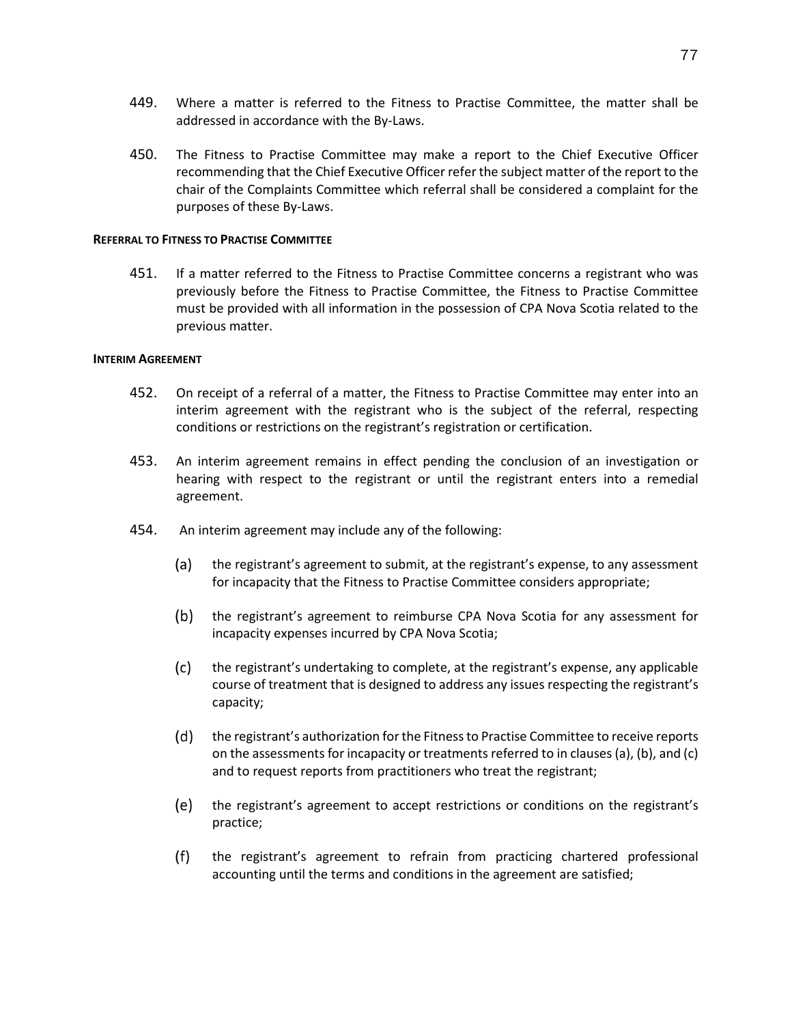- 449. Where a matter is referred to the Fitness to Practise Committee, the matter shall be
- addressed in accordance with the By-Laws.
- 450. The Fitness to Practise Committee may make a report to the Chief Executive Officer recommending that the Chief Executive Officer refer the subject matter of the report to the chair of the Complaints Committee which referral shall be considered a complaint for the purposes of these By-Laws.

### **REFERRAL TO FITNESS TO PRACTISE COMMITTEE**

451. If a matter referred to the Fitness to Practise Committee concerns a registrant who was previously before the Fitness to Practise Committee, the Fitness to Practise Committee must be provided with all information in the possession of CPA Nova Scotia related to the previous matter.

## **INTERIM AGREEMENT**

- 452. On receipt of a referral of a matter, the Fitness to Practise Committee may enter into an interim agreement with the registrant who is the subject of the referral, respecting conditions or restrictions on the registrant's registration or certification.
- 453. An interim agreement remains in effect pending the conclusion of an investigation or hearing with respect to the registrant or until the registrant enters into a remedial agreement.
- 454. An interim agreement may include any of the following:
	- (a) the registrant's agreement to submit, at the registrant's expense, to any assessment for incapacity that the Fitness to Practise Committee considers appropriate;
	- $(b)$ the registrant's agreement to reimburse CPA Nova Scotia for any assessment for incapacity expenses incurred by CPA Nova Scotia;
	- $(c)$ the registrant's undertaking to complete, at the registrant's expense, any applicable course of treatment that is designed to address any issues respecting the registrant's capacity;
	- (d) the registrant's authorization for the Fitness to Practise Committee to receive reports on the assessments for incapacity or treatments referred to in clauses (a), (b), and (c) and to request reports from practitioners who treat the registrant;
	- (e) the registrant's agreement to accept restrictions or conditions on the registrant's practice;
	- $(f)$ the registrant's agreement to refrain from practicing chartered professional accounting until the terms and conditions in the agreement are satisfied;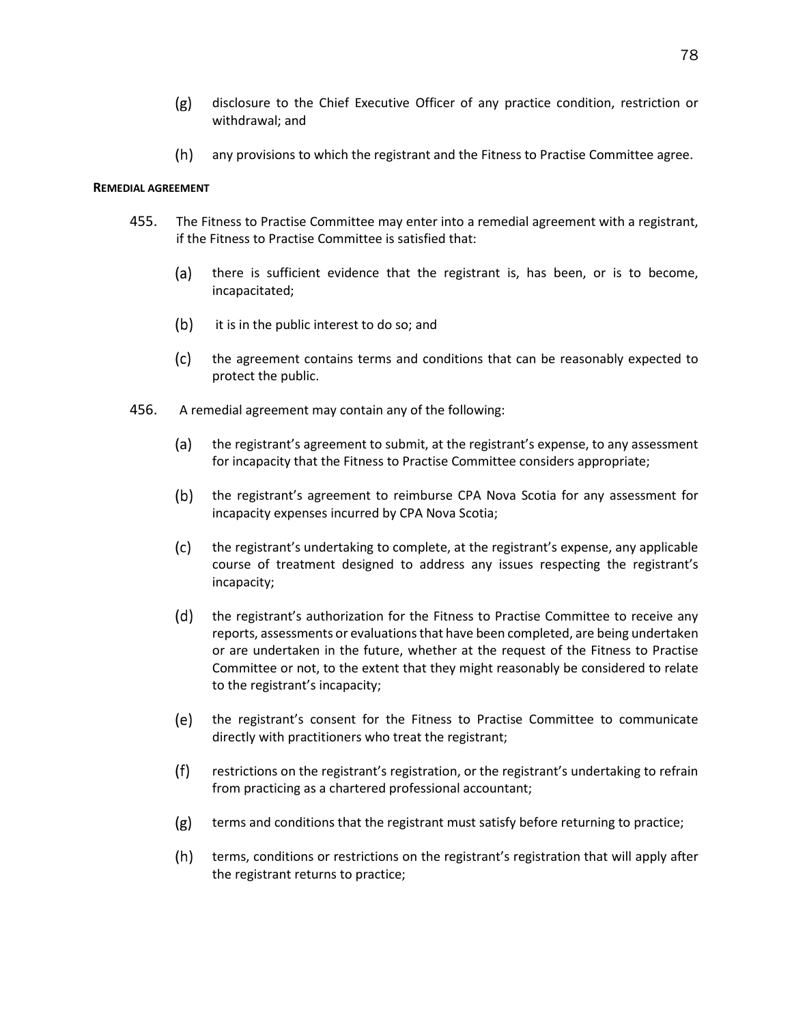- disclosure to the Chief Executive Officer of any practice condition, restriction or  $(g)$ withdrawal; and
- any provisions to which the registrant and the Fitness to Practise Committee agree.

### **REMEDIAL AGREEMENT**

- 455. The Fitness to Practise Committee may enter into a remedial agreement with a registrant, if the Fitness to Practise Committee is satisfied that:
	- (a) there is sufficient evidence that the registrant is, has been, or is to become, incapacitated;
	- $(b)$ it is in the public interest to do so; and
	- $(c)$ the agreement contains terms and conditions that can be reasonably expected to protect the public.
- 456. A remedial agreement may contain any of the following:
	- $(a)$ the registrant's agreement to submit, at the registrant's expense, to any assessment for incapacity that the Fitness to Practise Committee considers appropriate;
	- $(b)$ the registrant's agreement to reimburse CPA Nova Scotia for any assessment for incapacity expenses incurred by CPA Nova Scotia;
	- $(c)$ the registrant's undertaking to complete, at the registrant's expense, any applicable course of treatment designed to address any issues respecting the registrant's incapacity;
	- $(d)$ the registrant's authorization for the Fitness to Practise Committee to receive any reports, assessments or evaluations that have been completed, are being undertaken or are undertaken in the future, whether at the request of the Fitness to Practise Committee or not, to the extent that they might reasonably be considered to relate to the registrant's incapacity;
	- (e) the registrant's consent for the Fitness to Practise Committee to communicate directly with practitioners who treat the registrant;
	- $(f)$ restrictions on the registrant's registration, or the registrant's undertaking to refrain from practicing as a chartered professional accountant;
	- $(g)$ terms and conditions that the registrant must satisfy before returning to practice;
	- $(h)$ terms, conditions or restrictions on the registrant's registration that will apply after the registrant returns to practice;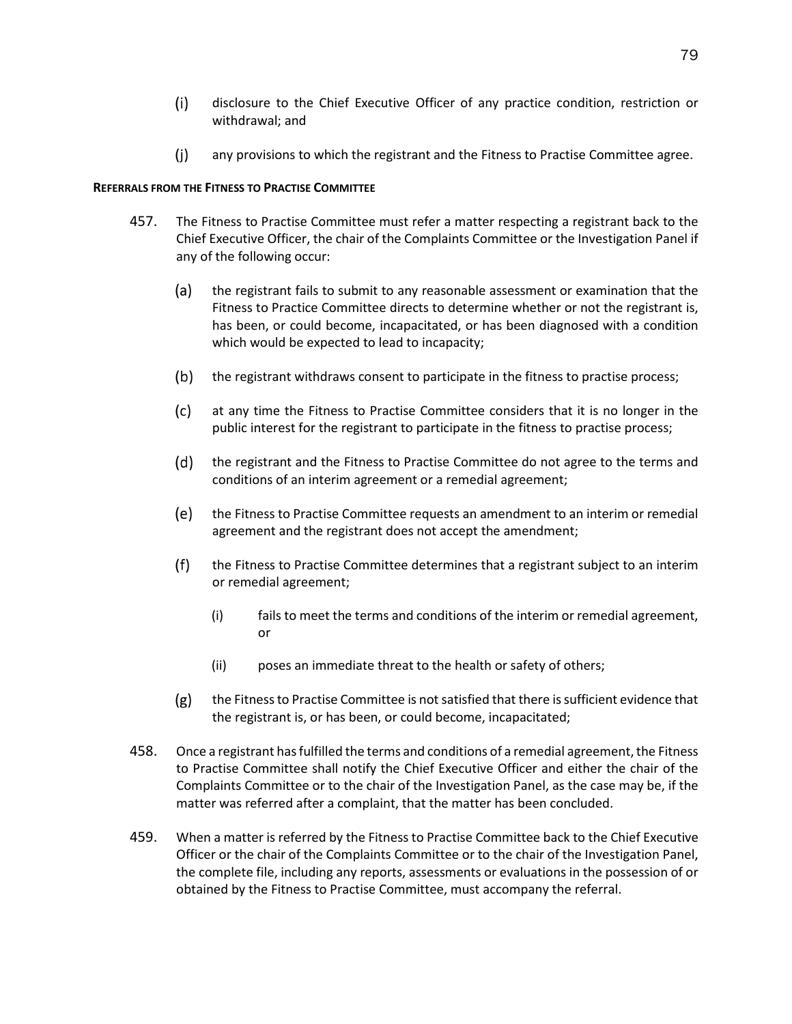- $(i)$ disclosure to the Chief Executive Officer of any practice condition, restriction or withdrawal; and
- $(i)$ any provisions to which the registrant and the Fitness to Practise Committee agree.

### **REFERRALS FROM THE FITNESS TO PRACTISE COMMITTEE**

- 457. The Fitness to Practise Committee must refer a matter respecting a registrant back to the Chief Executive Officer, the chair of the Complaints Committee or the Investigation Panel if any of the following occur:
	- $(a)$ the registrant fails to submit to any reasonable assessment or examination that the Fitness to Practice Committee directs to determine whether or not the registrant is, has been, or could become, incapacitated, or has been diagnosed with a condition which would be expected to lead to incapacity;
	- $(b)$ the registrant withdraws consent to participate in the fitness to practise process;
	- $(c)$ at any time the Fitness to Practise Committee considers that it is no longer in the public interest for the registrant to participate in the fitness to practise process;
	- $(d)$ the registrant and the Fitness to Practise Committee do not agree to the terms and conditions of an interim agreement or a remedial agreement;
	- (e) the Fitness to Practise Committee requests an amendment to an interim or remedial agreement and the registrant does not accept the amendment;
	- $(f)$ the Fitness to Practise Committee determines that a registrant subject to an interim or remedial agreement;
		- (i) fails to meet the terms and conditions of the interim or remedial agreement, or
		- (ii) poses an immediate threat to the health or safety of others;
	- $(g)$ the Fitness to Practise Committee is not satisfied that there is sufficient evidence that the registrant is, or has been, or could become, incapacitated;
- 458. Once a registrant has fulfilled the terms and conditions of a remedial agreement, the Fitness to Practise Committee shall notify the Chief Executive Officer and either the chair of the Complaints Committee or to the chair of the Investigation Panel, as the case may be, if the matter was referred after a complaint, that the matter has been concluded.
- 459. When a matter is referred by the Fitness to Practise Committee back to the Chief Executive Officer or the chair of the Complaints Committee or to the chair of the Investigation Panel, the complete file, including any reports, assessments or evaluations in the possession of or obtained by the Fitness to Practise Committee, must accompany the referral.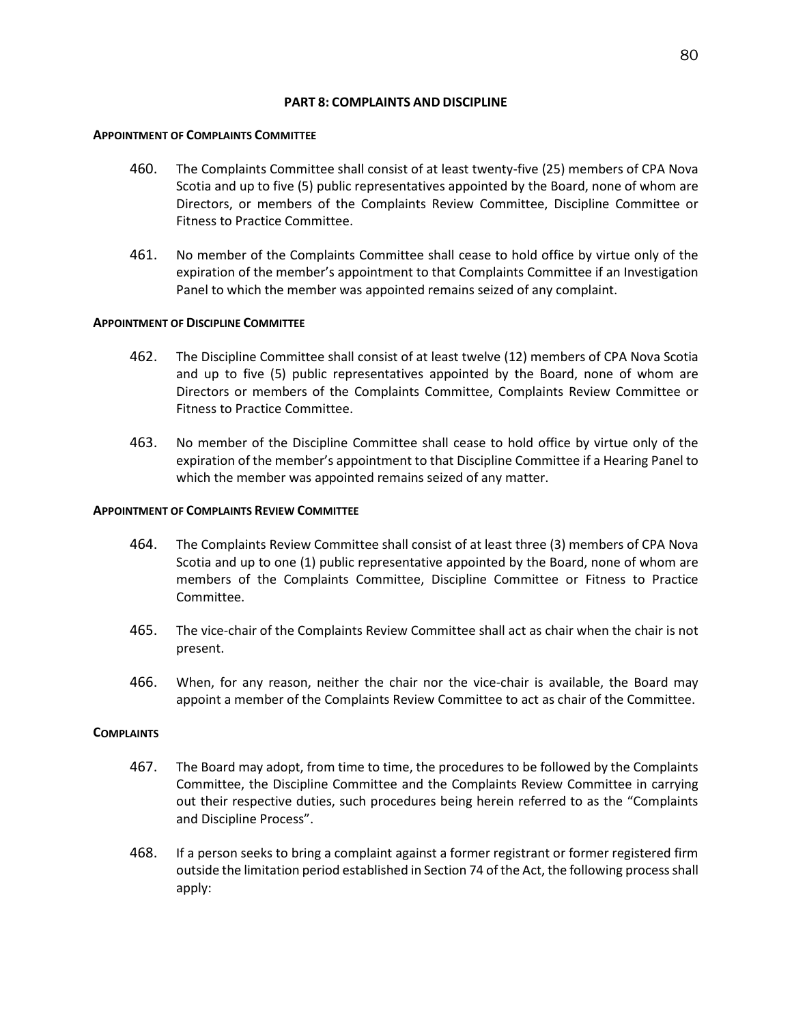# **PART 8: COMPLAINTS AND DISCIPLINE**

## **APPOINTMENT OF COMPLAINTS COMMITTEE**

- 460. The Complaints Committee shall consist of at least twenty-five (25) members of CPA Nova Scotia and up to five (5) public representatives appointed by the Board, none of whom are Directors, or members of the Complaints Review Committee, Discipline Committee or Fitness to Practice Committee.
- 461. No member of the Complaints Committee shall cease to hold office by virtue only of the expiration of the member's appointment to that Complaints Committee if an Investigation Panel to which the member was appointed remains seized of any complaint.

# **APPOINTMENT OF DISCIPLINE COMMITTEE**

- 462. The Discipline Committee shall consist of at least twelve (12) members of CPA Nova Scotia and up to five (5) public representatives appointed by the Board, none of whom are Directors or members of the Complaints Committee, Complaints Review Committee or Fitness to Practice Committee.
- 463. No member of the Discipline Committee shall cease to hold office by virtue only of the expiration of the member's appointment to that Discipline Committee if a Hearing Panel to which the member was appointed remains seized of any matter.

# **APPOINTMENT OF COMPLAINTS REVIEW COMMITTEE**

- 464. The Complaints Review Committee shall consist of at least three (3) members of CPA Nova Scotia and up to one (1) public representative appointed by the Board, none of whom are members of the Complaints Committee, Discipline Committee or Fitness to Practice Committee.
- 465. The vice-chair of the Complaints Review Committee shall act as chair when the chair is not present.
- 466. When, for any reason, neither the chair nor the vice-chair is available, the Board may appoint a member of the Complaints Review Committee to act as chair of the Committee.

## **COMPLAINTS**

- 467. The Board may adopt, from time to time, the procedures to be followed by the Complaints Committee, the Discipline Committee and the Complaints Review Committee in carrying out their respective duties, such procedures being herein referred to as the "Complaints and Discipline Process".
- 468. If a person seeks to bring a complaint against a former registrant or former registered firm outside the limitation period established in Section 74 of the Act, the following process shall apply: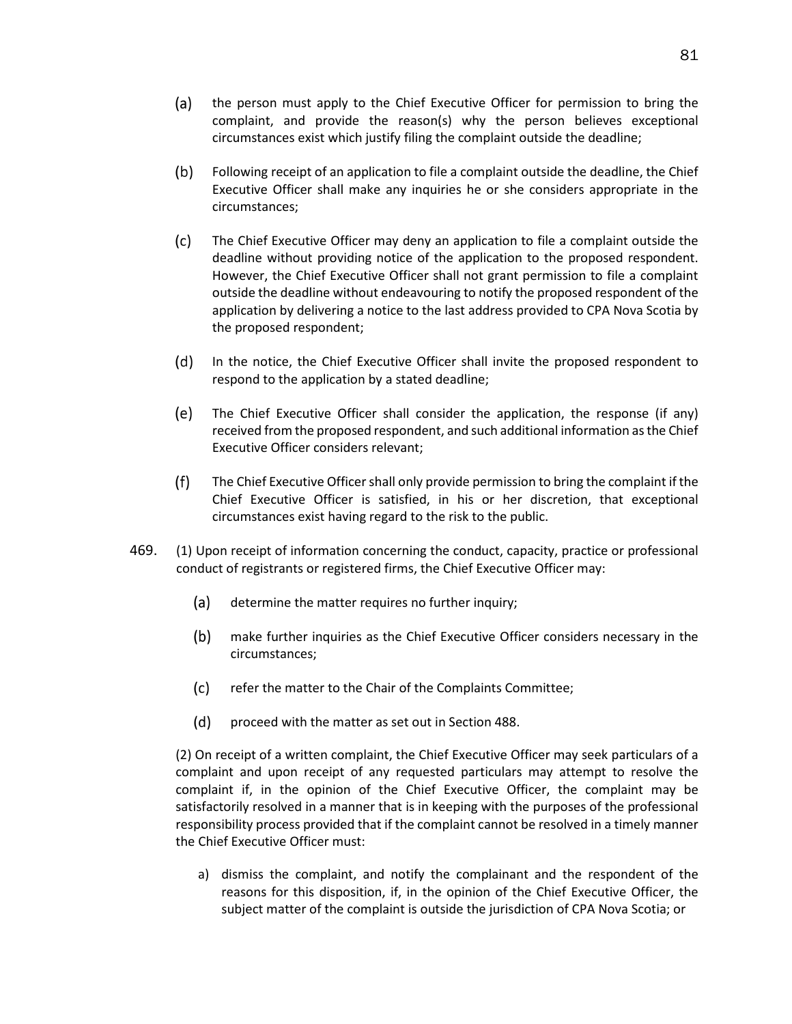$(b)$ Following receipt of an application to file a complaint outside the deadline, the Chief Executive Officer shall make any inquiries he or she considers appropriate in the circumstances;

circumstances exist which justify filing the complaint outside the deadline;

(a)

- $(c)$ The Chief Executive Officer may deny an application to file a complaint outside the deadline without providing notice of the application to the proposed respondent. However, the Chief Executive Officer shall not grant permission to file a complaint outside the deadline without endeavouring to notify the proposed respondent of the application by delivering a notice to the last address provided to CPA Nova Scotia by the proposed respondent;
- $(d)$ In the notice, the Chief Executive Officer shall invite the proposed respondent to respond to the application by a stated deadline;
- (e) The Chief Executive Officer shall consider the application, the response (if any) received from the proposed respondent, and such additional information as the Chief Executive Officer considers relevant;
- $(f)$ The Chief Executive Officer shall only provide permission to bring the complaint if the Chief Executive Officer is satisfied, in his or her discretion, that exceptional circumstances exist having regard to the risk to the public.
- 469. (1) Upon receipt of information concerning the conduct, capacity, practice or professional conduct of registrants or registered firms, the Chief Executive Officer may:
	- (a) determine the matter requires no further inquiry;
	- $(b)$ make further inquiries as the Chief Executive Officer considers necessary in the circumstances;
	- $(c)$ refer the matter to the Chair of the Complaints Committee;
	- $(d)$ proceed with the matter as set out in Section 488.

(2) On receipt of a written complaint, the Chief Executive Officer may seek particulars of a complaint and upon receipt of any requested particulars may attempt to resolve the complaint if, in the opinion of the Chief Executive Officer, the complaint may be satisfactorily resolved in a manner that is in keeping with the purposes of the professional responsibility process provided that if the complaint cannot be resolved in a timely manner the Chief Executive Officer must:

a) dismiss the complaint, and notify the complainant and the respondent of the reasons for this disposition, if, in the opinion of the Chief Executive Officer, the subject matter of the complaint is outside the jurisdiction of CPA Nova Scotia; or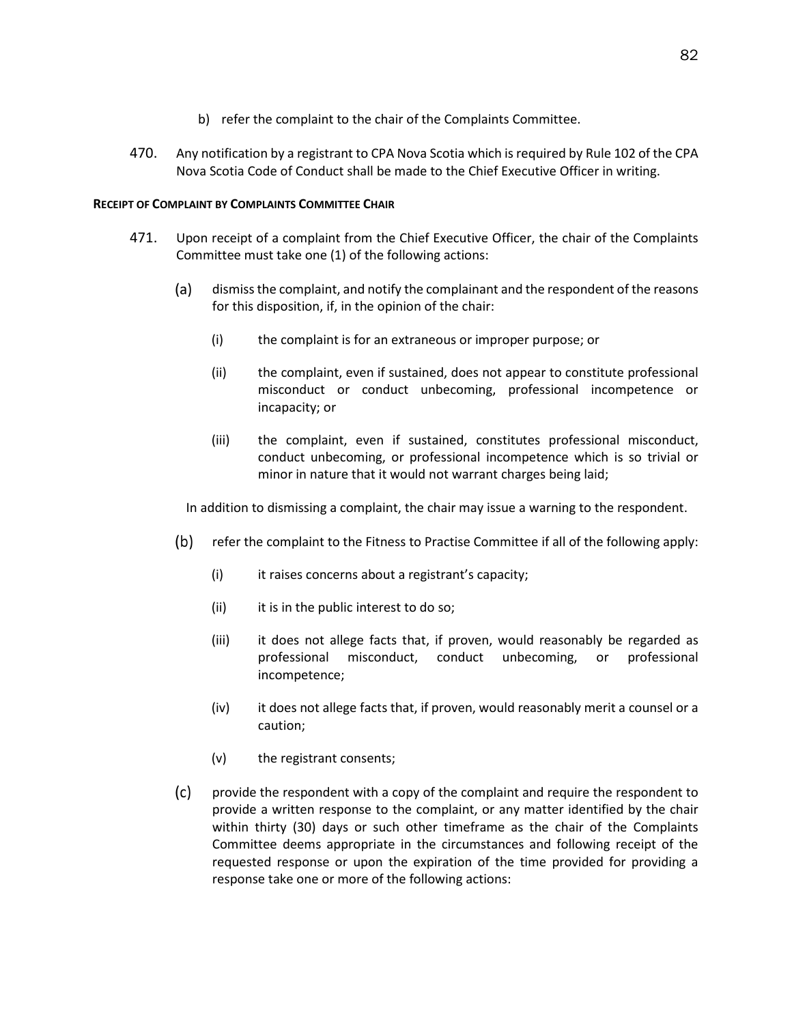- b) refer the complaint to the chair of the Complaints Committee.
- 470. Any notification by a registrant to CPA Nova Scotia which is required by Rule 102 of the CPA Nova Scotia Code of Conduct shall be made to the Chief Executive Officer in writing.

# **RECEIPT OF COMPLAINT BY COMPLAINTS COMMITTEE CHAIR**

- <span id="page-86-0"></span>471. Upon receipt of a complaint from the Chief Executive Officer, the chair of the Complaints Committee must take one (1) of the following actions:
	- (a) dismiss the complaint, and notify the complainant and the respondent of the reasons for this disposition, if, in the opinion of the chair:
		- (i) the complaint is for an extraneous or improper purpose; or
		- (ii) the complaint, even if sustained, does not appear to constitute professional misconduct or conduct unbecoming, professional incompetence or incapacity; or
		- (iii) the complaint, even if sustained, constitutes professional misconduct, conduct unbecoming, or professional incompetence which is so trivial or minor in nature that it would not warrant charges being laid;

In addition to dismissing a complaint, the chair may issue a warning to the respondent.

- $(b)$ refer the complaint to the Fitness to Practise Committee if all of the following apply:
	- (i) it raises concerns about a registrant's capacity;
	- (ii) it is in the public interest to do so;
	- (iii) it does not allege facts that, if proven, would reasonably be regarded as professional misconduct, conduct unbecoming, or professional incompetence;
	- (iv) it does not allege facts that, if proven, would reasonably merit a counsel or a caution;
	- (v) the registrant consents;
- $(c)$ provide the respondent with a copy of the complaint and require the respondent to provide a written response to the complaint, or any matter identified by the chair within thirty (30) days or such other timeframe as the chair of the Complaints Committee deems appropriate in the circumstances and following receipt of the requested response or upon the expiration of the time provided for providing a response take one or more of the following actions: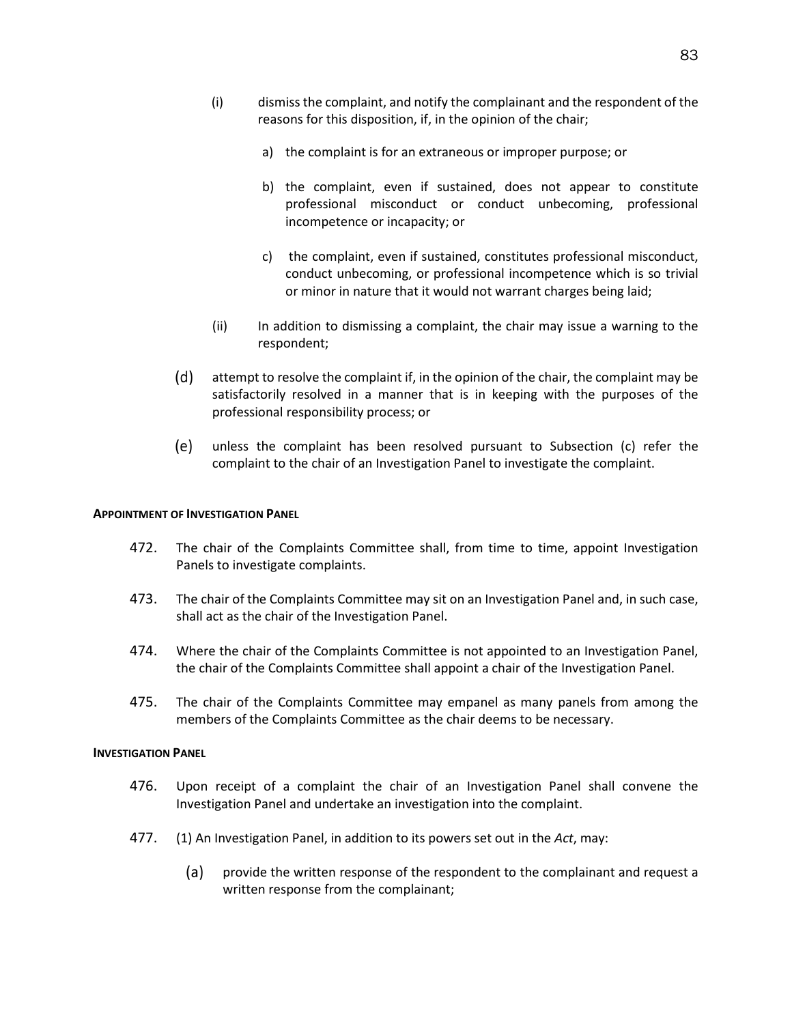- a) the complaint is for an extraneous or improper purpose; or
- b) the complaint, even if sustained, does not appear to constitute professional misconduct or conduct unbecoming, professional incompetence or incapacity; or
- c) the complaint, even if sustained, constitutes professional misconduct, conduct unbecoming, or professional incompetence which is so trivial or minor in nature that it would not warrant charges being laid;
- (ii) In addition to dismissing a complaint, the chair may issue a warning to the respondent;
- $(d)$ attempt to resolve the complaint if, in the opinion of the chair, the complaint may be satisfactorily resolved in a manner that is in keeping with the purposes of the professional responsibility process; or
- unless the complaint has been resolved pursuant to Subsection (c) refer the complaint to the chair of an Investigation Panel to investigate the complaint.

## **APPOINTMENT OF INVESTIGATION PANEL**

- 472. The chair of the Complaints Committee shall, from time to time, appoint Investigation Panels to investigate complaints.
- 473. The chair of the Complaints Committee may sit on an Investigation Panel and, in such case, shall act as the chair of the Investigation Panel.
- 474. Where the chair of the Complaints Committee is not appointed to an Investigation Panel, the chair of the Complaints Committee shall appoint a chair of the Investigation Panel.
- 475. The chair of the Complaints Committee may empanel as many panels from among the members of the Complaints Committee as the chair deems to be necessary.

#### **INVESTIGATION PANEL**

- 476. Upon receipt of a complaint the chair of an Investigation Panel shall convene the Investigation Panel and undertake an investigation into the complaint.
- 477. (1) An Investigation Panel, in addition to its powers set out in the *Act*, may:
	- (a) provide the written response of the respondent to the complainant and request a written response from the complainant;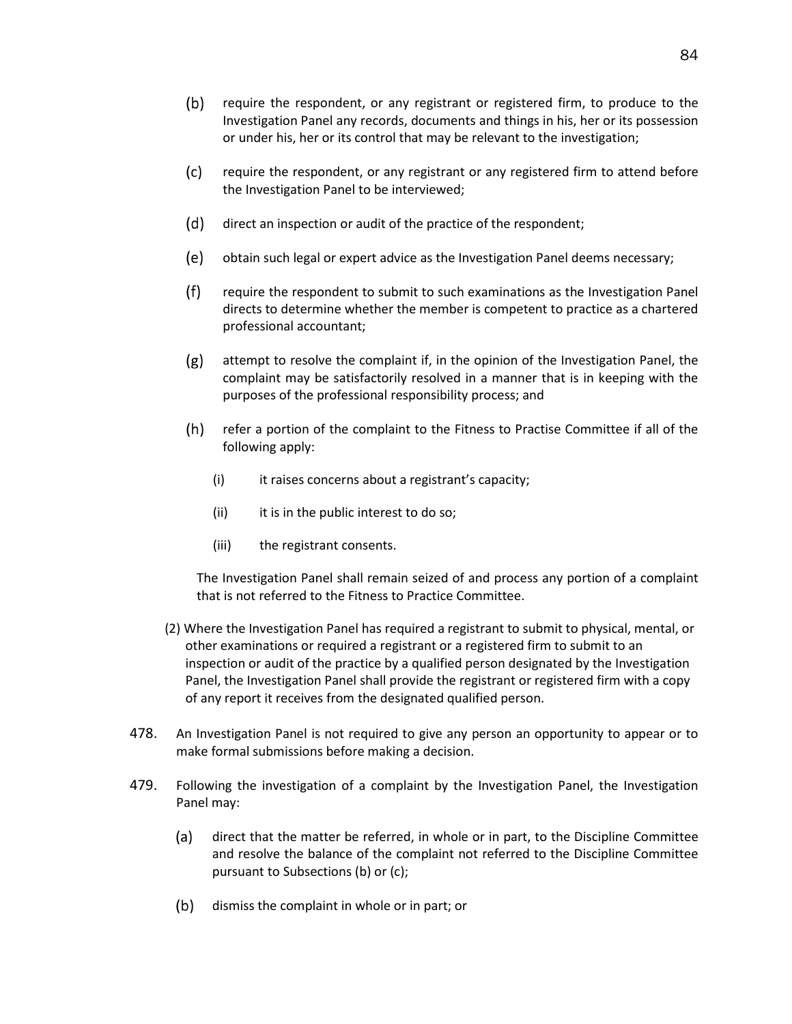- $(b)$ require the respondent, or any registrant or registered firm, to produce to the Investigation Panel any records, documents and things in his, her or its possession or under his, her or its control that may be relevant to the investigation;
- $(c)$ require the respondent, or any registrant or any registered firm to attend before the Investigation Panel to be interviewed;
- (d) direct an inspection or audit of the practice of the respondent;
- (e) obtain such legal or expert advice as the Investigation Panel deems necessary;
- $(f)$ require the respondent to submit to such examinations as the Investigation Panel directs to determine whether the member is competent to practice as a chartered professional accountant;
- $(g)$  attempt to resolve the complaint if, in the opinion of the Investigation Panel, the complaint may be satisfactorily resolved in a manner that is in keeping with the purposes of the professional responsibility process; and
- $(h)$ refer a portion of the complaint to the Fitness to Practise Committee if all of the following apply:
	- (i) it raises concerns about a registrant's capacity;
	- (ii) it is in the public interest to do so;
	- (iii) the registrant consents.

The Investigation Panel shall remain seized of and process any portion of a complaint that is not referred to the Fitness to Practice Committee.

- (2) Where the Investigation Panel has required a registrant to submit to physical, mental, or other examinations or required a registrant or a registered firm to submit to an inspection or audit of the practice by a qualified person designated by the Investigation Panel, the Investigation Panel shall provide the registrant or registered firm with a copy of any report it receives from the designated qualified person.
- 478. An Investigation Panel is not required to give any person an opportunity to appear or to make formal submissions before making a decision.
- <span id="page-88-0"></span>479. Following the investigation of a complaint by the Investigation Panel, the Investigation Panel may:
	- (a) direct that the matter be referred, in whole or in part, to the Discipline Committee and resolve the balance of the complaint not referred to the Discipline Committee pursuant to Subsections (b) or (c);
	- $(b)$  dismiss the complaint in whole or in part; or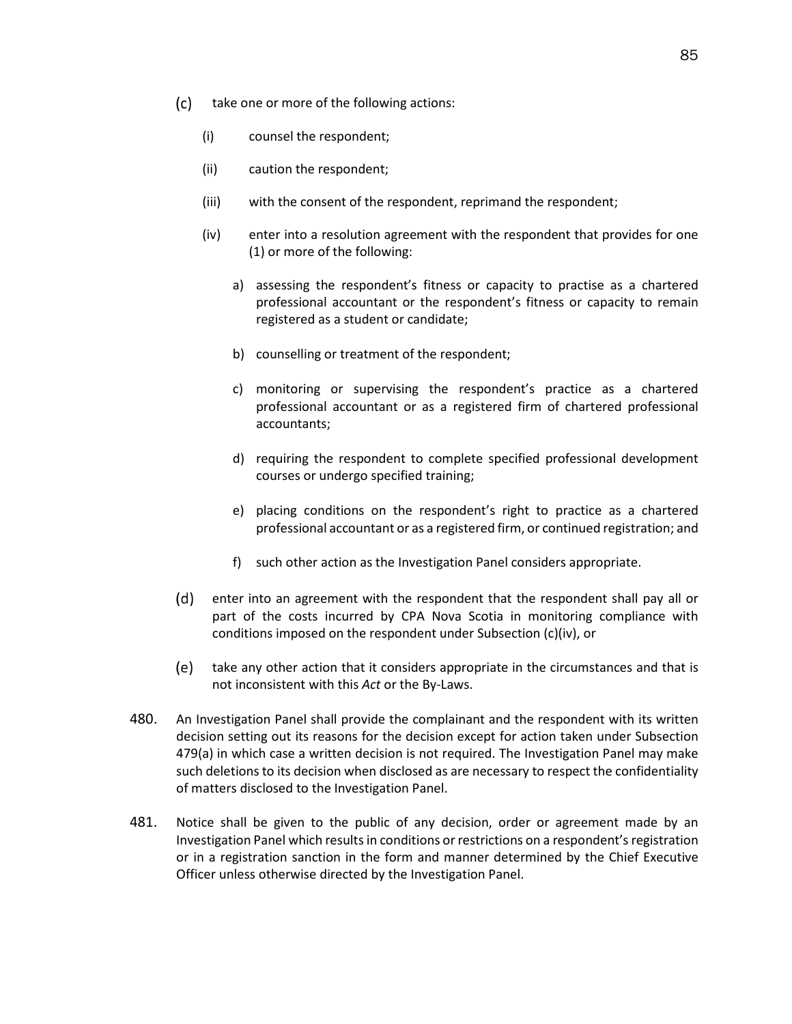- <span id="page-89-0"></span> $(c)$  take one or more of the following actions:
	- (i) counsel the respondent;
	- (ii) caution the respondent;
	- (iii) with the consent of the respondent, reprimand the respondent;
	- (iv) enter into a resolution agreement with the respondent that provides for one (1) or more of the following:
		- a) assessing the respondent's fitness or capacity to practise as a chartered professional accountant or the respondent's fitness or capacity to remain registered as a student or candidate;
		- b) counselling or treatment of the respondent;
		- c) monitoring or supervising the respondent's practice as a chartered professional accountant or as a registered firm of chartered professional accountants;
		- d) requiring the respondent to complete specified professional development courses or undergo specified training;
		- e) placing conditions on the respondent's right to practice as a chartered professional accountant or as a registered firm, or continued registration; and
		- f) such other action as the Investigation Panel considers appropriate.
- (d) enter into an agreement with the respondent that the respondent shall pay all or part of the costs incurred by CPA Nova Scotia in monitoring compliance with conditions imposed on the respondent under Subsection [\(c\)\(iv\),](#page-89-0) or
- take any other action that it considers appropriate in the circumstances and that is not inconsistent with this *Act* or the By-Laws.
- 480. An Investigation Panel shall provide the complainant and the respondent with its written decision setting out its reasons for the decision except for action taken under Subsection [479\(a\)](#page-88-0) in which case a written decision is not required. The Investigation Panel may make such deletions to its decision when disclosed as are necessary to respect the confidentiality of matters disclosed to the Investigation Panel.
- 481. Notice shall be given to the public of any decision, order or agreement made by an Investigation Panel which results in conditions or restrictions on a respondent's registration or in a registration sanction in the form and manner determined by the Chief Executive Officer unless otherwise directed by the Investigation Panel.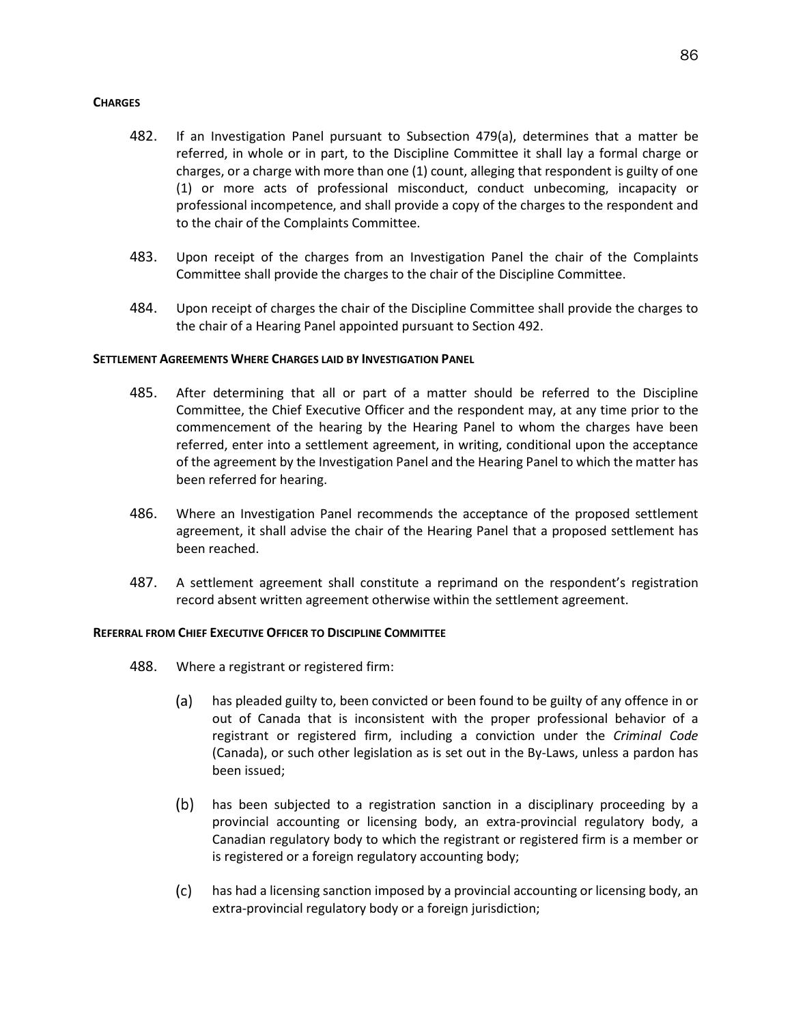# **CHARGES**

- 482. If an Investigation Panel pursuant to Subsection [479\(a\),](#page-88-0) determines that a matter be referred, in whole or in part, to the Discipline Committee it shall lay a formal charge or charges, or a charge with more than one (1) count, alleging that respondent is guilty of one (1) or more acts of professional misconduct, conduct unbecoming, incapacity or professional incompetence, and shall provide a copy of the charges to the respondent and to the chair of the Complaints Committee.
- 483. Upon receipt of the charges from an Investigation Panel the chair of the Complaints Committee shall provide the charges to the chair of the Discipline Committee.
- 484. Upon receipt of charges the chair of the Discipline Committee shall provide the charges to the chair of a Hearing Panel appointed pursuant to Section 492.

# **SETTLEMENT AGREEMENTS WHERE CHARGES LAID BY INVESTIGATION PANEL**

- 485. After determining that all or part of a matter should be referred to the Discipline Committee, the Chief Executive Officer and the respondent may, at any time prior to the commencement of the hearing by the Hearing Panel to whom the charges have been referred, enter into a settlement agreement, in writing, conditional upon the acceptance of the agreement by the Investigation Panel and the Hearing Panel to which the matter has been referred for hearing.
- 486. Where an Investigation Panel recommends the acceptance of the proposed settlement agreement, it shall advise the chair of the Hearing Panel that a proposed settlement has been reached.
- 487. A settlement agreement shall constitute a reprimand on the respondent's registration record absent written agreement otherwise within the settlement agreement.

## **REFERRAL FROM CHIEF EXECUTIVE OFFICER TO DISCIPLINE COMMITTEE**

- 488. Where a registrant or registered firm:
	- (a) has pleaded guilty to, been convicted or been found to be guilty of any offence in or out of Canada that is inconsistent with the proper professional behavior of a registrant or registered firm, including a conviction under the *Criminal Code* (Canada), or such other legislation as is set out in the By-Laws, unless a pardon has been issued;
	- $(b)$ has been subjected to a registration sanction in a disciplinary proceeding by a provincial accounting or licensing body, an extra-provincial regulatory body, a Canadian regulatory body to which the registrant or registered firm is a member or is registered or a foreign regulatory accounting body;
	- $(c)$ has had a licensing sanction imposed by a provincial accounting or licensing body, an extra-provincial regulatory body or a foreign jurisdiction;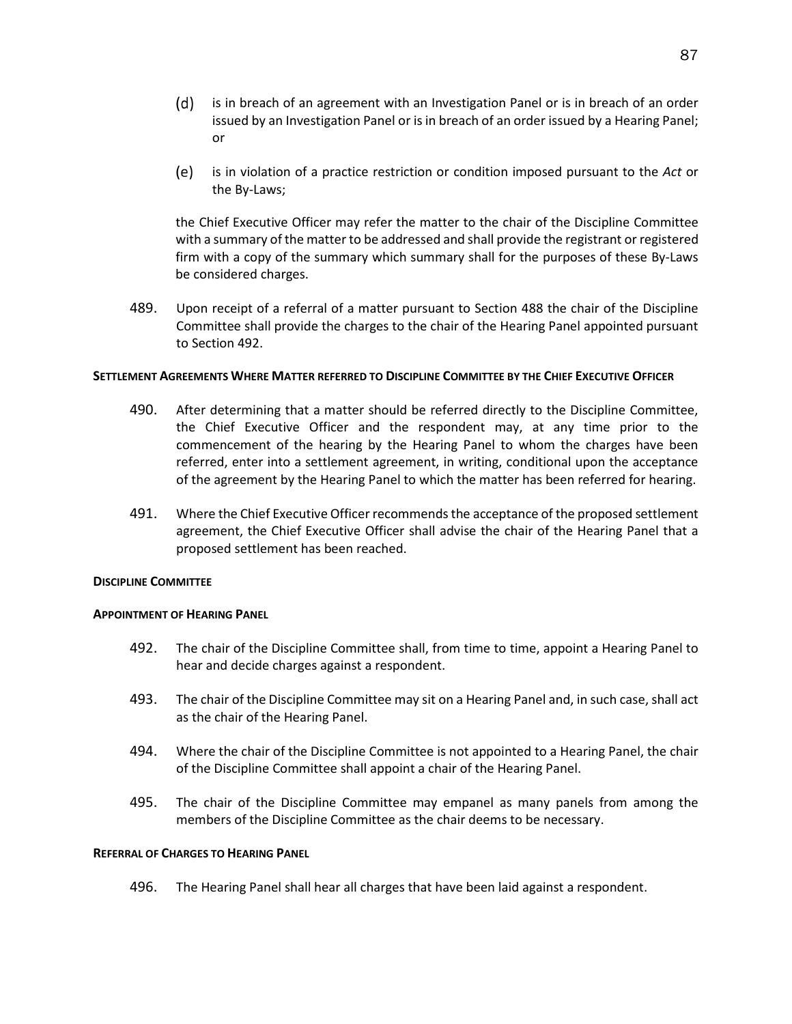- $(d)$  is in breach of an agreement with an Investigation Panel or is in breach of an order issued by an Investigation Panel or is in breach of an order issued by a Hearing Panel; or
- is in violation of a practice restriction or condition imposed pursuant to the *Act* or (e) the By-Laws;

the Chief Executive Officer may refer the matter to the chair of the Discipline Committee with a summary of the matter to be addressed and shall provide the registrant or registered firm with a copy of the summary which summary shall for the purposes of these By-Laws be considered charges.

489. Upon receipt of a referral of a matter pursuant to Section 488 the chair of the Discipline Committee shall provide the charges to the chair of the Hearing Panel appointed pursuant to Section 492.

## **SETTLEMENT AGREEMENTS WHERE MATTER REFERRED TO DISCIPLINE COMMITTEE BY THE CHIEF EXECUTIVE OFFICER**

- 490. After determining that a matter should be referred directly to the Discipline Committee, the Chief Executive Officer and the respondent may, at any time prior to the commencement of the hearing by the Hearing Panel to whom the charges have been referred, enter into a settlement agreement, in writing, conditional upon the acceptance of the agreement by the Hearing Panel to which the matter has been referred for hearing.
- 491. Where the Chief Executive Officer recommends the acceptance of the proposed settlement agreement, the Chief Executive Officer shall advise the chair of the Hearing Panel that a proposed settlement has been reached.

## **DISCIPLINE COMMITTEE**

## **APPOINTMENT OF HEARING PANEL**

- 492. The chair of the Discipline Committee shall, from time to time, appoint a Hearing Panel to hear and decide charges against a respondent.
- 493. The chair of the Discipline Committee may sit on a Hearing Panel and, in such case, shall act as the chair of the Hearing Panel.
- 494. Where the chair of the Discipline Committee is not appointed to a Hearing Panel, the chair of the Discipline Committee shall appoint a chair of the Hearing Panel.
- 495. The chair of the Discipline Committee may empanel as many panels from among the members of the Discipline Committee as the chair deems to be necessary.

#### **REFERRAL OF CHARGES TO HEARING PANEL**

496. The Hearing Panel shall hear all charges that have been laid against a respondent.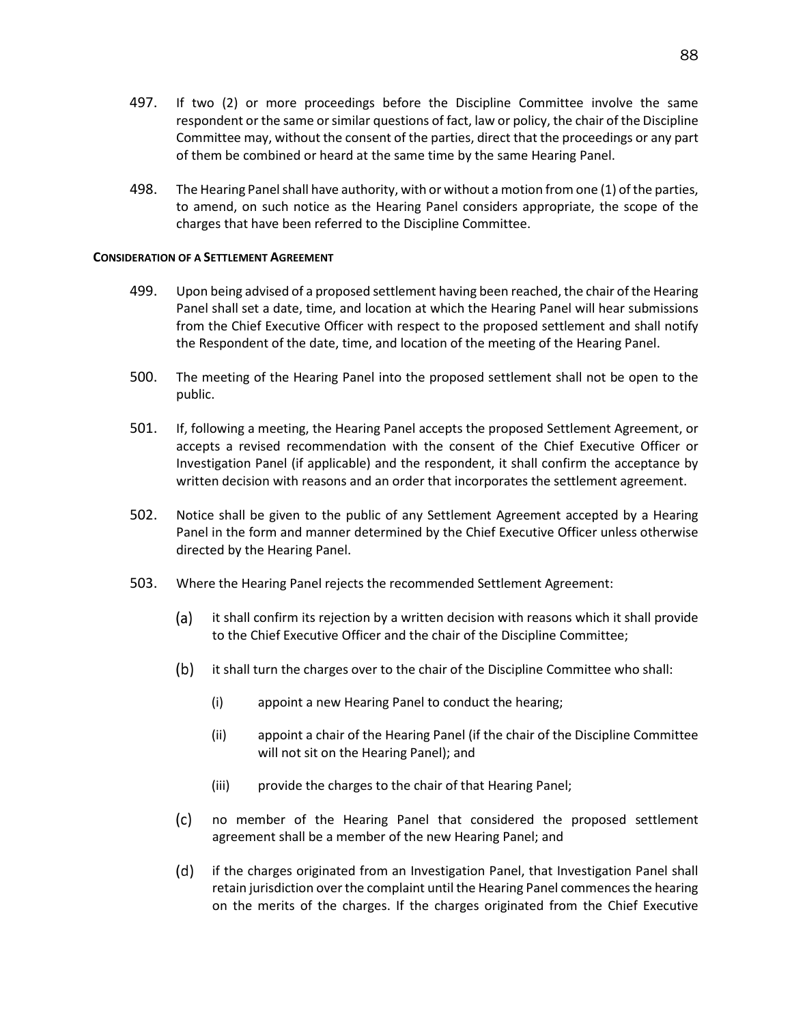- 497. If two (2) or more proceedings before the Discipline Committee involve the same respondent or the same or similar questions of fact, law or policy, the chair of the Discipline Committee may, without the consent of the parties, direct that the proceedings or any part of them be combined or heard at the same time by the same Hearing Panel.
- 498. The Hearing Panel shall have authority, with or without a motion from one (1) of the parties, to amend, on such notice as the Hearing Panel considers appropriate, the scope of the charges that have been referred to the Discipline Committee.

### **CONSIDERATION OF A SETTLEMENT AGREEMENT**

- 499. Upon being advised of a proposed settlement having been reached, the chair of the Hearing Panel shall set a date, time, and location at which the Hearing Panel will hear submissions from the Chief Executive Officer with respect to the proposed settlement and shall notify the Respondent of the date, time, and location of the meeting of the Hearing Panel.
- 500. The meeting of the Hearing Panel into the proposed settlement shall not be open to the public.
- 501. If, following a meeting, the Hearing Panel accepts the proposed Settlement Agreement, or accepts a revised recommendation with the consent of the Chief Executive Officer or Investigation Panel (if applicable) and the respondent, it shall confirm the acceptance by written decision with reasons and an order that incorporates the settlement agreement.
- 502. Notice shall be given to the public of any Settlement Agreement accepted by a Hearing Panel in the form and manner determined by the Chief Executive Officer unless otherwise directed by the Hearing Panel.
- 503. Where the Hearing Panel rejects the recommended Settlement Agreement:
	- (a) it shall confirm its rejection by a written decision with reasons which it shall provide to the Chief Executive Officer and the chair of the Discipline Committee;
	- $(b)$ it shall turn the charges over to the chair of the Discipline Committee who shall:
		- (i) appoint a new Hearing Panel to conduct the hearing;
		- (ii) appoint a chair of the Hearing Panel (if the chair of the Discipline Committee will not sit on the Hearing Panel); and
		- (iii) provide the charges to the chair of that Hearing Panel;
	- no member of the Hearing Panel that considered the proposed settlement  $(c)$ agreement shall be a member of the new Hearing Panel; and
	- (d) if the charges originated from an Investigation Panel, that Investigation Panel shall retain jurisdiction over the complaint until the Hearing Panel commences the hearing on the merits of the charges. If the charges originated from the Chief Executive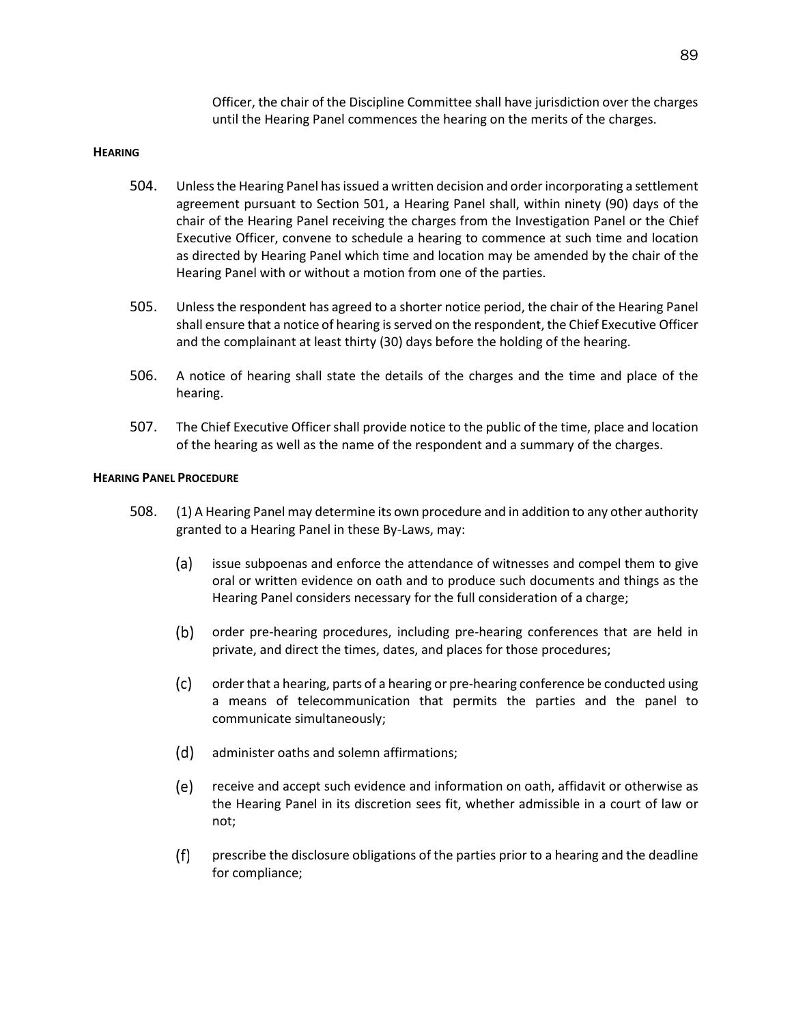Officer, the chair of the Discipline Committee shall have jurisdiction over the charges until the Hearing Panel commences the hearing on the merits of the charges.

### **HEARING**

- 504. Unless the Hearing Panel has issued a written decision and order incorporating a settlement agreement pursuant to Section 501, a Hearing Panel shall, within ninety (90) days of the chair of the Hearing Panel receiving the charges from the Investigation Panel or the Chief Executive Officer, convene to schedule a hearing to commence at such time and location as directed by Hearing Panel which time and location may be amended by the chair of the Hearing Panel with or without a motion from one of the parties.
- 505. Unless the respondent has agreed to a shorter notice period, the chair of the Hearing Panel shall ensure that a notice of hearing is served on the respondent, the Chief Executive Officer and the complainant at least thirty (30) days before the holding of the hearing.
- 506. A notice of hearing shall state the details of the charges and the time and place of the hearing.
- 507. The Chief Executive Officer shall provide notice to the public of the time, place and location of the hearing as well as the name of the respondent and a summary of the charges.

### **HEARING PANEL PROCEDURE**

- 508. (1) A Hearing Panel may determine its own procedure and in addition to any other authority granted to a Hearing Panel in these By-Laws, may:
	- issue subpoenas and enforce the attendance of witnesses and compel them to give (a) oral or written evidence on oath and to produce such documents and things as the Hearing Panel considers necessary for the full consideration of a charge;
	- (b) order pre-hearing procedures, including pre-hearing conferences that are held in private, and direct the times, dates, and places for those procedures;
	- $(c)$ order that a hearing, parts of a hearing or pre-hearing conference be conducted using a means of telecommunication that permits the parties and the panel to communicate simultaneously;
	- (d) administer oaths and solemn affirmations;
	- (e) receive and accept such evidence and information on oath, affidavit or otherwise as the Hearing Panel in its discretion sees fit, whether admissible in a court of law or not;
	- $(f)$ prescribe the disclosure obligations of the parties prior to a hearing and the deadline for compliance;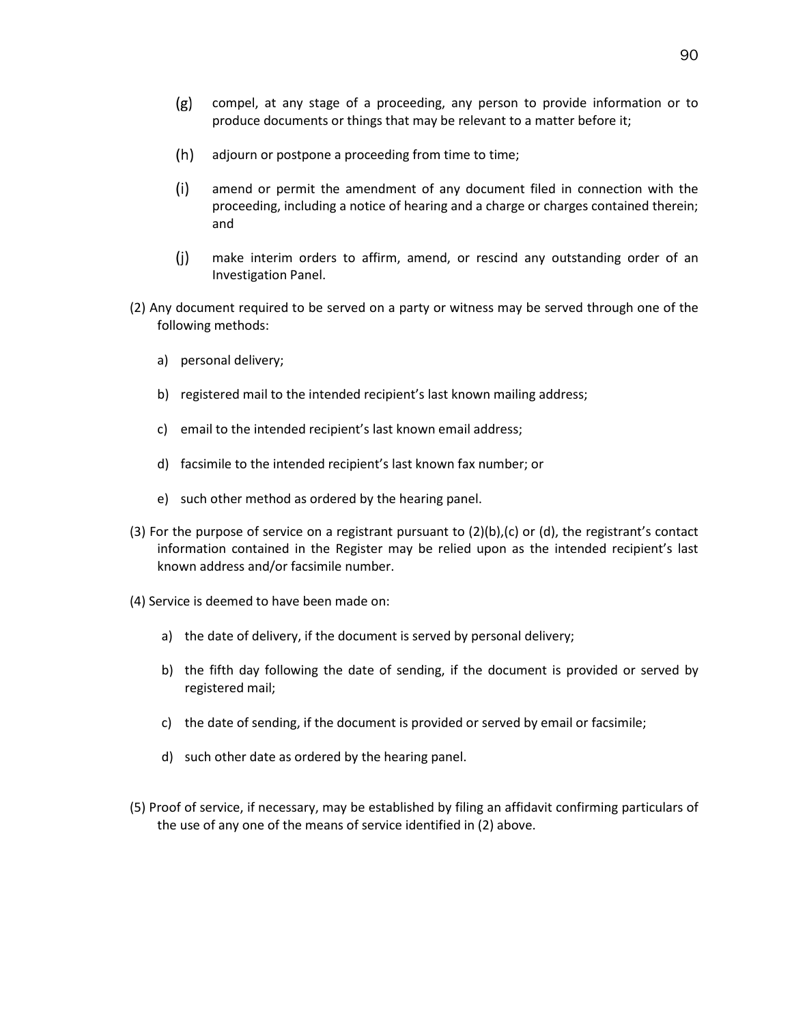- $(g)$ compel, at any stage of a proceeding, any person to provide information or to produce documents or things that may be relevant to a matter before it;
- $(h)$ adjourn or postpone a proceeding from time to time;
- $(i)$ amend or permit the amendment of any document filed in connection with the proceeding, including a notice of hearing and a charge or charges contained therein; and
- $(i)$ make interim orders to affirm, amend, or rescind any outstanding order of an Investigation Panel.
- (2) Any document required to be served on a party or witness may be served through one of the following methods:
	- a) personal delivery;
	- b) registered mail to the intended recipient's last known mailing address;
	- c) email to the intended recipient's last known email address;
	- d) facsimile to the intended recipient's last known fax number; or
	- e) such other method as ordered by the hearing panel.
- (3) For the purpose of service on a registrant pursuant to  $(2)(b)$ , (c) or (d), the registrant's contact information contained in the Register may be relied upon as the intended recipient's last known address and/or facsimile number.
- (4) Service is deemed to have been made on:
	- a) the date of delivery, if the document is served by personal delivery;
	- b) the fifth day following the date of sending, if the document is provided or served by registered mail;
	- c) the date of sending, if the document is provided or served by email or facsimile;
	- d) such other date as ordered by the hearing panel.
- (5) Proof of service, if necessary, may be established by filing an affidavit confirming particulars of the use of any one of the means of service identified in (2) above.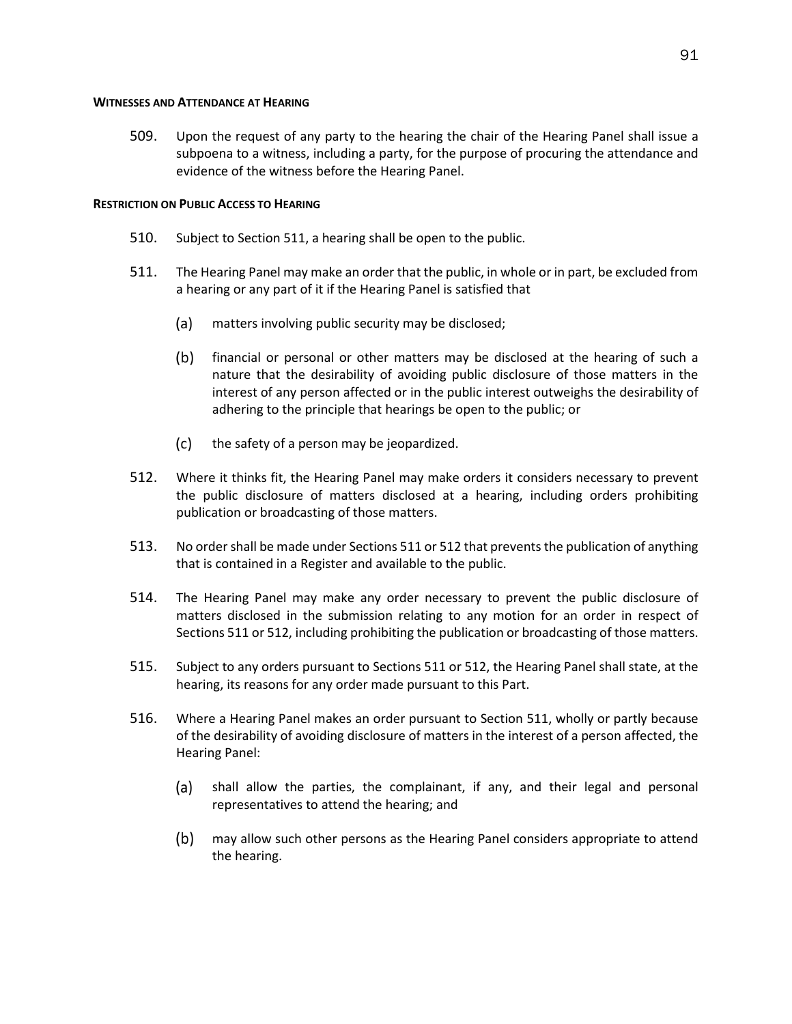### **WITNESSES AND ATTENDANCE AT HEARING**

509. Upon the request of any party to the hearing the chair of the Hearing Panel shall issue a subpoena to a witness, including a party, for the purpose of procuring the attendance and evidence of the witness before the Hearing Panel.

# **RESTRICTION ON PUBLIC ACCESS TO HEARING**

- 510. Subject to Section 511, a hearing shall be open to the public.
- 511. The Hearing Panel may make an order that the public, in whole or in part, be excluded from a hearing or any part of it if the Hearing Panel is satisfied that
	- (a) matters involving public security may be disclosed;
	- $(b)$ financial or personal or other matters may be disclosed at the hearing of such a nature that the desirability of avoiding public disclosure of those matters in the interest of any person affected or in the public interest outweighs the desirability of adhering to the principle that hearings be open to the public; or
	- $(c)$ the safety of a person may be jeopardized.
- 512. Where it thinks fit, the Hearing Panel may make orders it considers necessary to prevent the public disclosure of matters disclosed at a hearing, including orders prohibiting publication or broadcasting of those matters.
- 513. No order shall be made under Sections 511 or 512 that prevents the publication of anything that is contained in a Register and available to the public.
- 514. The Hearing Panel may make any order necessary to prevent the public disclosure of matters disclosed in the submission relating to any motion for an order in respect of Sections 511 or 512, including prohibiting the publication or broadcasting of those matters.
- 515. Subject to any orders pursuant to Sections 511 or 512, the Hearing Panel shall state, at the hearing, its reasons for any order made pursuant to this Part.
- 516. Where a Hearing Panel makes an order pursuant to Section 511, wholly or partly because of the desirability of avoiding disclosure of matters in the interest of a person affected, the Hearing Panel:
	- (a) shall allow the parties, the complainant, if any, and their legal and personal representatives to attend the hearing; and
	- $(b)$ may allow such other persons as the Hearing Panel considers appropriate to attend the hearing.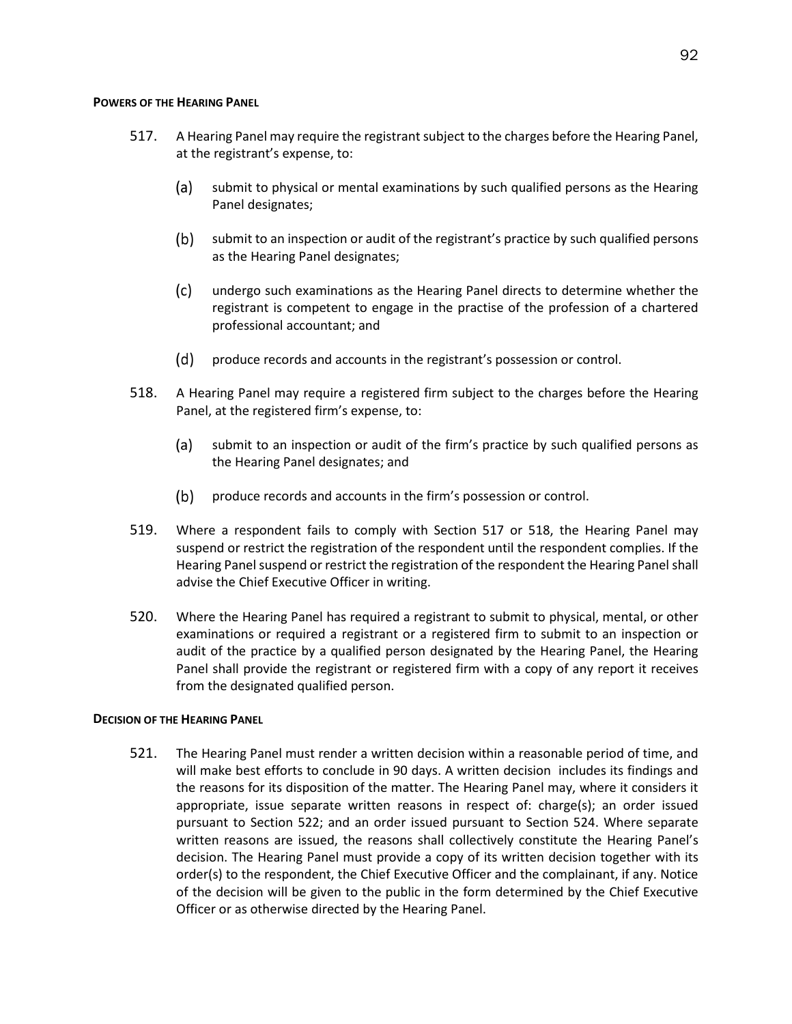### **POWERS OF THE HEARING PANEL**

- 517. A Hearing Panel may require the registrant subject to the charges before the Hearing Panel, at the registrant's expense, to:
	- $(a)$ submit to physical or mental examinations by such qualified persons as the Hearing Panel designates;
	- $(b)$ submit to an inspection or audit of the registrant's practice by such qualified persons as the Hearing Panel designates;
	- $(c)$ undergo such examinations as the Hearing Panel directs to determine whether the registrant is competent to engage in the practise of the profession of a chartered professional accountant; and
	- $(d)$ produce records and accounts in the registrant's possession or control.
- 518. A Hearing Panel may require a registered firm subject to the charges before the Hearing Panel, at the registered firm's expense, to:
	- $(a)$ submit to an inspection or audit of the firm's practice by such qualified persons as the Hearing Panel designates; and
	- $(b)$ produce records and accounts in the firm's possession or control.
- 519. Where a respondent fails to comply with Section 517 or 518, the Hearing Panel may suspend or restrict the registration of the respondent until the respondent complies. If the Hearing Panel suspend or restrict the registration of the respondent the Hearing Panel shall advise the Chief Executive Officer in writing.
- 520. Where the Hearing Panel has required a registrant to submit to physical, mental, or other examinations or required a registrant or a registered firm to submit to an inspection or audit of the practice by a qualified person designated by the Hearing Panel, the Hearing Panel shall provide the registrant or registered firm with a copy of any report it receives from the designated qualified person.

# **DECISION OF THE HEARING PANEL**

521. The Hearing Panel must render a written decision within a reasonable period of time, and will make best efforts to conclude in 90 days. A written decision includes its findings and the reasons for its disposition of the matter. The Hearing Panel may, where it considers it appropriate, issue separate written reasons in respect of: charge(s); an order issued pursuant to Section 522; and an order issued pursuant to Section 524. Where separate written reasons are issued, the reasons shall collectively constitute the Hearing Panel's decision. The Hearing Panel must provide a copy of its written decision together with its order(s) to the respondent, the Chief Executive Officer and the complainant, if any. Notice of the decision will be given to the public in the form determined by the Chief Executive Officer or as otherwise directed by the Hearing Panel.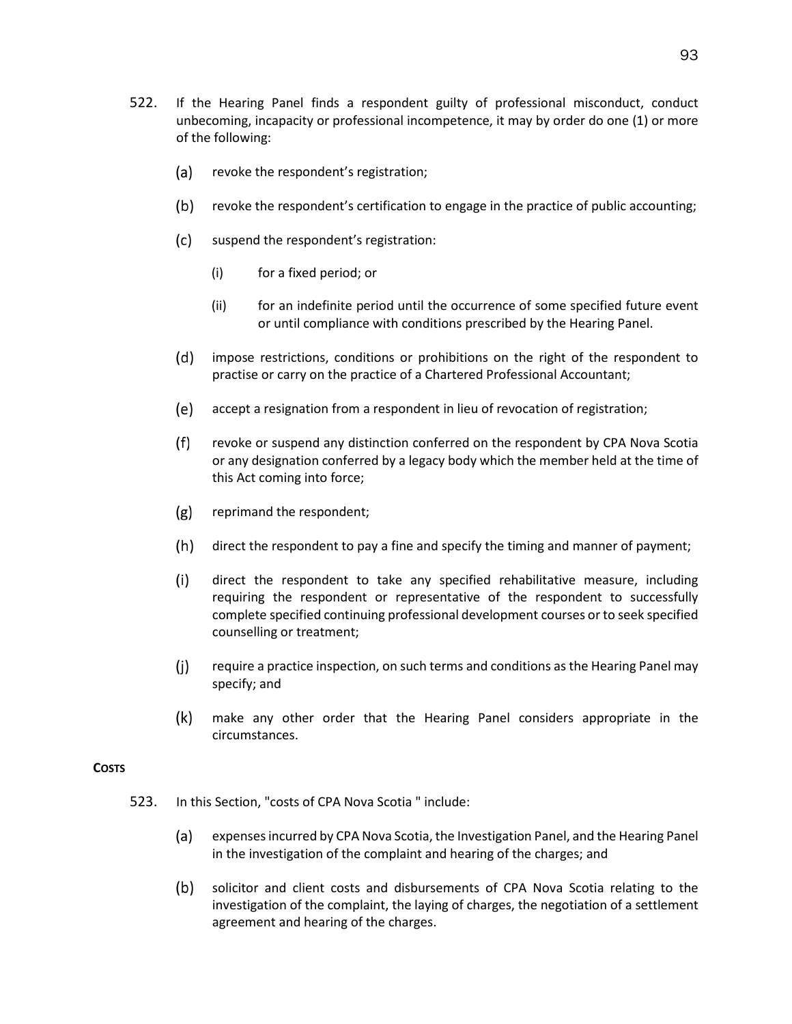- 522. If the Hearing Panel finds a respondent guilty of professional misconduct, conduct unbecoming, incapacity or professional incompetence, it may by order do one (1) or more of the following:
	- $(a)$ revoke the respondent's registration;
	- $(b)$ revoke the respondent's certification to engage in the practice of public accounting;
	- $(c)$ suspend the respondent's registration:
		- (i) for a fixed period; or
		- (ii) for an indefinite period until the occurrence of some specified future event or until compliance with conditions prescribed by the Hearing Panel.
	- $(d)$ impose restrictions, conditions or prohibitions on the right of the respondent to practise or carry on the practice of a Chartered Professional Accountant;
	- accept a resignation from a respondent in lieu of revocation of registration;
	- $(f)$ revoke or suspend any distinction conferred on the respondent by CPA Nova Scotia or any designation conferred by a legacy body which the member held at the time of this Act coming into force;
	- $(g)$ reprimand the respondent;
	- $(h)$ direct the respondent to pay a fine and specify the timing and manner of payment;
	- $(i)$ direct the respondent to take any specified rehabilitative measure, including requiring the respondent or representative of the respondent to successfully complete specified continuing professional development courses or to seek specified counselling or treatment;
	- $(i)$ require a practice inspection, on such terms and conditions as the Hearing Panel may specify; and
	- $(k)$ make any other order that the Hearing Panel considers appropriate in the circumstances.

# **COSTS**

- 523. In this Section, "costs of CPA Nova Scotia " include:
	- (a) expenses incurred by CPA Nova Scotia, the Investigation Panel, and the Hearing Panel in the investigation of the complaint and hearing of the charges; and
	- $(b)$ solicitor and client costs and disbursements of CPA Nova Scotia relating to the investigation of the complaint, the laying of charges, the negotiation of a settlement agreement and hearing of the charges.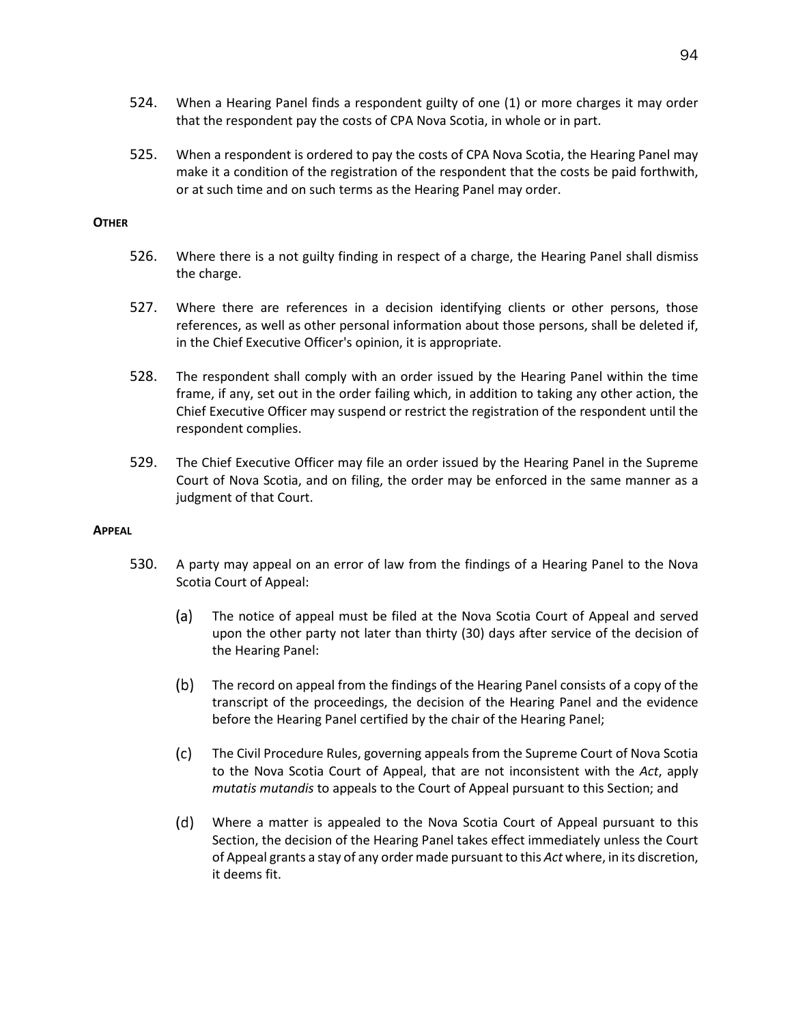- 524. When a Hearing Panel finds a respondent guilty of one (1) or more charges it may order that the respondent pay the costs of CPA Nova Scotia, in whole or in part.
- 525. When a respondent is ordered to pay the costs of CPA Nova Scotia, the Hearing Panel may make it a condition of the registration of the respondent that the costs be paid forthwith, or at such time and on such terms as the Hearing Panel may order.

# **OTHER**

- 526. Where there is a not guilty finding in respect of a charge, the Hearing Panel shall dismiss the charge.
- 527. Where there are references in a decision identifying clients or other persons, those references, as well as other personal information about those persons, shall be deleted if, in the Chief Executive Officer's opinion, it is appropriate.
- 528. The respondent shall comply with an order issued by the Hearing Panel within the time frame, if any, set out in the order failing which, in addition to taking any other action, the Chief Executive Officer may suspend or restrict the registration of the respondent until the respondent complies.
- 529. The Chief Executive Officer may file an order issued by the Hearing Panel in the Supreme Court of Nova Scotia, and on filing, the order may be enforced in the same manner as a judgment of that Court.

## **APPEAL**

- 530. A party may appeal on an error of law from the findings of a Hearing Panel to the Nova Scotia Court of Appeal:
	- $(a)$ The notice of appeal must be filed at the Nova Scotia Court of Appeal and served upon the other party not later than thirty (30) days after service of the decision of the Hearing Panel:
	- $(b)$ The record on appeal from the findings of the Hearing Panel consists of a copy of the transcript of the proceedings, the decision of the Hearing Panel and the evidence before the Hearing Panel certified by the chair of the Hearing Panel;
	- $(c)$ The Civil Procedure Rules, governing appeals from the Supreme Court of Nova Scotia to the Nova Scotia Court of Appeal, that are not inconsistent with the *Act*, apply *mutatis mutandis* to appeals to the Court of Appeal pursuant to this Section; and
	- Where a matter is appealed to the Nova Scotia Court of Appeal pursuant to this Section, the decision of the Hearing Panel takes effect immediately unless the Court of Appeal grants a stay of any order made pursuant to this *Act* where, in its discretion, it deems fit.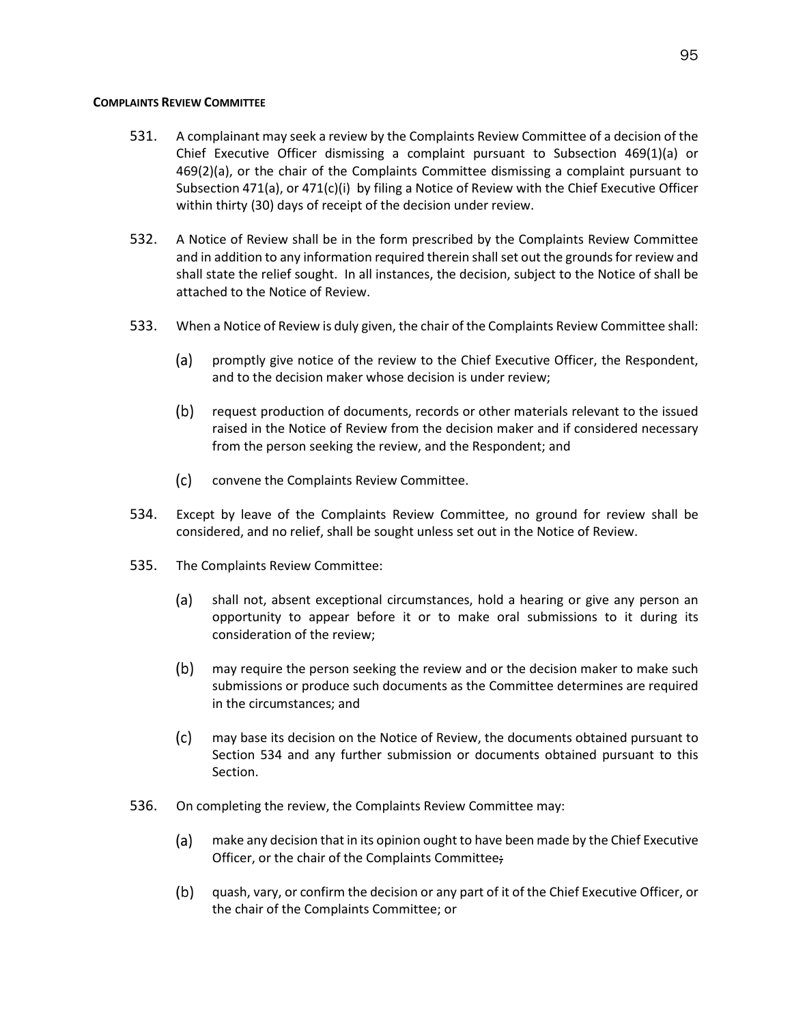## **COMPLAINTS REVIEW COMMITTEE**

- 531. A complainant may seek a review by the Complaints Review Committee of a decision of the Chief Executive Officer dismissing a complaint pursuant to Subsection 469(1)(a) or 469(2)(a), or the chair of the Complaints Committee dismissing a complaint pursuant to Subsectio[n 471\(a\),](#page-86-0) or 471(c)(i) by filing a Notice of Review with the Chief Executive Officer within thirty (30) days of receipt of the decision under review.
- 532. A Notice of Review shall be in the form prescribed by the Complaints Review Committee and in addition to any information required therein shall set out the grounds for review and shall state the relief sought. In all instances, the decision, subject to the Notice of shall be attached to the Notice of Review.
- 533. When a Notice of Review is duly given, the chair of the Complaints Review Committee shall:
	- (a) promptly give notice of the review to the Chief Executive Officer, the Respondent, and to the decision maker whose decision is under review;
	- request production of documents, records or other materials relevant to the issued raised in the Notice of Review from the decision maker and if considered necessary from the person seeking the review, and the Respondent; and
	- $(c)$ convene the Complaints Review Committee.
- 534. Except by leave of the Complaints Review Committee, no ground for review shall be considered, and no relief, shall be sought unless set out in the Notice of Review.
- 535. The Complaints Review Committee:
	- shall not, absent exceptional circumstances, hold a hearing or give any person an (a) opportunity to appear before it or to make oral submissions to it during its consideration of the review;
	- $(b)$ may require the person seeking the review and or the decision maker to make such submissions or produce such documents as the Committee determines are required in the circumstances; and
	- $(c)$ may base its decision on the Notice of Review, the documents obtained pursuant to Section 534 and any further submission or documents obtained pursuant to this Section.
- 536. On completing the review, the Complaints Review Committee may:
	- make any decision that in its opinion ought to have been made by the Chief Executive (a) Officer, or the chair of the Complaints Committee;
	- $(b)$ quash, vary, or confirm the decision or any part of it of the Chief Executive Officer, or the chair of the Complaints Committee; or